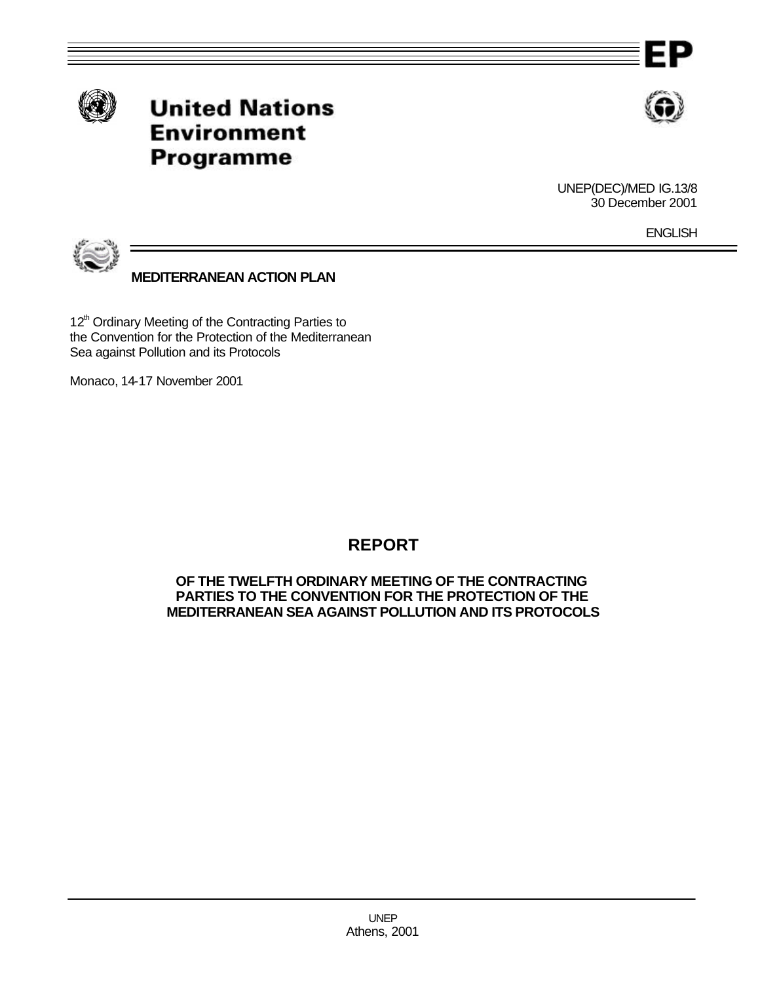





UNEP(DEC)/MED IG.13/8 30 December 2001

**ENGLISH** 



**MEDITERRANEAN ACTION PLAN**

12<sup>th</sup> Ordinary Meeting of the Contracting Parties to the Convention for the Protection of the Mediterranean Sea against Pollution and its Protocols

Monaco, 14-17 November 2001

## **REPORT**

#### **OF THE TWELFTH ORDINARY MEETING OF THE CONTRACTING PARTIES TO THE CONVENTION FOR THE PROTECTION OF THE MEDITERRANEAN SEA AGAINST POLLUTION AND ITS PROTOCOLS**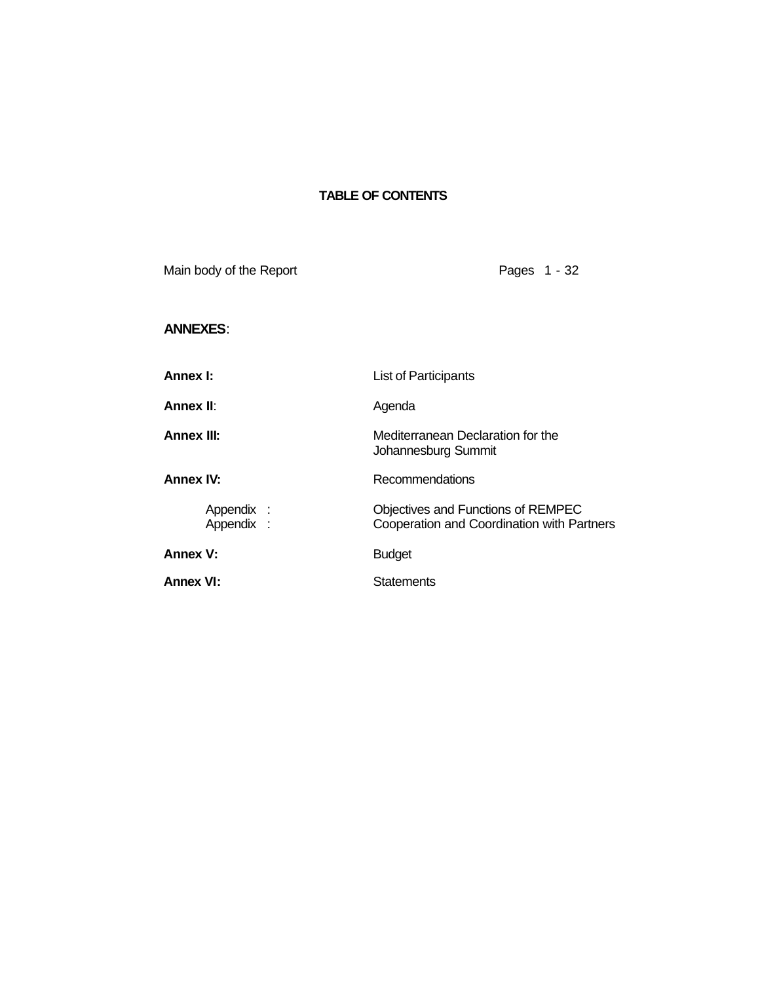#### **TABLE OF CONTENTS**

Main body of the Report **Pages 1 - 32 ANNEXES**: **Annex I:** List of Participants **Annex II:** Agenda **Annex III:** Mediterranean Declaration for the Johannesburg Summit **Annex IV:** Recommendations Appendix : Objectives and Functions of REMPEC<br>
Appendix : Cooperation and Coordination with Pai Cooperation and Coordination with Partners Annex V: Budget **Annex VI:** Statements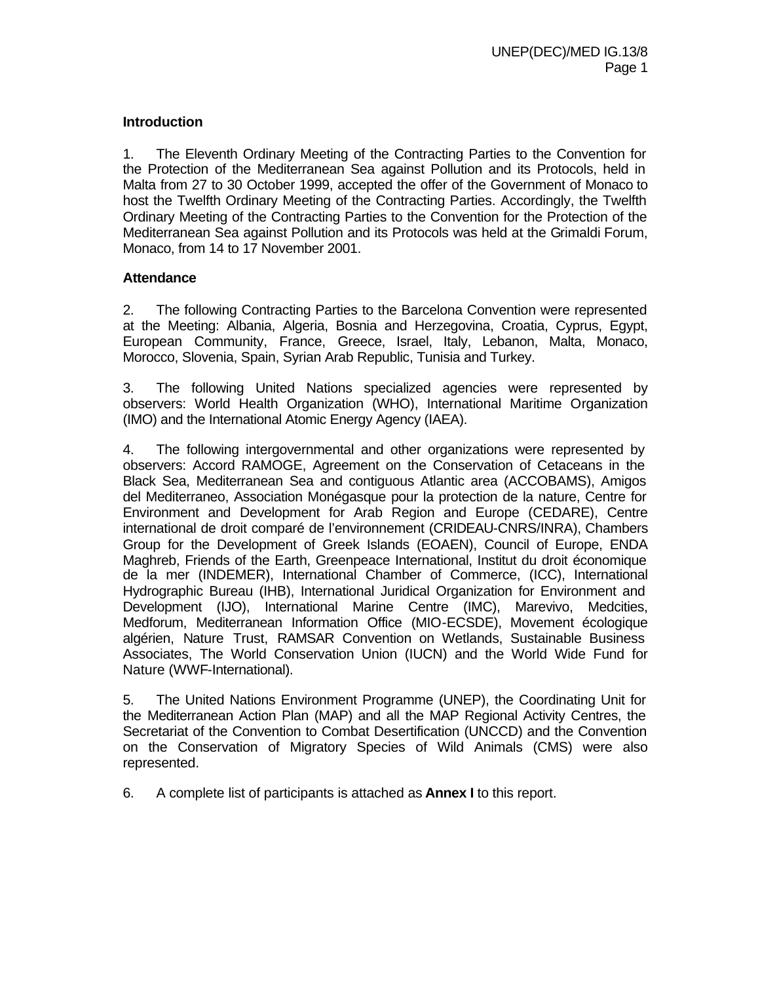#### **Introduction**

1. The Eleventh Ordinary Meeting of the Contracting Parties to the Convention for the Protection of the Mediterranean Sea against Pollution and its Protocols, held in Malta from 27 to 30 October 1999, accepted the offer of the Government of Monaco to host the Twelfth Ordinary Meeting of the Contracting Parties. Accordingly, the Twelfth Ordinary Meeting of the Contracting Parties to the Convention for the Protection of the Mediterranean Sea against Pollution and its Protocols was held at the Grimaldi Forum, Monaco, from 14 to 17 November 2001.

#### **Attendance**

2. The following Contracting Parties to the Barcelona Convention were represented at the Meeting: Albania, Algeria, Bosnia and Herzegovina, Croatia, Cyprus, Egypt, European Community, France, Greece, Israel, Italy, Lebanon, Malta, Monaco, Morocco, Slovenia, Spain, Syrian Arab Republic, Tunisia and Turkey.

3. The following United Nations specialized agencies were represented by observers: World Health Organization (WHO), International Maritime Organization (IMO) and the International Atomic Energy Agency (IAEA).

4. The following intergovernmental and other organizations were represented by observers: Accord RAMOGE, Agreement on the Conservation of Cetaceans in the Black Sea, Mediterranean Sea and contiguous Atlantic area (ACCOBAMS), Amigos del Mediterraneo, Association Monégasque pour la protection de la nature, Centre for Environment and Development for Arab Region and Europe (CEDARE), Centre international de droit comparé de l'environnement (CRIDEAU-CNRS/INRA), Chambers Group for the Development of Greek Islands (EOAEN), Council of Europe, ENDA Maghreb, Friends of the Earth, Greenpeace International, Institut du droit économique de la mer (INDEMER), International Chamber of Commerce, (ICC), International Hydrographic Bureau (IHB), International Juridical Organization for Environment and Development (IJO), International Marine Centre (IMC), Marevivo, Medcities, Medforum, Mediterranean Information Office (MIO-ECSDE), Movement écologique algérien, Nature Trust, RAMSAR Convention on Wetlands, Sustainable Business Associates, The World Conservation Union (IUCN) and the World Wide Fund for Nature (WWF-International).

5. The United Nations Environment Programme (UNEP), the Coordinating Unit for the Mediterranean Action Plan (MAP) and all the MAP Regional Activity Centres, the Secretariat of the Convention to Combat Desertification (UNCCD) and the Convention on the Conservation of Migratory Species of Wild Animals (CMS) were also represented.

6. A complete list of participants is attached as **Annex I** to this report.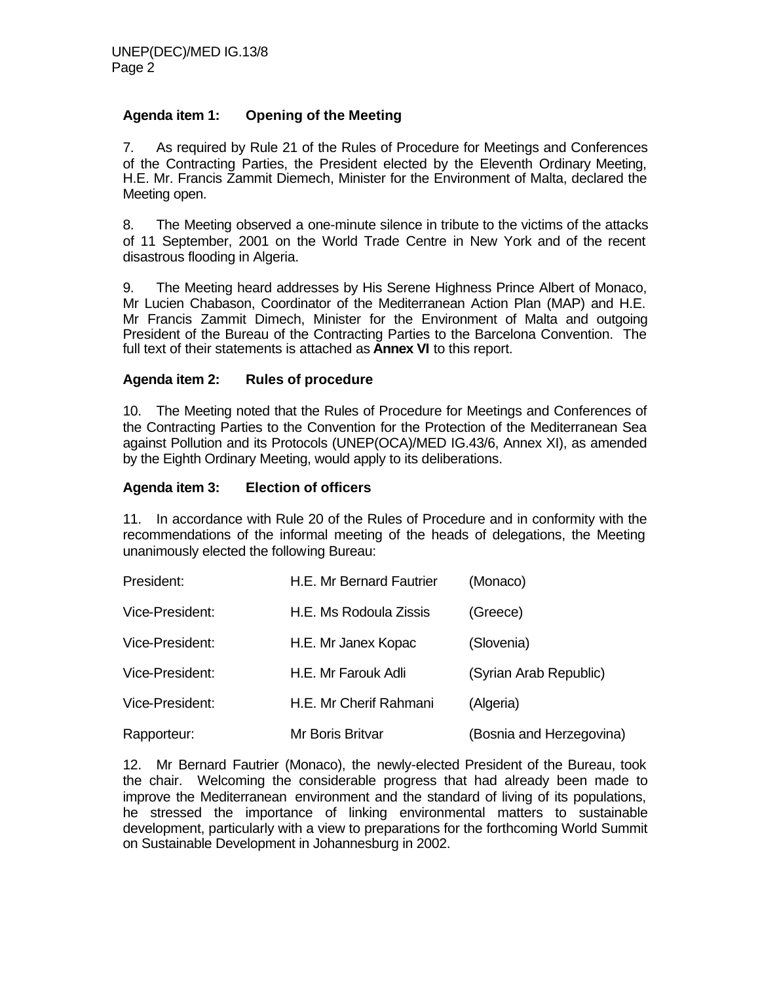### **Agenda item 1: Opening of the Meeting**

7. As required by Rule 21 of the Rules of Procedure for Meetings and Conferences of the Contracting Parties, the President elected by the Eleventh Ordinary Meeting, H.E. Mr. Francis Zammit Diemech, Minister for the Environment of Malta, declared the Meeting open.

8. The Meeting observed a one-minute silence in tribute to the victims of the attacks of 11 September, 2001 on the World Trade Centre in New York and of the recent disastrous flooding in Algeria.

9. The Meeting heard addresses by His Serene Highness Prince Albert of Monaco, Mr Lucien Chabason, Coordinator of the Mediterranean Action Plan (MAP) and H.E. Mr Francis Zammit Dimech, Minister for the Environment of Malta and outgoing President of the Bureau of the Contracting Parties to the Barcelona Convention. The full text of their statements is attached as **Annex VI** to this report.

#### **Agenda item 2: Rules of procedure**

10. The Meeting noted that the Rules of Procedure for Meetings and Conferences of the Contracting Parties to the Convention for the Protection of the Mediterranean Sea against Pollution and its Protocols (UNEP(OCA)/MED IG.43/6, Annex XI), as amended by the Eighth Ordinary Meeting, would apply to its deliberations.

#### **Agenda item 3: Election of officers**

11. In accordance with Rule 20 of the Rules of Procedure and in conformity with the recommendations of the informal meeting of the heads of delegations, the Meeting unanimously elected the following Bureau:

| President:      | H.E. Mr Bernard Fautrier | (Monaco)                 |
|-----------------|--------------------------|--------------------------|
| Vice-President: | H.E. Ms Rodoula Zissis   | (Greece)                 |
| Vice-President: | H.E. Mr Janex Kopac      | (Slovenia)               |
| Vice-President: | H.E. Mr Farouk Adli      | (Syrian Arab Republic)   |
| Vice-President: | H.E. Mr Cherif Rahmani   | (Algeria)                |
| Rapporteur:     | Mr Boris Britvar         | (Bosnia and Herzegovina) |

12. Mr Bernard Fautrier (Monaco), the newly-elected President of the Bureau, took the chair. Welcoming the considerable progress that had already been made to improve the Mediterranean environment and the standard of living of its populations, he stressed the importance of linking environmental matters to sustainable development, particularly with a view to preparations for the forthcoming World Summit on Sustainable Development in Johannesburg in 2002.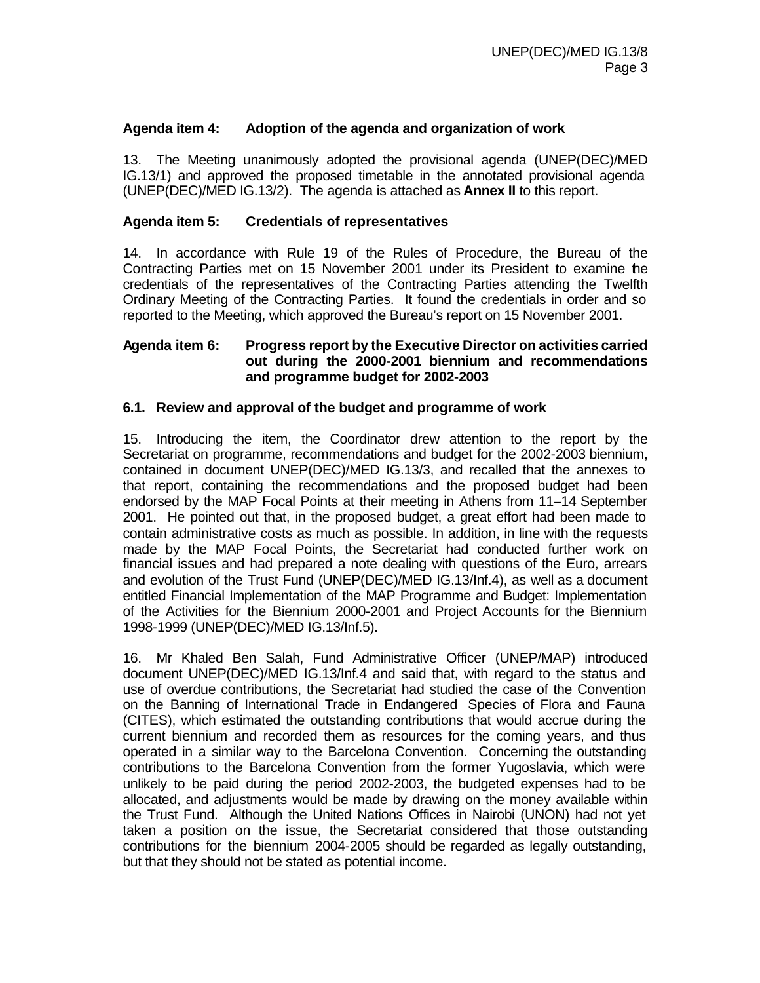#### **Agenda item 4: Adoption of the agenda and organization of work**

13. The Meeting unanimously adopted the provisional agenda (UNEP(DEC)/MED IG.13/1) and approved the proposed timetable in the annotated provisional agenda (UNEP(DEC)/MED IG.13/2). The agenda is attached as **Annex II** to this report.

#### **Agenda item 5: Credentials of representatives**

14. In accordance with Rule 19 of the Rules of Procedure, the Bureau of the Contracting Parties met on 15 November 2001 under its President to examine the credentials of the representatives of the Contracting Parties attending the Twelfth Ordinary Meeting of the Contracting Parties. It found the credentials in order and so reported to the Meeting, which approved the Bureau's report on 15 November 2001.

#### **Agenda item 6: Progress report by the Executive Director on activities carried out during the 2000-2001 biennium and recommendations and programme budget for 2002-2003**

#### **6.1. Review and approval of the budget and programme of work**

15. Introducing the item, the Coordinator drew attention to the report by the Secretariat on programme, recommendations and budget for the 2002-2003 biennium, contained in document UNEP(DEC)/MED IG.13/3, and recalled that the annexes to that report, containing the recommendations and the proposed budget had been endorsed by the MAP Focal Points at their meeting in Athens from 11–14 September 2001. He pointed out that, in the proposed budget, a great effort had been made to contain administrative costs as much as possible. In addition, in line with the requests made by the MAP Focal Points, the Secretariat had conducted further work on financial issues and had prepared a note dealing with questions of the Euro, arrears and evolution of the Trust Fund (UNEP(DEC)/MED IG.13/Inf.4), as well as a document entitled Financial Implementation of the MAP Programme and Budget: Implementation of the Activities for the Biennium 2000-2001 and Project Accounts for the Biennium 1998-1999 (UNEP(DEC)/MED IG.13/Inf.5).

16. Mr Khaled Ben Salah, Fund Administrative Officer (UNEP/MAP) introduced document UNEP(DEC)/MED IG.13/Inf.4 and said that, with regard to the status and use of overdue contributions, the Secretariat had studied the case of the Convention on the Banning of International Trade in Endangered Species of Flora and Fauna (CITES), which estimated the outstanding contributions that would accrue during the current biennium and recorded them as resources for the coming years, and thus operated in a similar way to the Barcelona Convention. Concerning the outstanding contributions to the Barcelona Convention from the former Yugoslavia, which were unlikely to be paid during the period 2002-2003, the budgeted expenses had to be allocated, and adjustments would be made by drawing on the money available within the Trust Fund. Although the United Nations Offices in Nairobi (UNON) had not yet taken a position on the issue, the Secretariat considered that those outstanding contributions for the biennium 2004-2005 should be regarded as legally outstanding, but that they should not be stated as potential income.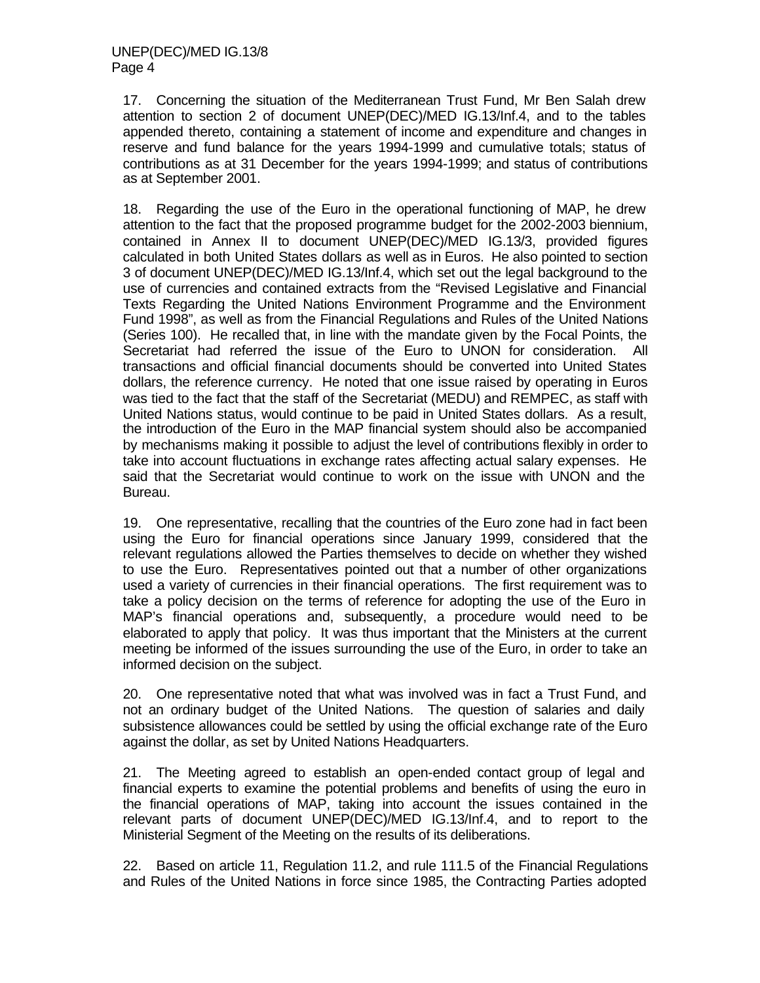17. Concerning the situation of the Mediterranean Trust Fund, Mr Ben Salah drew attention to section 2 of document UNEP(DEC)/MED IG.13/Inf.4, and to the tables appended thereto, containing a statement of income and expenditure and changes in reserve and fund balance for the years 1994-1999 and cumulative totals; status of contributions as at 31 December for the years 1994-1999; and status of contributions as at September 2001.

18. Regarding the use of the Euro in the operational functioning of MAP, he drew attention to the fact that the proposed programme budget for the 2002-2003 biennium, contained in Annex II to document UNEP(DEC)/MED IG.13/3, provided figures calculated in both United States dollars as well as in Euros. He also pointed to section 3 of document UNEP(DEC)/MED IG.13/Inf.4, which set out the legal background to the use of currencies and contained extracts from the "Revised Legislative and Financial Texts Regarding the United Nations Environment Programme and the Environment Fund 1998", as well as from the Financial Regulations and Rules of the United Nations (Series 100). He recalled that, in line with the mandate given by the Focal Points, the Secretariat had referred the issue of the Euro to UNON for consideration. All transactions and official financial documents should be converted into United States dollars, the reference currency. He noted that one issue raised by operating in Euros was tied to the fact that the staff of the Secretariat (MEDU) and REMPEC, as staff with United Nations status, would continue to be paid in United States dollars. As a result, the introduction of the Euro in the MAP financial system should also be accompanied by mechanisms making it possible to adjust the level of contributions flexibly in order to take into account fluctuations in exchange rates affecting actual salary expenses. He said that the Secretariat would continue to work on the issue with UNON and the Bureau.

19. One representative, recalling that the countries of the Euro zone had in fact been using the Euro for financial operations since January 1999, considered that the relevant regulations allowed the Parties themselves to decide on whether they wished to use the Euro. Representatives pointed out that a number of other organizations used a variety of currencies in their financial operations. The first requirement was to take a policy decision on the terms of reference for adopting the use of the Euro in MAP's financial operations and, subsequently, a procedure would need to be elaborated to apply that policy. It was thus important that the Ministers at the current meeting be informed of the issues surrounding the use of the Euro, in order to take an informed decision on the subject.

20. One representative noted that what was involved was in fact a Trust Fund, and not an ordinary budget of the United Nations. The question of salaries and daily subsistence allowances could be settled by using the official exchange rate of the Euro against the dollar, as set by United Nations Headquarters.

21. The Meeting agreed to establish an open-ended contact group of legal and financial experts to examine the potential problems and benefits of using the euro in the financial operations of MAP, taking into account the issues contained in the relevant parts of document UNEP(DEC)/MED IG.13/Inf.4, and to report to the Ministerial Segment of the Meeting on the results of its deliberations.

22. Based on article 11, Regulation 11.2, and rule 111.5 of the Financial Regulations and Rules of the United Nations in force since 1985, the Contracting Parties adopted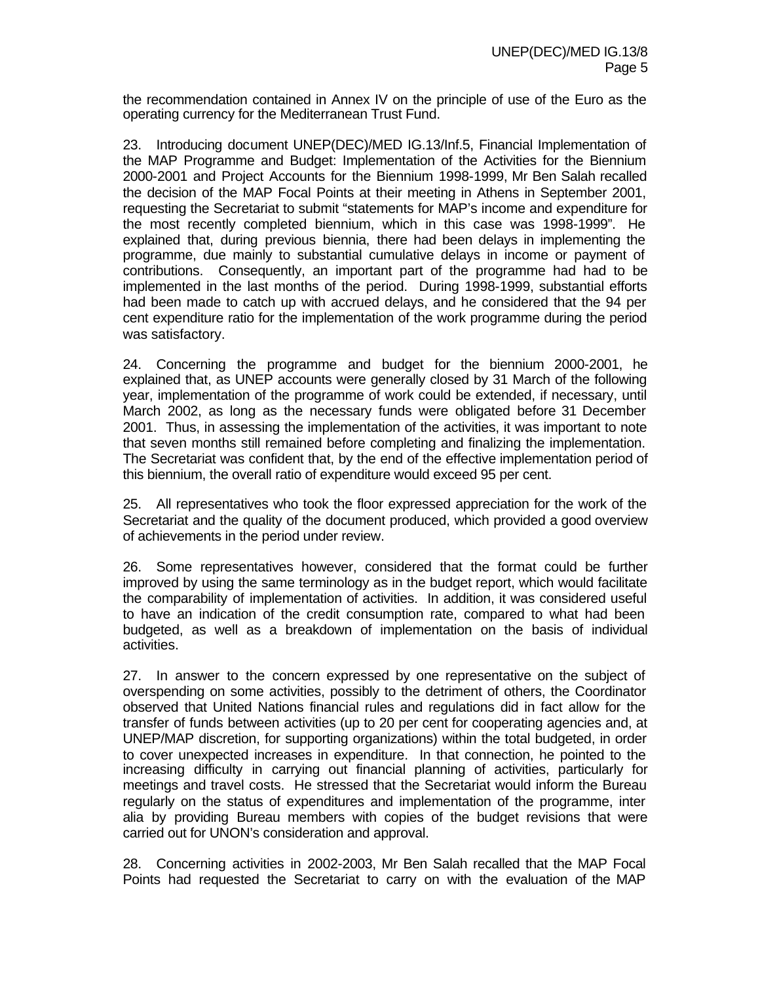the recommendation contained in Annex IV on the principle of use of the Euro as the operating currency for the Mediterranean Trust Fund.

23. Introducing document UNEP(DEC)/MED IG.13/Inf.5, Financial Implementation of the MAP Programme and Budget: Implementation of the Activities for the Biennium 2000-2001 and Project Accounts for the Biennium 1998-1999, Mr Ben Salah recalled the decision of the MAP Focal Points at their meeting in Athens in September 2001, requesting the Secretariat to submit "statements for MAP's income and expenditure for the most recently completed biennium, which in this case was 1998-1999". He explained that, during previous biennia, there had been delays in implementing the programme, due mainly to substantial cumulative delays in income or payment of contributions. Consequently, an important part of the programme had had to be implemented in the last months of the period. During 1998-1999, substantial efforts had been made to catch up with accrued delays, and he considered that the 94 per cent expenditure ratio for the implementation of the work programme during the period was satisfactory.

24. Concerning the programme and budget for the biennium 2000-2001, he explained that, as UNEP accounts were generally closed by 31 March of the following year, implementation of the programme of work could be extended, if necessary, until March 2002, as long as the necessary funds were obligated before 31 December 2001. Thus, in assessing the implementation of the activities, it was important to note that seven months still remained before completing and finalizing the implementation. The Secretariat was confident that, by the end of the effective implementation period of this biennium, the overall ratio of expenditure would exceed 95 per cent.

25. All representatives who took the floor expressed appreciation for the work of the Secretariat and the quality of the document produced, which provided a good overview of achievements in the period under review.

26. Some representatives however, considered that the format could be further improved by using the same terminology as in the budget report, which would facilitate the comparability of implementation of activities. In addition, it was considered useful to have an indication of the credit consumption rate, compared to what had been budgeted, as well as a breakdown of implementation on the basis of individual activities.

27. In answer to the concern expressed by one representative on the subject of overspending on some activities, possibly to the detriment of others, the Coordinator observed that United Nations financial rules and regulations did in fact allow for the transfer of funds between activities (up to 20 per cent for cooperating agencies and, at UNEP/MAP discretion, for supporting organizations) within the total budgeted, in order to cover unexpected increases in expenditure. In that connection, he pointed to the increasing difficulty in carrying out financial planning of activities, particularly for meetings and travel costs. He stressed that the Secretariat would inform the Bureau regularly on the status of expenditures and implementation of the programme, inter alia by providing Bureau members with copies of the budget revisions that were carried out for UNON's consideration and approval.

28. Concerning activities in 2002-2003, Mr Ben Salah recalled that the MAP Focal Points had requested the Secretariat to carry on with the evaluation of the MAP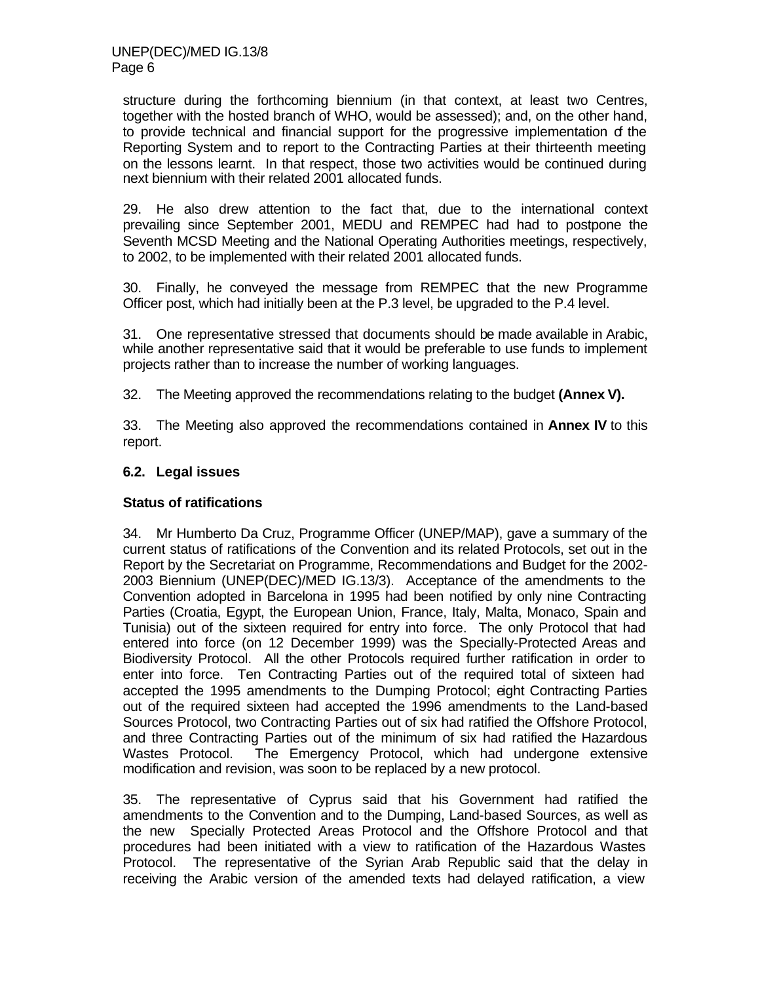structure during the forthcoming biennium (in that context, at least two Centres, together with the hosted branch of WHO, would be assessed); and, on the other hand, to provide technical and financial support for the progressive implementation of the Reporting System and to report to the Contracting Parties at their thirteenth meeting on the lessons learnt. In that respect, those two activities would be continued during next biennium with their related 2001 allocated funds.

29. He also drew attention to the fact that, due to the international context prevailing since September 2001, MEDU and REMPEC had had to postpone the Seventh MCSD Meeting and the National Operating Authorities meetings, respectively, to 2002, to be implemented with their related 2001 allocated funds.

30. Finally, he conveyed the message from REMPEC that the new Programme Officer post, which had initially been at the P.3 level, be upgraded to the P.4 level.

31. One representative stressed that documents should be made available in Arabic, while another representative said that it would be preferable to use funds to implement projects rather than to increase the number of working languages.

32. The Meeting approved the recommendations relating to the budget **(Annex V).**

33. The Meeting also approved the recommendations contained in **Annex IV** to this report.

#### **6.2. Legal issues**

#### **Status of ratifications**

34. Mr Humberto Da Cruz, Programme Officer (UNEP/MAP), gave a summary of the current status of ratifications of the Convention and its related Protocols, set out in the Report by the Secretariat on Programme, Recommendations and Budget for the 2002- 2003 Biennium (UNEP(DEC)/MED IG.13/3). Acceptance of the amendments to the Convention adopted in Barcelona in 1995 had been notified by only nine Contracting Parties (Croatia, Egypt, the European Union, France, Italy, Malta, Monaco, Spain and Tunisia) out of the sixteen required for entry into force. The only Protocol that had entered into force (on 12 December 1999) was the Specially-Protected Areas and Biodiversity Protocol. All the other Protocols required further ratification in order to enter into force. Ten Contracting Parties out of the required total of sixteen had accepted the 1995 amendments to the Dumping Protocol; eight Contracting Parties out of the required sixteen had accepted the 1996 amendments to the Land-based Sources Protocol, two Contracting Parties out of six had ratified the Offshore Protocol, and three Contracting Parties out of the minimum of six had ratified the Hazardous Wastes Protocol. The Emergency Protocol, which had undergone extensive modification and revision, was soon to be replaced by a new protocol.

35. The representative of Cyprus said that his Government had ratified the amendments to the Convention and to the Dumping, Land-based Sources, as well as the new Specially Protected Areas Protocol and the Offshore Protocol and that procedures had been initiated with a view to ratification of the Hazardous Wastes Protocol. The representative of the Syrian Arab Republic said that the delay in receiving the Arabic version of the amended texts had delayed ratification, a view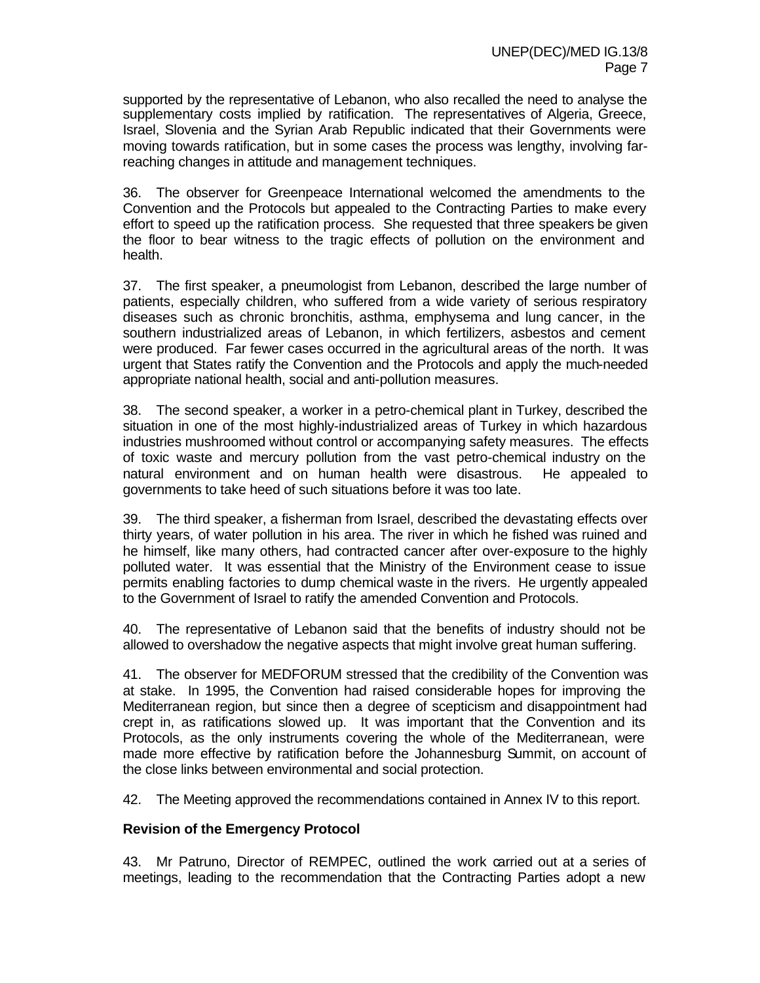supported by the representative of Lebanon, who also recalled the need to analyse the supplementary costs implied by ratification. The representatives of Algeria, Greece, Israel, Slovenia and the Syrian Arab Republic indicated that their Governments were moving towards ratification, but in some cases the process was lengthy, involving farreaching changes in attitude and management techniques.

36. The observer for Greenpeace International welcomed the amendments to the Convention and the Protocols but appealed to the Contracting Parties to make every effort to speed up the ratification process. She requested that three speakers be given the floor to bear witness to the tragic effects of pollution on the environment and health.

37. The first speaker, a pneumologist from Lebanon, described the large number of patients, especially children, who suffered from a wide variety of serious respiratory diseases such as chronic bronchitis, asthma, emphysema and lung cancer, in the southern industrialized areas of Lebanon, in which fertilizers, asbestos and cement were produced. Far fewer cases occurred in the agricultural areas of the north. It was urgent that States ratify the Convention and the Protocols and apply the much-needed appropriate national health, social and anti-pollution measures.

38. The second speaker, a worker in a petro-chemical plant in Turkey, described the situation in one of the most highly-industrialized areas of Turkey in which hazardous industries mushroomed without control or accompanying safety measures. The effects of toxic waste and mercury pollution from the vast petro-chemical industry on the natural environment and on human health were disastrous. He appealed to governments to take heed of such situations before it was too late.

39. The third speaker, a fisherman from Israel, described the devastating effects over thirty years, of water pollution in his area. The river in which he fished was ruined and he himself, like many others, had contracted cancer after over-exposure to the highly polluted water. It was essential that the Ministry of the Environment cease to issue permits enabling factories to dump chemical waste in the rivers. He urgently appealed to the Government of Israel to ratify the amended Convention and Protocols.

40. The representative of Lebanon said that the benefits of industry should not be allowed to overshadow the negative aspects that might involve great human suffering.

41. The observer for MEDFORUM stressed that the credibility of the Convention was at stake. In 1995, the Convention had raised considerable hopes for improving the Mediterranean region, but since then a degree of scepticism and disappointment had crept in, as ratifications slowed up. It was important that the Convention and its Protocols, as the only instruments covering the whole of the Mediterranean, were made more effective by ratification before the Johannesburg Summit, on account of the close links between environmental and social protection.

42. The Meeting approved the recommendations contained in Annex IV to this report.

#### **Revision of the Emergency Protocol**

43. Mr Patruno, Director of REMPEC, outlined the work carried out at a series of meetings, leading to the recommendation that the Contracting Parties adopt a new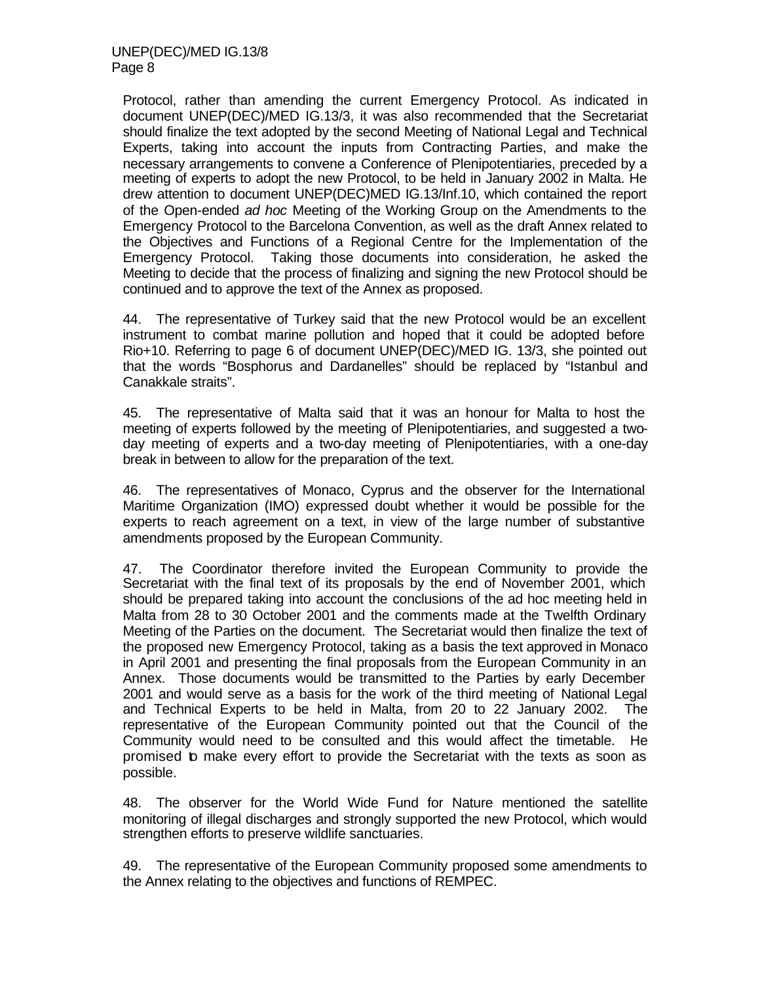Protocol, rather than amending the current Emergency Protocol. As indicated in document UNEP(DEC)/MED IG.13/3, it was also recommended that the Secretariat should finalize the text adopted by the second Meeting of National Legal and Technical Experts, taking into account the inputs from Contracting Parties, and make the necessary arrangements to convene a Conference of Plenipotentiaries, preceded by a meeting of experts to adopt the new Protocol, to be held in January 2002 in Malta. He drew attention to document UNEP(DEC)MED IG.13/Inf.10, which contained the report of the Open-ended *ad hoc* Meeting of the Working Group on the Amendments to the Emergency Protocol to the Barcelona Convention, as well as the draft Annex related to the Objectives and Functions of a Regional Centre for the Implementation of the Emergency Protocol. Taking those documents into consideration, he asked the Meeting to decide that the process of finalizing and signing the new Protocol should be continued and to approve the text of the Annex as proposed.

44. The representative of Turkey said that the new Protocol would be an excellent instrument to combat marine pollution and hoped that it could be adopted before Rio+10. Referring to page 6 of document UNEP(DEC)/MED IG. 13/3, she pointed out that the words "Bosphorus and Dardanelles" should be replaced by "Istanbul and Canakkale straits".

45. The representative of Malta said that it was an honour for Malta to host the meeting of experts followed by the meeting of Plenipotentiaries, and suggested a twoday meeting of experts and a two-day meeting of Plenipotentiaries, with a one-day break in between to allow for the preparation of the text.

46. The representatives of Monaco, Cyprus and the observer for the International Maritime Organization (IMO) expressed doubt whether it would be possible for the experts to reach agreement on a text, in view of the large number of substantive amendments proposed by the European Community.

47. The Coordinator therefore invited the European Community to provide the Secretariat with the final text of its proposals by the end of November 2001, which should be prepared taking into account the conclusions of the ad hoc meeting held in Malta from 28 to 30 October 2001 and the comments made at the Twelfth Ordinary Meeting of the Parties on the document. The Secretariat would then finalize the text of the proposed new Emergency Protocol, taking as a basis the text approved in Monaco in April 2001 and presenting the final proposals from the European Community in an Annex. Those documents would be transmitted to the Parties by early December 2001 and would serve as a basis for the work of the third meeting of National Legal and Technical Experts to be held in Malta, from 20 to 22 January 2002. The representative of the European Community pointed out that the Council of the Community would need to be consulted and this would affect the timetable. He promised to make every effort to provide the Secretariat with the texts as soon as possible.

48. The observer for the World Wide Fund for Nature mentioned the satellite monitoring of illegal discharges and strongly supported the new Protocol, which would strengthen efforts to preserve wildlife sanctuaries.

49. The representative of the European Community proposed some amendments to the Annex relating to the objectives and functions of REMPEC.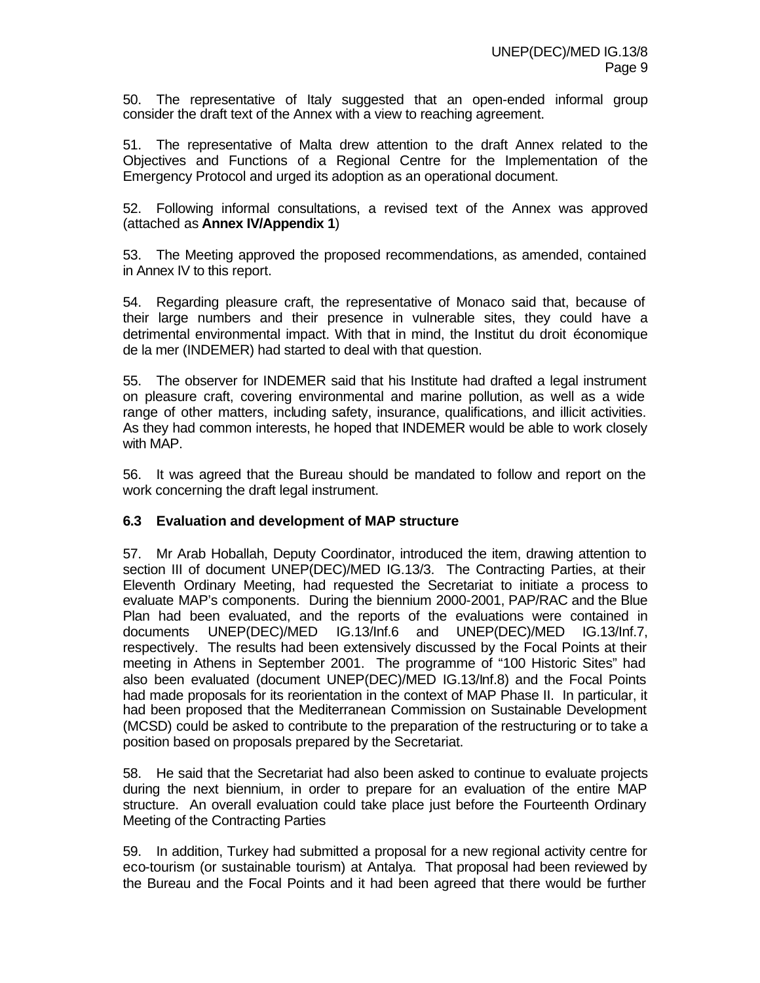50. The representative of Italy suggested that an open-ended informal group consider the draft text of the Annex with a view to reaching agreement.

51. The representative of Malta drew attention to the draft Annex related to the Objectives and Functions of a Regional Centre for the Implementation of the Emergency Protocol and urged its adoption as an operational document.

52. Following informal consultations, a revised text of the Annex was approved (attached as **Annex IV/Appendix 1**)

53. The Meeting approved the proposed recommendations, as amended, contained in Annex IV to this report.

54. Regarding pleasure craft, the representative of Monaco said that, because of their large numbers and their presence in vulnerable sites, they could have a detrimental environmental impact. With that in mind, the Institut du droit économique de la mer (INDEMER) had started to deal with that question.

55. The observer for INDEMER said that his Institute had drafted a legal instrument on pleasure craft, covering environmental and marine pollution, as well as a wide range of other matters, including safety, insurance, qualifications, and illicit activities. As they had common interests, he hoped that INDEMER would be able to work closely with MAP.

56. It was agreed that the Bureau should be mandated to follow and report on the work concerning the draft legal instrument.

#### **6.3 Evaluation and development of MAP structure**

57. Mr Arab Hoballah, Deputy Coordinator, introduced the item, drawing attention to section III of document UNEP(DEC)/MED IG.13/3. The Contracting Parties, at their Eleventh Ordinary Meeting, had requested the Secretariat to initiate a process to evaluate MAP's components. During the biennium 2000-2001, PAP/RAC and the Blue Plan had been evaluated, and the reports of the evaluations were contained in documents UNEP(DEC)/MED IG.13/Inf.6 and UNEP(DEC)/MED IG.13/Inf.7, respectively. The results had been extensively discussed by the Focal Points at their meeting in Athens in September 2001. The programme of "100 Historic Sites" had also been evaluated (document UNEP(DEC)/MED IG.13/Inf.8) and the Focal Points had made proposals for its reorientation in the context of MAP Phase II. In particular, it had been proposed that the Mediterranean Commission on Sustainable Development (MCSD) could be asked to contribute to the preparation of the restructuring or to take a position based on proposals prepared by the Secretariat.

58. He said that the Secretariat had also been asked to continue to evaluate projects during the next biennium, in order to prepare for an evaluation of the entire MAP structure. An overall evaluation could take place just before the Fourteenth Ordinary Meeting of the Contracting Parties

59. In addition, Turkey had submitted a proposal for a new regional activity centre for eco-tourism (or sustainable tourism) at Antalya. That proposal had been reviewed by the Bureau and the Focal Points and it had been agreed that there would be further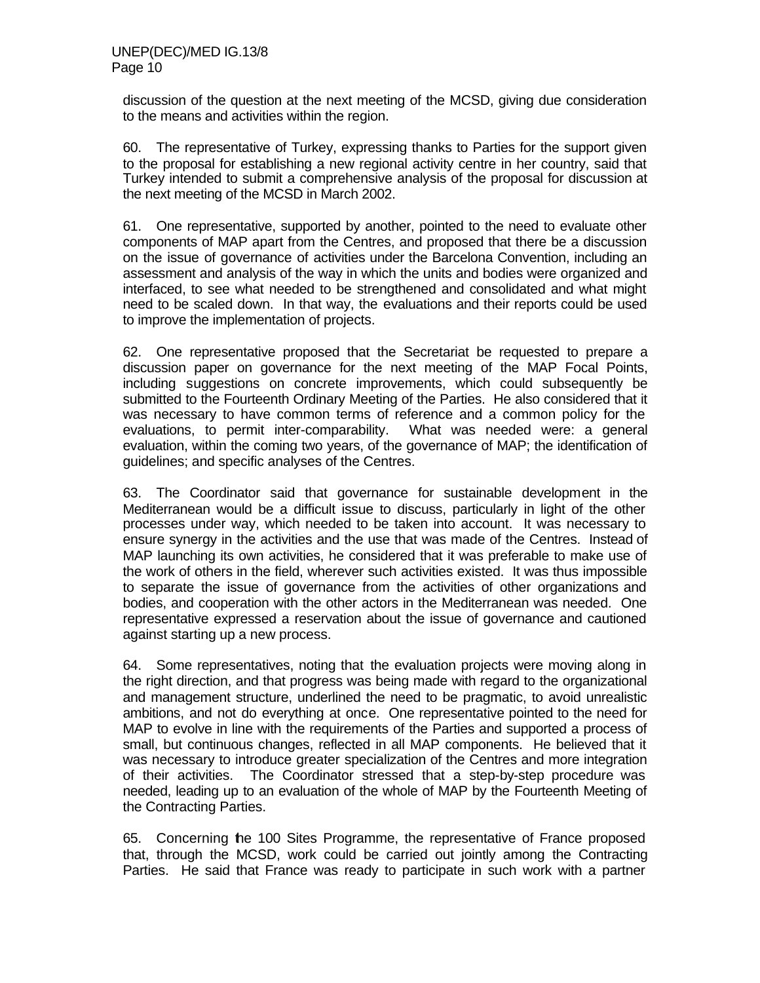discussion of the question at the next meeting of the MCSD, giving due consideration to the means and activities within the region.

60. The representative of Turkey, expressing thanks to Parties for the support given to the proposal for establishing a new regional activity centre in her country, said that Turkey intended to submit a comprehensive analysis of the proposal for discussion at the next meeting of the MCSD in March 2002.

61. One representative, supported by another, pointed to the need to evaluate other components of MAP apart from the Centres, and proposed that there be a discussion on the issue of governance of activities under the Barcelona Convention, including an assessment and analysis of the way in which the units and bodies were organized and interfaced, to see what needed to be strengthened and consolidated and what might need to be scaled down. In that way, the evaluations and their reports could be used to improve the implementation of projects.

62. One representative proposed that the Secretariat be requested to prepare a discussion paper on governance for the next meeting of the MAP Focal Points, including suggestions on concrete improvements, which could subsequently be submitted to the Fourteenth Ordinary Meeting of the Parties. He also considered that it was necessary to have common terms of reference and a common policy for the evaluations, to permit inter-comparability. What was needed were: a general evaluation, within the coming two years, of the governance of MAP; the identification of guidelines; and specific analyses of the Centres.

63. The Coordinator said that governance for sustainable development in the Mediterranean would be a difficult issue to discuss, particularly in light of the other processes under way, which needed to be taken into account. It was necessary to ensure synergy in the activities and the use that was made of the Centres. Instead of MAP launching its own activities, he considered that it was preferable to make use of the work of others in the field, wherever such activities existed. It was thus impossible to separate the issue of governance from the activities of other organizations and bodies, and cooperation with the other actors in the Mediterranean was needed. One representative expressed a reservation about the issue of governance and cautioned against starting up a new process.

64. Some representatives, noting that the evaluation projects were moving along in the right direction, and that progress was being made with regard to the organizational and management structure, underlined the need to be pragmatic, to avoid unrealistic ambitions, and not do everything at once. One representative pointed to the need for MAP to evolve in line with the requirements of the Parties and supported a process of small, but continuous changes, reflected in all MAP components. He believed that it was necessary to introduce greater specialization of the Centres and more integration of their activities. The Coordinator stressed that a step-by-step procedure was needed, leading up to an evaluation of the whole of MAP by the Fourteenth Meeting of the Contracting Parties.

65. Concerning the 100 Sites Programme, the representative of France proposed that, through the MCSD, work could be carried out jointly among the Contracting Parties. He said that France was ready to participate in such work with a partner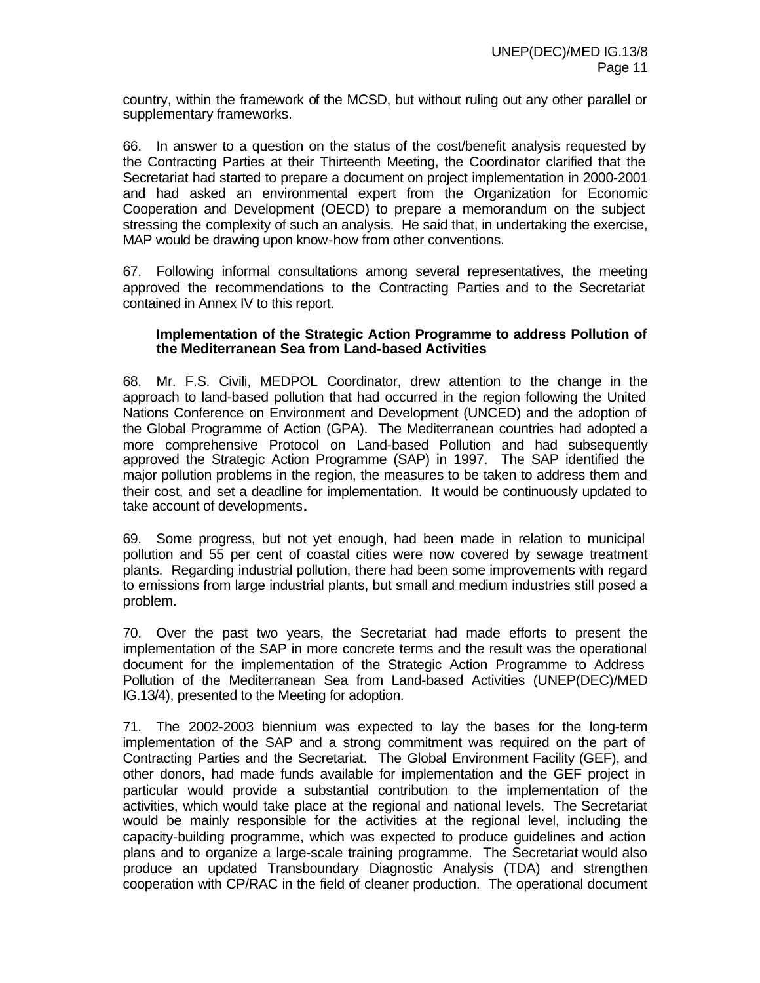country, within the framework of the MCSD, but without ruling out any other parallel or supplementary frameworks.

66. In answer to a question on the status of the cost/benefit analysis requested by the Contracting Parties at their Thirteenth Meeting, the Coordinator clarified that the Secretariat had started to prepare a document on project implementation in 2000-2001 and had asked an environmental expert from the Organization for Economic Cooperation and Development (OECD) to prepare a memorandum on the subject stressing the complexity of such an analysis. He said that, in undertaking the exercise, MAP would be drawing upon know-how from other conventions.

67. Following informal consultations among several representatives, the meeting approved the recommendations to the Contracting Parties and to the Secretariat contained in Annex IV to this report.

#### **Implementation of the Strategic Action Programme to address Pollution of the Mediterranean Sea from Land-based Activities**

68. Mr. F.S. Civili, MEDPOL Coordinator, drew attention to the change in the approach to land-based pollution that had occurred in the region following the United Nations Conference on Environment and Development (UNCED) and the adoption of the Global Programme of Action (GPA). The Mediterranean countries had adopted a more comprehensive Protocol on Land-based Pollution and had subsequently approved the Strategic Action Programme (SAP) in 1997. The SAP identified the major pollution problems in the region, the measures to be taken to address them and their cost, and set a deadline for implementation. It would be continuously updated to take account of developments**.**

69. Some progress, but not yet enough, had been made in relation to municipal pollution and 55 per cent of coastal cities were now covered by sewage treatment plants. Regarding industrial pollution, there had been some improvements with regard to emissions from large industrial plants, but small and medium industries still posed a problem.

70. Over the past two years, the Secretariat had made efforts to present the implementation of the SAP in more concrete terms and the result was the operational document for the implementation of the Strategic Action Programme to Address Pollution of the Mediterranean Sea from Land-based Activities (UNEP(DEC)/MED IG.13/4), presented to the Meeting for adoption.

71. The 2002-2003 biennium was expected to lay the bases for the long-term implementation of the SAP and a strong commitment was required on the part of Contracting Parties and the Secretariat. The Global Environment Facility (GEF), and other donors, had made funds available for implementation and the GEF project in particular would provide a substantial contribution to the implementation of the activities, which would take place at the regional and national levels. The Secretariat would be mainly responsible for the activities at the regional level, including the capacity-building programme, which was expected to produce guidelines and action plans and to organize a large-scale training programme. The Secretariat would also produce an updated Transboundary Diagnostic Analysis (TDA) and strengthen cooperation with CP/RAC in the field of cleaner production. The operational document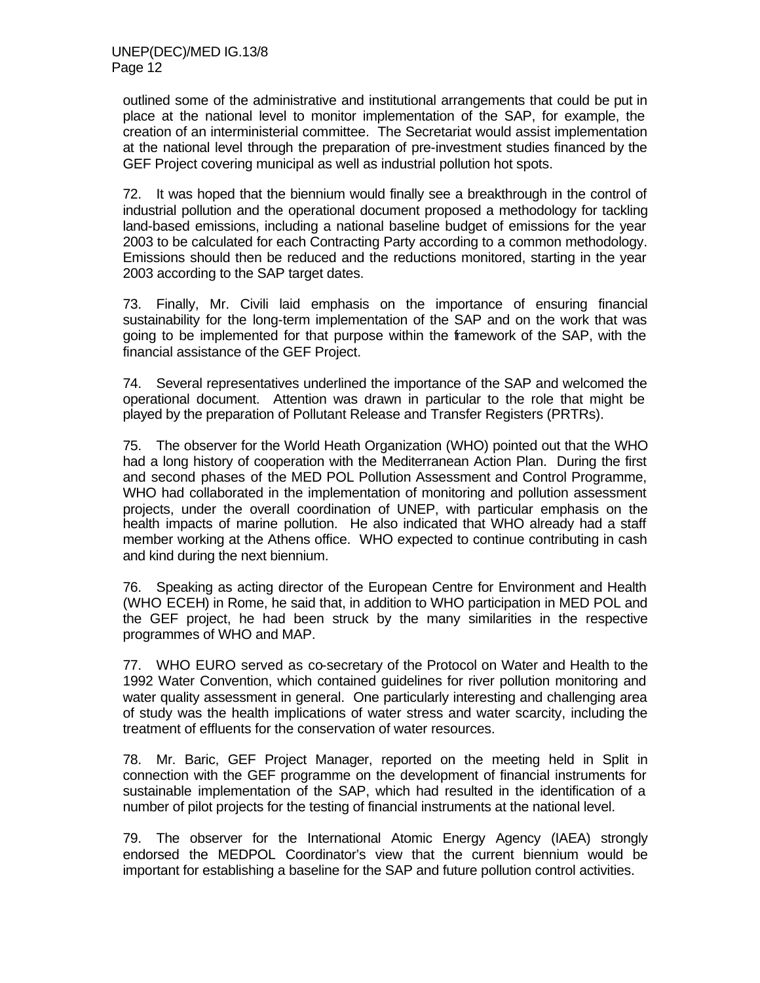outlined some of the administrative and institutional arrangements that could be put in place at the national level to monitor implementation of the SAP, for example, the creation of an interministerial committee. The Secretariat would assist implementation at the national level through the preparation of pre-investment studies financed by the GEF Project covering municipal as well as industrial pollution hot spots.

72. It was hoped that the biennium would finally see a breakthrough in the control of industrial pollution and the operational document proposed a methodology for tackling land-based emissions, including a national baseline budget of emissions for the year 2003 to be calculated for each Contracting Party according to a common methodology. Emissions should then be reduced and the reductions monitored, starting in the year 2003 according to the SAP target dates.

73. Finally, Mr. Civili laid emphasis on the importance of ensuring financial sustainability for the long-term implementation of the SAP and on the work that was going to be implemented for that purpose within the framework of the SAP, with the financial assistance of the GEF Project.

74. Several representatives underlined the importance of the SAP and welcomed the operational document. Attention was drawn in particular to the role that might be played by the preparation of Pollutant Release and Transfer Registers (PRTRs).

75. The observer for the World Heath Organization (WHO) pointed out that the WHO had a long history of cooperation with the Mediterranean Action Plan. During the first and second phases of the MED POL Pollution Assessment and Control Programme, WHO had collaborated in the implementation of monitoring and pollution assessment projects, under the overall coordination of UNEP, with particular emphasis on the health impacts of marine pollution. He also indicated that WHO already had a staff member working at the Athens office. WHO expected to continue contributing in cash and kind during the next biennium.

76. Speaking as acting director of the European Centre for Environment and Health (WHO ECEH) in Rome, he said that, in addition to WHO participation in MED POL and the GEF project, he had been struck by the many similarities in the respective programmes of WHO and MAP.

77. WHO EURO served as co-secretary of the Protocol on Water and Health to the 1992 Water Convention, which contained guidelines for river pollution monitoring and water quality assessment in general. One particularly interesting and challenging area of study was the health implications of water stress and water scarcity, including the treatment of effluents for the conservation of water resources.

78. Mr. Baric, GEF Project Manager, reported on the meeting held in Split in connection with the GEF programme on the development of financial instruments for sustainable implementation of the SAP, which had resulted in the identification of a number of pilot projects for the testing of financial instruments at the national level.

79. The observer for the International Atomic Energy Agency (IAEA) strongly endorsed the MEDPOL Coordinator's view that the current biennium would be important for establishing a baseline for the SAP and future pollution control activities.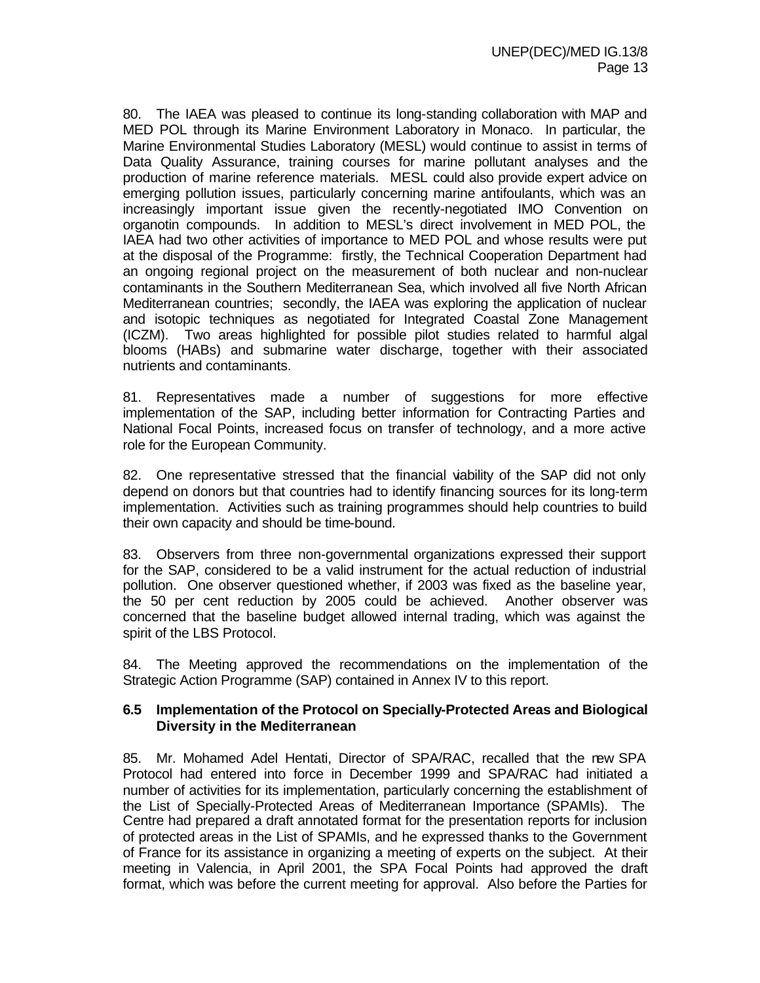80. The IAEA was pleased to continue its long-standing collaboration with MAP and MED POL through its Marine Environment Laboratory in Monaco. In particular, the Marine Environmental Studies Laboratory (MESL) would continue to assist in terms of Data Quality Assurance, training courses for marine pollutant analyses and the production of marine reference materials. MESL could also provide expert advice on emerging pollution issues, particularly concerning marine antifoulants, which was an increasingly important issue given the recently-negotiated IMO Convention on organotin compounds. In addition to MESL's direct involvement in MED POL, the IAEA had two other activities of importance to MED POL and whose results were put at the disposal of the Programme: firstly, the Technical Cooperation Department had an ongoing regional project on the measurement of both nuclear and non-nuclear contaminants in the Southern Mediterranean Sea, which involved all five North African Mediterranean countries; secondly, the IAEA was exploring the application of nuclear and isotopic techniques as negotiated for Integrated Coastal Zone Management (ICZM). Two areas highlighted for possible pilot studies related to harmful algal blooms (HABs) and submarine water discharge, together with their associated nutrients and contaminants.

81. Representatives made a number of suggestions for more effective implementation of the SAP, including better information for Contracting Parties and National Focal Points, increased focus on transfer of technology, and a more active role for the European Community.

82. One representative stressed that the financial viability of the SAP did not only depend on donors but that countries had to identify financing sources for its long-term implementation. Activities such as training programmes should help countries to build their own capacity and should be time-bound.

83. Observers from three non-governmental organizations expressed their support for the SAP, considered to be a valid instrument for the actual reduction of industrial pollution. One observer questioned whether, if 2003 was fixed as the baseline year, the 50 per cent reduction by 2005 could be achieved. Another observer was concerned that the baseline budget allowed internal trading, which was against the spirit of the LBS Protocol.

84. The Meeting approved the recommendations on the implementation of the Strategic Action Programme (SAP) contained in Annex IV to this report.

#### **6.5 Implementation of the Protocol on Specially-Protected Areas and Biological Diversity in the Mediterranean**

85. Mr. Mohamed Adel Hentati, Director of SPA/RAC, recalled that the new SPA Protocol had entered into force in December 1999 and SPA/RAC had initiated a number of activities for its implementation, particularly concerning the establishment of the List of Specially-Protected Areas of Mediterranean Importance (SPAMIs). The Centre had prepared a draft annotated format for the presentation reports for inclusion of protected areas in the List of SPAMIs, and he expressed thanks to the Government of France for its assistance in organizing a meeting of experts on the subject. At their meeting in Valencia, in April 2001, the SPA Focal Points had approved the draft format, which was before the current meeting for approval. Also before the Parties for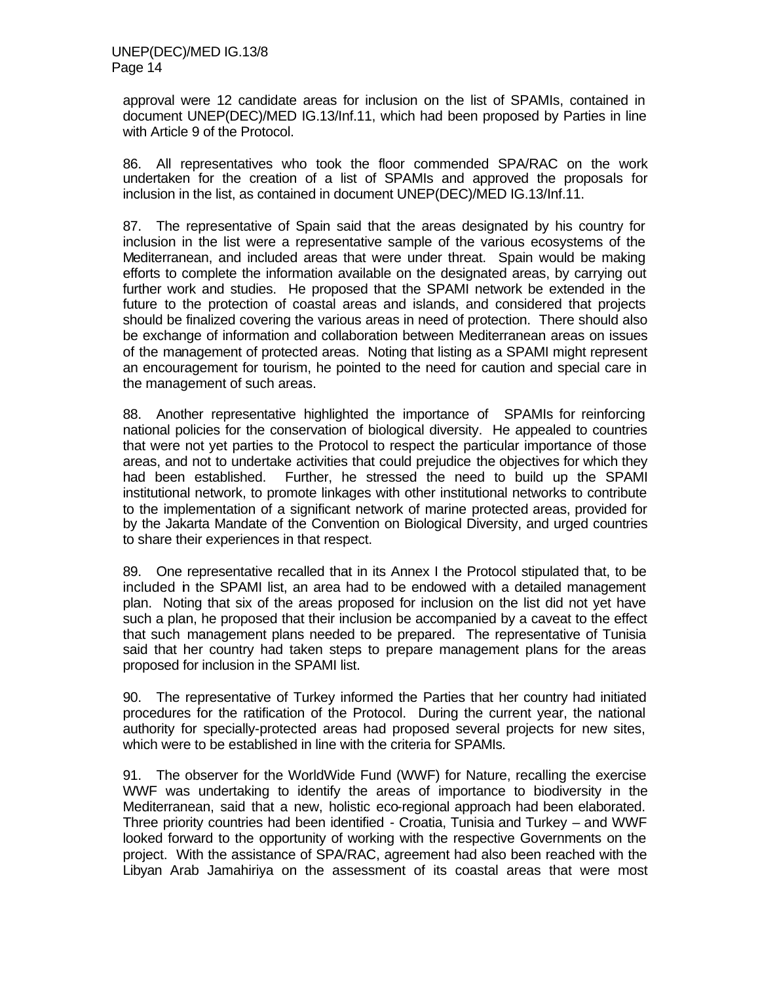approval were 12 candidate areas for inclusion on the list of SPAMIs, contained in document UNEP(DEC)/MED IG.13/Inf.11, which had been proposed by Parties in line with Article 9 of the Protocol.

86. All representatives who took the floor commended SPA/RAC on the work undertaken for the creation of a list of SPAMIs and approved the proposals for inclusion in the list, as contained in document UNEP(DEC)/MED IG.13/Inf.11.

87. The representative of Spain said that the areas designated by his country for inclusion in the list were a representative sample of the various ecosystems of the Mediterranean, and included areas that were under threat. Spain would be making efforts to complete the information available on the designated areas, by carrying out further work and studies. He proposed that the SPAMI network be extended in the future to the protection of coastal areas and islands, and considered that projects should be finalized covering the various areas in need of protection. There should also be exchange of information and collaboration between Mediterranean areas on issues of the management of protected areas. Noting that listing as a SPAMI might represent an encouragement for tourism, he pointed to the need for caution and special care in the management of such areas.

88. Another representative highlighted the importance of SPAMIs for reinforcing national policies for the conservation of biological diversity. He appealed to countries that were not yet parties to the Protocol to respect the particular importance of those areas, and not to undertake activities that could prejudice the objectives for which they had been established. Further, he stressed the need to build up the SPAMI institutional network, to promote linkages with other institutional networks to contribute to the implementation of a significant network of marine protected areas, provided for by the Jakarta Mandate of the Convention on Biological Diversity, and urged countries to share their experiences in that respect.

89. One representative recalled that in its Annex I the Protocol stipulated that, to be included in the SPAMI list, an area had to be endowed with a detailed management plan. Noting that six of the areas proposed for inclusion on the list did not yet have such a plan, he proposed that their inclusion be accompanied by a caveat to the effect that such management plans needed to be prepared. The representative of Tunisia said that her country had taken steps to prepare management plans for the areas proposed for inclusion in the SPAMI list.

90. The representative of Turkey informed the Parties that her country had initiated procedures for the ratification of the Protocol. During the current year, the national authority for specially-protected areas had proposed several projects for new sites, which were to be established in line with the criteria for SPAMIs.

91. The observer for the WorldWide Fund (WWF) for Nature, recalling the exercise WWF was undertaking to identify the areas of importance to biodiversity in the Mediterranean, said that a new, holistic eco-regional approach had been elaborated. Three priority countries had been identified - Croatia, Tunisia and Turkey – and WWF looked forward to the opportunity of working with the respective Governments on the project. With the assistance of SPA/RAC, agreement had also been reached with the Libyan Arab Jamahiriya on the assessment of its coastal areas that were most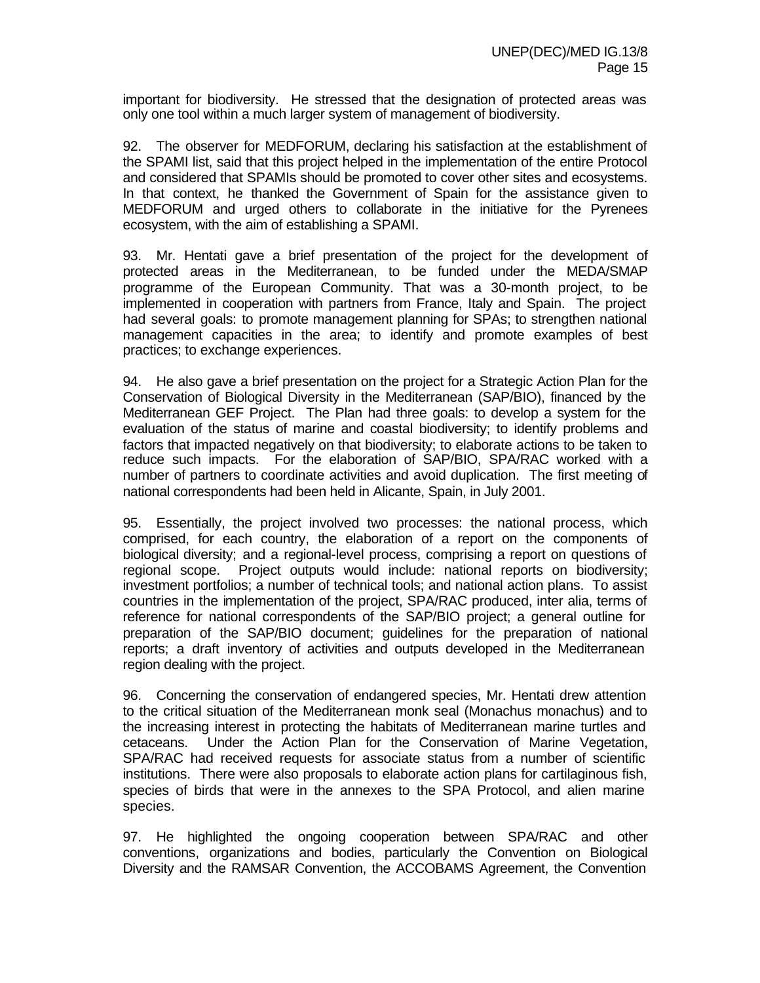important for biodiversity. He stressed that the designation of protected areas was only one tool within a much larger system of management of biodiversity.

92. The observer for MEDFORUM, declaring his satisfaction at the establishment of the SPAMI list, said that this project helped in the implementation of the entire Protocol and considered that SPAMIs should be promoted to cover other sites and ecosystems. In that context, he thanked the Government of Spain for the assistance given to MEDFORUM and urged others to collaborate in the initiative for the Pyrenees ecosystem, with the aim of establishing a SPAMI.

93. Mr. Hentati gave a brief presentation of the project for the development of protected areas in the Mediterranean, to be funded under the MEDA/SMAP programme of the European Community. That was a 30-month project, to be implemented in cooperation with partners from France, Italy and Spain. The project had several goals: to promote management planning for SPAs; to strengthen national management capacities in the area; to identify and promote examples of best practices; to exchange experiences.

94. He also gave a brief presentation on the project for a Strategic Action Plan for the Conservation of Biological Diversity in the Mediterranean (SAP/BIO), financed by the Mediterranean GEF Project. The Plan had three goals: to develop a system for the evaluation of the status of marine and coastal biodiversity; to identify problems and factors that impacted negatively on that biodiversity; to elaborate actions to be taken to reduce such impacts. For the elaboration of SAP/BIO, SPA/RAC worked with a number of partners to coordinate activities and avoid duplication. The first meeting of national correspondents had been held in Alicante, Spain, in July 2001.

95. Essentially, the project involved two processes: the national process, which comprised, for each country, the elaboration of a report on the components of biological diversity; and a regional-level process, comprising a report on questions of regional scope. Project outputs would include: national reports on biodiversity; investment portfolios; a number of technical tools; and national action plans. To assist countries in the implementation of the project, SPA/RAC produced, inter alia, terms of reference for national correspondents of the SAP/BIO project; a general outline for preparation of the SAP/BIO document; guidelines for the preparation of national reports; a draft inventory of activities and outputs developed in the Mediterranean region dealing with the project.

96. Concerning the conservation of endangered species, Mr. Hentati drew attention to the critical situation of the Mediterranean monk seal (Monachus monachus) and to the increasing interest in protecting the habitats of Mediterranean marine turtles and cetaceans. Under the Action Plan for the Conservation of Marine Vegetation, SPA/RAC had received requests for associate status from a number of scientific institutions. There were also proposals to elaborate action plans for cartilaginous fish, species of birds that were in the annexes to the SPA Protocol, and alien marine species.

97. He highlighted the ongoing cooperation between SPA/RAC and other conventions, organizations and bodies, particularly the Convention on Biological Diversity and the RAMSAR Convention, the ACCOBAMS Agreement, the Convention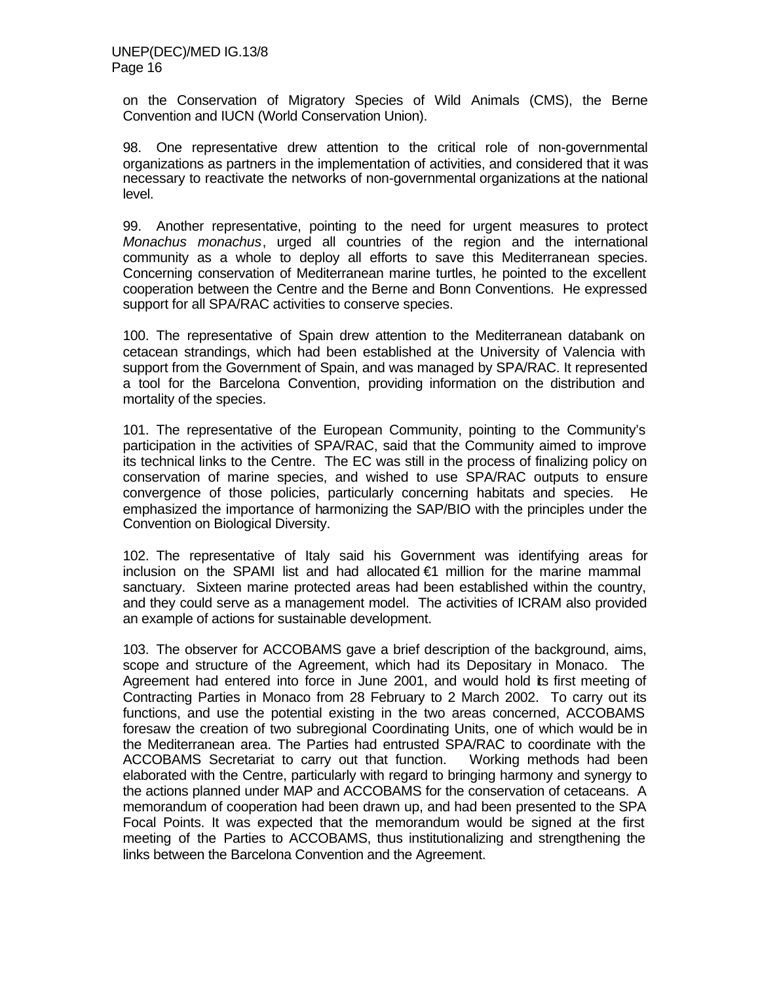on the Conservation of Migratory Species of Wild Animals (CMS), the Berne Convention and IUCN (World Conservation Union).

98. One representative drew attention to the critical role of non-governmental organizations as partners in the implementation of activities, and considered that it was necessary to reactivate the networks of non-governmental organizations at the national level.

99. Another representative, pointing to the need for urgent measures to protect *Monachus monachus*, urged all countries of the region and the international community as a whole to deploy all efforts to save this Mediterranean species. Concerning conservation of Mediterranean marine turtles, he pointed to the excellent cooperation between the Centre and the Berne and Bonn Conventions. He expressed support for all SPA/RAC activities to conserve species.

100. The representative of Spain drew attention to the Mediterranean databank on cetacean strandings, which had been established at the University of Valencia with support from the Government of Spain, and was managed by SPA/RAC. It represented a tool for the Barcelona Convention, providing information on the distribution and mortality of the species.

101. The representative of the European Community, pointing to the Community's participation in the activities of SPA/RAC, said that the Community aimed to improve its technical links to the Centre. The EC was still in the process of finalizing policy on conservation of marine species, and wished to use SPA/RAC outputs to ensure convergence of those policies, particularly concerning habitats and species. He emphasized the importance of harmonizing the SAP/BIO with the principles under the Convention on Biological Diversity.

102. The representative of Italy said his Government was identifying areas for inclusion on the SPAMI list and had allocated €1 million for the marine mammal sanctuary. Sixteen marine protected areas had been established within the country, and they could serve as a management model. The activities of ICRAM also provided an example of actions for sustainable development.

103. The observer for ACCOBAMS gave a brief description of the background, aims, scope and structure of the Agreement, which had its Depositary in Monaco. The Agreement had entered into force in June 2001, and would hold its first meeting of Contracting Parties in Monaco from 28 February to 2 March 2002. To carry out its functions, and use the potential existing in the two areas concerned, ACCOBAMS foresaw the creation of two subregional Coordinating Units, one of which would be in the Mediterranean area. The Parties had entrusted SPA/RAC to coordinate with the ACCOBAMS Secretariat to carry out that function. Working methods had been elaborated with the Centre, particularly with regard to bringing harmony and synergy to the actions planned under MAP and ACCOBAMS for the conservation of cetaceans. A memorandum of cooperation had been drawn up, and had been presented to the SPA Focal Points. It was expected that the memorandum would be signed at the first meeting of the Parties to ACCOBAMS, thus institutionalizing and strengthening the links between the Barcelona Convention and the Agreement.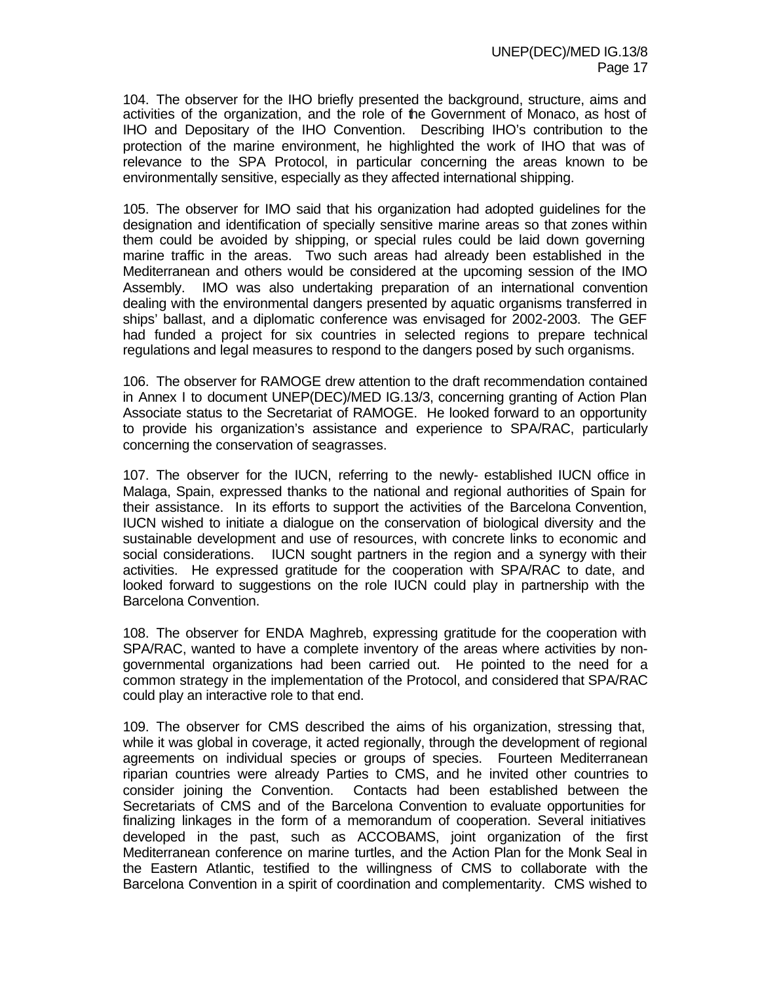104. The observer for the IHO briefly presented the background, structure, aims and activities of the organization, and the role of the Government of Monaco, as host of IHO and Depositary of the IHO Convention. Describing IHO's contribution to the protection of the marine environment, he highlighted the work of IHO that was of relevance to the SPA Protocol, in particular concerning the areas known to be environmentally sensitive, especially as they affected international shipping.

105. The observer for IMO said that his organization had adopted guidelines for the designation and identification of specially sensitive marine areas so that zones within them could be avoided by shipping, or special rules could be laid down governing marine traffic in the areas. Two such areas had already been established in the Mediterranean and others would be considered at the upcoming session of the IMO Assembly. IMO was also undertaking preparation of an international convention dealing with the environmental dangers presented by aquatic organisms transferred in ships' ballast, and a diplomatic conference was envisaged for 2002-2003. The GEF had funded a project for six countries in selected regions to prepare technical regulations and legal measures to respond to the dangers posed by such organisms.

106. The observer for RAMOGE drew attention to the draft recommendation contained in Annex I to document UNEP(DEC)/MED IG.13/3, concerning granting of Action Plan Associate status to the Secretariat of RAMOGE. He looked forward to an opportunity to provide his organization's assistance and experience to SPA/RAC, particularly concerning the conservation of seagrasses.

107. The observer for the IUCN, referring to the newly- established IUCN office in Malaga, Spain, expressed thanks to the national and regional authorities of Spain for their assistance. In its efforts to support the activities of the Barcelona Convention, IUCN wished to initiate a dialogue on the conservation of biological diversity and the sustainable development and use of resources, with concrete links to economic and social considerations. IUCN sought partners in the region and a synergy with their activities. He expressed gratitude for the cooperation with SPA/RAC to date, and looked forward to suggestions on the role IUCN could play in partnership with the Barcelona Convention.

108. The observer for ENDA Maghreb, expressing gratitude for the cooperation with SPA/RAC, wanted to have a complete inventory of the areas where activities by nongovernmental organizations had been carried out. He pointed to the need for a common strategy in the implementation of the Protocol, and considered that SPA/RAC could play an interactive role to that end.

109. The observer for CMS described the aims of his organization, stressing that, while it was global in coverage, it acted regionally, through the development of regional agreements on individual species or groups of species. Fourteen Mediterranean riparian countries were already Parties to CMS, and he invited other countries to consider joining the Convention. Contacts had been established between the Secretariats of CMS and of the Barcelona Convention to evaluate opportunities for finalizing linkages in the form of a memorandum of cooperation. Several initiatives developed in the past, such as ACCOBAMS, joint organization of the first Mediterranean conference on marine turtles, and the Action Plan for the Monk Seal in the Eastern Atlantic, testified to the willingness of CMS to collaborate with the Barcelona Convention in a spirit of coordination and complementarity. CMS wished to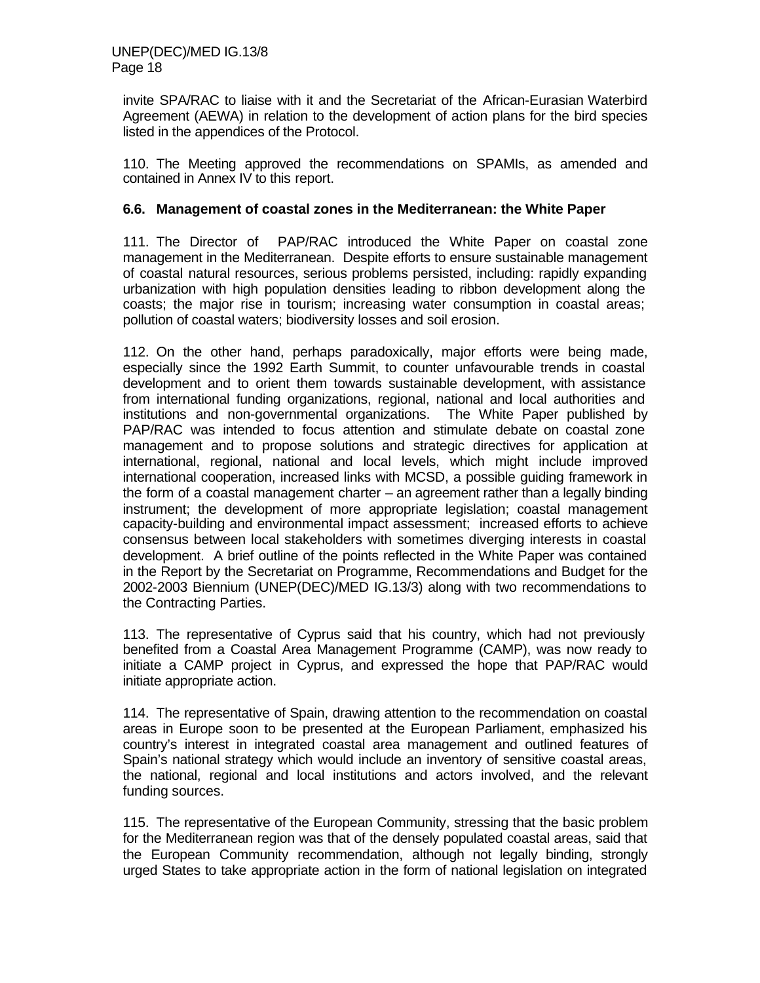invite SPA/RAC to liaise with it and the Secretariat of the African-Eurasian Waterbird Agreement (AEWA) in relation to the development of action plans for the bird species listed in the appendices of the Protocol.

110. The Meeting approved the recommendations on SPAMIs, as amended and contained in Annex IV to this report.

#### **6.6. Management of coastal zones in the Mediterranean: the White Paper**

111. The Director of PAP/RAC introduced the White Paper on coastal zone management in the Mediterranean. Despite efforts to ensure sustainable management of coastal natural resources, serious problems persisted, including: rapidly expanding urbanization with high population densities leading to ribbon development along the coasts; the major rise in tourism; increasing water consumption in coastal areas; pollution of coastal waters; biodiversity losses and soil erosion.

112. On the other hand, perhaps paradoxically, major efforts were being made, especially since the 1992 Earth Summit, to counter unfavourable trends in coastal development and to orient them towards sustainable development, with assistance from international funding organizations, regional, national and local authorities and institutions and non-governmental organizations. The White Paper published by PAP/RAC was intended to focus attention and stimulate debate on coastal zone management and to propose solutions and strategic directives for application at international, regional, national and local levels, which might include improved international cooperation, increased links with MCSD, a possible guiding framework in the form of a coastal management charter – an agreement rather than a legally binding instrument; the development of more appropriate legislation; coastal management capacity-building and environmental impact assessment; increased efforts to achieve consensus between local stakeholders with sometimes diverging interests in coastal development. A brief outline of the points reflected in the White Paper was contained in the Report by the Secretariat on Programme, Recommendations and Budget for the 2002-2003 Biennium (UNEP(DEC)/MED IG.13/3) along with two recommendations to the Contracting Parties.

113. The representative of Cyprus said that his country, which had not previously benefited from a Coastal Area Management Programme (CAMP), was now ready to initiate a CAMP project in Cyprus, and expressed the hope that PAP/RAC would initiate appropriate action.

114. The representative of Spain, drawing attention to the recommendation on coastal areas in Europe soon to be presented at the European Parliament, emphasized his country's interest in integrated coastal area management and outlined features of Spain's national strategy which would include an inventory of sensitive coastal areas, the national, regional and local institutions and actors involved, and the relevant funding sources.

115. The representative of the European Community, stressing that the basic problem for the Mediterranean region was that of the densely populated coastal areas, said that the European Community recommendation, although not legally binding, strongly urged States to take appropriate action in the form of national legislation on integrated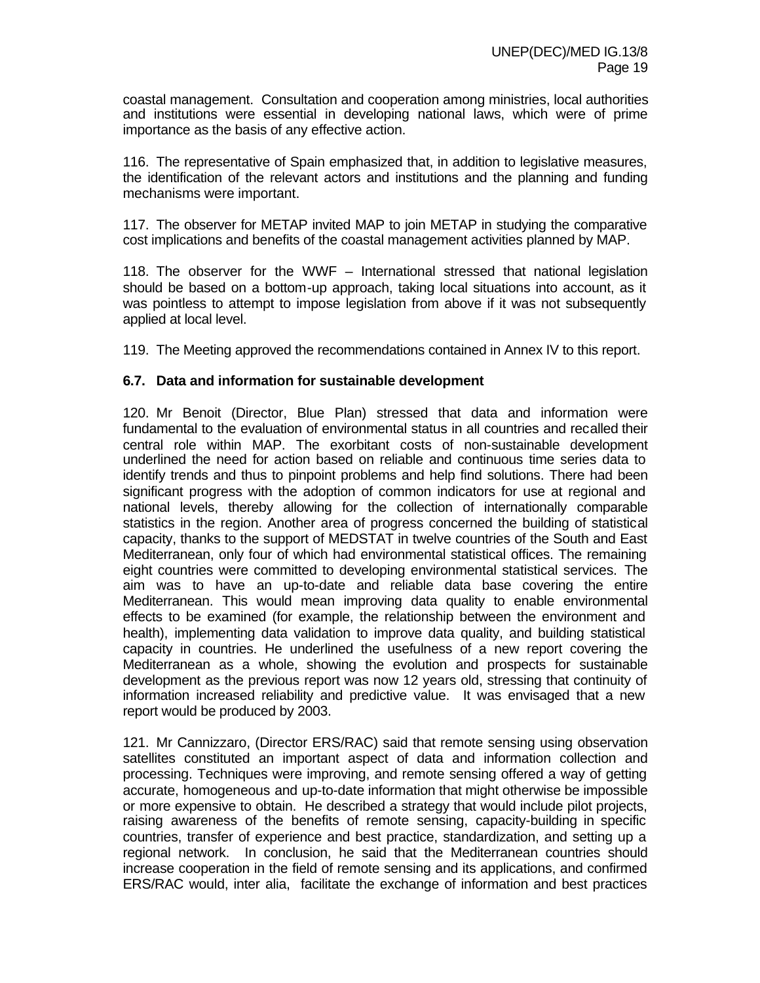coastal management. Consultation and cooperation among ministries, local authorities and institutions were essential in developing national laws, which were of prime importance as the basis of any effective action.

116. The representative of Spain emphasized that, in addition to legislative measures, the identification of the relevant actors and institutions and the planning and funding mechanisms were important.

117. The observer for METAP invited MAP to join METAP in studying the comparative cost implications and benefits of the coastal management activities planned by MAP.

118. The observer for the WWF – International stressed that national legislation should be based on a bottom-up approach, taking local situations into account, as it was pointless to attempt to impose legislation from above if it was not subsequently applied at local level.

119. The Meeting approved the recommendations contained in Annex IV to this report.

#### **6.7. Data and information for sustainable development**

120. Mr Benoit (Director, Blue Plan) stressed that data and information were fundamental to the evaluation of environmental status in all countries and recalled their central role within MAP. The exorbitant costs of non-sustainable development underlined the need for action based on reliable and continuous time series data to identify trends and thus to pinpoint problems and help find solutions. There had been significant progress with the adoption of common indicators for use at regional and national levels, thereby allowing for the collection of internationally comparable statistics in the region. Another area of progress concerned the building of statistical capacity, thanks to the support of MEDSTAT in twelve countries of the South and East Mediterranean, only four of which had environmental statistical offices. The remaining eight countries were committed to developing environmental statistical services. The aim was to have an up-to-date and reliable data base covering the entire Mediterranean. This would mean improving data quality to enable environmental effects to be examined (for example, the relationship between the environment and health), implementing data validation to improve data quality, and building statistical capacity in countries. He underlined the usefulness of a new report covering the Mediterranean as a whole, showing the evolution and prospects for sustainable development as the previous report was now 12 years old, stressing that continuity of information increased reliability and predictive value. It was envisaged that a new report would be produced by 2003.

121. Mr Cannizzaro, (Director ERS/RAC) said that remote sensing using observation satellites constituted an important aspect of data and information collection and processing. Techniques were improving, and remote sensing offered a way of getting accurate, homogeneous and up-to-date information that might otherwise be impossible or more expensive to obtain. He described a strategy that would include pilot projects, raising awareness of the benefits of remote sensing, capacity-building in specific countries, transfer of experience and best practice, standardization, and setting up a regional network. In conclusion, he said that the Mediterranean countries should increase cooperation in the field of remote sensing and its applications, and confirmed ERS/RAC would, inter alia, facilitate the exchange of information and best practices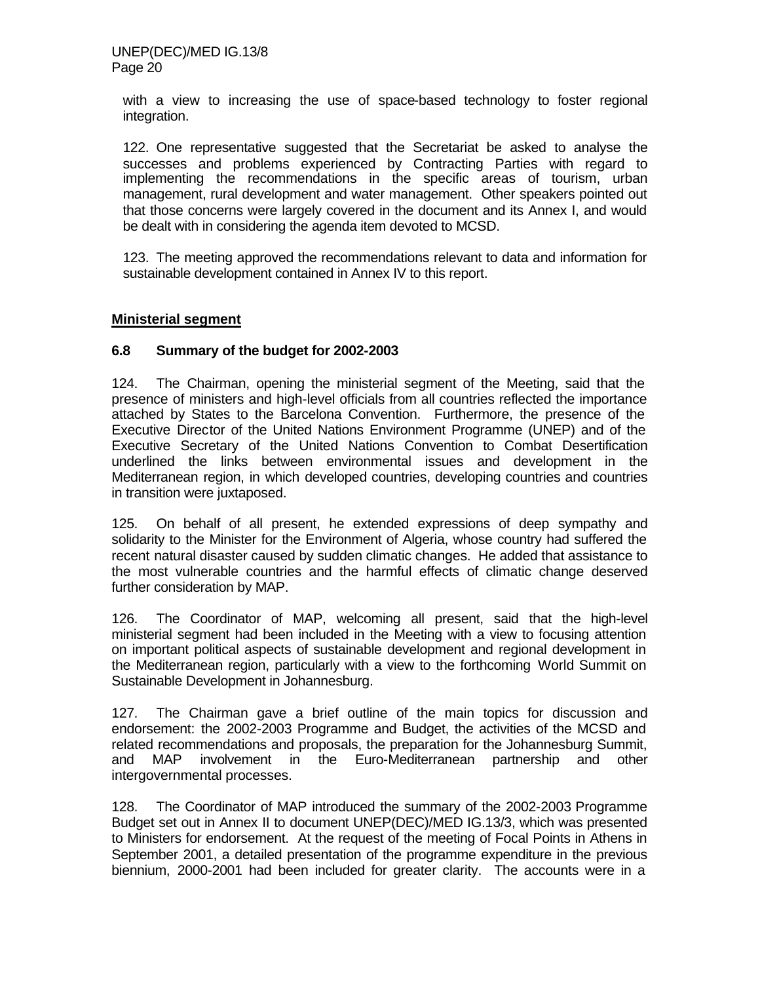with a view to increasing the use of space-based technology to foster regional integration.

122. One representative suggested that the Secretariat be asked to analyse the successes and problems experienced by Contracting Parties with regard to implementing the recommendations in the specific areas of tourism, urban management, rural development and water management. Other speakers pointed out that those concerns were largely covered in the document and its Annex I, and would be dealt with in considering the agenda item devoted to MCSD.

123. The meeting approved the recommendations relevant to data and information for sustainable development contained in Annex IV to this report.

#### **Ministerial segment**

#### **6.8 Summary of the budget for 2002-2003**

124. The Chairman, opening the ministerial segment of the Meeting, said that the presence of ministers and high-level officials from all countries reflected the importance attached by States to the Barcelona Convention. Furthermore, the presence of the Executive Director of the United Nations Environment Programme (UNEP) and of the Executive Secretary of the United Nations Convention to Combat Desertification underlined the links between environmental issues and development in the Mediterranean region, in which developed countries, developing countries and countries in transition were juxtaposed.

125. On behalf of all present, he extended expressions of deep sympathy and solidarity to the Minister for the Environment of Algeria, whose country had suffered the recent natural disaster caused by sudden climatic changes. He added that assistance to the most vulnerable countries and the harmful effects of climatic change deserved further consideration by MAP.

126. The Coordinator of MAP, welcoming all present, said that the high-level ministerial segment had been included in the Meeting with a view to focusing attention on important political aspects of sustainable development and regional development in the Mediterranean region, particularly with a view to the forthcoming World Summit on Sustainable Development in Johannesburg.

127. The Chairman gave a brief outline of the main topics for discussion and endorsement: the 2002-2003 Programme and Budget, the activities of the MCSD and related recommendations and proposals, the preparation for the Johannesburg Summit, and MAP involvement in the Euro-Mediterranean partnership and other intergovernmental processes.

128. The Coordinator of MAP introduced the summary of the 2002-2003 Programme Budget set out in Annex II to document UNEP(DEC)/MED IG.13/3, which was presented to Ministers for endorsement. At the request of the meeting of Focal Points in Athens in September 2001, a detailed presentation of the programme expenditure in the previous biennium, 2000-2001 had been included for greater clarity. The accounts were in a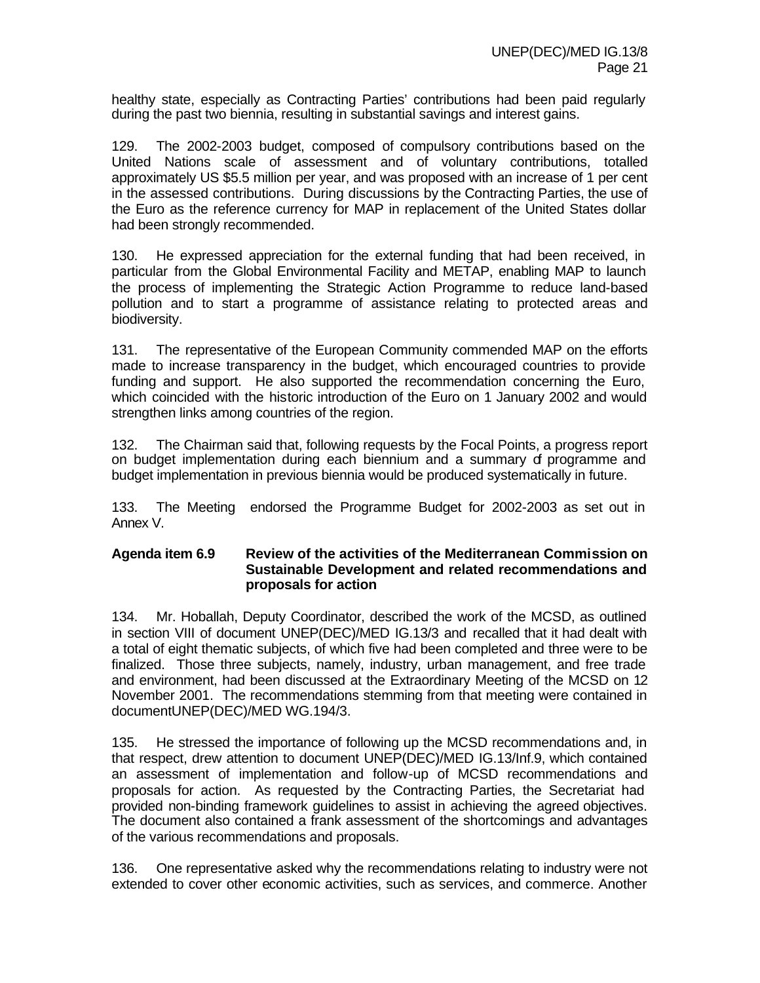healthy state, especially as Contracting Parties' contributions had been paid regularly during the past two biennia, resulting in substantial savings and interest gains.

129. The 2002-2003 budget, composed of compulsory contributions based on the United Nations scale of assessment and of voluntary contributions, totalled approximately US \$5.5 million per year, and was proposed with an increase of 1 per cent in the assessed contributions. During discussions by the Contracting Parties, the use of the Euro as the reference currency for MAP in replacement of the United States dollar had been strongly recommended.

130. He expressed appreciation for the external funding that had been received, in particular from the Global Environmental Facility and METAP, enabling MAP to launch the process of implementing the Strategic Action Programme to reduce land-based pollution and to start a programme of assistance relating to protected areas and biodiversity.

131. The representative of the European Community commended MAP on the efforts made to increase transparency in the budget, which encouraged countries to provide funding and support. He also supported the recommendation concerning the Euro, which coincided with the historic introduction of the Euro on 1 January 2002 and would strengthen links among countries of the region.

132. The Chairman said that, following requests by the Focal Points, a progress report on budget implementation during each biennium and a summary of programme and budget implementation in previous biennia would be produced systematically in future.

133. The Meeting endorsed the Programme Budget for 2002-2003 as set out in Annex V.

#### **Agenda item 6.9 Review of the activities of the Mediterranean Commission on Sustainable Development and related recommendations and proposals for action**

134. Mr. Hoballah, Deputy Coordinator, described the work of the MCSD, as outlined in section VIII of document UNEP(DEC)/MED IG.13/3 and recalled that it had dealt with a total of eight thematic subjects, of which five had been completed and three were to be finalized. Those three subjects, namely, industry, urban management, and free trade and environment, had been discussed at the Extraordinary Meeting of the MCSD on 12 November 2001. The recommendations stemming from that meeting were contained in documentUNEP(DEC)/MED WG.194/3.

135. He stressed the importance of following up the MCSD recommendations and, in that respect, drew attention to document UNEP(DEC)/MED IG.13/Inf.9, which contained an assessment of implementation and follow-up of MCSD recommendations and proposals for action. As requested by the Contracting Parties, the Secretariat had provided non-binding framework guidelines to assist in achieving the agreed objectives. The document also contained a frank assessment of the shortcomings and advantages of the various recommendations and proposals.

136. One representative asked why the recommendations relating to industry were not extended to cover other economic activities, such as services, and commerce. Another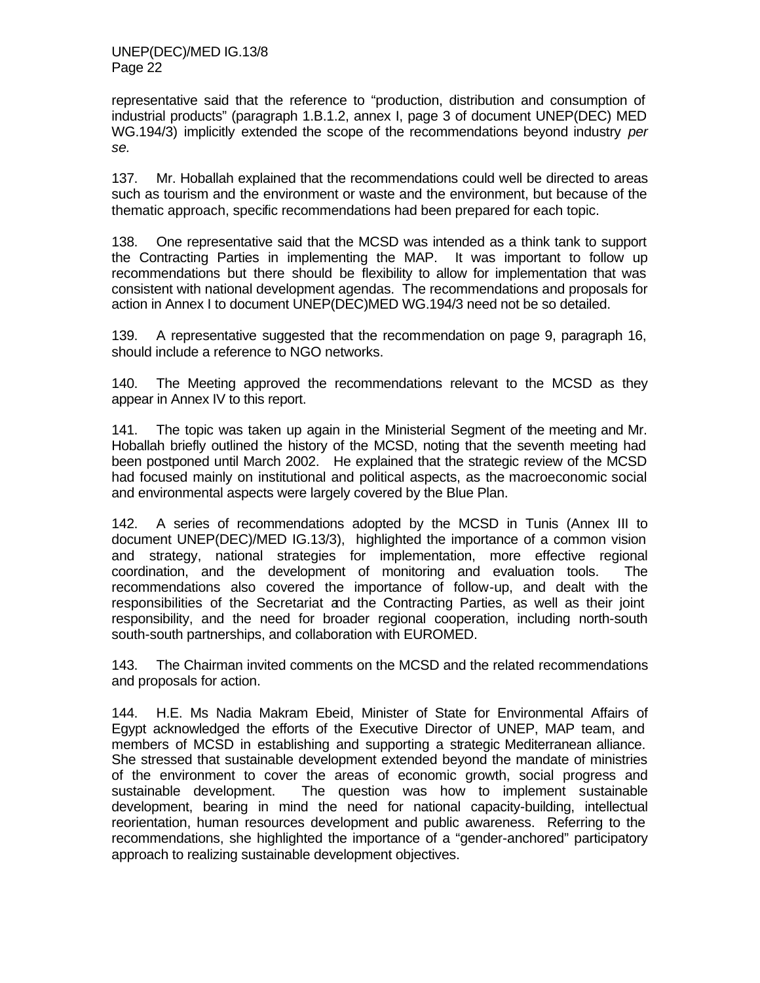representative said that the reference to "production, distribution and consumption of industrial products" (paragraph 1.B.1.2, annex I, page 3 of document UNEP(DEC) MED WG.194/3) implicitly extended the scope of the recommendations beyond industry *per se.*

137. Mr. Hoballah explained that the recommendations could well be directed to areas such as tourism and the environment or waste and the environment, but because of the thematic approach, specific recommendations had been prepared for each topic.

138. One representative said that the MCSD was intended as a think tank to support the Contracting Parties in implementing the MAP. It was important to follow up recommendations but there should be flexibility to allow for implementation that was consistent with national development agendas. The recommendations and proposals for action in Annex I to document UNEP(DEC)MED WG.194/3 need not be so detailed.

139. A representative suggested that the recommendation on page 9, paragraph 16, should include a reference to NGO networks.

140. The Meeting approved the recommendations relevant to the MCSD as they appear in Annex IV to this report.

141. The topic was taken up again in the Ministerial Segment of the meeting and Mr. Hoballah briefly outlined the history of the MCSD, noting that the seventh meeting had been postponed until March 2002. He explained that the strategic review of the MCSD had focused mainly on institutional and political aspects, as the macroeconomic social and environmental aspects were largely covered by the Blue Plan.

142. A series of recommendations adopted by the MCSD in Tunis (Annex III to document UNEP(DEC)/MED IG.13/3), highlighted the importance of a common vision and strategy, national strategies for implementation, more effective regional coordination, and the development of monitoring and evaluation tools. The recommendations also covered the importance of follow-up, and dealt with the responsibilities of the Secretariat and the Contracting Parties, as well as their joint responsibility, and the need for broader regional cooperation, including north-south south-south partnerships, and collaboration with EUROMED.

143. The Chairman invited comments on the MCSD and the related recommendations and proposals for action.

144. H.E. Ms Nadia Makram Ebeid, Minister of State for Environmental Affairs of Egypt acknowledged the efforts of the Executive Director of UNEP, MAP team, and members of MCSD in establishing and supporting a strategic Mediterranean alliance. She stressed that sustainable development extended beyond the mandate of ministries of the environment to cover the areas of economic growth, social progress and sustainable development. The question was how to implement sustainable development, bearing in mind the need for national capacity-building, intellectual reorientation, human resources development and public awareness. Referring to the recommendations, she highlighted the importance of a "gender-anchored" participatory approach to realizing sustainable development objectives.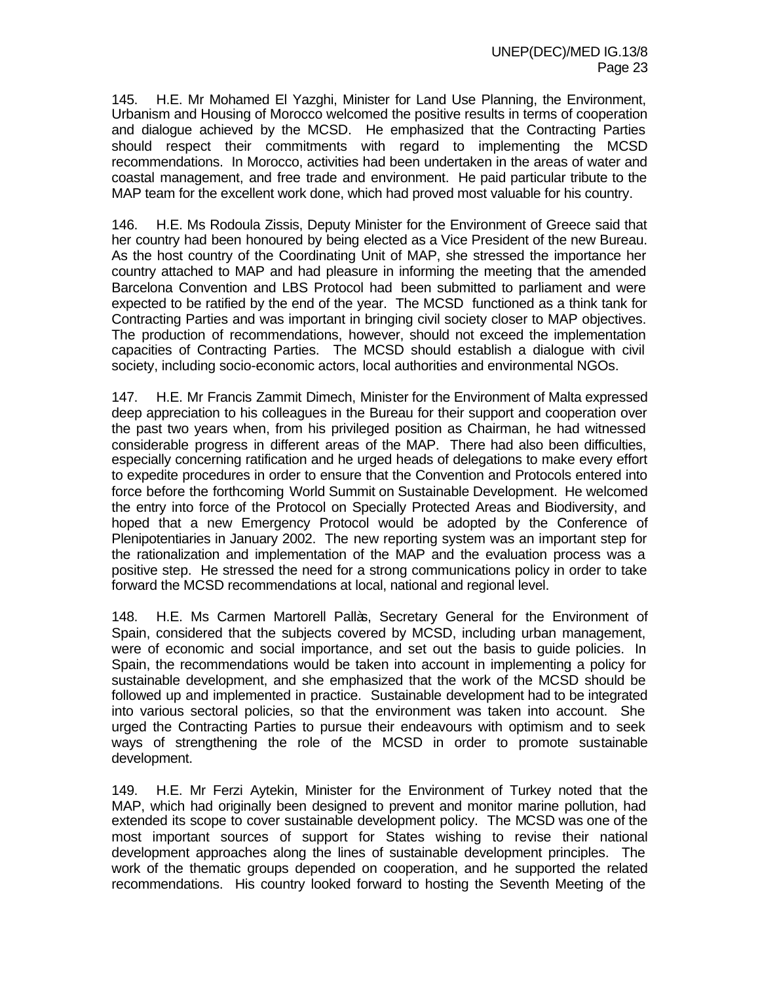145. H.E. Mr Mohamed El Yazghi, Minister for Land Use Planning, the Environment, Urbanism and Housing of Morocco welcomed the positive results in terms of cooperation and dialogue achieved by the MCSD. He emphasized that the Contracting Parties should respect their commitments with regard to implementing the MCSD recommendations. In Morocco, activities had been undertaken in the areas of water and coastal management, and free trade and environment. He paid particular tribute to the MAP team for the excellent work done, which had proved most valuable for his country.

146. H.E. Ms Rodoula Zissis, Deputy Minister for the Environment of Greece said that her country had been honoured by being elected as a Vice President of the new Bureau. As the host country of the Coordinating Unit of MAP, she stressed the importance her country attached to MAP and had pleasure in informing the meeting that the amended Barcelona Convention and LBS Protocol had been submitted to parliament and were expected to be ratified by the end of the year. The MCSD functioned as a think tank for Contracting Parties and was important in bringing civil society closer to MAP objectives. The production of recommendations, however, should not exceed the implementation capacities of Contracting Parties. The MCSD should establish a dialogue with civil society, including socio-economic actors, local authorities and environmental NGOs.

147. H.E. Mr Francis Zammit Dimech, Minister for the Environment of Malta expressed deep appreciation to his colleagues in the Bureau for their support and cooperation over the past two years when, from his privileged position as Chairman, he had witnessed considerable progress in different areas of the MAP. There had also been difficulties, especially concerning ratification and he urged heads of delegations to make every effort to expedite procedures in order to ensure that the Convention and Protocols entered into force before the forthcoming World Summit on Sustainable Development. He welcomed the entry into force of the Protocol on Specially Protected Areas and Biodiversity, and hoped that a new Emergency Protocol would be adopted by the Conference of Plenipotentiaries in January 2002. The new reporting system was an important step for the rationalization and implementation of the MAP and the evaluation process was a positive step. He stressed the need for a strong communications policy in order to take forward the MCSD recommendations at local, national and regional level.

148. H.E. Ms Carmen Martorell Pallàs, Secretary General for the Environment of Spain, considered that the subjects covered by MCSD, including urban management, were of economic and social importance, and set out the basis to guide policies. In Spain, the recommendations would be taken into account in implementing a policy for sustainable development, and she emphasized that the work of the MCSD should be followed up and implemented in practice. Sustainable development had to be integrated into various sectoral policies, so that the environment was taken into account. She urged the Contracting Parties to pursue their endeavours with optimism and to seek ways of strengthening the role of the MCSD in order to promote sustainable development.

149. H.E. Mr Ferzi Aytekin, Minister for the Environment of Turkey noted that the MAP, which had originally been designed to prevent and monitor marine pollution, had extended its scope to cover sustainable development policy. The MCSD was one of the most important sources of support for States wishing to revise their national development approaches along the lines of sustainable development principles. The work of the thematic groups depended on cooperation, and he supported the related recommendations. His country looked forward to hosting the Seventh Meeting of the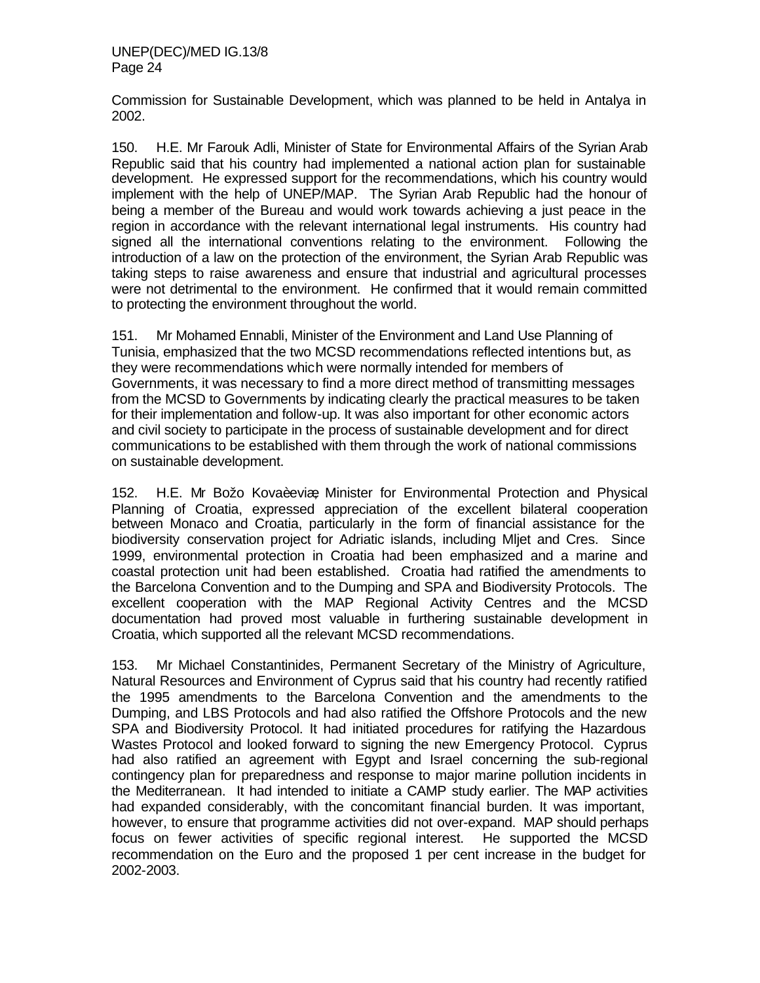Commission for Sustainable Development, which was planned to be held in Antalya in 2002.

150. H.E. Mr Farouk Adli, Minister of State for Environmental Affairs of the Syrian Arab Republic said that his country had implemented a national action plan for sustainable development. He expressed support for the recommendations, which his country would implement with the help of UNEP/MAP. The Syrian Arab Republic had the honour of being a member of the Bureau and would work towards achieving a just peace in the region in accordance with the relevant international legal instruments. His country had signed all the international conventions relating to the environment. Following the introduction of a law on the protection of the environment, the Syrian Arab Republic was taking steps to raise awareness and ensure that industrial and agricultural processes were not detrimental to the environment. He confirmed that it would remain committed to protecting the environment throughout the world.

151. Mr Mohamed Ennabli, Minister of the Environment and Land Use Planning of Tunisia, emphasized that the two MCSD recommendations reflected intentions but, as they were recommendations which were normally intended for members of Governments, it was necessary to find a more direct method of transmitting messages from the MCSD to Governments by indicating clearly the practical measures to be taken for their implementation and follow-up. It was also important for other economic actors and civil society to participate in the process of sustainable development and for direct communications to be established with them through the work of national commissions on sustainable development.

152. H.E. Mr Božo Kovaèeviæ, Minister for Environmental Protection and Physical Planning of Croatia, expressed appreciation of the excellent bilateral cooperation between Monaco and Croatia, particularly in the form of financial assistance for the biodiversity conservation project for Adriatic islands, including Mljet and Cres. Since 1999, environmental protection in Croatia had been emphasized and a marine and coastal protection unit had been established. Croatia had ratified the amendments to the Barcelona Convention and to the Dumping and SPA and Biodiversity Protocols. The excellent cooperation with the MAP Regional Activity Centres and the MCSD documentation had proved most valuable in furthering sustainable development in Croatia, which supported all the relevant MCSD recommendations.

153. Mr Michael Constantinides, Permanent Secretary of the Ministry of Agriculture, Natural Resources and Environment of Cyprus said that his country had recently ratified the 1995 amendments to the Barcelona Convention and the amendments to the Dumping, and LBS Protocols and had also ratified the Offshore Protocols and the new SPA and Biodiversity Protocol. It had initiated procedures for ratifying the Hazardous Wastes Protocol and looked forward to signing the new Emergency Protocol. Cyprus had also ratified an agreement with Egypt and Israel concerning the sub-regional contingency plan for preparedness and response to major marine pollution incidents in the Mediterranean. It had intended to initiate a CAMP study earlier. The MAP activities had expanded considerably, with the concomitant financial burden. It was important, however, to ensure that programme activities did not over-expand. MAP should perhaps focus on fewer activities of specific regional interest. He supported the MCSD recommendation on the Euro and the proposed 1 per cent increase in the budget for 2002-2003.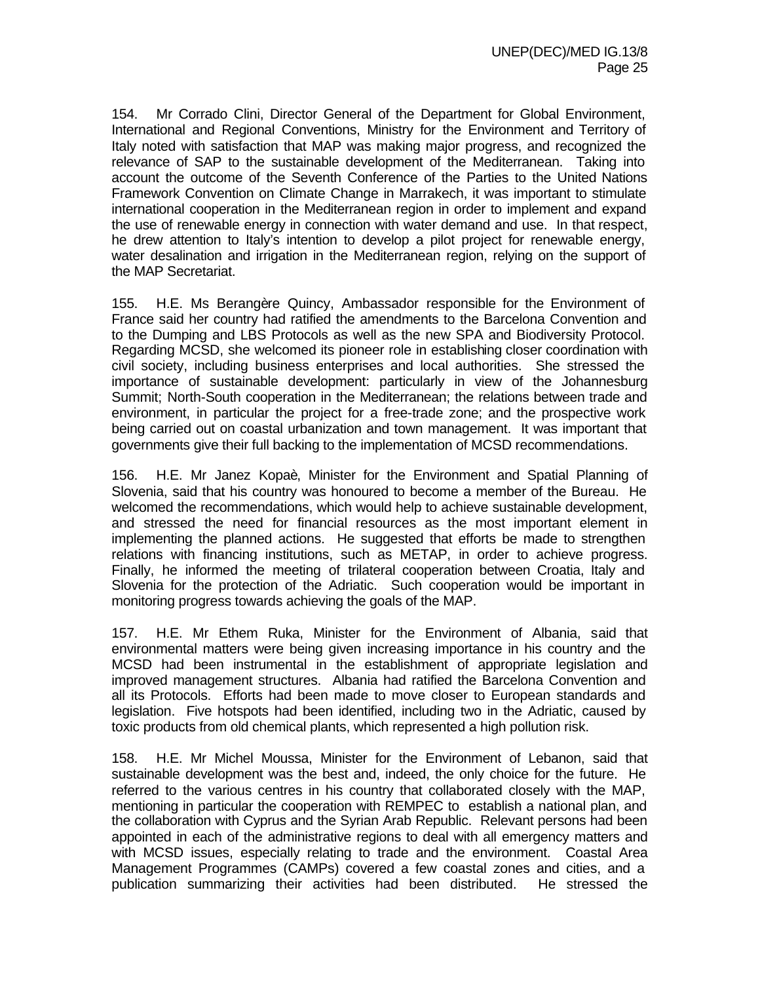154. Mr Corrado Clini, Director General of the Department for Global Environment, International and Regional Conventions, Ministry for the Environment and Territory of Italy noted with satisfaction that MAP was making major progress, and recognized the relevance of SAP to the sustainable development of the Mediterranean. Taking into account the outcome of the Seventh Conference of the Parties to the United Nations Framework Convention on Climate Change in Marrakech, it was important to stimulate international cooperation in the Mediterranean region in order to implement and expand the use of renewable energy in connection with water demand and use. In that respect, he drew attention to Italy's intention to develop a pilot project for renewable energy, water desalination and irrigation in the Mediterranean region, relying on the support of the MAP Secretariat.

155. H.E. Ms Berangère Quincy, Ambassador responsible for the Environment of France said her country had ratified the amendments to the Barcelona Convention and to the Dumping and LBS Protocols as well as the new SPA and Biodiversity Protocol. Regarding MCSD, she welcomed its pioneer role in establishing closer coordination with civil society, including business enterprises and local authorities. She stressed the importance of sustainable development: particularly in view of the Johannesburg Summit; North-South cooperation in the Mediterranean; the relations between trade and environment, in particular the project for a free-trade zone; and the prospective work being carried out on coastal urbanization and town management. It was important that governments give their full backing to the implementation of MCSD recommendations.

156. H.E. Mr Janez Kopaè, Minister for the Environment and Spatial Planning of Slovenia, said that his country was honoured to become a member of the Bureau. He welcomed the recommendations, which would help to achieve sustainable development, and stressed the need for financial resources as the most important element in implementing the planned actions. He suggested that efforts be made to strengthen relations with financing institutions, such as METAP, in order to achieve progress. Finally, he informed the meeting of trilateral cooperation between Croatia, Italy and Slovenia for the protection of the Adriatic. Such cooperation would be important in monitoring progress towards achieving the goals of the MAP.

157. H.E. Mr Ethem Ruka, Minister for the Environment of Albania, said that environmental matters were being given increasing importance in his country and the MCSD had been instrumental in the establishment of appropriate legislation and improved management structures. Albania had ratified the Barcelona Convention and all its Protocols. Efforts had been made to move closer to European standards and legislation. Five hotspots had been identified, including two in the Adriatic, caused by toxic products from old chemical plants, which represented a high pollution risk.

158. H.E. Mr Michel Moussa, Minister for the Environment of Lebanon, said that sustainable development was the best and, indeed, the only choice for the future. He referred to the various centres in his country that collaborated closely with the MAP, mentioning in particular the cooperation with REMPEC to establish a national plan, and the collaboration with Cyprus and the Syrian Arab Republic. Relevant persons had been appointed in each of the administrative regions to deal with all emergency matters and with MCSD issues, especially relating to trade and the environment. Coastal Area Management Programmes (CAMPs) covered a few coastal zones and cities, and a publication summarizing their activities had been distributed. He stressed the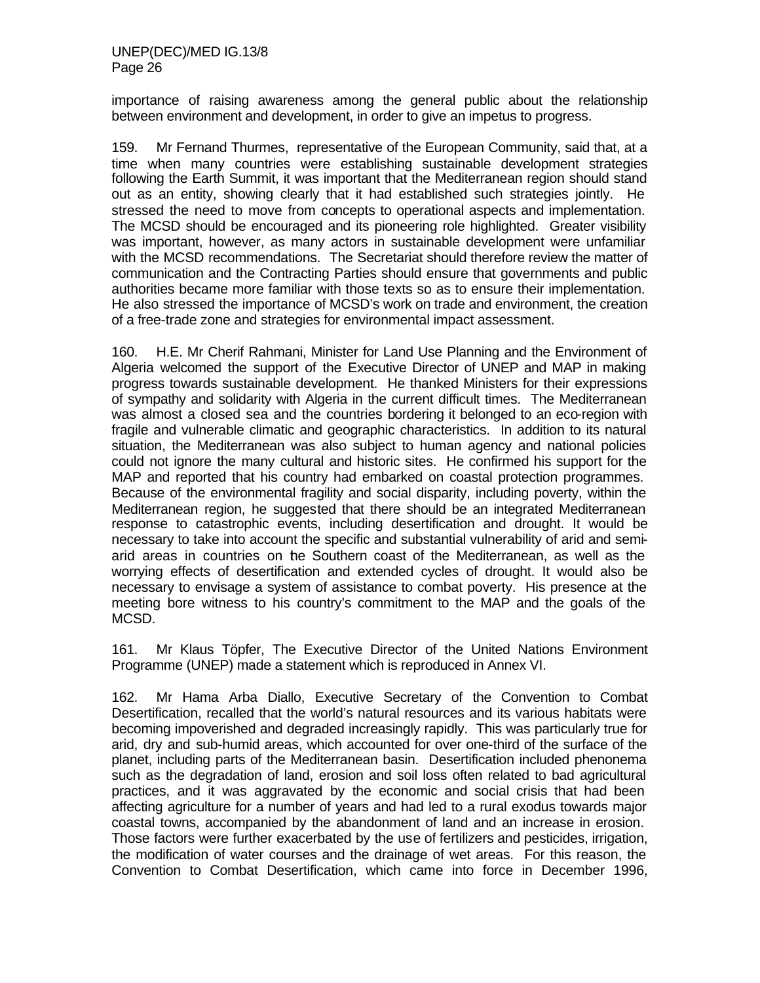importance of raising awareness among the general public about the relationship between environment and development, in order to give an impetus to progress.

159. Mr Fernand Thurmes, representative of the European Community, said that, at a time when many countries were establishing sustainable development strategies following the Earth Summit, it was important that the Mediterranean region should stand out as an entity, showing clearly that it had established such strategies jointly. He stressed the need to move from concepts to operational aspects and implementation. The MCSD should be encouraged and its pioneering role highlighted. Greater visibility was important, however, as many actors in sustainable development were unfamiliar with the MCSD recommendations. The Secretariat should therefore review the matter of communication and the Contracting Parties should ensure that governments and public authorities became more familiar with those texts so as to ensure their implementation. He also stressed the importance of MCSD's work on trade and environment, the creation of a free-trade zone and strategies for environmental impact assessment.

160. H.E. Mr Cherif Rahmani, Minister for Land Use Planning and the Environment of Algeria welcomed the support of the Executive Director of UNEP and MAP in making progress towards sustainable development. He thanked Ministers for their expressions of sympathy and solidarity with Algeria in the current difficult times. The Mediterranean was almost a closed sea and the countries bordering it belonged to an eco-region with fragile and vulnerable climatic and geographic characteristics. In addition to its natural situation, the Mediterranean was also subject to human agency and national policies could not ignore the many cultural and historic sites. He confirmed his support for the MAP and reported that his country had embarked on coastal protection programmes. Because of the environmental fragility and social disparity, including poverty, within the Mediterranean region, he suggested that there should be an integrated Mediterranean response to catastrophic events, including desertification and drought. It would be necessary to take into account the specific and substantial vulnerability of arid and semiarid areas in countries on the Southern coast of the Mediterranean, as well as the worrying effects of desertification and extended cycles of drought. It would also be necessary to envisage a system of assistance to combat poverty. His presence at the meeting bore witness to his country's commitment to the MAP and the goals of the MCSD.

161. Mr Klaus Töpfer, The Executive Director of the United Nations Environment Programme (UNEP) made a statement which is reproduced in Annex VI.

162. Mr Hama Arba Diallo, Executive Secretary of the Convention to Combat Desertification, recalled that the world's natural resources and its various habitats were becoming impoverished and degraded increasingly rapidly. This was particularly true for arid, dry and sub-humid areas, which accounted for over one-third of the surface of the planet, including parts of the Mediterranean basin. Desertification included phenonema such as the degradation of land, erosion and soil loss often related to bad agricultural practices, and it was aggravated by the economic and social crisis that had been affecting agriculture for a number of years and had led to a rural exodus towards major coastal towns, accompanied by the abandonment of land and an increase in erosion. Those factors were further exacerbated by the use of fertilizers and pesticides, irrigation, the modification of water courses and the drainage of wet areas. For this reason, the Convention to Combat Desertification, which came into force in December 1996,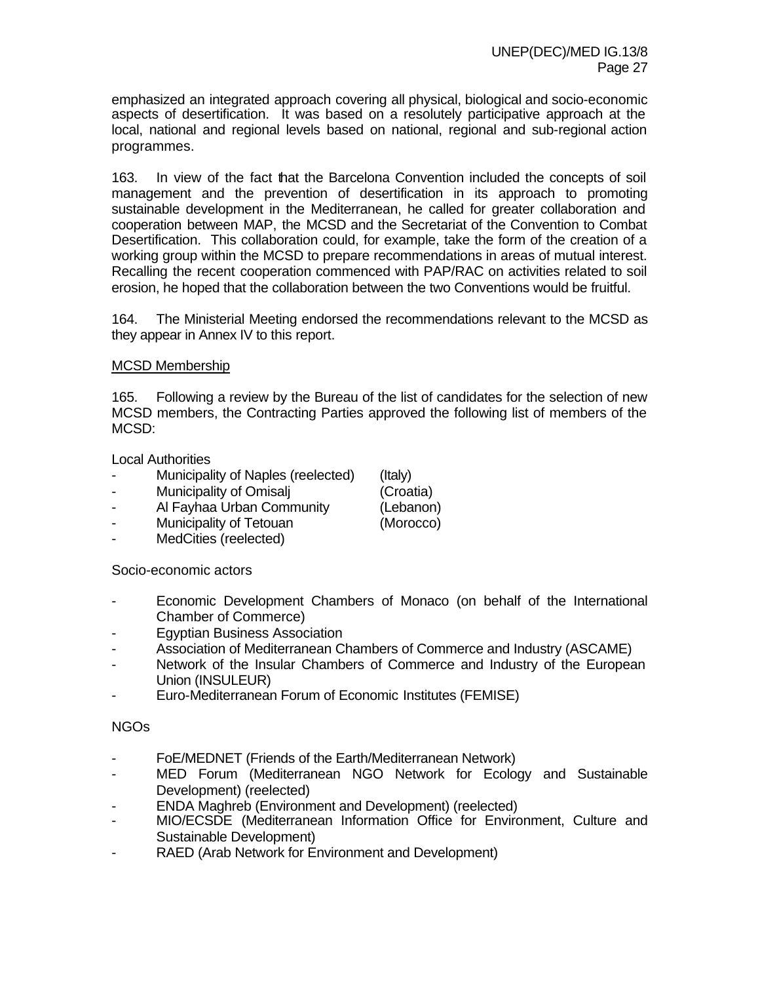emphasized an integrated approach covering all physical, biological and socio-economic aspects of desertification. It was based on a resolutely participative approach at the local, national and regional levels based on national, regional and sub-regional action programmes.

163. In view of the fact that the Barcelona Convention included the concepts of soil management and the prevention of desertification in its approach to promoting sustainable development in the Mediterranean, he called for greater collaboration and cooperation between MAP, the MCSD and the Secretariat of the Convention to Combat Desertification. This collaboration could, for example, take the form of the creation of a working group within the MCSD to prepare recommendations in areas of mutual interest. Recalling the recent cooperation commenced with PAP/RAC on activities related to soil erosion, he hoped that the collaboration between the two Conventions would be fruitful.

164. The Ministerial Meeting endorsed the recommendations relevant to the MCSD as they appear in Annex IV to this report.

#### MCSD Membership

165. Following a review by the Bureau of the list of candidates for the selection of new MCSD members, the Contracting Parties approved the following list of members of the MCSD:

Local Authorities

- Municipality of Naples (reelected) (Italy)
- Municipality of Omisalj (Croatia)

- Al Fayhaa Urban Community (Lebanon)
- Municipality of Tetouan (Morocco)
- MedCities (reelected)

Socio-economic actors

- Economic Development Chambers of Monaco (on behalf of the International Chamber of Commerce)
- Egyptian Business Association
- Association of Mediterranean Chambers of Commerce and Industry (ASCAME)
- Network of the Insular Chambers of Commerce and Industry of the European Union (INSULEUR)
- Euro-Mediterranean Forum of Economic Institutes (FEMISE)

#### NGOs

- FoE/MEDNET (Friends of the Earth/Mediterranean Network)
- MED Forum (Mediterranean NGO Network for Ecology and Sustainable Development) (reelected)
- ENDA Maghreb (Environment and Development) (reelected)
- MIO/ECSDE (Mediterranean Information Office for Environment, Culture and Sustainable Development)
- RAED (Arab Network for Environment and Development)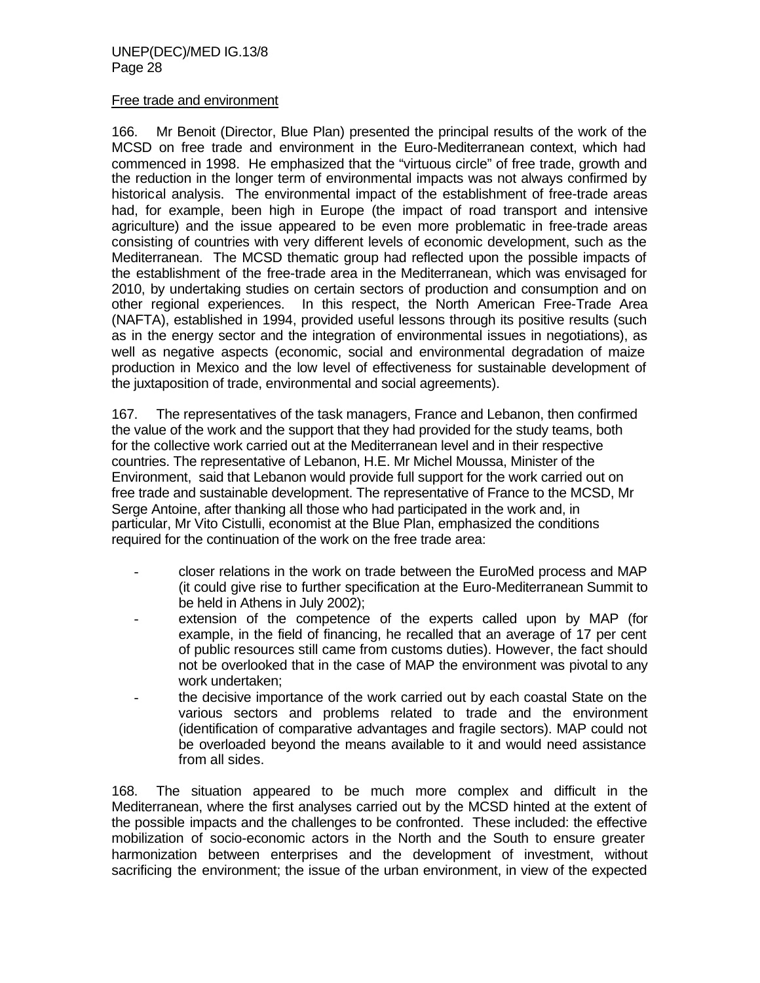#### Free trade and environment

166. Mr Benoit (Director, Blue Plan) presented the principal results of the work of the MCSD on free trade and environment in the Euro-Mediterranean context, which had commenced in 1998. He emphasized that the "virtuous circle" of free trade, growth and the reduction in the longer term of environmental impacts was not always confirmed by historical analysis. The environmental impact of the establishment of free-trade areas had, for example, been high in Europe (the impact of road transport and intensive agriculture) and the issue appeared to be even more problematic in free-trade areas consisting of countries with very different levels of economic development, such as the Mediterranean. The MCSD thematic group had reflected upon the possible impacts of the establishment of the free-trade area in the Mediterranean, which was envisaged for 2010, by undertaking studies on certain sectors of production and consumption and on other regional experiences. In this respect, the North American Free-Trade Area (NAFTA), established in 1994, provided useful lessons through its positive results (such as in the energy sector and the integration of environmental issues in negotiations), as well as negative aspects (economic, social and environmental degradation of maize production in Mexico and the low level of effectiveness for sustainable development of the juxtaposition of trade, environmental and social agreements).

167. The representatives of the task managers, France and Lebanon, then confirmed the value of the work and the support that they had provided for the study teams, both for the collective work carried out at the Mediterranean level and in their respective countries. The representative of Lebanon, H.E. Mr Michel Moussa, Minister of the Environment, said that Lebanon would provide full support for the work carried out on free trade and sustainable development. The representative of France to the MCSD, Mr Serge Antoine, after thanking all those who had participated in the work and, in particular, Mr Vito Cistulli, economist at the Blue Plan, emphasized the conditions required for the continuation of the work on the free trade area:

- closer relations in the work on trade between the EuroMed process and MAP (it could give rise to further specification at the Euro-Mediterranean Summit to be held in Athens in July 2002);
- extension of the competence of the experts called upon by MAP (for example, in the field of financing, he recalled that an average of 17 per cent of public resources still came from customs duties). However, the fact should not be overlooked that in the case of MAP the environment was pivotal to any work undertaken;
- the decisive importance of the work carried out by each coastal State on the various sectors and problems related to trade and the environment (identification of comparative advantages and fragile sectors). MAP could not be overloaded beyond the means available to it and would need assistance from all sides.

168. The situation appeared to be much more complex and difficult in the Mediterranean, where the first analyses carried out by the MCSD hinted at the extent of the possible impacts and the challenges to be confronted. These included: the effective mobilization of socio-economic actors in the North and the South to ensure greater harmonization between enterprises and the development of investment, without sacrificing the environment; the issue of the urban environment, in view of the expected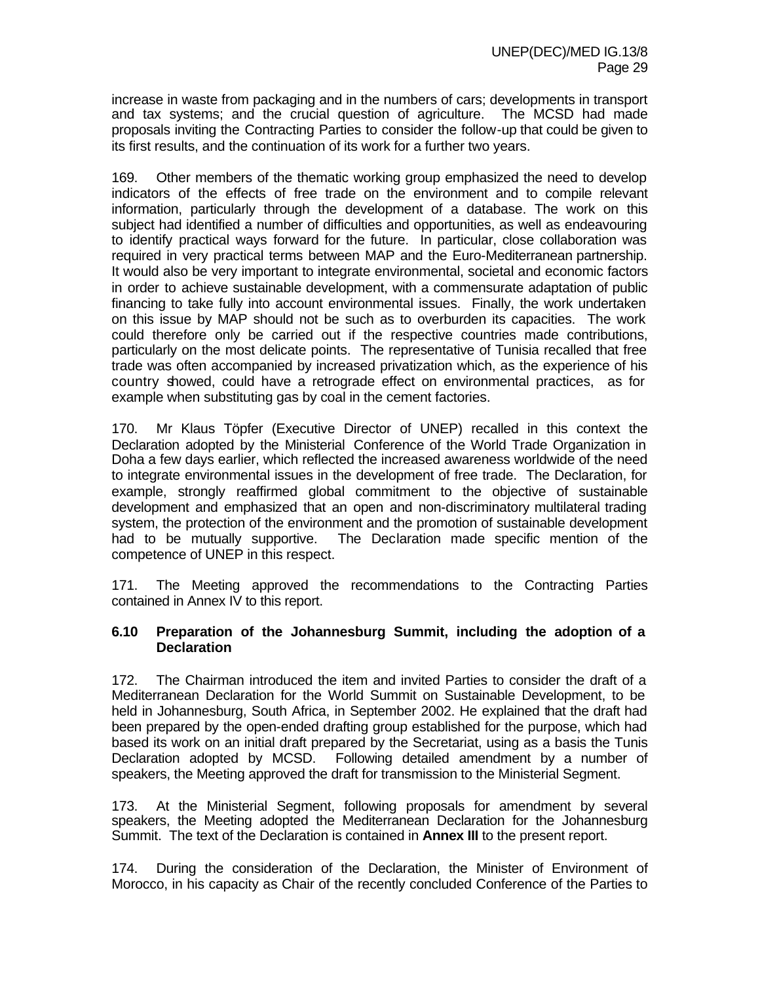increase in waste from packaging and in the numbers of cars; developments in transport and tax systems; and the crucial question of agriculture. The MCSD had made proposals inviting the Contracting Parties to consider the follow-up that could be given to its first results, and the continuation of its work for a further two years.

169. Other members of the thematic working group emphasized the need to develop indicators of the effects of free trade on the environment and to compile relevant information, particularly through the development of a database. The work on this subject had identified a number of difficulties and opportunities, as well as endeavouring to identify practical ways forward for the future. In particular, close collaboration was required in very practical terms between MAP and the Euro-Mediterranean partnership. It would also be very important to integrate environmental, societal and economic factors in order to achieve sustainable development, with a commensurate adaptation of public financing to take fully into account environmental issues. Finally, the work undertaken on this issue by MAP should not be such as to overburden its capacities. The work could therefore only be carried out if the respective countries made contributions, particularly on the most delicate points. The representative of Tunisia recalled that free trade was often accompanied by increased privatization which, as the experience of his country showed, could have a retrograde effect on environmental practices, as for example when substituting gas by coal in the cement factories.

170. Mr Klaus Töpfer (Executive Director of UNEP) recalled in this context the Declaration adopted by the Ministerial Conference of the World Trade Organization in Doha a few days earlier, which reflected the increased awareness worldwide of the need to integrate environmental issues in the development of free trade. The Declaration, for example, strongly reaffirmed global commitment to the objective of sustainable development and emphasized that an open and non-discriminatory multilateral trading system, the protection of the environment and the promotion of sustainable development had to be mutually supportive. The Declaration made specific mention of the competence of UNEP in this respect.

171. The Meeting approved the recommendations to the Contracting Parties contained in Annex IV to this report.

#### **6.10 Preparation of the Johannesburg Summit, including the adoption of a Declaration**

172. The Chairman introduced the item and invited Parties to consider the draft of a Mediterranean Declaration for the World Summit on Sustainable Development, to be held in Johannesburg, South Africa, in September 2002. He explained that the draft had been prepared by the open-ended drafting group established for the purpose, which had based its work on an initial draft prepared by the Secretariat, using as a basis the Tunis Declaration adopted by MCSD. Following detailed amendment by a number of speakers, the Meeting approved the draft for transmission to the Ministerial Segment.

173. At the Ministerial Segment, following proposals for amendment by several speakers, the Meeting adopted the Mediterranean Declaration for the Johannesburg Summit. The text of the Declaration is contained in **Annex III** to the present report.

174. During the consideration of the Declaration, the Minister of Environment of Morocco, in his capacity as Chair of the recently concluded Conference of the Parties to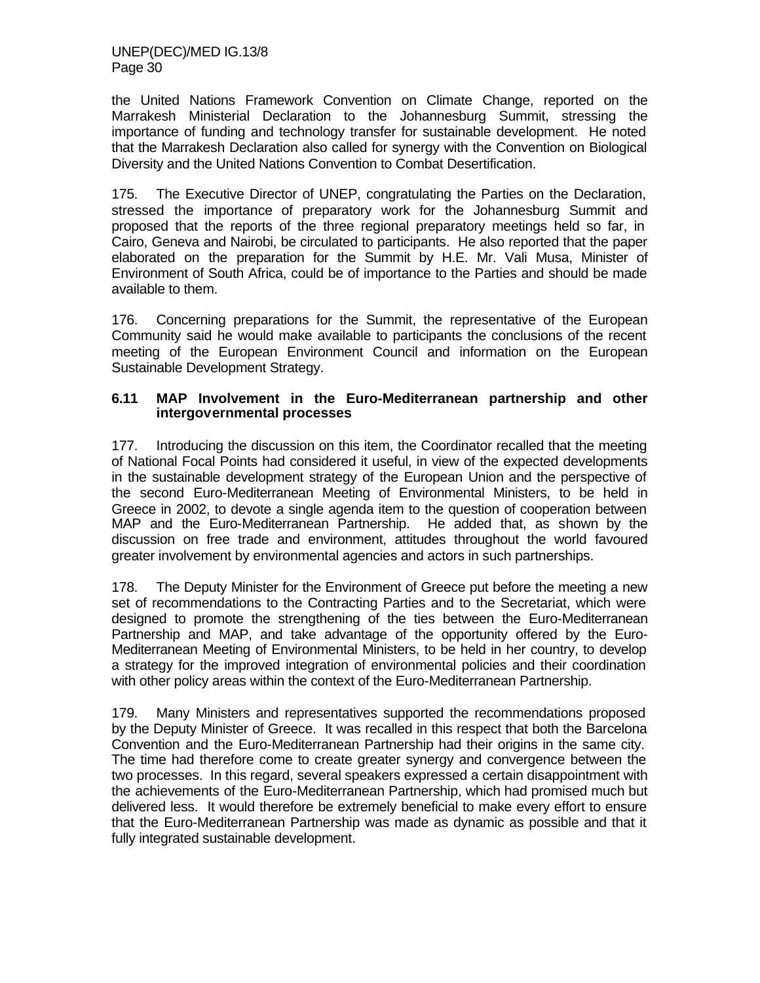the United Nations Framework Convention on Climate Change, reported on the Marrakesh Ministerial Declaration to the Johannesburg Summit, stressing the importance of funding and technology transfer for sustainable development. He noted that the Marrakesh Declaration also called for synergy with the Convention on Biological Diversity and the United Nations Convention to Combat Desertification.

175. The Executive Director of UNEP, congratulating the Parties on the Declaration, stressed the importance of preparatory work for the Johannesburg Summit and proposed that the reports of the three regional preparatory meetings held so far, in Cairo, Geneva and Nairobi, be circulated to participants. He also reported that the paper elaborated on the preparation for the Summit by H.E. Mr. Vali Musa, Minister of Environment of South Africa, could be of importance to the Parties and should be made available to them.

176. Concerning preparations for the Summit, the representative of the European Community said he would make available to participants the conclusions of the recent meeting of the European Environment Council and information on the European Sustainable Development Strategy.

#### **6.11 MAP Involvement in the Euro-Mediterranean partnership and other intergovernmental processes**

177. Introducing the discussion on this item, the Coordinator recalled that the meeting of National Focal Points had considered it useful, in view of the expected developments in the sustainable development strategy of the European Union and the perspective of the second Euro-Mediterranean Meeting of Environmental Ministers, to be held in Greece in 2002, to devote a single agenda item to the question of cooperation between MAP and the Euro-Mediterranean Partnership. He added that, as shown by the discussion on free trade and environment, attitudes throughout the world favoured greater involvement by environmental agencies and actors in such partnerships.

178. The Deputy Minister for the Environment of Greece put before the meeting a new set of recommendations to the Contracting Parties and to the Secretariat, which were designed to promote the strengthening of the ties between the Euro-Mediterranean Partnership and MAP, and take advantage of the opportunity offered by the Euro-Mediterranean Meeting of Environmental Ministers, to be held in her country, to develop a strategy for the improved integration of environmental policies and their coordination with other policy areas within the context of the Euro-Mediterranean Partnership.

179. Many Ministers and representatives supported the recommendations proposed by the Deputy Minister of Greece. It was recalled in this respect that both the Barcelona Convention and the Euro-Mediterranean Partnership had their origins in the same city. The time had therefore come to create greater synergy and convergence between the two processes. In this regard, several speakers expressed a certain disappointment with the achievements of the Euro-Mediterranean Partnership, which had promised much but delivered less. It would therefore be extremely beneficial to make every effort to ensure that the Euro-Mediterranean Partnership was made as dynamic as possible and that it fully integrated sustainable development.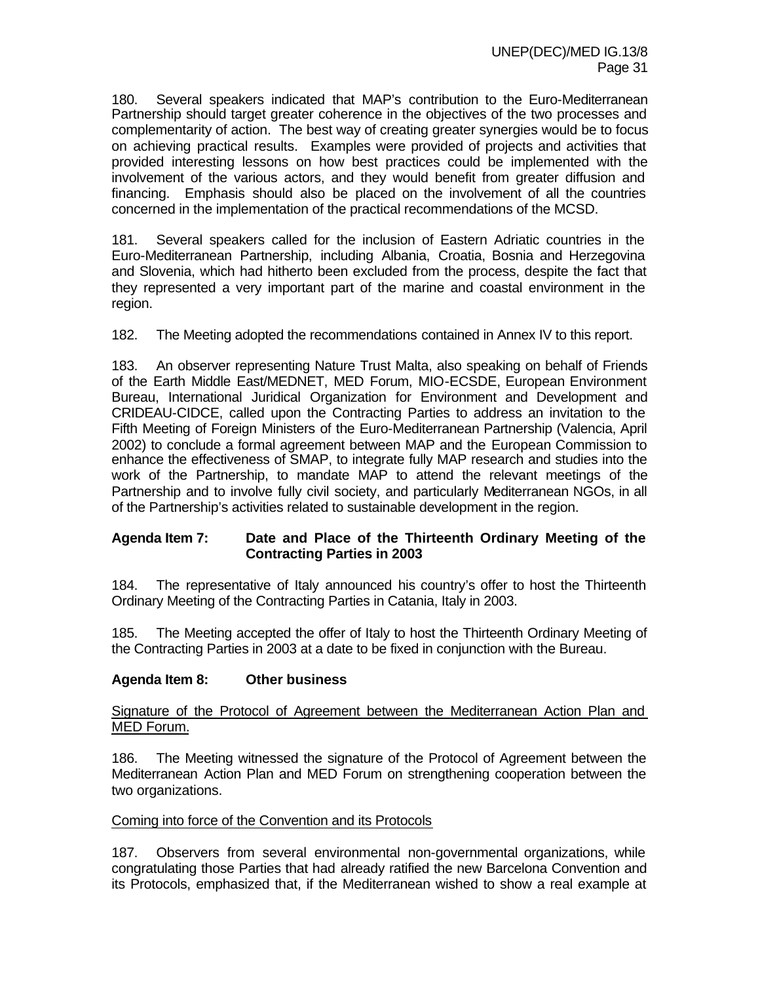180. Several speakers indicated that MAP's contribution to the Euro-Mediterranean Partnership should target greater coherence in the objectives of the two processes and complementarity of action. The best way of creating greater synergies would be to focus on achieving practical results. Examples were provided of projects and activities that provided interesting lessons on how best practices could be implemented with the involvement of the various actors, and they would benefit from greater diffusion and financing. Emphasis should also be placed on the involvement of all the countries concerned in the implementation of the practical recommendations of the MCSD.

181. Several speakers called for the inclusion of Eastern Adriatic countries in the Euro-Mediterranean Partnership, including Albania, Croatia, Bosnia and Herzegovina and Slovenia, which had hitherto been excluded from the process, despite the fact that they represented a very important part of the marine and coastal environment in the region.

182. The Meeting adopted the recommendations contained in Annex IV to this report.

183. An observer representing Nature Trust Malta, also speaking on behalf of Friends of the Earth Middle East/MEDNET, MED Forum, MIO-ECSDE, European Environment Bureau, International Juridical Organization for Environment and Development and CRIDEAU-CIDCE, called upon the Contracting Parties to address an invitation to the Fifth Meeting of Foreign Ministers of the Euro-Mediterranean Partnership (Valencia, April 2002) to conclude a formal agreement between MAP and the European Commission to enhance the effectiveness of SMAP, to integrate fully MAP research and studies into the work of the Partnership, to mandate MAP to attend the relevant meetings of the Partnership and to involve fully civil society, and particularly Mediterranean NGOs, in all of the Partnership's activities related to sustainable development in the region.

#### **Agenda Item 7: Date and Place of the Thirteenth Ordinary Meeting of the Contracting Parties in 2003**

184. The representative of Italy announced his country's offer to host the Thirteenth Ordinary Meeting of the Contracting Parties in Catania, Italy in 2003.

185. The Meeting accepted the offer of Italy to host the Thirteenth Ordinary Meeting of the Contracting Parties in 2003 at a date to be fixed in conjunction with the Bureau.

#### **Agenda Item 8: Other business**

#### Signature of the Protocol of Agreement between the Mediterranean Action Plan and MED Forum.

186. The Meeting witnessed the signature of the Protocol of Agreement between the Mediterranean Action Plan and MED Forum on strengthening cooperation between the two organizations.

#### Coming into force of the Convention and its Protocols

187. Observers from several environmental non-governmental organizations, while congratulating those Parties that had already ratified the new Barcelona Convention and its Protocols, emphasized that, if the Mediterranean wished to show a real example at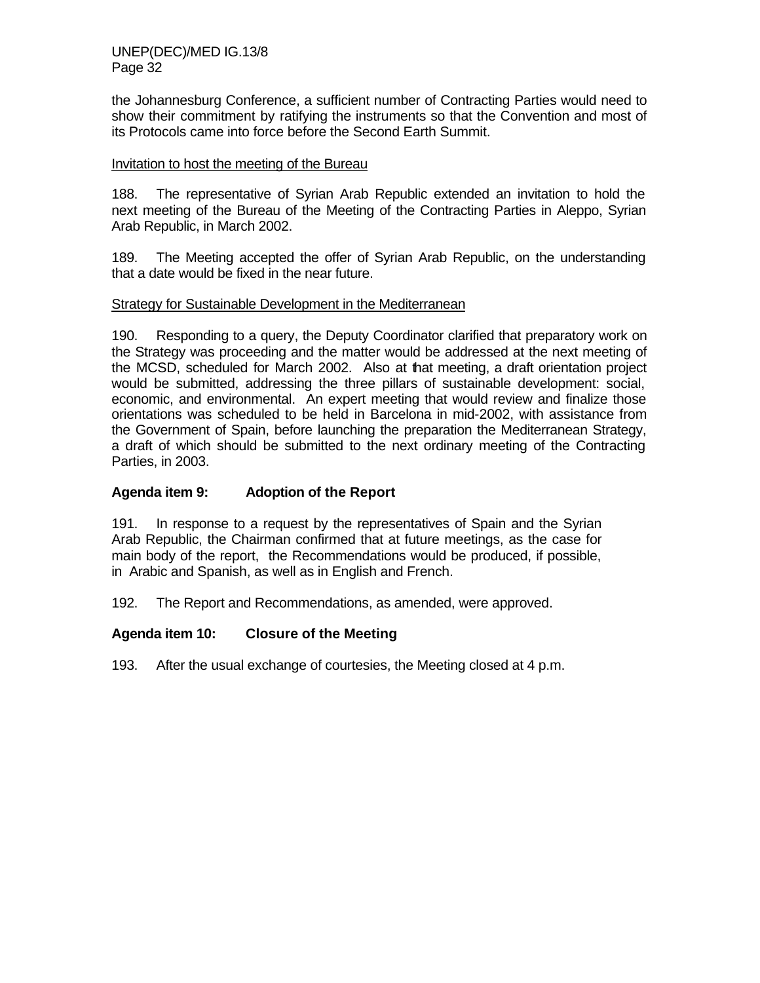the Johannesburg Conference, a sufficient number of Contracting Parties would need to show their commitment by ratifying the instruments so that the Convention and most of its Protocols came into force before the Second Earth Summit.

#### Invitation to host the meeting of the Bureau

188. The representative of Syrian Arab Republic extended an invitation to hold the next meeting of the Bureau of the Meeting of the Contracting Parties in Aleppo, Syrian Arab Republic, in March 2002.

189. The Meeting accepted the offer of Syrian Arab Republic, on the understanding that a date would be fixed in the near future.

#### Strategy for Sustainable Development in the Mediterranean

190. Responding to a query, the Deputy Coordinator clarified that preparatory work on the Strategy was proceeding and the matter would be addressed at the next meeting of the MCSD, scheduled for March 2002. Also at that meeting, a draft orientation project would be submitted, addressing the three pillars of sustainable development: social, economic, and environmental. An expert meeting that would review and finalize those orientations was scheduled to be held in Barcelona in mid-2002, with assistance from the Government of Spain, before launching the preparation the Mediterranean Strategy, a draft of which should be submitted to the next ordinary meeting of the Contracting Parties, in 2003.

#### **Agenda item 9: Adoption of the Report**

191. In response to a request by the representatives of Spain and the Syrian Arab Republic, the Chairman confirmed that at future meetings, as the case for main body of the report, the Recommendations would be produced, if possible, in Arabic and Spanish, as well as in English and French.

192. The Report and Recommendations, as amended, were approved.

#### **Agenda item 10: Closure of the Meeting**

193. After the usual exchange of courtesies, the Meeting closed at 4 p.m.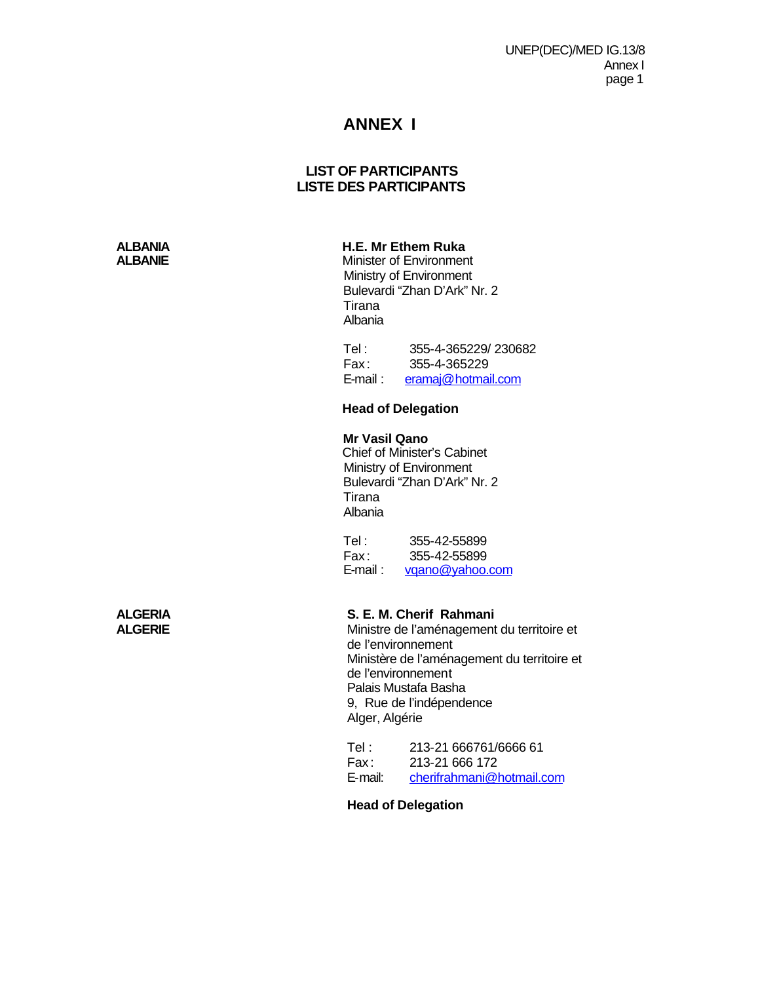UNEP(DEC)/MED IG.13/8 Annex I page 1

## **ANNEX I**

#### **LIST OF PARTICIPANTS LISTE DES PARTICIPANTS**

## **ALBANIA H.E. Mr Ethem Ruka**<br>**ALBANIE H.E. Mr Ethem Ruka**<br>Minister of Environmen

**Minister of Environment**  Ministry of Environment Bulevardi "Zhan D'Ark" Nr. 2 Tirana Albania

 Tel : 355-4-365229/ 230682 Fax : 355-4-365229 E-mail : eramaj@hotmail.com

#### **Head of Delegation**

#### **Mr Vasil Qano**

Chief of Minister's Cabinet Ministry of Environment Bulevardi "Zhan D'Ark" Nr. 2 Tirana Albania

Tel: 355-42-55899 Fax: 355-42-55899<br>E-mail: vgano@vahoo. vqano@yahoo.com

# **ALGERIA S. E. M. Cherif Rahmani**

**ALGERIE** Ministre de l'aménagement du territoire et de l'environnement Ministère de l'aménagement du territoire et de l'environnement Palais Mustafa Basha 9, Rue de l'indépendence Alger, Algérie

Tel : 213-21 666761/6666 61 Fax : 213-21 666 172 E-mail: cherifrahmani@hotmail.com

#### **Head of Delegation**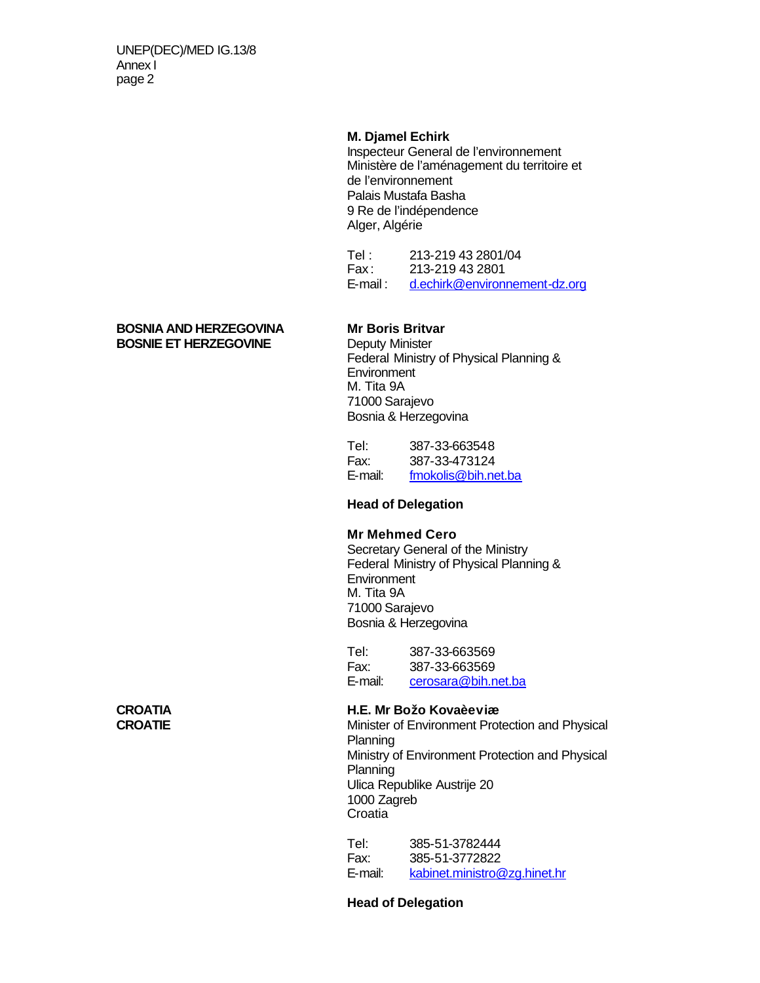UNEP(DEC)/MED IG.13/8 Annex I page 2

#### **M. Djamel Echirk**

Inspecteur General de l'environnement Ministère de l'aménagement du territoire et de l'environnement Palais Mustafa Basha 9 Re de l'indépendence Alger, Algérie

Tel : 213-219 43 2801/04<br>Fax : 213-219 43 2801 213-219 43 2801 E-mail : d.echirk@environnement-dz.org

#### **BOSNIA AND HERZEGOVINA Mr Boris Britvar BOSNIE ET HERZEGOVINE** Deputy Minister

Federal Ministry of Physical Planning & **Environment** M. Tita 9A 71000 Sarajevo Bosnia & Herzegovina

Tel: 387-33-663548 Fax: 387-33-473124 E-mail: fmokolis@bih.net.ba

#### **Head of Delegation**

#### **Mr Mehmed Cero**

Secretary General of the Ministry Federal Ministry of Physical Planning & **Environment** M. Tita 9A 71000 Sarajevo Bosnia & Herzegovina

Tel: 387-33-663569 Fax: 387-33-663569 E-mail: cerosara@bih.net.ba

# **CROATIA H.E. Mr Božo Kovaèeviæ**

**Minister of Environment Protection and Physical** Planning Ministry of Environment Protection and Physical Planning Ulica Republike Austrije 20 1000 Zagreb **Croatia** 

Tel: 385-51-3782444 Fax: 385-51-3772822 E-mail: kabinet.ministro@zg.hinet.hr

#### **Head of Delegation**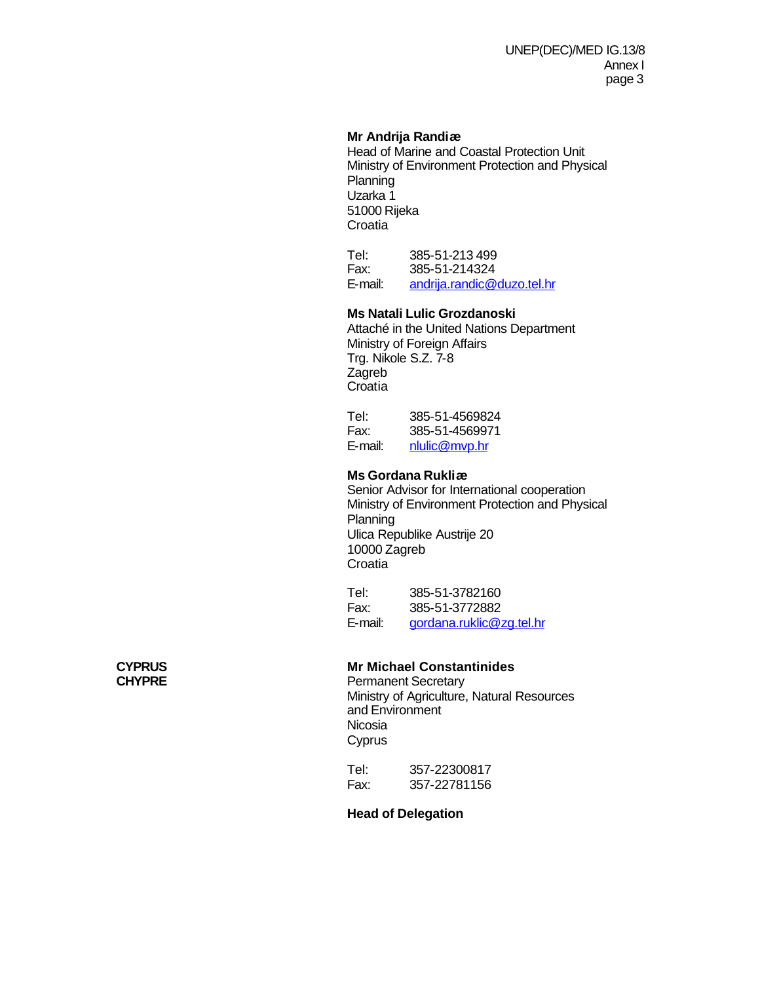### **Mr Andrija Randiæ**

Head of Marine and Coastal Protection Unit Ministry of Environment Protection and Physical **Planning** Uzarka 1 51000 Rijeka **Croatia** 

Tel: 385-51-213 499 Fax: 385-51-214324 E-mail: andrija.randic@duzo.tel.hr

### **Ms Natali Lulic Grozdanoski**

Attaché in the United Nations Department Ministry of Foreign Affairs Trg. Nikole S.Z. 7-8 Zagreb **Croatia** 

Tel: 385-51-4569824 Fax: 385-51-4569971 E-mail: nlulic@mvp.hr

### **Ms Gordana Rukliæ**

Senior Advisor for International cooperation Ministry of Environment Protection and Physical Planning Ulica Republike Austrije 20 10000 Zagreb Croatia

Tel: 385-51-3782160 Fax: 385-51-3772882 E-mail: gordana.ruklic@zg.tel.hr

### **CYPRUS Mr Michael Constantinides**

**CHYPRE** Permanent Secretary Ministry of Agriculture, Natural Resources and Environment Nicosia **Cyprus** 

> Tel: 357-22300817 Fax: 357-22781156

**Head of Delegation**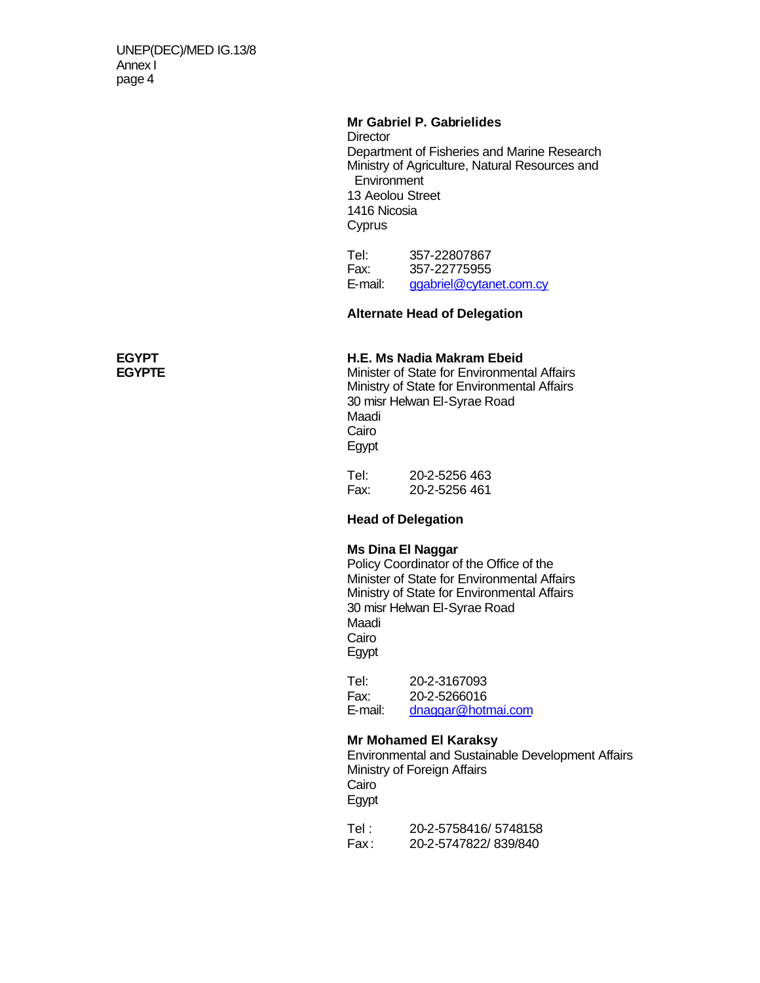### **Mr Gabriel P. Gabrielides**

**Director** Department of Fisheries and Marine Research Ministry of Agriculture, Natural Resources and **Environment** 13 Aeolou Street 1416 Nicosia **Cyprus** 

Tel: 357-22807867 Fax: 357-22775955 E-mail: ggabriel@cytanet.com.cy

### **Alternate Head of Delegation**

## **EGYPT H.E. Ms Nadia Makram Ebeid**

**Minister of State for Environmental Affairs** Ministry of State for Environmental Affairs 30 misr Helwan El-Syrae Road Maadi Cairo Egypt

Tel: 20-2-5256 463 Fax: 20-2-5256 461

### **Head of Delegation**

### **Ms Dina El Naggar**

Policy Coordinator of the Office of the Minister of State for Environmental Affairs Ministry of State for Environmental Affairs 30 misr Helwan El-Syrae Road Maadi Cairo Egypt

Tel: 20-2-3167093 Fax: 20-2-5266016<br>E-mail: dnaggar@hotr dnaggar@hotmai.com

### **Mr Mohamed El Karaksy**

Environmental and Sustainable Development Affairs Ministry of Foreign Affairs Cairo Egypt

Tel : 20-2-5758416/ 5748158 Fax : 20-2-5747822/ 839/840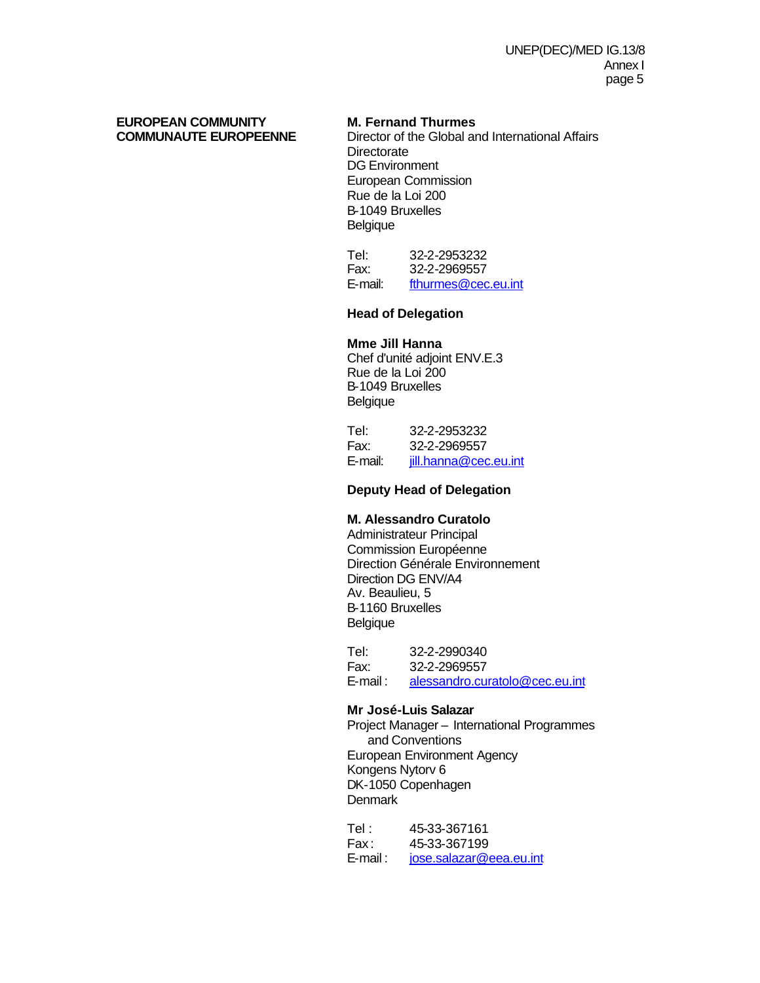# **EUROPEAN COMMUNITY M. Fernand Thurmes**

**Director of the Global and International Affairs Directorate** DG Environment European Commission Rue de la Loi 200 B-1049 Bruxelles **Belgique** 

Tel: 32-2-2953232 Fax: 32-2-2969557 E-mail: fthurmes@cec.eu.int

### **Head of Delegation**

### **Mme Jill Hanna**

Chef d'unité adjoint ENV.E.3 Rue de la Loi 200 B-1049 Bruxelles Belgique

| Tel:    | 32-2-2953232          |
|---------|-----------------------|
| Fax:    | 32-2-2969557          |
| E-mail: | jill.hanna@cec.eu.int |

### **Deputy Head of Delegation**

### **M. Alessandro Curatolo**

Administrateur Principal Commission Européenne Direction Générale Environnement Direction DG ENV/A4 Av. Beaulieu, 5 B-1160 Bruxelles Belgique

Tel: 32-2-2990340 Fax: 32-2-2969557 E-mail : alessandro.curatolo@cec.eu.int

### **Mr José-Luis Salazar**

Project Manager – International Programmes and Conventions European Environment Agency Kongens Nytorv 6 DK-1050 Copenhagen **Denmark** 

Tel : 45-33-367161 Fax : 45-33-367199 E-mail : jose.salazar@eea.eu.int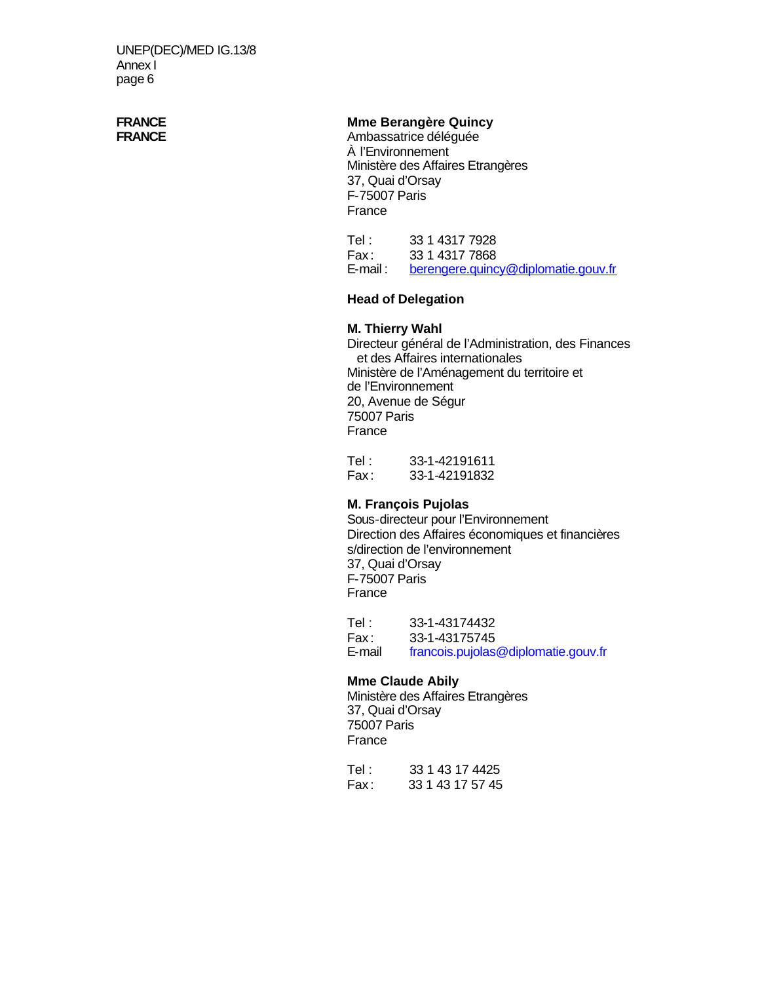# **FRANCE Mme Berangère Quincy**<br> **FRANCE** Ambassatrice déléquée

**FRANCE** Ambassatrice déléguée À l'Environnement Ministère des Affaires Etrangères 37, Quai d'Orsay F-75007 Paris France

Tel : 33 1 4317 7928 Fax: 33 1 4317 7868<br>
E-mail: berengere.guing berengere.quincy@diplomatie.gouv.fr

### **Head of Delegation**

### **M. Thierry Wahl**

Directeur général de l'Administration, des Finances et des Affaires internationales Ministère de l'Aménagement du territoire et de l'Environnement 20, Avenue de Ségur 75007 Paris France

Tel : 33-1-42191611 Fax : 33-1-42191832

### **M. François Pujolas**

Sous-directeur pour l'Environnement Direction des Affaires économiques et financières s/direction de l'environnement 37, Quai d'Orsay F-75007 Paris France

Tel : 33-1-43174432 Fax : 33-1-43175745 E-mail francois.pujolas@diplomatie.gouv.fr

### **Mme Claude Abily**

Ministère des Affaires Etrangères 37, Quai d'Orsay 75007 Paris France

Tel : 33 1 43 17 4425 Fax : 33 1 43 17 57 45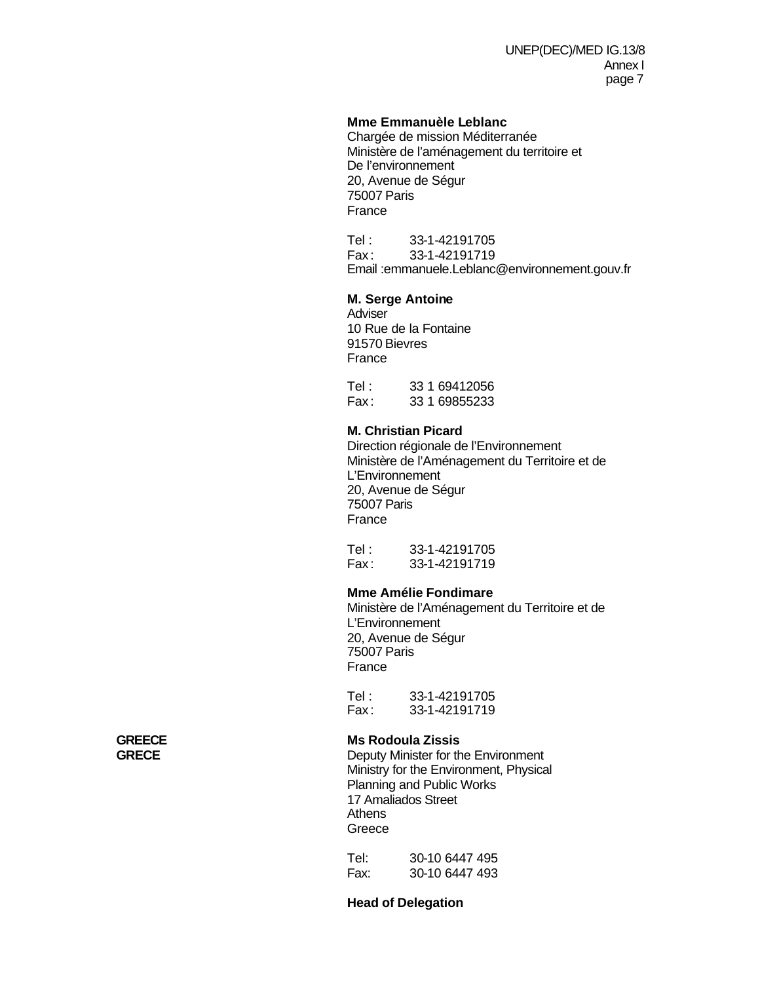### **Mme Emmanuèle Leblanc**

Chargée de mission Méditerranée Ministère de l'aménagement du territoire et De l'environnement 20, Avenue de Ségur 75007 Paris France

Tel : 33-1-42191705 Fax : 33-1-42191719 Email :emmanuele.Leblanc@environnement.gouv.fr

### **M. Serge Antoine**

**Adviser** 10 Rue de la Fontaine 91570 Bievres France

Tel : 33 1 69412056 Fax : 33 1 69855233

### **M. Christian Picard**

Direction régionale de l'Environnement Ministère de l'Aménagement du Territoire et de L'Environnement 20, Avenue de Ségur 75007 Paris France

Tel : 33-1-42191705 Fax : 33-1-42191719

### **Mme Amélie Fondimare**

Ministère de l'Aménagement du Territoire et de L'Environnement 20, Avenue de Ségur 75007 Paris France

Tel : 33-1-42191705<br>Fax : 33-1-42191719 33-1-42191719

## **GREECE Ms Rodoula Zissis**

**Deputy Minister for the Environment** Ministry for the Environment, Physical Planning and Public Works 17 Amaliados Street **Athens** Greece

Tel: 30-10 6447 495 Fax: 30-10 6447 493

**Head of Delegation**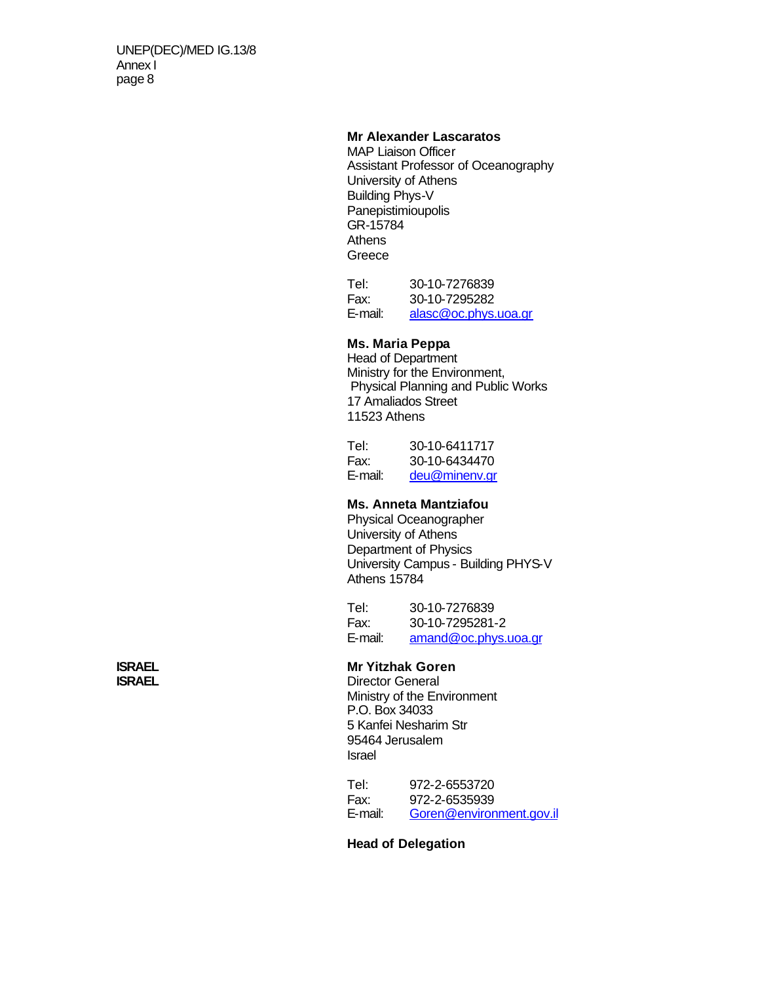### **Mr Alexander Lascaratos**

MAP Liaison Officer Assistant Professor of Oceanography University of Athens Building Phys-V **Panepistimioupolis** GR-15784 **Athens** Greece

Tel: 30-10-7276839 Fax: 30-10-7295282 E-mail: alasc@oc.phys.uoa.gr

### **Ms. Maria Peppa**

Head of Department Ministry for the Environment, Physical Planning and Public Works 17 Amaliados Street 11523 Athens

| Tel:    | 30-10-6411717 |
|---------|---------------|
| Fax:    | 30-10-6434470 |
| E-mail: | deu@minenv.gr |

### **Ms. Anneta Mantziafou**

Physical Oceanographer University of Athens Department of Physics University Campus - Building PHYS-V Athens 15784

Tel: 30-10-7276839 Fax: 30-10-7295281-2 E-mail: amand@oc.phys.uoa.gr

### **ISRAEL Mr Yitzhak Goren**

**ISRAEL** Director General Ministry of the Environment P.O. Box 34033 5 Kanfei Nesharim Str 95464 Jerusalem Israel

> Tel: 972-2-6553720 Fax: 972-2-6535939<br>E-mail: Goren@environ Goren@environment.gov.il

**Head of Delegation**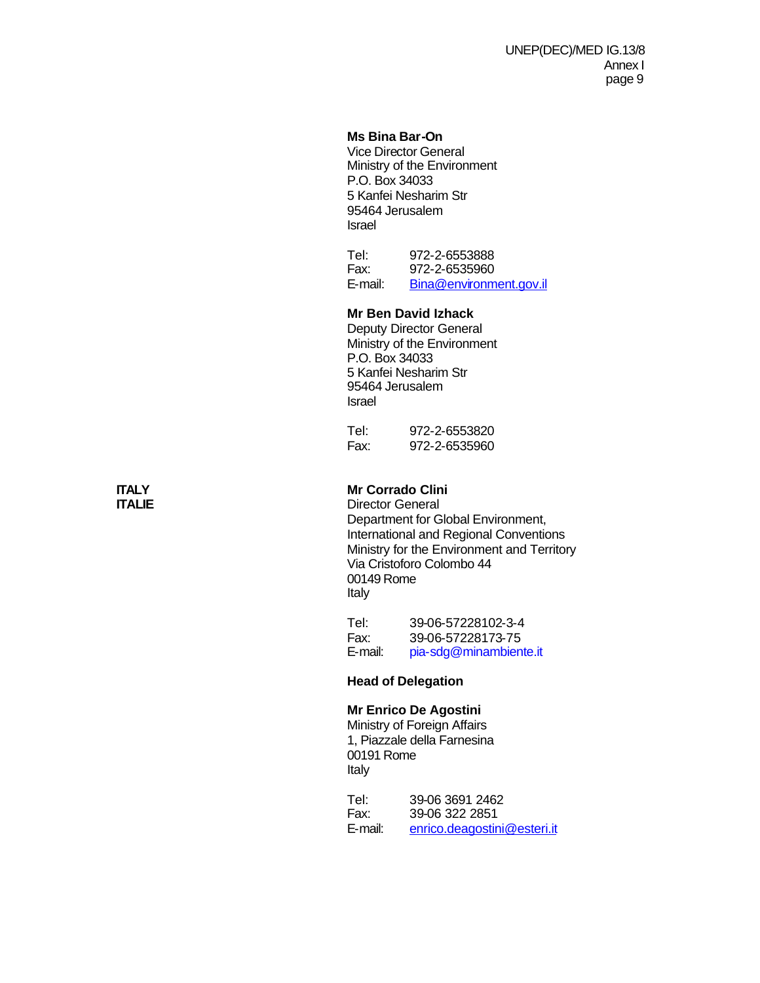### **Ms Bina Bar-On**

Vice Director General Ministry of the Environment P.O. Box 34033 5 Kanfei Nesharim Str 95464 Jerusalem Israel

Tel: 972-2-6553888 Fax: 972-2-6535960 E-mail: Bina@environment.gov.il

### **Mr Ben David Izhack**

Deputy Director General Ministry of the Environment P.O. Box 34033 5 Kanfei Nesharim Str 95464 Jerusalem Israel

Tel: 972-2-6553820 Fax: 972-2-6535960

# **ITALY Mr Corrado Clini**

**Director General** Department for Global Environment, International and Regional Conventions Ministry for the Environment and Territory Via Cristoforo Colombo 44 00149 Rome Italy

Tel: 39-06-57228102-3-4<br>Fax: 39-06-57228173-75 Fax: 39-06-57228173-75 E-mail: pia-sdg@minambiente.it

### **Head of Delegation**

### **Mr Enrico De Agostini**

Ministry of Foreign Affairs 1, Piazzale della Farnesina 00191 Rome Italy

Tel: 39-06 3691 2462<br>Fax: 39-06 322 2851 Fax: 39-06 322 2851 E-mail: enrico.deagostini@esteri.it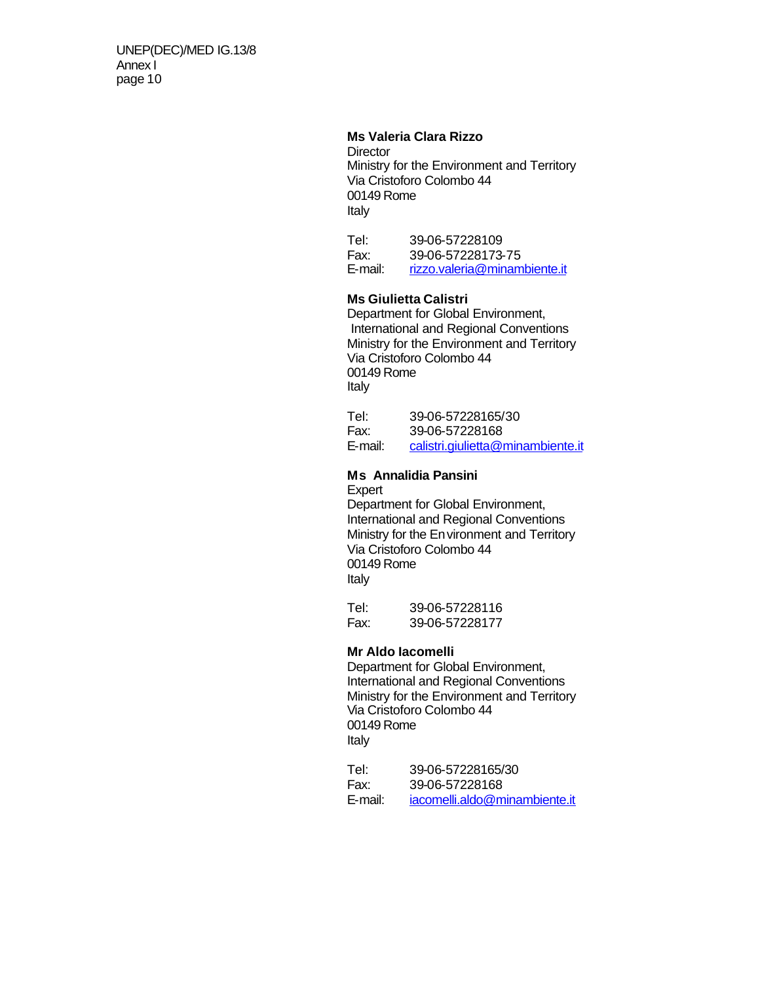### **Ms Valeria Clara Rizzo**

**Director** Ministry for the Environment and Territory Via Cristoforo Colombo 44 00149 Rome Italy

Tel: 39-06-57228109 Fax: 39-06-57228173-75 E-mail: rizzo.valeria@minambiente.it

### **Ms Giulietta Calistri**

Department for Global Environment, International and Regional Conventions Ministry for the Environment and Territory Via Cristoforo Colombo 44 00149 Rome Italy

| Tel:    | 39-06-57228165/30                 |
|---------|-----------------------------------|
| Fax:    | 39-06-57228168                    |
| E-mail: | calistri.giulietta@minambiente.it |

### **Ms Annalidia Pansini**

Expert Department for Global Environment, International and Regional Conventions Ministry for the Environment and Territory Via Cristoforo Colombo 44 00149 Rome Italy

Tel: 39-06-57228116 Fax: 39-06-57228177

### **Mr Aldo Iacomelli**

Department for Global Environment, International and Regional Conventions Ministry for the Environment and Territory Via Cristoforo Colombo 44 00149 Rome Italy

Tel: 39-06-57228165/30 Fax: 39-06-57228168 E-mail: iacomelli.aldo@minambiente.it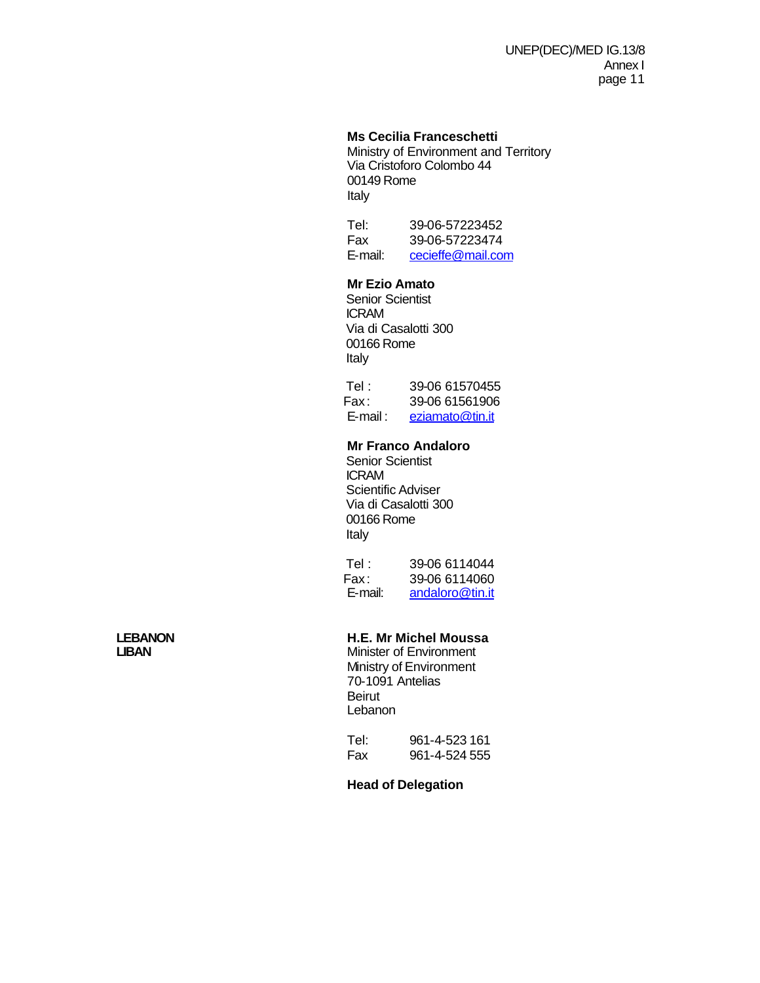### **Ms Cecilia Franceschetti**

Ministry of Environment and Territory Via Cristoforo Colombo 44 00149 Rome Italy

Tel: 39-06-57223452 Fax 39-06-57223474 E-mail: cecieffe@mail.com

### **Mr Ezio Amato**

Senior Scientist ICRAM Via di Casalotti 300 00166 Rome Italy

| Tel : . | 39-06 61570455          |
|---------|-------------------------|
| Fax:    | 39-06 61561906          |
|         | E-mail: eziamato@tin.it |

### **Mr Franco Andaloro**

Senior Scientist ICRAM Scientific Adviser Via di Casalotti 300 00166 Rome Italy

Tel : 39-06 6114044 Fax: 39-06 6114060<br>E-mail: andaloro@tin.it andaloro@tin.it

# **LEBANON H.E. Mr Michel Moussa**

**Minister of Environment** Ministry of Environment 70-1091 Antelias Beirut Lebanon

Tel: 961-4-523 161 Fax 961-4-524 555

### **Head of Delegation**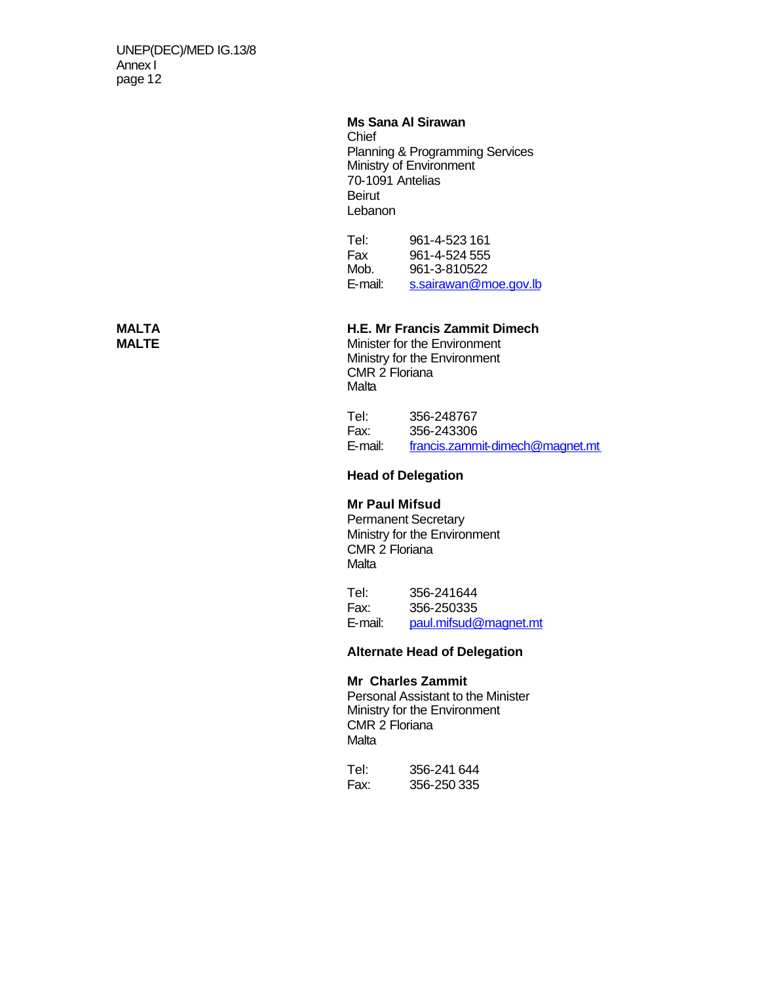### **Ms Sana Al Sirawan**

**Chief** Planning & Programming Services Ministry of Environment 70-1091 Antelias Beirut Lebanon

Tel: 961-4-523 161<br>Fax 961-4-524 555 961-4-524 555 Mob. 961-3-810522 E-mail: s.sairawan@moe.gov.lb

# **MALTA H.E. Mr Francis Zammit Dimech**

**Minister for the Environment** Ministry for the Environment CMR 2 Floriana Malta

Tel: 356-248767 Fax: 356-243306 E-mail: francis.zammit-dimech@magnet.mt

**Head of Delegation**

### **Mr Paul Mifsud**

Permanent Secretary Ministry for the Environment CMR 2 Floriana **Malta** 

Tel: 356-241644 Fax: 356-250335 E-mail: paul.mifsud@magnet.mt

### **Alternate Head of Delegation**

### **Mr Charles Zammit**

Personal Assistant to the Minister Ministry for the Environment CMR 2 Floriana **Malta** 

Tel: 356-241 644 Fax: 356-250 335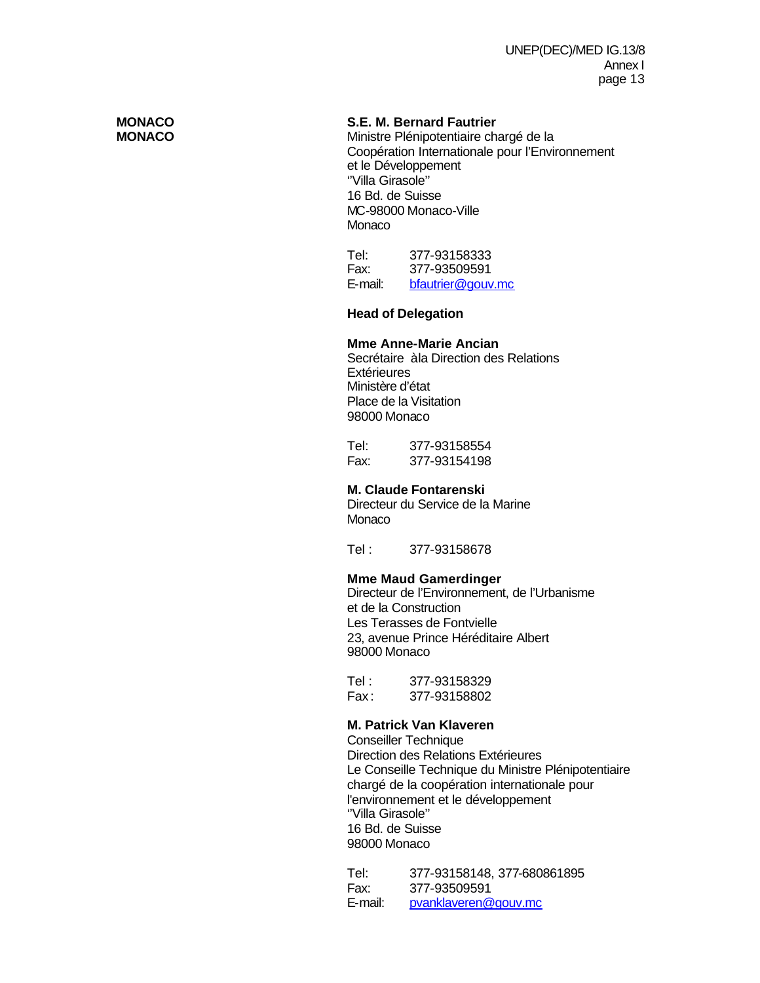# **MONACO S.E. M. Bernard Fautrier**

Ministre Plénipotentiaire chargé de la Coopération Internationale pour l'Environnement et le Développement ''Villa Girasole'' 16 Bd. de Suisse MC-98000 Monaco-Ville Monaco

Tel: 377-93158333 Fax: 377-93509591 E-mail: bfautrier@gouv.mc

### **Head of Delegation**

### **Mme Anne-Marie Ancian**

Secrétaire à la Direction des Relations **Extérieures** Ministère d'état Place de la Visitation 98000 Monaco

Tel: 377-93158554 Fax: 377-93154198

### **M. Claude Fontarenski**

Directeur du Service de la Marine Monaco

Tel : 377-93158678

### **Mme Maud Gamerdinger**

Directeur de l'Environnement, de l'Urbanisme et de la Construction Les Terasses de Fontvielle 23, avenue Prince Héréditaire Albert 98000 Monaco

Tel : 377-93158329 Fax : 377-93158802

### **M. Patrick Van Klaveren**

Conseiller Technique Direction des Relations Extérieures Le Conseille Technique du Ministre Plénipotentiaire chargé de la coopération internationale pour l'environnement et le développement ''Villa Girasole'' 16 Bd. de Suisse 98000 Monaco

Tel: 377-93158148, 377-680861895 Fax: 377-93509591 E-mail: pvanklaveren@gouv.mc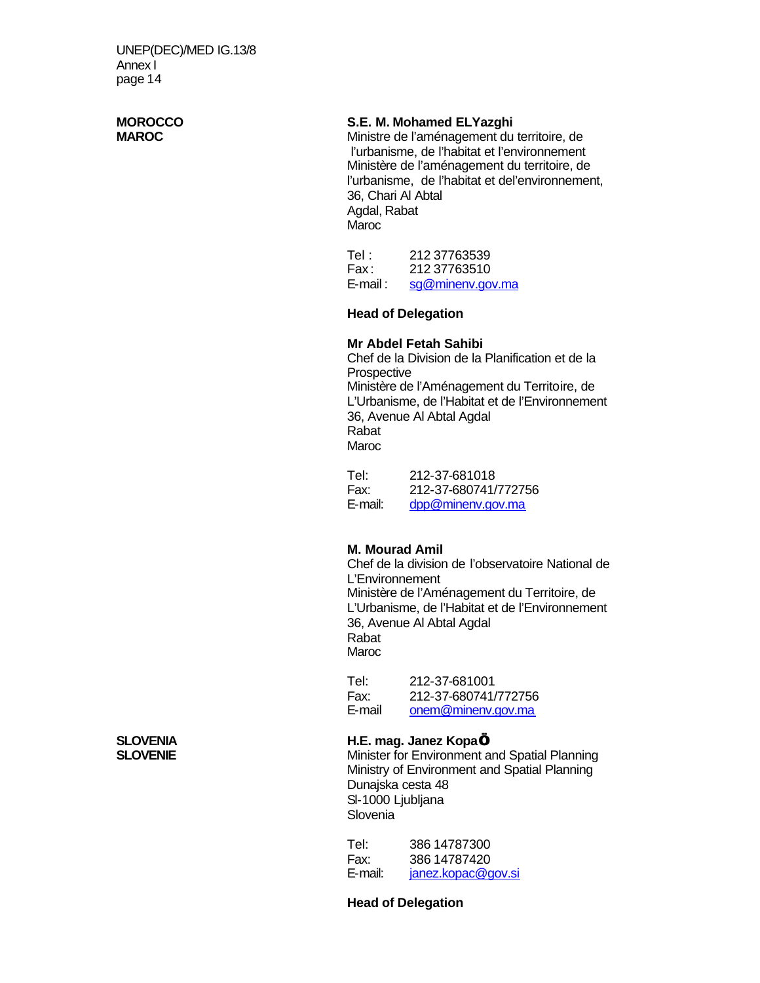# **MOROCCO S.E. M. Mohamed ELYazghi**<br> **MAROC MAROC** Ministre de l'aménagement du

Ministre de l'aménagement du territoire, de l'urbanisme, de l'habitat et l'environnement Ministère de l'aménagement du territoire, de l'urbanisme, de l'habitat et del'environnement, 36, Chari Al Abtal Agdal, Rabat **Maroc** 

Tel: 212 37763539 Fax : 212 37763510 E-mail: sg@minenv.gov.ma

### **Head of Delegation**

### **Mr Abdel Fetah Sahibi**

Chef de la Division de la Planification et de la **Prospective** Ministère de l'Aménagement du Territoire, de L'Urbanisme, de l'Habitat et de l'Environnement 36, Avenue Al Abtal Agdal Rabat Maroc

Tel: 212-37-681018 Fax: 212-37-680741/772756 E-mail: dpp@minenv.gov.ma

### **M. Mourad Amil**

Chef de la division de l'observatoire National de L'Environnement Ministère de l'Aménagement du Territoire, de L'Urbanisme, de l'Habitat et de l'Environnement 36, Avenue Al Abtal Agdal Rabat Maroc

Tel: 212-37-681001 Fax: 212-37-680741/772756 E-mail onem@minenv.gov.ma

**SLOVENIA H.E. mag. Janez Kopa… Minister for Environment and Spatial Planning** Ministry of Environment and Spatial Planning Dunajska cesta 48 Sl-1000 Ljubljana **Slovenia** 

> Tel: 386 14787300 Fax: 386 14787420<br>E-mail: janez.kopac@c janez.kopac@gov.si

### **Head of Delegation**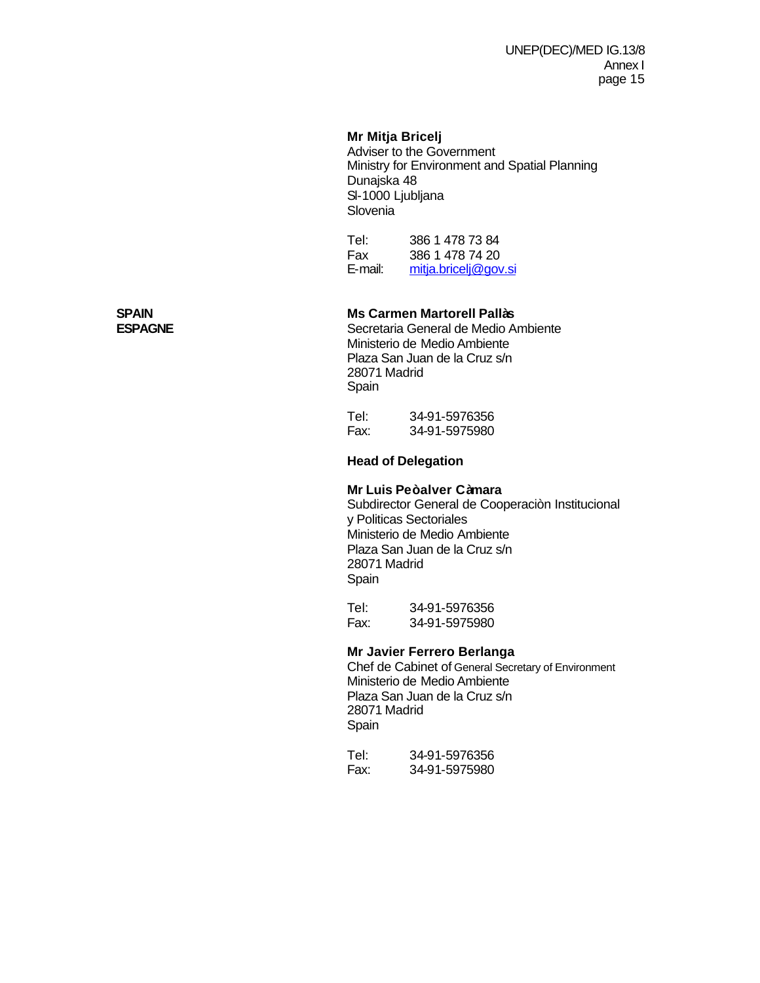### **Mr Mitja Bricelj**

Adviser to the Government Ministry for Environment and Spatial Planning Dunajska 48 Sl-1000 Ljubljana **Slovenia** 

Tel: 386 1 478 73 84<br>Fax 386 1 478 74 20 386 1 478 74 20 E-mail: mitja.bricelj@gov.si

# **SPAIN Ms Carmen Martorell Pallàs**

**ESPAGNE** Secretaria General de Medio Ambiente Ministerio de Medio Ambiente Plaza San Juan de la Cruz s/n 28071 Madrid Spain

Tel: 34-91-5976356 Fax: 34-91-5975980

**Head of Delegation**

### **Mr Luis Peòalver Càmara**

Subdirector General de Cooperaciòn Institucional y Politicas Sectoriales Ministerio de Medio Ambiente Plaza San Juan de la Cruz s/n 28071 Madrid Spain

Tel: 34-91-5976356 Fax: 34-91-5975980

### **Mr Javier Ferrero Berlanga**

Chef de Cabinet of General Secretary of Environment Ministerio de Medio Ambiente Plaza San Juan de la Cruz s/n 28071 Madrid Spain

| Tel: | 34-91-5976356 |
|------|---------------|
| Fax: | 34-91-5975980 |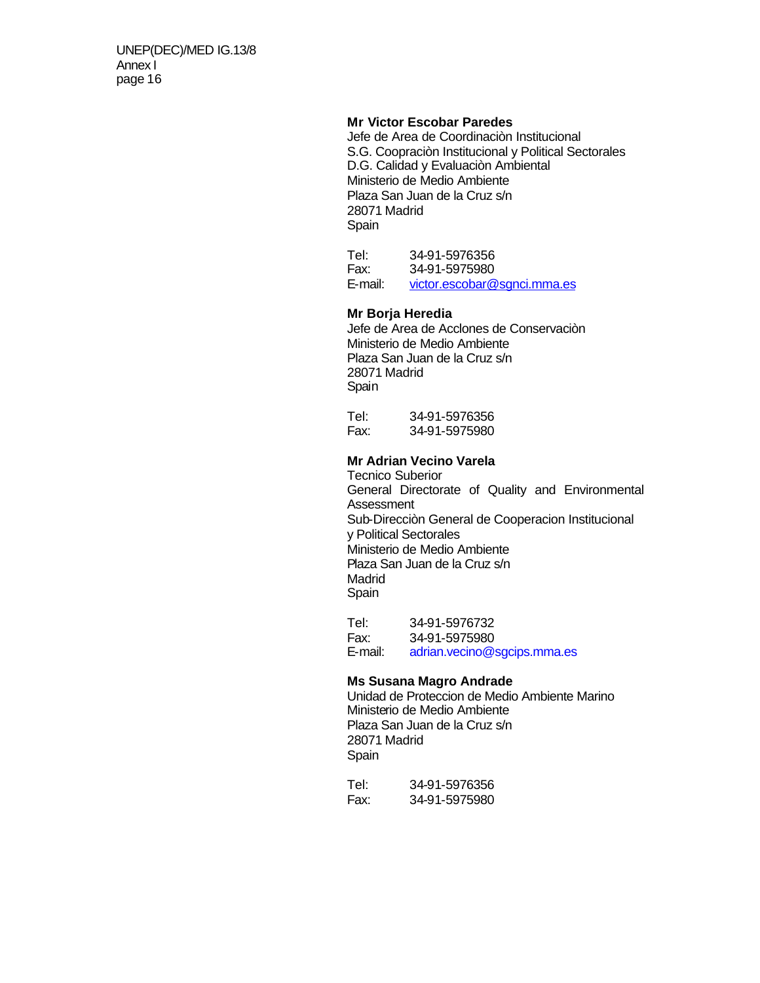### **Mr Victor Escobar Paredes**

Jefe de Area de Coordinaciòn Institucional S.G. Coopraciòn Institucional y Political Sectorales D.G. Calidad y Evaluaciòn Ambiental Ministerio de Medio Ambiente Plaza San Juan de la Cruz s/n 28071 Madrid Spain

Tel: 34-91-5976356 Fax: 34-91-5975980 E-mail: victor.escobar@sgnci.mma.es

### **Mr Borja Heredia**

Jefe de Area de Acclones de Conservaciòn Ministerio de Medio Ambiente Plaza San Juan de la Cruz s/n 28071 Madrid Spain

Tel: 34-91-5976356 Fax: 34-91-5975980

### **Mr Adrian Vecino Varela**

Tecnico Suberior General Directorate of Quality and Environmental **Assessment** Sub-Direcciòn General de Cooperacion Institucional y Political Sectorales Ministerio de Medio Ambiente Plaza San Juan de la Cruz s/n Madrid Spain

Tel: 34-91-5976732 Fax: 34-91-5975980 E-mail: adrian.vecino@sgcips.mma.es

### **Ms Susana Magro Andrade**

Unidad de Proteccion de Medio Ambiente Marino Ministerio de Medio Ambiente Plaza San Juan de la Cruz s/n 28071 Madrid Spain

Tel: 34-91-5976356 Fax: 34-91-5975980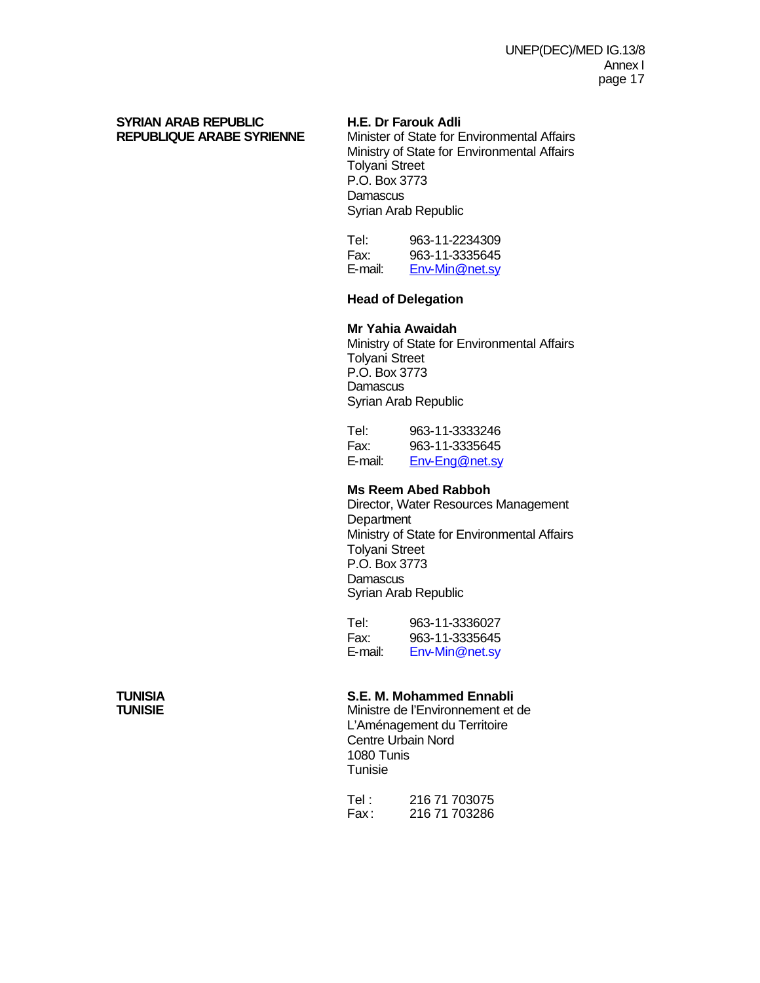# **SYRIAN ARAB REPUBLIC H.E. Dr Farouk Adli**

**Minister of State for Environmental Affairs** Ministry of State for Environmental Affairs Tolyani Street P.O. Box 3773 **Damascus** Syrian Arab Republic

Tel: 963-11-2234309 Fax: 963-11-3335645 E-mail: Env-Min@net.sy

### **Head of Delegation**

### **Mr Yahia Awaidah**

Ministry of State for Environmental Affairs Tolyani Street P.O. Box 3773 **Damascus** Syrian Arab Republic

| Tel:    | 963-11-3333246 |
|---------|----------------|
| Fax:    | 963-11-3335645 |
| E-mail: | Env-Eng@net.sy |

### **Ms Reem Abed Rabboh**

Director, Water Resources Management **Department** Ministry of State for Environmental Affairs Tolyani Street P.O. Box 3773 **Damascus** Syrian Arab Republic

Tel: 963-11-3336027 Fax: 963-11-3335645 E-mail: Env-Min@net.sy

# **TUNISIA S.E. M. Mohammed Ennabli**

Ministre de l'Environnement et de L'Aménagement du Territoire Centre Urbain Nord 1080 Tunis Tunisie

Tel : 216 71 703075<br>Fax : 216 71 703286 216 71 703286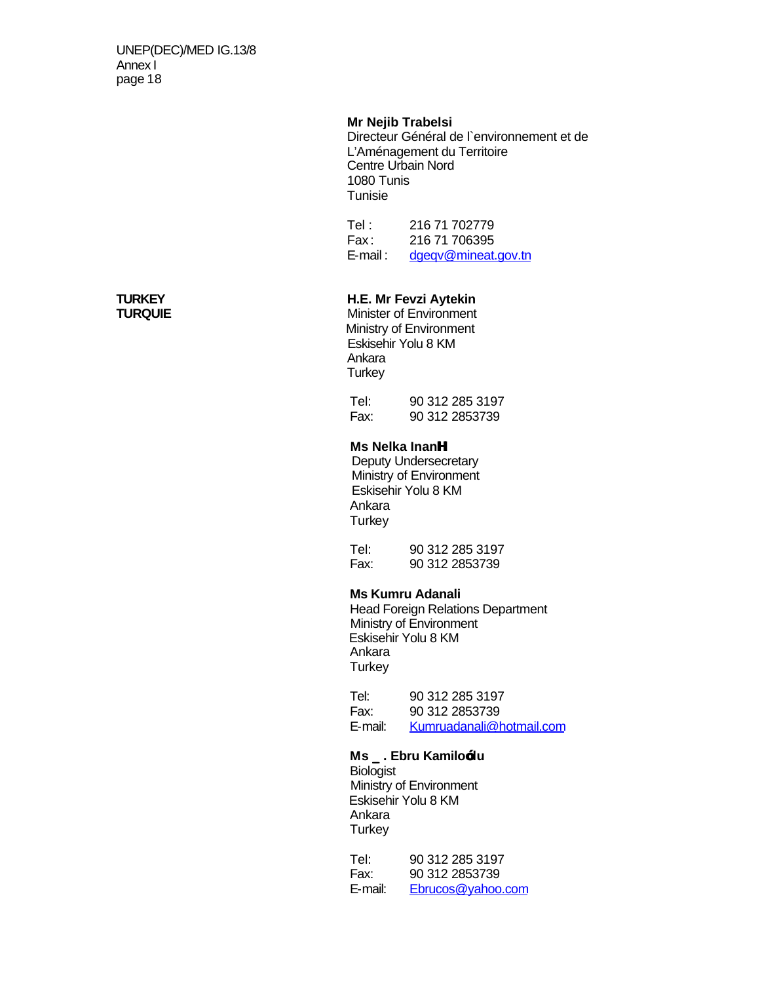### **Mr Nejib Trabelsi**

Directeur Général de l`environnement et de L'Aménagement du Territoire Centre Urbain Nord 1080 Tunis **Tunisie** 

Tel : 216 71 702779 Fax: 216 71 706395<br>E-mail: dgegy@mineat. dgeqv@mineat.gov.tn

# **TURKEY H.E. Mr Fevzi Aytekin**

**Minister of Environment**  Ministry of Environment Eskisehir Yolu 8 KM Ankara **Turkey** 

 Tel: 90 312 285 3197 Fax: 90 312 2853739

### **Ms Nelka InanH**

Deputy Undersecretary Ministry of Environment Eskisehir Yolu 8 KM Ankara **Turkey** 

 Tel: 90 312 285 3197 Fax: 90 312 2853739

### **Ms Kumru Adanali**

 Head Foreign Relations Department Ministry of Environment Eskisehir Yolu 8 KM Ankara **Turkey** 

 Tel: 90 312 285 3197 Fax: 90 312 2853739 E-mail: Kumruadanali@hotmail.com

### **Ms \_. Ebru Kamilo—lu Biologist**

 Ministry of Environment Eskisehir Yolu 8 KM Ankara **Turkey** 

 Tel: 90 312 285 3197 Fax: 90 312 2853739 E-mail: Ebrucos@yahoo.com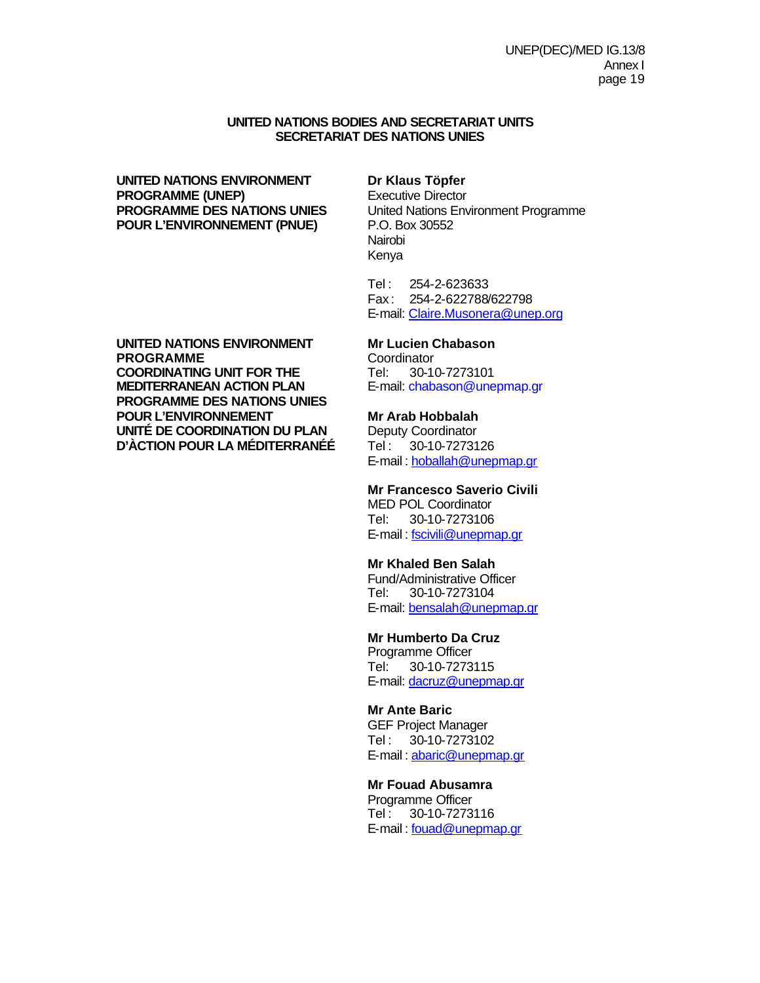### **UNITED NATIONS BODIES AND SECRETARIAT UNITS SECRETARIAT DES NATIONS UNIES**

## **UNITED NATIONS ENVIRONMENT Dr Klaus Töpfer PROGRAMME (UNEP)** Executive Director **POUR L'ENVIRONNEMENT (PNUE)** P.O. Box 30552

**PROGRAMME DES NATIONS UNIES** United Nations Environment Programme Nairobi Kenya

> Tel : 254-2-623633 Fax : 254-2-622788/622798 E-mail: Claire.Musonera@unep.org

### **UNITED NATIONS ENVIRONMENT Mr Lucien Chabason PROGRAMME** Coordinator<br> **COORDINATING UNIT FOR THE** Tel: 30-10-7273101 **COORDINATING UNIT FOR THE<br>MEDITERRANEAN ACTION PLAN PROGRAMME DES NATIONS UNIES POUR L'ENVIRONNEMENT Mr Arab Hobbalah<br>
UNITÉ DE COORDINATION DU PLAN** Deputy Coordinator **UNITÉ DE COORDINATION DU PLAN Deputy Coordinator<br>D'ÀCTION POUR LA MÉDITERRANÉE Tel : 30-10-7273126 D'ÀCTION POUR LA MÉDITERRANÉÉ**

E-mail: chabason@unepmap.gr

E-mail : hoballah@unepmap.gr

### **Mr Francesco Saverio Civili**

MED POL Coordinator Tel: 30-10-7273106 E-mail : fscivili@unepmap.gr

### **Mr Khaled Ben Salah**

Fund/Administrative Officer Tel: 30-10-7273104 E-mail: bensalah@unepmap.gr

### **Mr Humberto Da Cruz**

Programme Officer Tel: 30-10-7273115 E-mail: dacruz@unepmap.gr

### **Mr Ante Baric**

GEF Project Manager Tel : 30-10-7273102 E-mail : abaric@unepmap.gr

### **Mr Fouad Abusamra**

Programme Officer Tel : 30-10-7273116 E-mail : fouad@unepmap.gr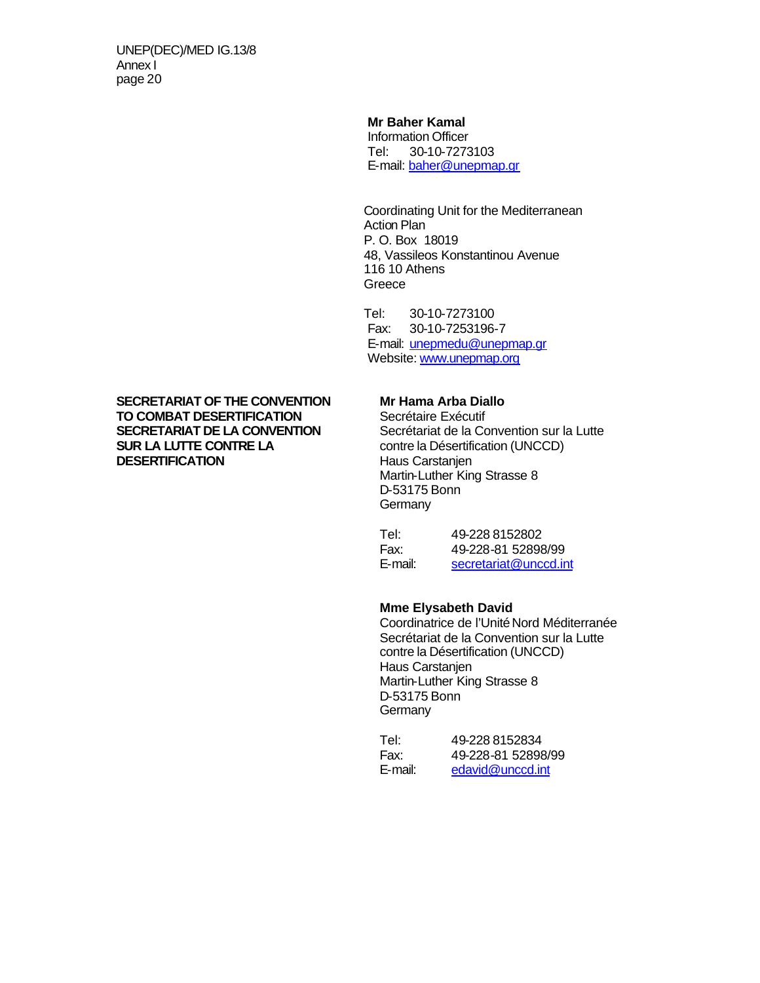### **Mr Baher Kamal**

Information Officer Tel: 30-10-7273103 E-mail: baher@unepmap.gr

Coordinating Unit for the Mediterranean Action Plan P. O. Box 18019 48, Vassileos Konstantinou Avenue 116 10 Athens Greece

Tel: 30-10-7273100 Fax: 30-10-7253196-7 E-mail: unepmedu@unepmap.gr Website: www.unepmap.org

**SECRETARIAT OF THE CONVENTION Mr Hama Arba Diallo<br>
<b>TO COMBAT DESERTIFICATION** Secrétaire Exécutif **TO COMBAT DESERTIFICATION<br>SECRETARIAT DE LA CONVENTION DESERTIFICATION** 

**SECRETARIAT DE LA CONVENTION** Secrétariat de la Convention sur la Lutte<br> **SUR LA LUTTE CONTRE LA** contre la Désertification (UNCCD) contre la Désertification (UNCCD)<br>Haus Carstanjen Martin-Luther King Strasse 8 D-53175 Bonn **Germany** 

| Tel:    | 49-228 8152802        |
|---------|-----------------------|
| Fax:    | 49-228-81 52898/99    |
| E-mail: | secretariat@unccd.int |

### **Mme Elysabeth David**

Coordinatrice de l'Unité Nord Méditerranée Secrétariat de la Convention sur la Lutte contre la Désertification (UNCCD) Haus Carstanjen Martin-Luther King Strasse 8 D-53175 Bonn **Germany** 

| Tel:    | 49-228 8152834     |
|---------|--------------------|
| Fax:    | 49-228-81 52898/99 |
| E-mail: | edavid@unccd.int   |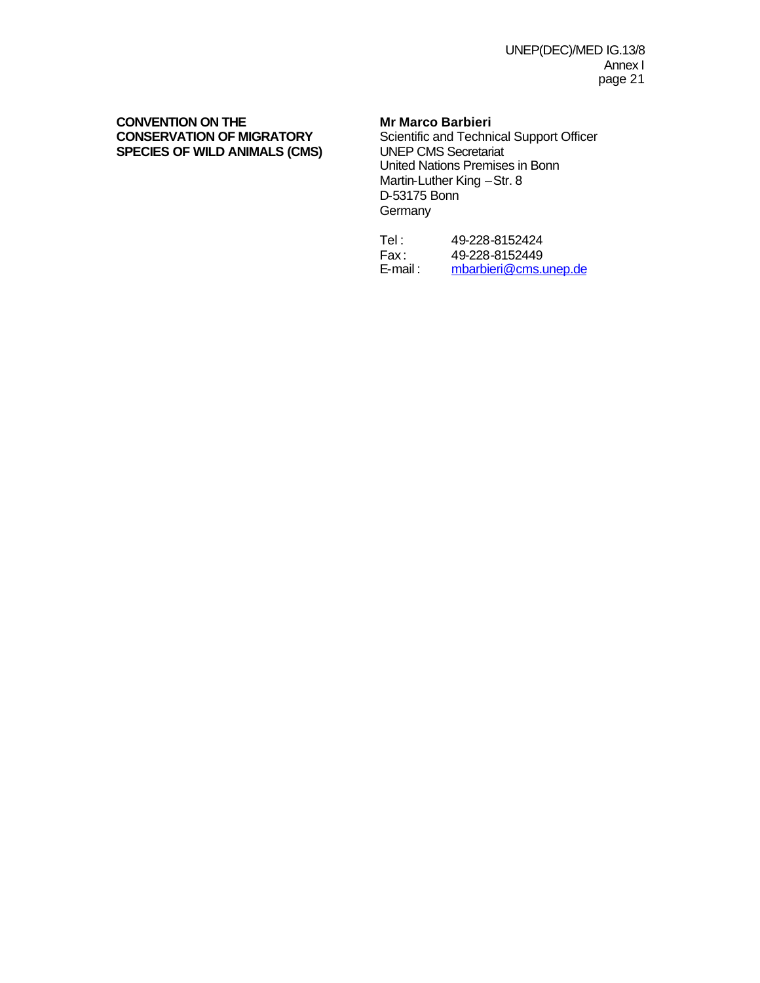## **CONVENTION ON THE MR MARK MARK MARK CONSERVATION OF MIGRATORY** Scientific and Techni **SPECIES OF WILD ANIMALS (CMS)**

**Scientific and Technical Support Officer<br>UNEP CMS Secretariat** United Nations Premises in Bonn Martin-Luther King –Str. 8 D-53175 Bonn **Germany** 

| Tel :    | 49-228-8152424        |
|----------|-----------------------|
| Fax:     | 49-228-8152449        |
| E-mail : | mbarbieri@cms.unep.de |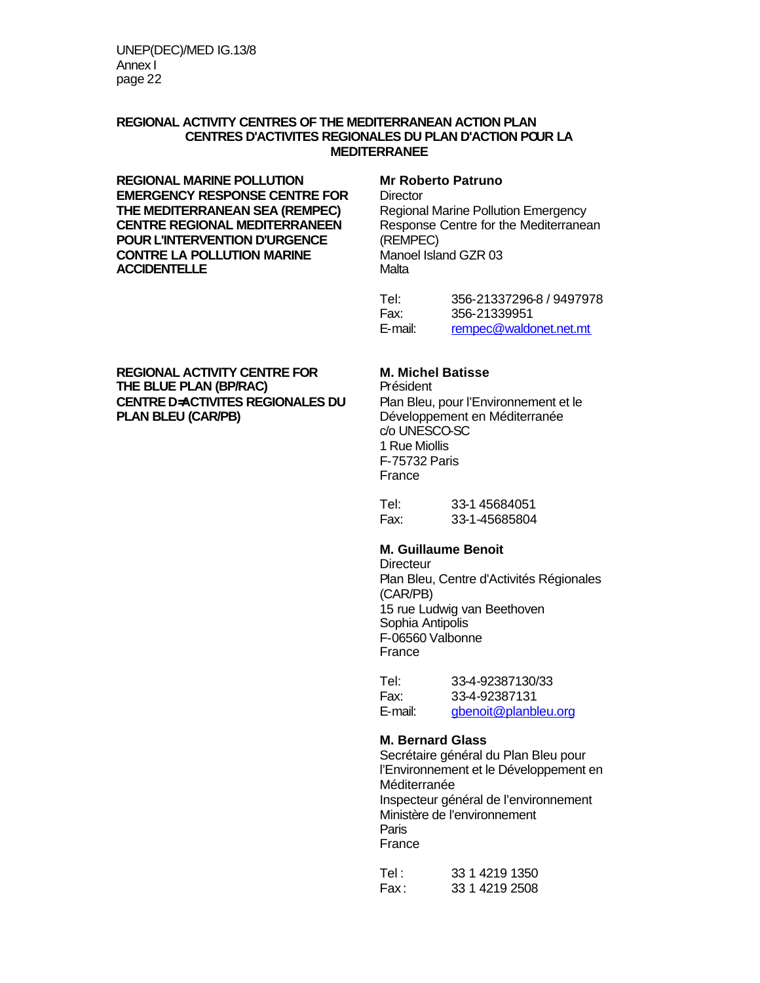### **REGIONAL ACTIVITY CENTRES OF THE MEDITERRANEAN ACTION PLAN CENTRES D'ACTIVITES REGIONALES DU PLAN D'ACTION POUR LA MEDITERRANEE**

**REGIONAL MARINE POLLUTION Mr Roberto Patruno EMERGENCY RESPONSE CENTRE FOR Director THE MEDITERRANEAN SEA (REMPEC)** Regional Marine Pollution Emergency<br>**CENTRE REGIONAL MEDITERRANEEN** Response Centre for the Mediterranean **CENTRE REGIONAL MEDITERRANEEN** Response (<br>**POUR L'INTERVENTION D'URGENCE** (REMPEC) **POUR L'INTERVENTION D'URGENCE** (REMPEC) **CONTRE LA POLLUTION MARINE Manoel ACCIDENTELLE ACCIDENTELLE** 

Tel: 356-21337296-8 / 9497978 Fax: 356-21339951 E-mail: rempec@waldonet.net.mt

## **REGIONAL ACTIVITY CENTRE FOR M. Michel Batisse THE BLUE PLAN (BP/RAC)** Président **CENTRE D=ACTIVITES REGIONALES DU** Plan Bleu, pour l'Environnement et le

Développement en Méditerranée c/o UNESCO-SC 1 Rue Miollis F-75732 Paris France

Tel: 33-1 45684051 Fax: 33-1-45685804

### **M. Guillaume Benoit**

**Directeur** Plan Bleu, Centre d'Activités Régionales (CAR/PB) 15 rue Ludwig van Beethoven Sophia Antipolis F-06560 Valbonne France

| Tel:    | 33-4-92387130/33     |
|---------|----------------------|
| Fax:    | 33-4-92387131        |
| E-mail: | gbenoit@planbleu.org |

### **M. Bernard Glass**

Secrétaire général du Plan Bleu pour l'Environnement et le Développement en Méditerranée Inspecteur général de l'environnement Ministère de l'environnement Paris France

Tel: 33 1 4219 1350 Fax : 33 1 4219 2508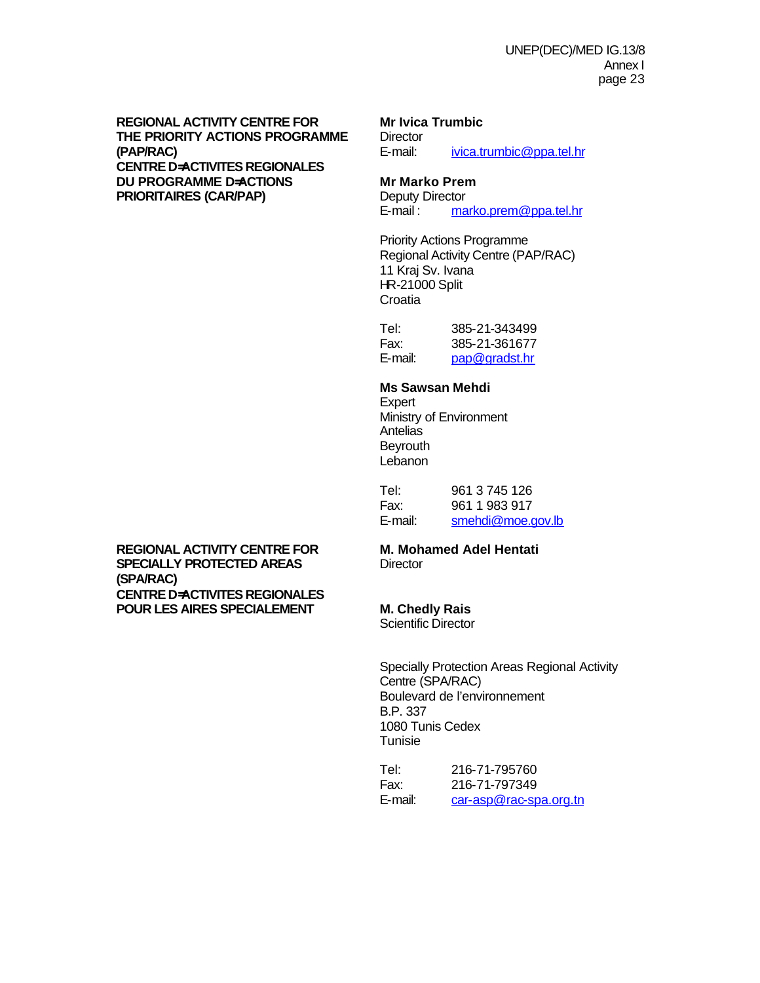**REGIONAL ACTIVITY CENTRE FOR Mr Ivica Trumbic THE PRIORITY ACTIONS PROGRAMME** Director<br>
(PAP/RAC) E-mail: **(PAP/RAC)** E-mail: ivica.trumbic@ppa.tel.hr **CENTRE D=ACTIVITES REGIONALES DU PROGRAMME D=ACTIONS Mr Marko Prem PRIORITAIRES (CAR/PAP)** Deputy Director<br>E-mail: ma

marko.prem@ppa.tel.hr

Priority Actions Programme Regional Activity Centre (PAP/RAC) 11 Kraj Sv. Ivana HR-21000 Split **Croatia** 

Tel: 385-21-343499 Fax: 385-21-361677 E-mail: pap@gradst.hr

### **Ms Sawsan Mehdi**

Expert Ministry of Environment **Antelias Bevrouth Lebanon** 

Tel: 961 3 745 126 Fax: 961 1 983 917 E-mail: smehdi@moe.gov.lb

**REGIONAL ACTIVITY CENTRE FOR M. Mohamed Adel Hentati SPECIALLY PROTECTED AREAS** Director **(SPA/RAC) CENTRE D=ACTIVITES REGIONALES POUR LES AIRES SPECIALEMENT M. Chedly Rais**

Scientific Director

Specially Protection Areas Regional Activity Centre (SPA/RAC) Boulevard de l'environnement B.P. 337 1080 Tunis Cedex Tunisie

Tel: 216-71-795760 Fax: 216-71-797349 E-mail: car-asp@rac-spa.org.tn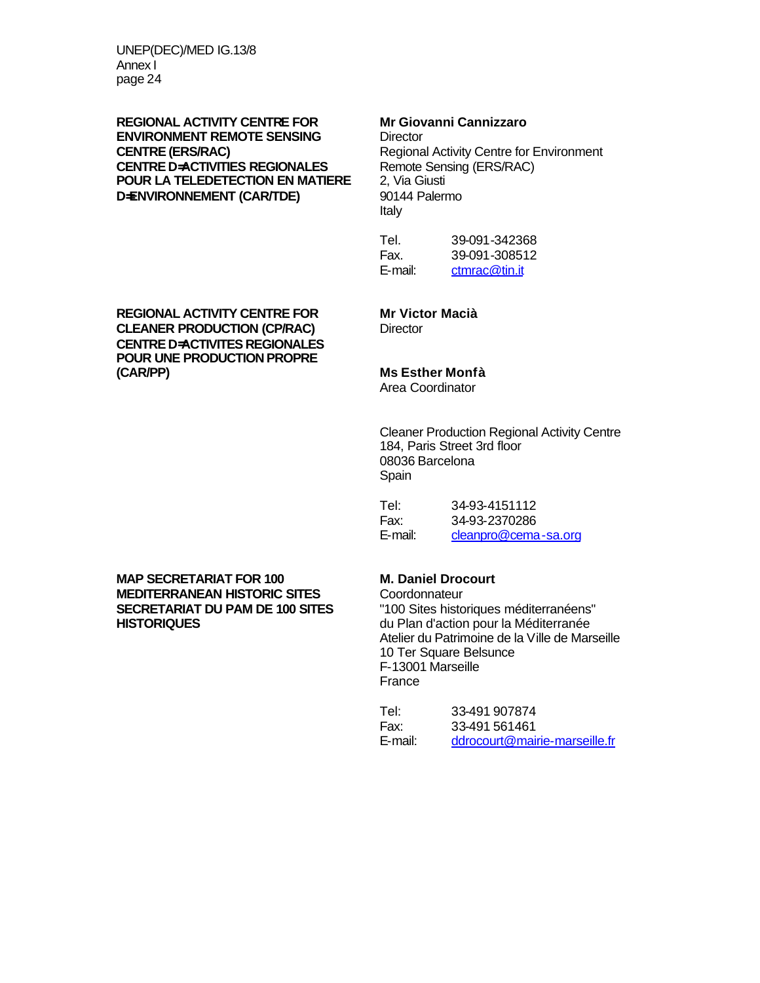## **REGIONAL ACTIVITY CENTRE FOR Mr Giovanni Cannizzaro ENVIRONMENT REMOTE SENSING** Director<br> **CENTRE (ERS/RAC)** Regiona **CENTRE D=ACTIVITIES REGIONALES** Remote Sensing CENTRE **D=ACTIVITIES REGIONALES** Remote Sensing (ERS) **POUR LA TELEDETECTION EN MATIERE D**<del></del> $\blacksquare$ **ENVIRONNEMENT (CAR/TDE)** 90144 Palermo

Regional Activity Centre for Environment<br>Remote Sensing (ERS/RAC) Italy

Tel. 39-091-342368 Fax. 39-091-308512 E-mail: ctmrac@tin.it

## **REGIONAL ACTIVITY CENTRE FOR Mr Victor Macià CLEANER PRODUCTION (CP/RAC) CENTRE D=ACTIVITES REGIONALES POUR UNE PRODUCTION PROPRE**

### **(CAR/PP) Ms Esther Monfà**

Area Coordinator

Cleaner Production Regional Activity Centre 184, Paris Street 3rd floor 08036 Barcelona Spain

| Tel:    | 34-93-4151112        |
|---------|----------------------|
| Fax:    | 34-93-2370286        |
| E-mail: | cleanpro@cema-sa.org |

**MAP SECRETARIAT FOR 100 M. Daniel Drocourt MEDITERRANEAN HISTORIC SITES<br>SECRETARIAT DU PAM DE 100 SITES SECRETARIAT DU PAM DE 100 SITES** "100 Sites historiques méditerranéens"

du Plan d'action pour la Méditerranée Atelier du Patrimoine de la Ville de Marseille 10 Ter Square Belsunce F-13001 Marseille France

| Tel:    | 33-491 907874                 |
|---------|-------------------------------|
| Fax:    | 33-491 561461                 |
| E-mail: | ddrocourt@mairie-marseille.fr |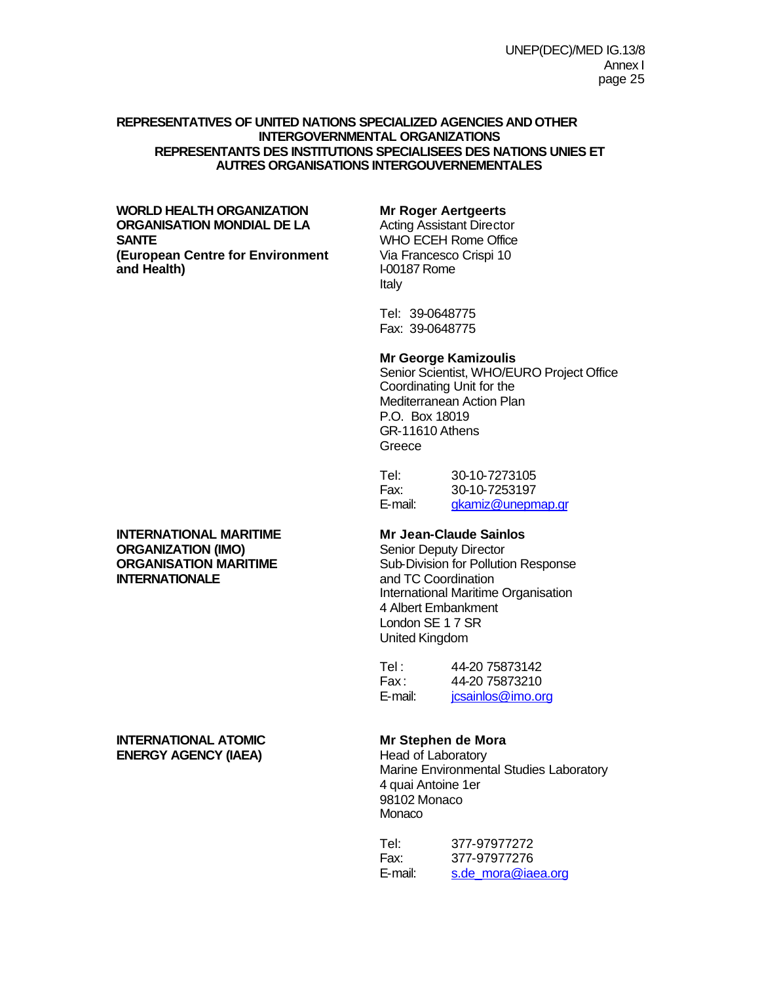### **REPRESENTATIVES OF UNITED NATIONS SPECIALIZED AGENCIES AND OTHER INTERGOVERNMENTAL ORGANIZATIONS REPRESENTANTS DES INSTITUTIONS SPECIALISEES DES NATIONS UNIES ET AUTRES ORGANISATIONS INTERGOUVERNEMENTALES**

### **WORLD HEALTH ORGANIZATION Mr Roger Aertgeerts ORGANISATION MONDIAL DE LA SANTE**<br> **Example 20 TEACH CONTERNATE CONTEXNATE CONTEXNATE (European Centre for Environment** Via Francesco Crispi 10 **(European Centre for Environment** Via Francesco **and Health)** and Health)

Italy

Tel: 39-0648775 Fax: 39-0648775

### **Mr George Kamizoulis**

Senior Scientist, WHO/EURO Project Office Coordinating Unit for the Mediterranean Action Plan P.O. Box 18019 GR-11610 Athens Greece

| Tel:    | 30-10-7273105     |
|---------|-------------------|
| Fax:    | 30-10-7253197     |
| E-mail: | gkamiz@unepmap.gr |

**ORGANISATION MARITIME** Sub-Division for Pollution Response<br> **INTERNATIONALE** and TC Coordination and TC Coordination International Maritime Organisation 4 Albert Embankment London SE 1 7 SR United Kingdom

| Tel :   | 44-20 75873142    |
|---------|-------------------|
| Fax:    | 44-20 75873210    |
| E-mail: | jcsainlos@imo.org |

Marine Environmental Studies Laboratory 4 quai Antoine 1er 98102 Monaco Monaco

| Tel:    | 377-97977272       |
|---------|--------------------|
| Fax:    | 377-97977276       |
| E-mail: | s.de mora@iaea.org |

# **INTERNATIONAL MARITIME Mr Jean-Claude Sainlos**<br> **ORGANIZATION (IMO)** Senior Deputy Director **ORGANIZATION (IMO)**

### **INTERNATIONAL ATOMIC** Mr Stephen de Mora **ENERGY AGENCY (IAEA)** Head of Laboratory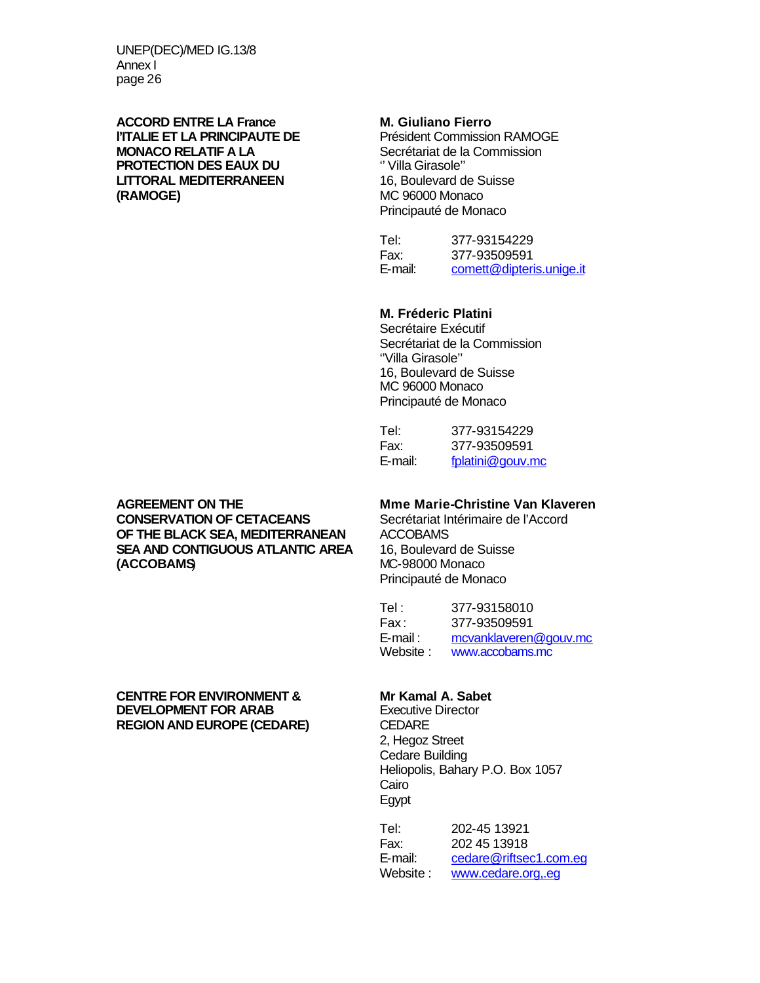**ACCORD ENTRE LA France M. Giuliano Fierro l'ITALIE ET LA PRINCIPAUTE DE<br>MONACO RELATIF A LA PROTECTION DES EAUX DU LITTORAL MEDITERRANEEN** 16, Boulevard de Suisse **(RAMOGE)** MC 96000 Monaco

Secrétariat de la Commission<br>" Villa Girasole" Principauté de Monaco

Tel: 377-93154229 Fax: 377-93509591 E-mail: comett@dipteris.unige.it

### **M. Fréderic Platini**

Secrétaire Exécutif Secrétariat de la Commission ''Villa Girasole'' 16, Boulevard de Suisse MC 96000 Monaco Principauté de Monaco

| Tel:    | 377-93154229     |
|---------|------------------|
| Fax:    | 377-93509591     |
| E-mail: | fplatini@gouv.mc |

**AGREEMENT ON THE MMME Marie-Christine Van Klaveren**<br> **CONSERVATION OF CETACEANS** Secrétariat Intérimaire de l'Accord **CONSERVATION OF CETACEANS OF THE BLACK SEA, MEDITERRANEAN ACCOBAMS<br><b>SEA AND CONTIGUOUS ATLANTIC AREA** 16. Boulevard de Suisse **SEA AND CONTIGUOUS ATLANTIC AREA (ACCOBAMS**) MC-98000 Monaco

Principauté de Monaco

Tel: 377-93158010 Fax : 377-93509591 E-mail : mcvanklaveren@gouv.mc Website : www.accobams.mc

### **CENTRE FOR ENVIRONMENT & Mr Kamal A. Sabet**<br> **DEVELOPMENT FOR ARAB** Executive Director **DEVELOPMENT FOR ARAB** Executive Director **REGION AND EUROPE (CEDARE)**

2, Hegoz Street Cedare Building Heliopolis, Bahary P.O. Box 1057 Cairo Egypt

Tel: 202-45 13921 Fax: 202 45 13918 E-mail: cedare@riftsec1.com.eg Website : www.cedare.org,.eg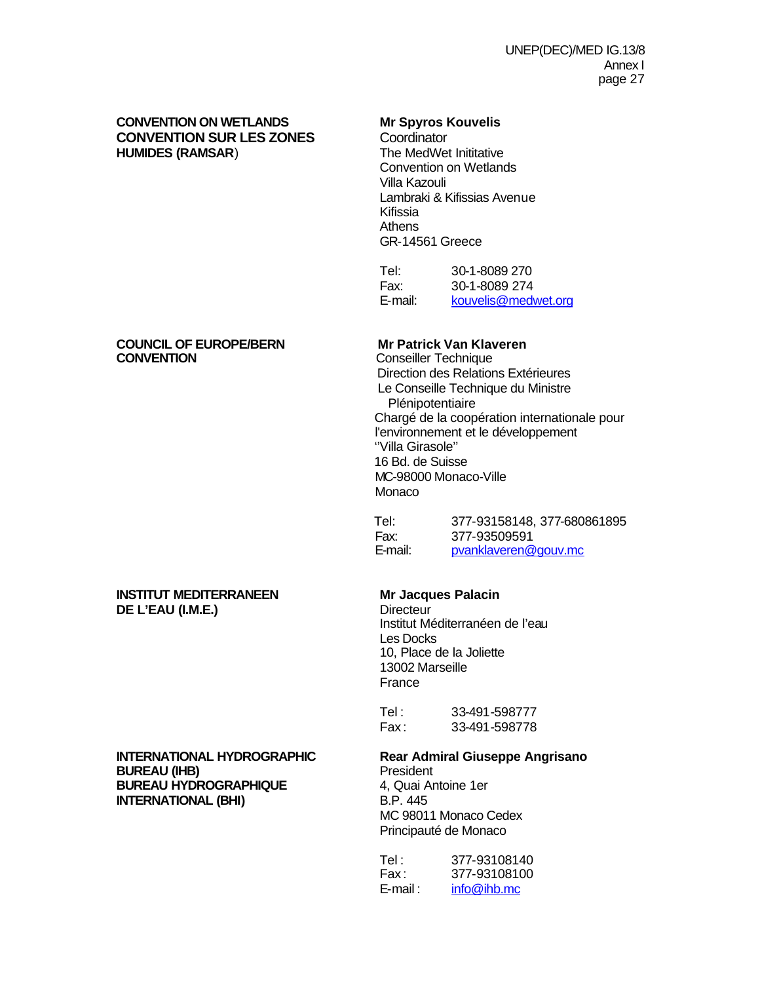### **CONVENTION ON WETLANDS Mr Spyros Kouvelis CONVENTION SUR LES ZONES** Coordinator<br> **CONVENTION SUR LES ZONES** Coordinator<br>
The MedWet Inititative **HUMIDES (RAMSAR)**

Convention on Wetlands Villa Kazouli Lambraki & Kifissias Avenue Kifissia **Athens** GR-14561 Greece

Tel: 30-1-8089 270 Fax: 30-1-8089 274 E-mail: kouvelis@medwet.org

# **COUNCIL OF EUROPE/BERN Mr Patrick Van Klaveren<br>
Conseiller Technique**<br>
Conseiller Technique

**Conseiller Technique**  Direction des Relations Extérieures Le Conseille Technique du Ministre Plénipotentiaire Chargé de la coopération internationale pour l'environnement et le développement ''Villa Girasole'' 16 Bd. de Suisse MC-98000 Monaco-Ville Monaco

 Tel: 377-93158148, 377-680861895 Fax: 377-93509591 E-mail: pvanklaveren@gouv.mc

### **INSTITUT MEDITERRANEEN Mr Jacques Palacin**<br>
DE L'EAU (I.M.E.) Directeur **DE L'EAU (I.M.E.)**

Institut Méditerranéen de l'eau Les Docks 10, Place de la Joliette 13002 Marseille France

Tel: 33-491-598777 Fax : 33-491-598778

# **INTERNATIONAL HYDROGRAPHIC Rear Admiral Giuseppe Angrisano**<br>BUREAU (IHB) **Rear Admiral President**

MC 98011 Monaco Cedex Principauté de Monaco

| Tel :      | 377-93108140 |
|------------|--------------|
| Fax:       | 377-93108100 |
| $E$ -mail: | info@ihb.mc  |

## **BUREAU (IHB)**<br> **BUREAU HYDROGRAPHIQUE** 4. Quai Antoine 1er **BUREAU HYDROGRAPHIQUE** 4, Quai A<br> **INTERNATIONAL (BHI)** B.P. 445 **INTERNATIONAL (BHI)**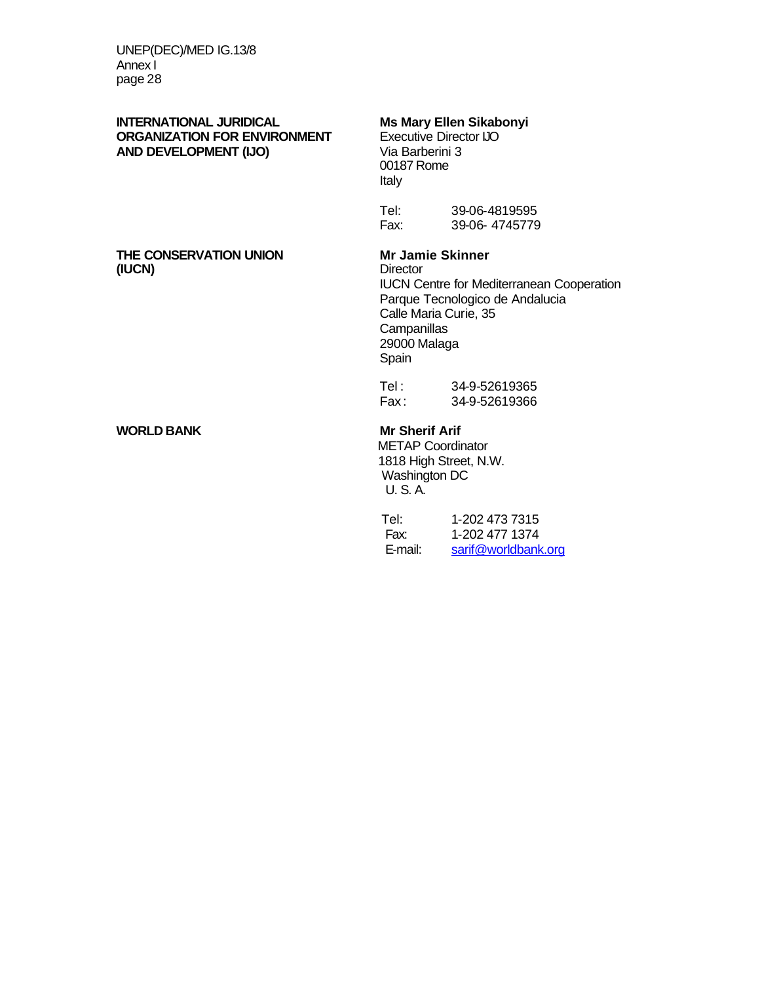### **INTERNATIONAL JURIDICAL Ms Mary Ellen Sikabonyi**<br> **ORGANIZATION FOR ENVIRONMENT** Executive Director IJO **ORGANIZATION FOR ENVIRONMENT** Executive Director Director IIIO Executive Director IIIO Executive Director IIIO<br>
Via Barberini 3 **AND DEVELOPMENT (IJO)**

### **THE CONSERVATION UNION Mr Jamie Skinner**<br> **Mr Jamie Skinner** (IUCN)

### **WORLD BANK Mr Sherif Arif**

00187 Rome Italy

| Tel: | 39-06-4819595 |
|------|---------------|
| Fax: | 39-06-4745779 |

IUCN Centre for Mediterranean Cooperation Parque Tecnologico de Andalucia Calle Maria Curie, 35 **Campanillas** 29000 Malaga Spain

Tel : 34-9-52619365 Fax : 34-9-52619366

 METAP Coordinator 1818 High Street, N.W. Washington DC U. S. A.

| Tel:    | 1-202 473 7315      |
|---------|---------------------|
| Fax:    | 1-202 477 1374      |
| E-mail: | sarif@worldbank.org |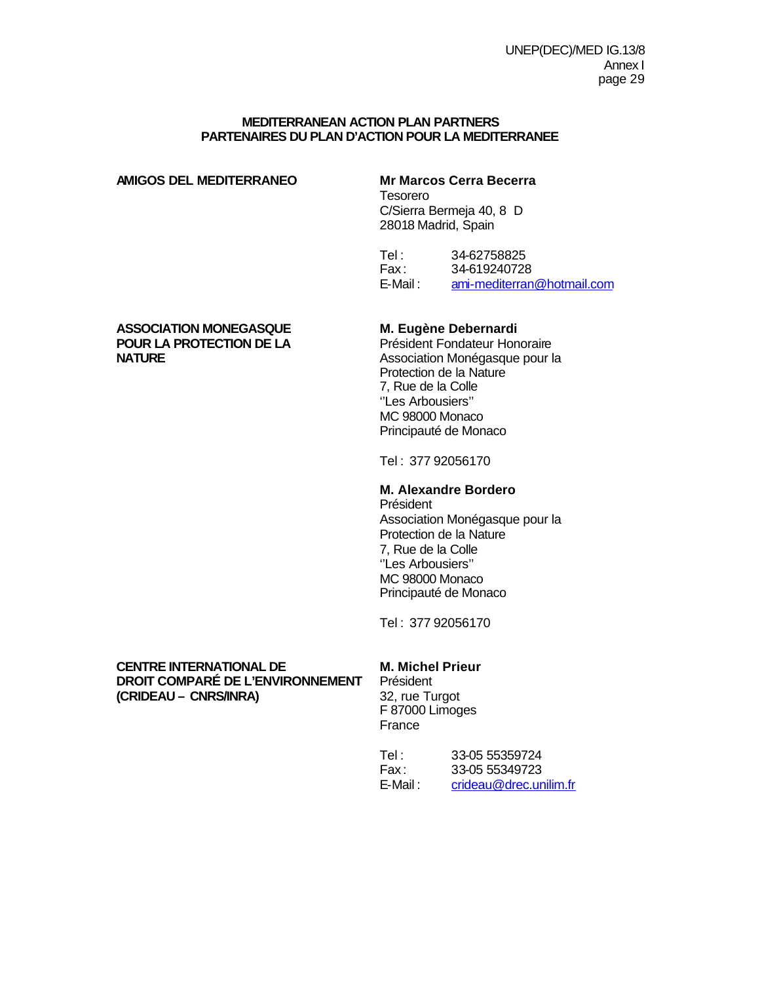### **MEDITERRANEAN ACTION PLAN PARTNERS PARTENAIRES DU PLAN D'ACTION POUR LA MEDITERRANEE**

### **AMIGOS DEL MEDITERRANEO Mr Marcos Cerra Becerra**

Tesorero C/Sierra Bermeja 40, 8 D 28018 Madrid, Spain

Tel : 34-62758825<br>Fax : 34-619240728 34-619240728 E-Mail : ami-mediterran@hotmail.com

## **ASSOCIATION MONEGASQUE M. Eugène Debernardi<br>
POUR LA PROTECTION DE LA Président Fondateur Honoraire POUR LA PROTECTION DE LA<br>NATURE**

Association Monégasque pour la Protection de la Nature 7, Rue de la Colle ''Les Arbousiers'' MC 98000 Monaco Principauté de Monaco

Tel : 377 92056170

### **M. Alexandre Bordero**

Président Association Monégasque pour la Protection de la Nature 7, Rue de la Colle ''Les Arbousiers'' MC 98000 Monaco Principauté de Monaco

Tel : 377 92056170

### **CENTRE INTERNATIONAL DE M. Michel Prieur DROIT COMPARÉ DE L'ENVIRONNEMENT** Président<br>(CRIDEAU – CNRS/INRA) 32, rue Turgot **(CRIDEAU – CNRS/INRA)**

F 87000 Limoges France

| Tel :    | 33-05 55359724         |
|----------|------------------------|
| Fax :    | 33-05 55349723         |
| E-Mail : | crideau@drec.unilim.fr |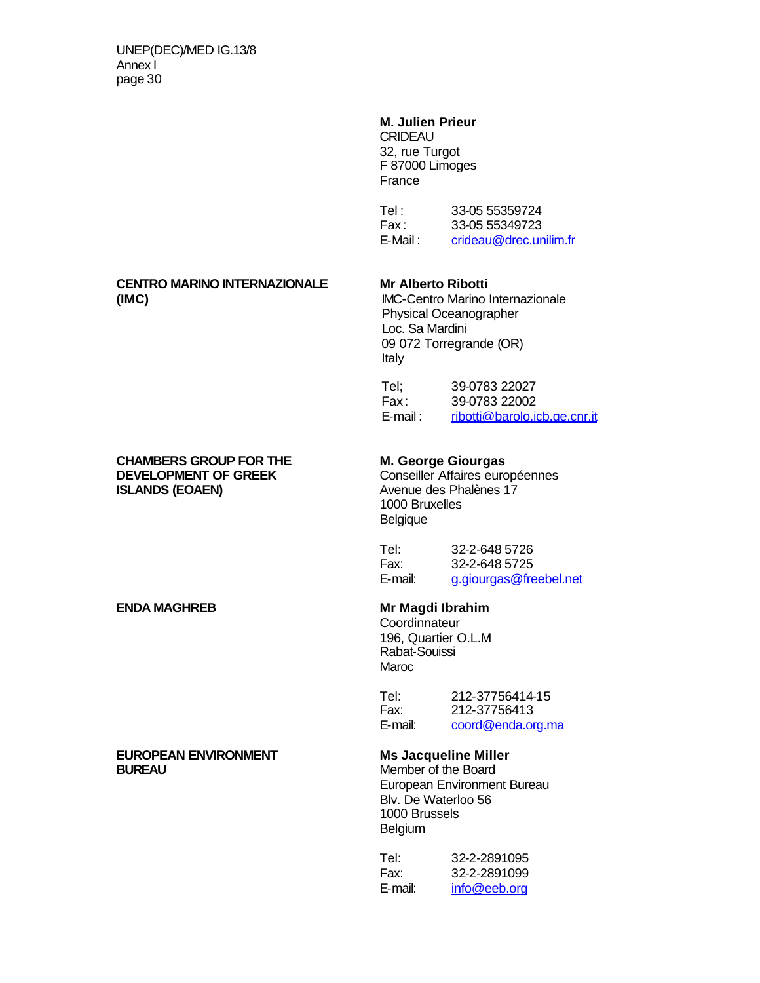### **M. Julien Prieur**

CRIDEAU 32, rue Turgot F 87000 Limoges France

| Tel :    | 33-05 55359724         |
|----------|------------------------|
| Fax:     | 33-05 55349723         |
| E-Mail : | crideau@drec.unilim.fr |

### **CENTRO MARINO INTERNAZIONALE Mr Alberto Ribotti (IMC)** IMC-Centro Marino Internazionale

## **CHAMBERS GROUP FOR THE M. George Giourgas DEVELOPMENT OF GREEK Conseiller Affaires européennes<br>
<b>ISLANDS (EOAEN)** Avenue des Phalènes 17

 Physical Oceanographer Loc. Sa Mardini 09 072 Torregrande (OR) Italy

| Tel;     | 39-0783 22027                |
|----------|------------------------------|
| Fax:     | 39-0783 22002                |
| E-mail : | ribotti@barolo.icb.ge.cnr.it |

Avenue des Phalènes 17 1000 Bruxelles **Belgique** 

Tel: 32-2-648 5726 Fax: 32-2-648 5725 E-mail: g.giourgas@freebel.net

### **ENDA MAGHREB Mr Magdi Ibrahim**

**Coordinnateur** 196, Quartier O.L.M Rabat-Souissi Maroc

| Tel:    | 212-37756414-15   |
|---------|-------------------|
| Fax:    | 212-37756413      |
| E-mail: | coord@enda.org.ma |

European Environment Bureau Blv. De Waterloo 56 1000 Brussels Belgium

| Tel:    | 32-2-2891095 |
|---------|--------------|
| Fax:    | 32-2-2891099 |
| E-mail: | info@eeb.org |

### **EUROPEAN ENVIRONMENT Ms Jacqueline Miller BUREAU** Member of the Board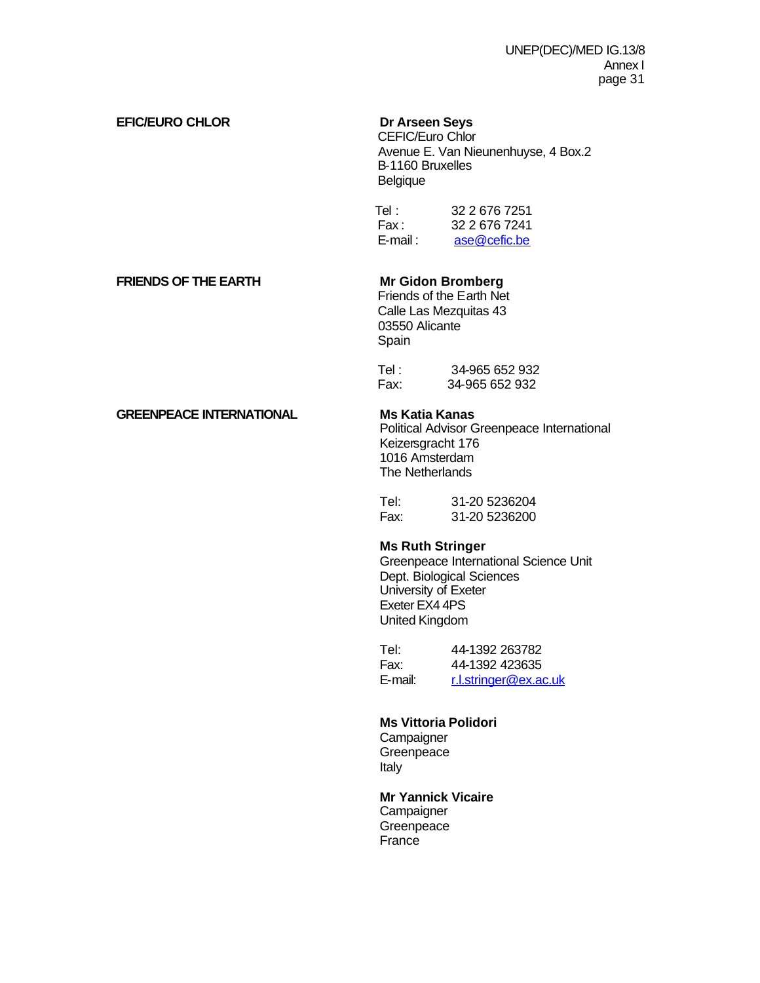### **EFIC/EURO CHLOR Dr Arseen Seys**

 CEFIC/Euro Chlor Avenue E. Van Nieunenhuyse, 4 Box.2 B-1160 Bruxelles Belgique

| Tel :      | 32 2 676 7251 |
|------------|---------------|
| Fax :      | 32 2 676 7241 |
| $E$ -mail: | ase@cefic.be  |

### **FRIENDS OF THE EARTH Mr Gidon Bromberg**

 Friends of the Earth Net Calle Las Mezquitas 43 03550 Alicante Spain

| Tel : | 34-965 652 932 |
|-------|----------------|
| Fax:  | 34-965 652 932 |

### **GREENPEACE INTERNATIONAL Ms Katia Kanas**

Political Advisor Greenpeace International Keizersgracht 176 1016 Amsterdam The Netherlands

| Tel: | 31-20 5236204 |
|------|---------------|
| Fax: | 31-20 5236200 |

### **Ms Ruth Stringer**

Greenpeace International Science Unit Dept. Biological Sciences University of Exeter Exeter EX4 4PS United Kingdom

| Tel:    | 44-1392 263782        |
|---------|-----------------------|
| Fax:    | 44-1392 423635        |
| E-mail: | r.l.stringer@ex.ac.uk |

### **Ms Vittoria Polidori**

**Campaigner Greenpeace** Italy

**Mr Yannick Vicaire Campaigner Greenpeace France**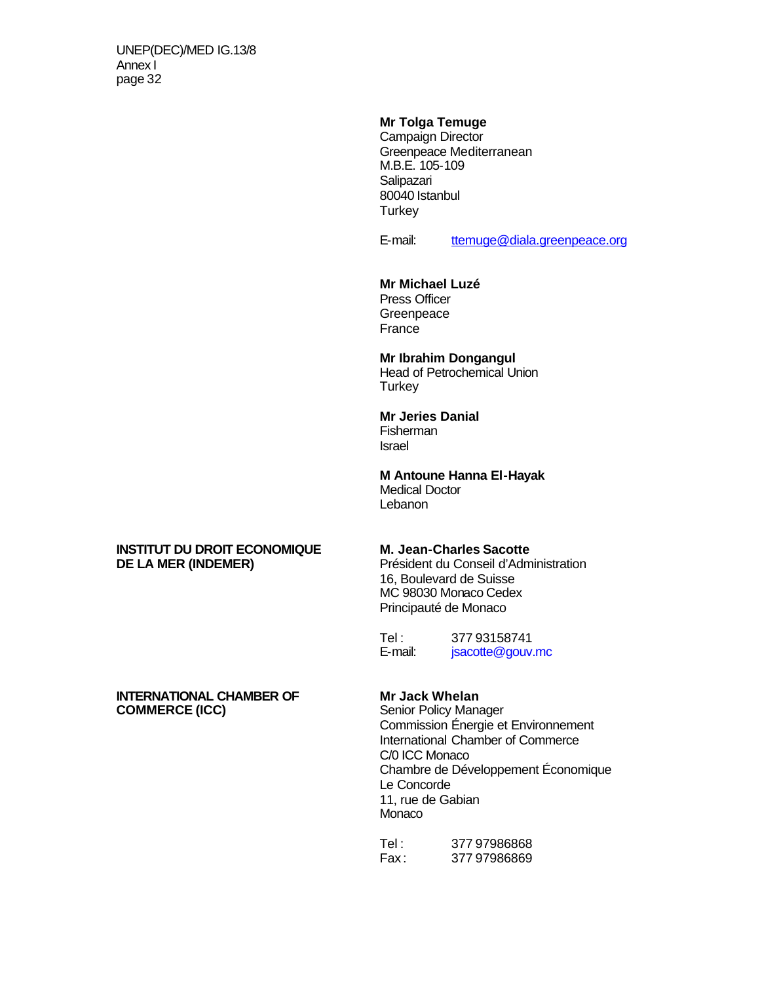### **Mr Tolga Temuge**

Campaign Director Greenpeace Mediterranean M.B.E. 105-109 Salipazari 80040 Istanbul **Turkey** 

E-mail: ttemuge@diala.greenpeace.org

### **Mr Michael Luzé**

Press Officer **Greenpeace** France

### **Mr Ibrahim Dongangul**

Head of Petrochemical Union **Turkey** 

### **Mr Jeries Danial**

Fisherman Israel

### **M Antoune Hanna El-Hayak** Medical Doctor

**Lebanon** 

### **INSTITUT DU DROIT ECONOMIQUE M. Jean-Charles Sacotte DE LA MER (INDEMER)** Président du Conseil d'Administration

16, Boulevard de Suisse MC 98030 Monaco Cedex Principauté de Monaco

Tel :  $37793158741$ <br>E-mail:  $\frac{isacotte@aouv}{isacotte@aouv}$ jsacotte@gouv.mc

# **INTERNATIONAL CHAMBER OF Mr Jack Whelan<br>
COMMERCE (ICC) Senior Policy Mana**

**Senior Policy Manager** Commission Énergie et Environnement International Chamber of Commerce C/0 ICC Monaco Chambre de Développement Économique Le Concorde 11, rue de Gabian Monaco

| Tel : | 377 97986868 |
|-------|--------------|
| Fax : | 37797986869  |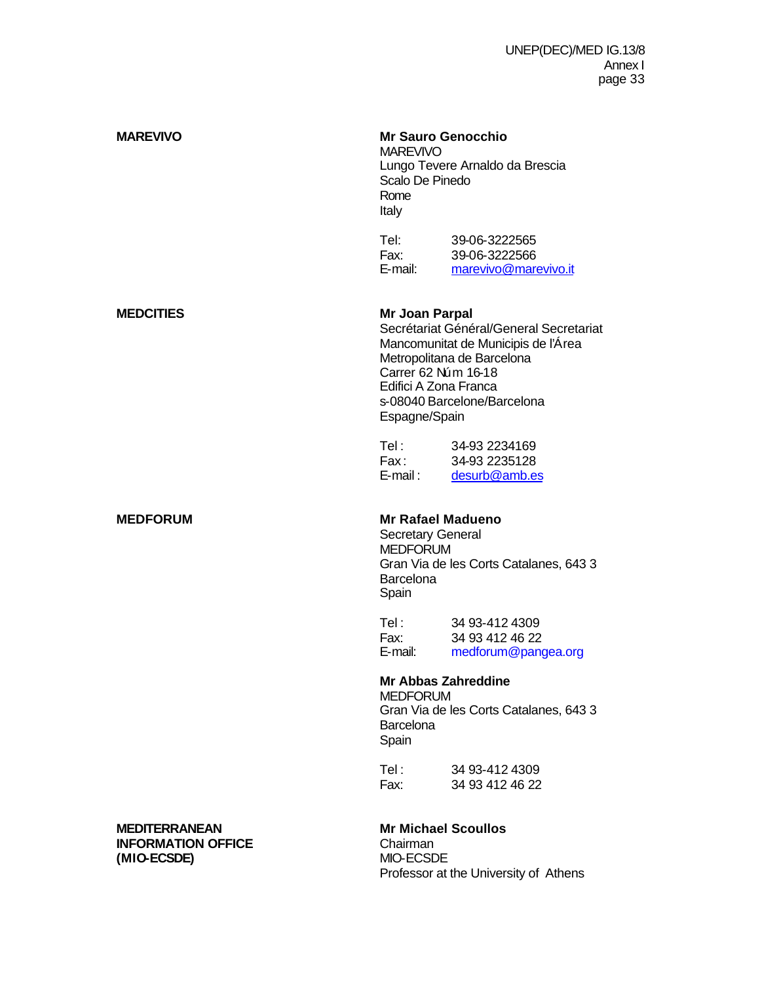| <b>MAREVIVO</b>                                                  | <b>Mr Sauro Genocchio</b><br><b>MAREVIVO</b><br>Scalo De Pinedo<br>Rome<br>Italy                                                        | Lungo Tevere Arnaldo da Brescia                                                                                                             |
|------------------------------------------------------------------|-----------------------------------------------------------------------------------------------------------------------------------------|---------------------------------------------------------------------------------------------------------------------------------------------|
|                                                                  | Tel:<br>Fax:<br>E-mail:                                                                                                                 | 39-06-3222565<br>39-06-3222566<br>marevivo@marevivo.it                                                                                      |
| <b>MEDCITIES</b>                                                 | Mr Joan Parpal<br>Carrer 62 Núm 16-18<br>Edifici A Zona Franca<br>Espagne/Spain                                                         | Secrétariat Général/General Secretariat<br>Mancomunitat de Municipis de l'Area<br>Metropolitana de Barcelona<br>s-08040 Barcelone/Barcelona |
|                                                                  | Tel:<br>Fax:<br>$E$ -mail:                                                                                                              | 34-93 2234169<br>34-93 2235128<br>desurb@amb.es                                                                                             |
| <b>MEDFORUM</b>                                                  | <b>Mr Rafael Madueno</b><br><b>Secretary General</b><br><b>MEDFORUM</b><br>Gran Via de les Corts Catalanes, 643 3<br>Barcelona<br>Spain |                                                                                                                                             |
|                                                                  | Tel:<br>Fax:<br>E-mail:                                                                                                                 | 34 93-412 4309<br>34 93 412 46 22<br>medforum@pangea.org                                                                                    |
|                                                                  | <b>Mr Abbas Zahreddine</b><br><b>MEDFORUM</b><br>Barcelona<br>Spain                                                                     | Gran Via de les Corts Catalanes, 643 3                                                                                                      |
|                                                                  | Tel :<br>Fax:                                                                                                                           | 34 93-412 4309<br>34 93 412 46 22                                                                                                           |
| <b>MEDITERRANEAN</b><br><b>INFORMATION OFFICE</b><br>(MIO-ECSDE) | <b>Mr Michael Scoullos</b><br>Chairman<br>MIO-ECSDE                                                                                     | Professor at the University of Athens                                                                                                       |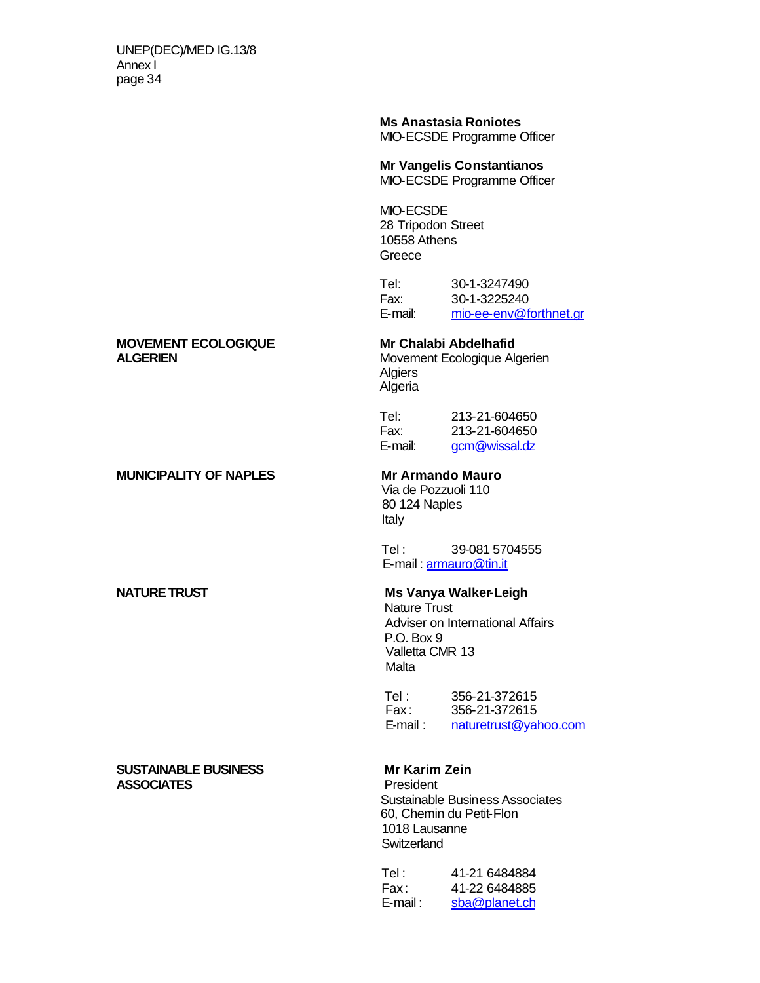**Ms Anastasia Roniotes**

MIO-ECSDE Programme Officer

**Mr Vangelis Constantianos**

MIO-ECSDE Programme Officer

MIO-ECSDE 28 Tripodon Street 10558 Athens **Greece** 

Tel: 30-1-3247490 Fax: 30-1-3225240 E-mail: mio-ee-env@forthnet.gr

# **MOVEMENT ECOLOGIQUE** Mr Chalabi Abdelhafid<br> **ALGERIEN** Movement Ecologique Al

### **MUNICIPALITY OF NAPLES Mr Armando Mauro**

### **SUSTAINABLE BUSINESS Mr Karim Zein<br>
ASSOCIATES** President **ASSOCIATES**

**Movement Ecologique Algerien** Algiers Algeria

Tel: 213-21-604650 Fax: 213-21-604650 E-mail: gcm@wissal.dz

Via de Pozzuoli 110 80 124 Naples Italy

 Tel : 39-081 5704555 E-mail: armauro@tin.it

### **NATURE TRUST MS Vanya Walker-Leigh**

Nature Trust Adviser on International Affairs P.O. Box 9 Valletta CMR 13 Malta

Tel : 356-21-372615<br>Fax : 356-21-372615 Fax : 356-21-372615 E-mail: naturetrust@yahoo.com

 Sustainable Business Associates 60, Chemin du Petit-Flon 1018 Lausanne **Switzerland** 

| Tel :       | 41-21 6484884 |
|-------------|---------------|
| Fax :       | 41-22 6484885 |
| $E$ -mail : | sba@planet.ch |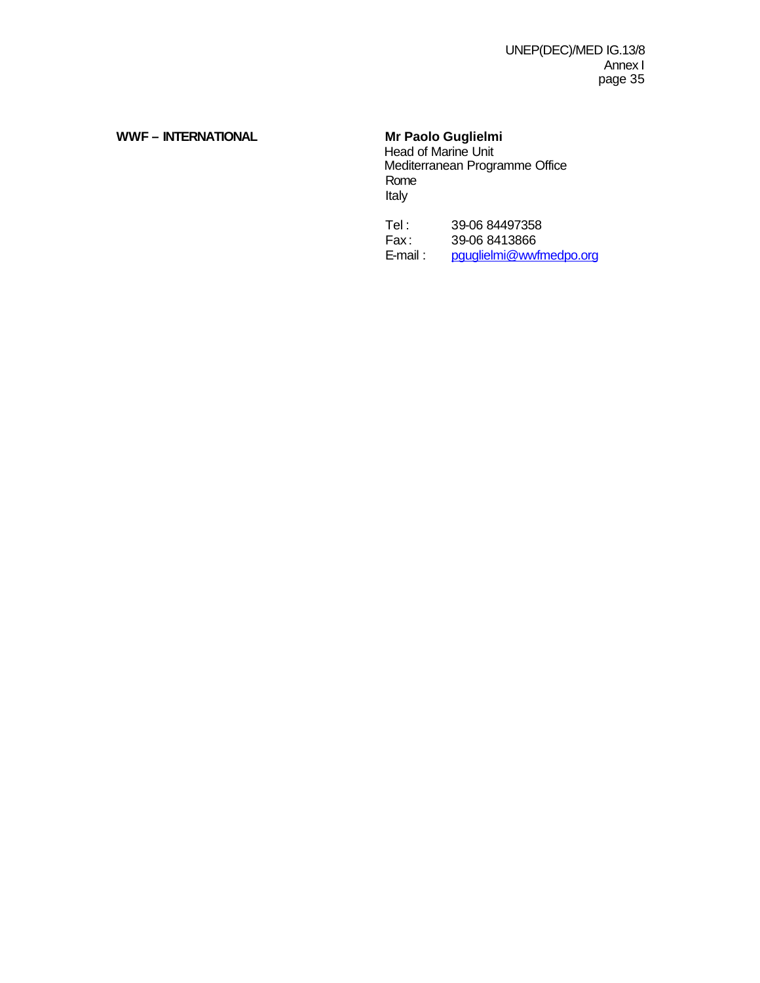## WWF - INTERNATIONAL Mr Paolo Guglielmi

Head of Marine Unit **Mediterranean Programme Office**  Rome Italy

Tel : 39-06 84497358<br>Fax : 39-06 8413866 Fax: 39-06 8413866<br>E-mail: pquglielmi@wwf pguglielmi@wwfmedpo.org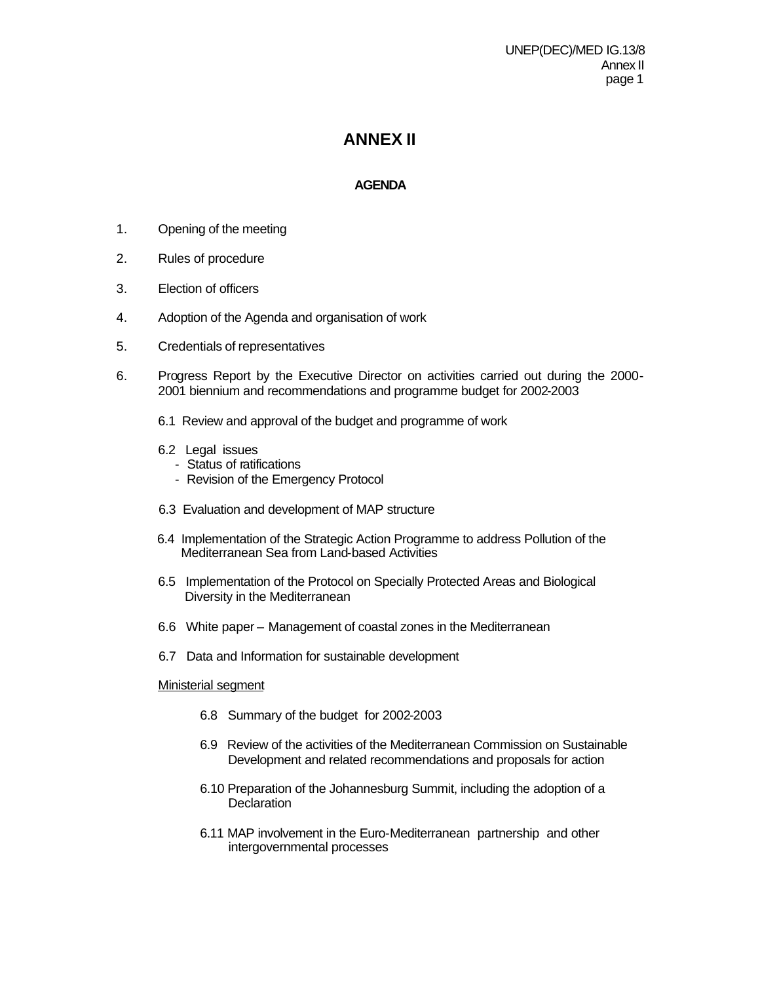## **ANNEX II**

### **AGENDA**

- 1. Opening of the meeting
- 2. Rules of procedure
- 3. Election of officers
- 4. Adoption of the Agenda and organisation of work
- 5. Credentials of representatives
- 6. Progress Report by the Executive Director on activities carried out during the 2000- 2001 biennium and recommendations and programme budget for 2002-2003
	- 6.1 Review and approval of the budget and programme of work
	- 6.2 Legal issues
		- Status of ratifications
		- Revision of the Emergency Protocol
	- 6.3 Evaluation and development of MAP structure
	- 6.4 Implementation of the Strategic Action Programme to address Pollution of the Mediterranean Sea from Land-based Activities
	- 6.5 Implementation of the Protocol on Specially Protected Areas and Biological Diversity in the Mediterranean
	- 6.6 White paper Management of coastal zones in the Mediterranean
	- 6.7 Data and Information for sustainable development

### Ministerial segment

- 6.8 Summary of the budget for 2002-2003
- 6.9 Review of the activities of the Mediterranean Commission on Sustainable Development and related recommendations and proposals for action
- 6.10 Preparation of the Johannesburg Summit, including the adoption of a **Declaration**
- 6.11 MAP involvement in the Euro-Mediterranean partnership and other intergovernmental processes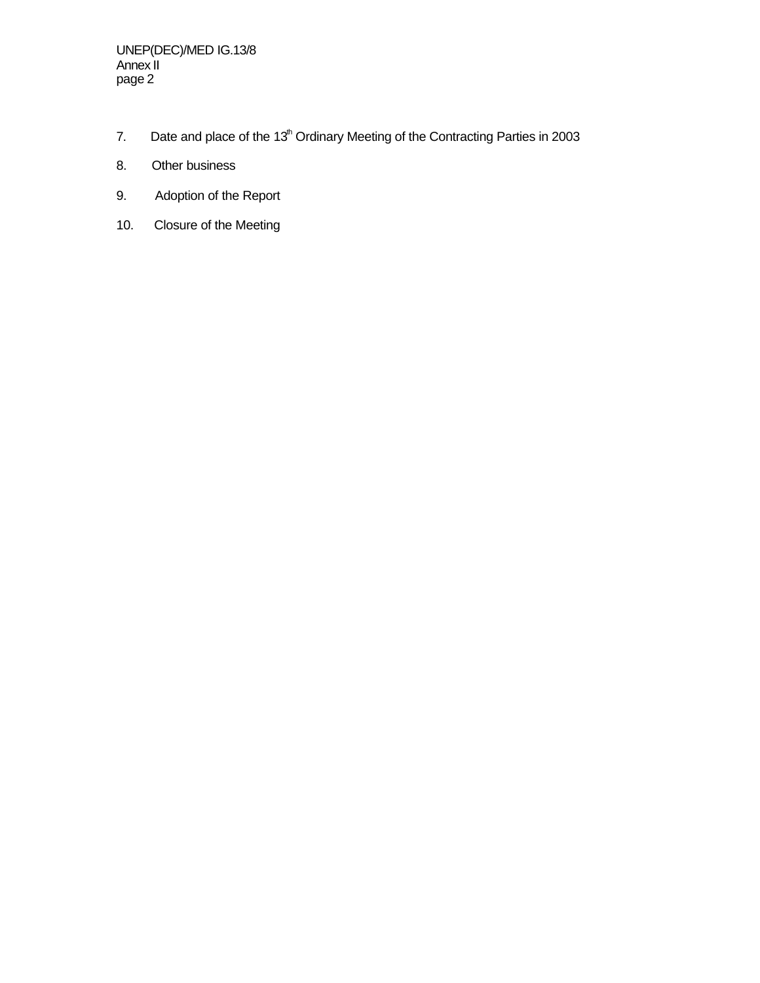- 7. Date and place of the  $13<sup>th</sup>$  Ordinary Meeting of the Contracting Parties in 2003
- 8. Other business
- 9. Adoption of the Report
- 10. Closure of the Meeting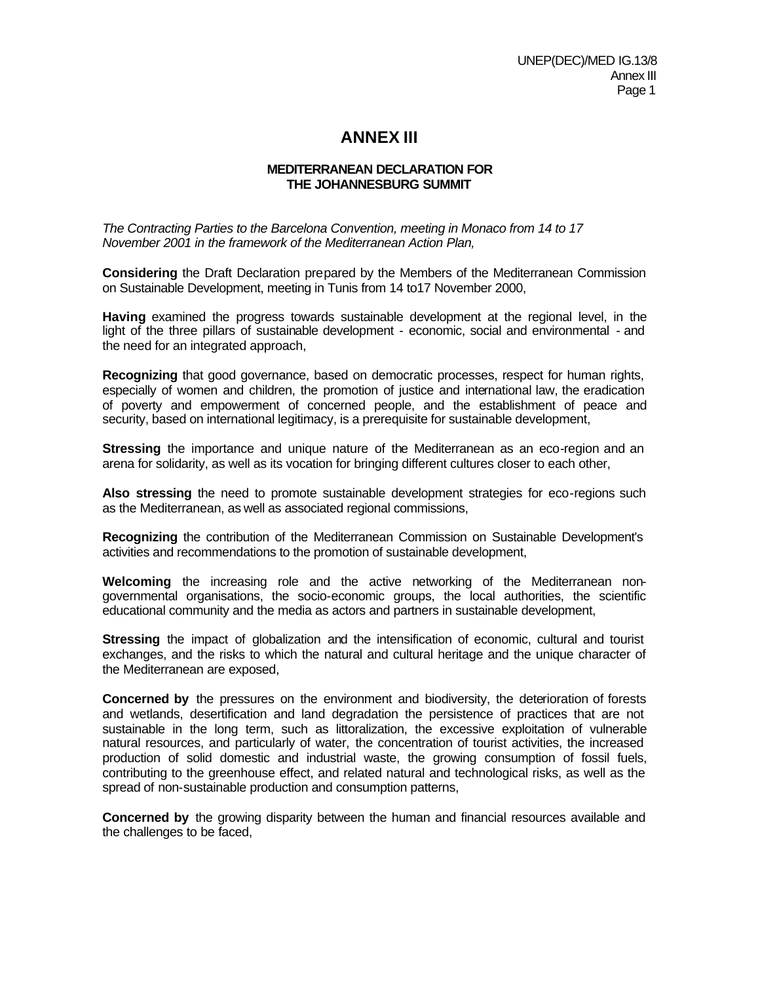## **ANNEX III**

### **MEDITERRANEAN DECLARATION FOR THE JOHANNESBURG SUMMIT**

*The Contracting Parties to the Barcelona Convention, meeting in Monaco from 14 to 17 November 2001 in the framework of the Mediterranean Action Plan,*

**Considering** the Draft Declaration prepared by the Members of the Mediterranean Commission on Sustainable Development, meeting in Tunis from 14 to17 November 2000,

**Having** examined the progress towards sustainable development at the regional level, in the light of the three pillars of sustainable development - economic, social and environmental - and the need for an integrated approach,

**Recognizing** that good governance, based on democratic processes, respect for human rights, especially of women and children, the promotion of justice and international law, the eradication of poverty and empowerment of concerned people, and the establishment of peace and security, based on international legitimacy, is a prerequisite for sustainable development,

**Stressing** the importance and unique nature of the Mediterranean as an eco-region and an arena for solidarity, as well as its vocation for bringing different cultures closer to each other,

**Also stressing** the need to promote sustainable development strategies for eco-regions such as the Mediterranean, as well as associated regional commissions,

**Recognizing** the contribution of the Mediterranean Commission on Sustainable Development's activities and recommendations to the promotion of sustainable development,

**Welcoming** the increasing role and the active networking of the Mediterranean nongovernmental organisations, the socio-economic groups, the local authorities, the scientific educational community and the media as actors and partners in sustainable development,

**Stressing** the impact of globalization and the intensification of economic, cultural and tourist exchanges, and the risks to which the natural and cultural heritage and the unique character of the Mediterranean are exposed,

**Concerned by** the pressures on the environment and biodiversity, the deterioration of forests and wetlands, desertification and land degradation the persistence of practices that are not sustainable in the long term, such as littoralization, the excessive exploitation of vulnerable natural resources, and particularly of water, the concentration of tourist activities, the increased production of solid domestic and industrial waste, the growing consumption of fossil fuels, contributing to the greenhouse effect, and related natural and technological risks, as well as the spread of non-sustainable production and consumption patterns,

**Concerned by** the growing disparity between the human and financial resources available and the challenges to be faced,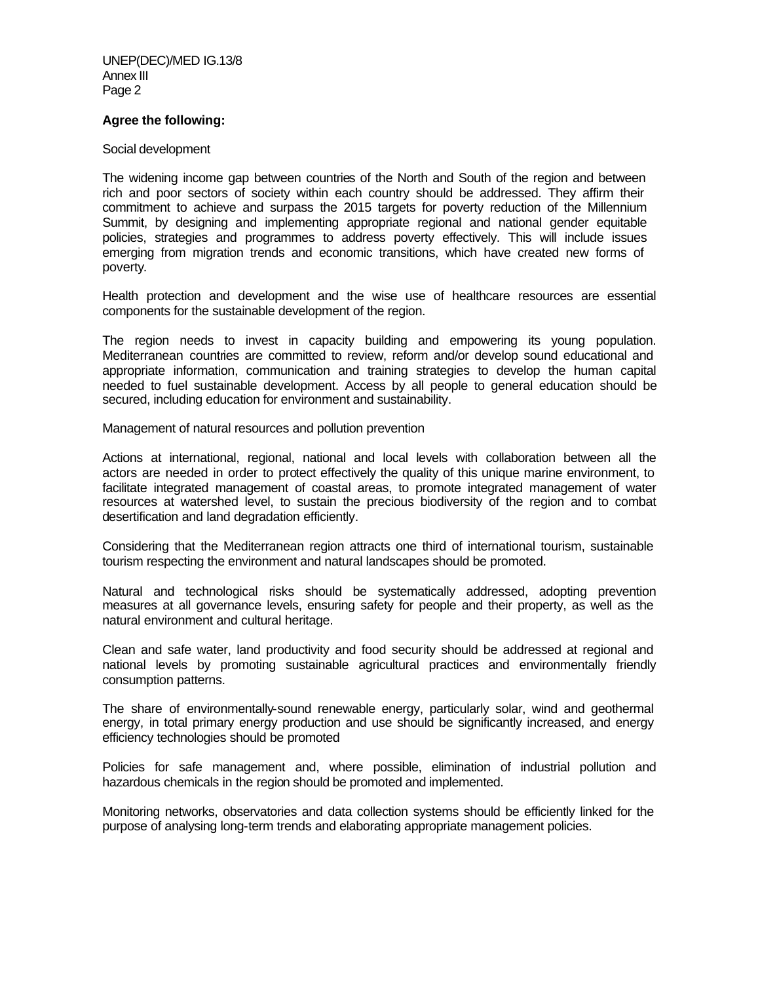#### **Agree the following:**

#### Social development

The widening income gap between countries of the North and South of the region and between rich and poor sectors of society within each country should be addressed. They affirm their commitment to achieve and surpass the 2015 targets for poverty reduction of the Millennium Summit, by designing and implementing appropriate regional and national gender equitable policies, strategies and programmes to address poverty effectively. This will include issues emerging from migration trends and economic transitions, which have created new forms of poverty.

Health protection and development and the wise use of healthcare resources are essential components for the sustainable development of the region.

The region needs to invest in capacity building and empowering its young population. Mediterranean countries are committed to review, reform and/or develop sound educational and appropriate information, communication and training strategies to develop the human capital needed to fuel sustainable development. Access by all people to general education should be secured, including education for environment and sustainability.

Management of natural resources and pollution prevention

Actions at international, regional, national and local levels with collaboration between all the actors are needed in order to protect effectively the quality of this unique marine environment, to facilitate integrated management of coastal areas, to promote integrated management of water resources at watershed level, to sustain the precious biodiversity of the region and to combat desertification and land degradation efficiently.

Considering that the Mediterranean region attracts one third of international tourism, sustainable tourism respecting the environment and natural landscapes should be promoted.

Natural and technological risks should be systematically addressed, adopting prevention measures at all governance levels, ensuring safety for people and their property, as well as the natural environment and cultural heritage.

Clean and safe water, land productivity and food security should be addressed at regional and national levels by promoting sustainable agricultural practices and environmentally friendly consumption patterns.

The share of environmentally-sound renewable energy, particularly solar, wind and geothermal energy, in total primary energy production and use should be significantly increased, and energy efficiency technologies should be promoted

Policies for safe management and, where possible, elimination of industrial pollution and hazardous chemicals in the region should be promoted and implemented.

Monitoring networks, observatories and data collection systems should be efficiently linked for the purpose of analysing long-term trends and elaborating appropriate management policies.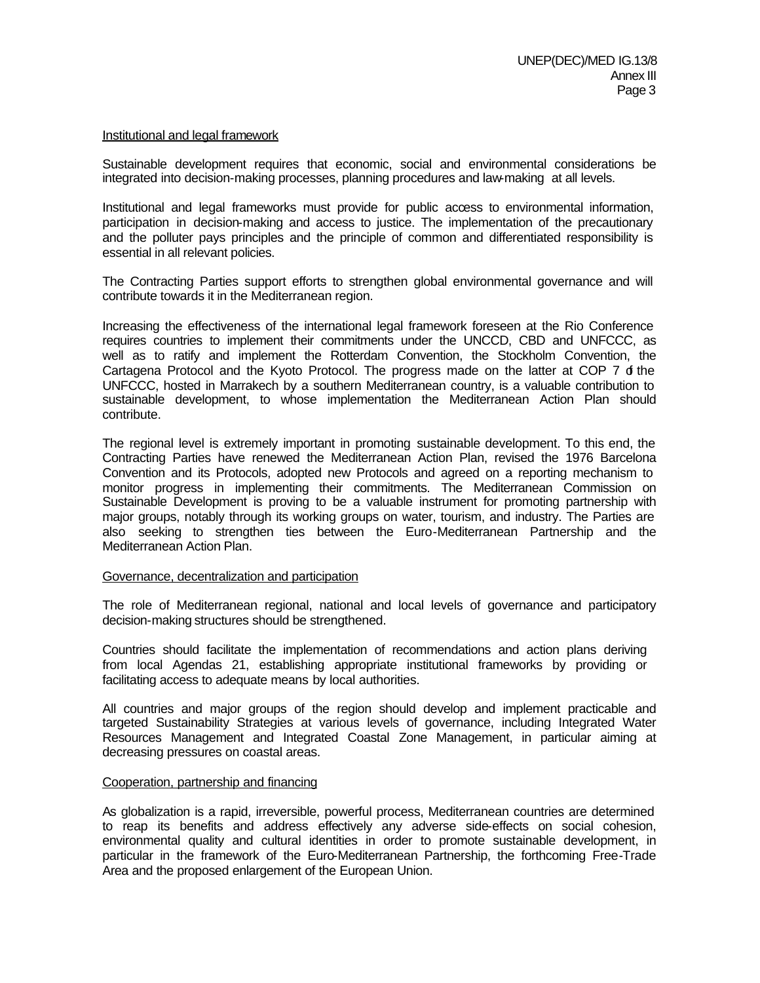#### Institutional and legal framework

Sustainable development requires that economic, social and environmental considerations be integrated into decision-making processes, planning procedures and law-making at all levels.

Institutional and legal frameworks must provide for public access to environmental information, participation in decision-making and access to justice. The implementation of the precautionary and the polluter pays principles and the principle of common and differentiated responsibility is essential in all relevant policies.

The Contracting Parties support efforts to strengthen global environmental governance and will contribute towards it in the Mediterranean region.

Increasing the effectiveness of the international legal framework foreseen at the Rio Conference requires countries to implement their commitments under the UNCCD, CBD and UNFCCC, as well as to ratify and implement the Rotterdam Convention, the Stockholm Convention, the Cartagena Protocol and the Kyoto Protocol. The progress made on the latter at COP 7 of the UNFCCC, hosted in Marrakech by a southern Mediterranean country, is a valuable contribution to sustainable development, to whose implementation the Mediterranean Action Plan should contribute.

The regional level is extremely important in promoting sustainable development. To this end, the Contracting Parties have renewed the Mediterranean Action Plan, revised the 1976 Barcelona Convention and its Protocols, adopted new Protocols and agreed on a reporting mechanism to monitor progress in implementing their commitments. The Mediterranean Commission on Sustainable Development is proving to be a valuable instrument for promoting partnership with major groups, notably through its working groups on water, tourism, and industry. The Parties are also seeking to strengthen ties between the Euro-Mediterranean Partnership and the Mediterranean Action Plan.

#### Governance, decentralization and participation

The role of Mediterranean regional, national and local levels of governance and participatory decision-making structures should be strengthened.

Countries should facilitate the implementation of recommendations and action plans deriving from local Agendas 21, establishing appropriate institutional frameworks by providing or facilitating access to adequate means by local authorities.

All countries and major groups of the region should develop and implement practicable and targeted Sustainability Strategies at various levels of governance, including Integrated Water Resources Management and Integrated Coastal Zone Management, in particular aiming at decreasing pressures on coastal areas.

#### Cooperation, partnership and financing

As globalization is a rapid, irreversible, powerful process, Mediterranean countries are determined to reap its benefits and address effectively any adverse side-effects on social cohesion, environmental quality and cultural identities in order to promote sustainable development, in particular in the framework of the Euro-Mediterranean Partnership, the forthcoming Free-Trade Area and the proposed enlargement of the European Union.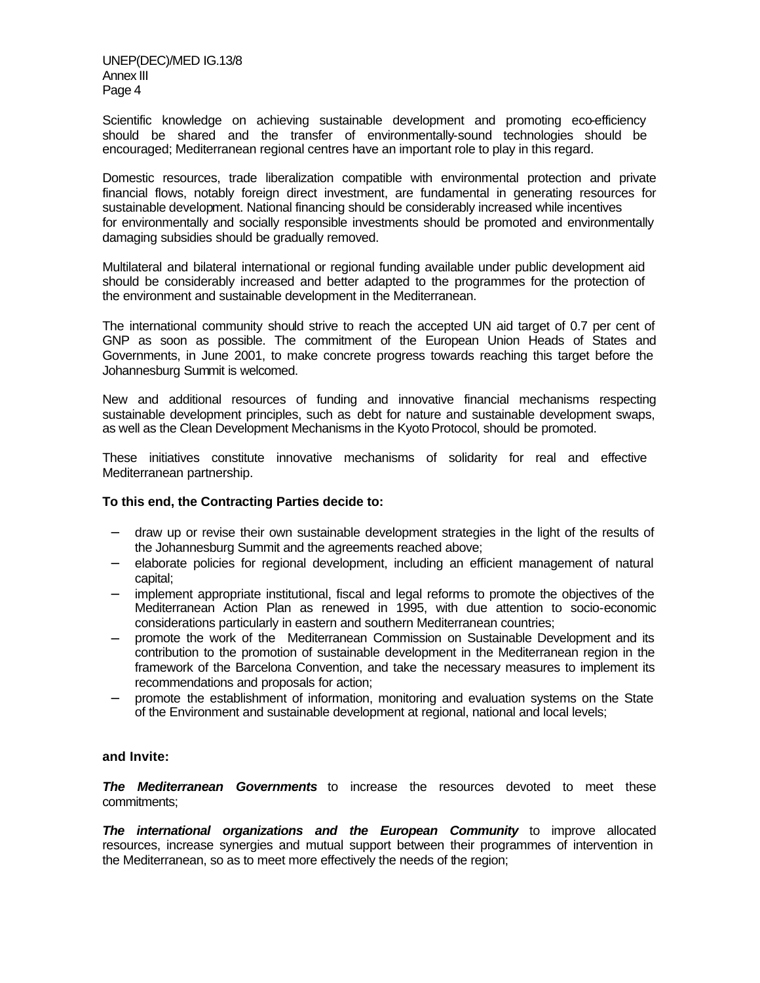UNEP(DEC)/MED IG.13/8 Annex III Page 4

Scientific knowledge on achieving sustainable development and promoting eco-efficiency should be shared and the transfer of environmentally-sound technologies should be encouraged; Mediterranean regional centres have an important role to play in this regard.

Domestic resources, trade liberalization compatible with environmental protection and private financial flows, notably foreign direct investment, are fundamental in generating resources for sustainable development. National financing should be considerably increased while incentives for environmentally and socially responsible investments should be promoted and environmentally damaging subsidies should be gradually removed.

Multilateral and bilateral international or regional funding available under public development aid should be considerably increased and better adapted to the programmes for the protection of the environment and sustainable development in the Mediterranean.

The international community should strive to reach the accepted UN aid target of 0.7 per cent of GNP as soon as possible. The commitment of the European Union Heads of States and Governments, in June 2001, to make concrete progress towards reaching this target before the Johannesburg Summit is welcomed.

New and additional resources of funding and innovative financial mechanisms respecting sustainable development principles, such as debt for nature and sustainable development swaps, as well as the Clean Development Mechanisms in the Kyoto Protocol, should be promoted.

These initiatives constitute innovative mechanisms of solidarity for real and effective Mediterranean partnership.

#### **To this end, the Contracting Parties decide to:**

- − draw up or revise their own sustainable development strategies in the light of the results of the Johannesburg Summit and the agreements reached above;
- − elaborate policies for regional development, including an efficient management of natural capital;
- implement appropriate institutional, fiscal and legal reforms to promote the objectives of the Mediterranean Action Plan as renewed in 1995, with due attention to socio-economic considerations particularly in eastern and southern Mediterranean countries;
- − promote the work of the Mediterranean Commission on Sustainable Development and its contribution to the promotion of sustainable development in the Mediterranean region in the framework of the Barcelona Convention, and take the necessary measures to implement its recommendations and proposals for action;
- − promote the establishment of information, monitoring and evaluation systems on the State of the Environment and sustainable development at regional, national and local levels;

#### **and Invite:**

*The Mediterranean Governments* to increase the resources devoted to meet these commitments;

*The international organizations and the European Community* to improve allocated resources, increase synergies and mutual support between their programmes of intervention in the Mediterranean, so as to meet more effectively the needs of the region;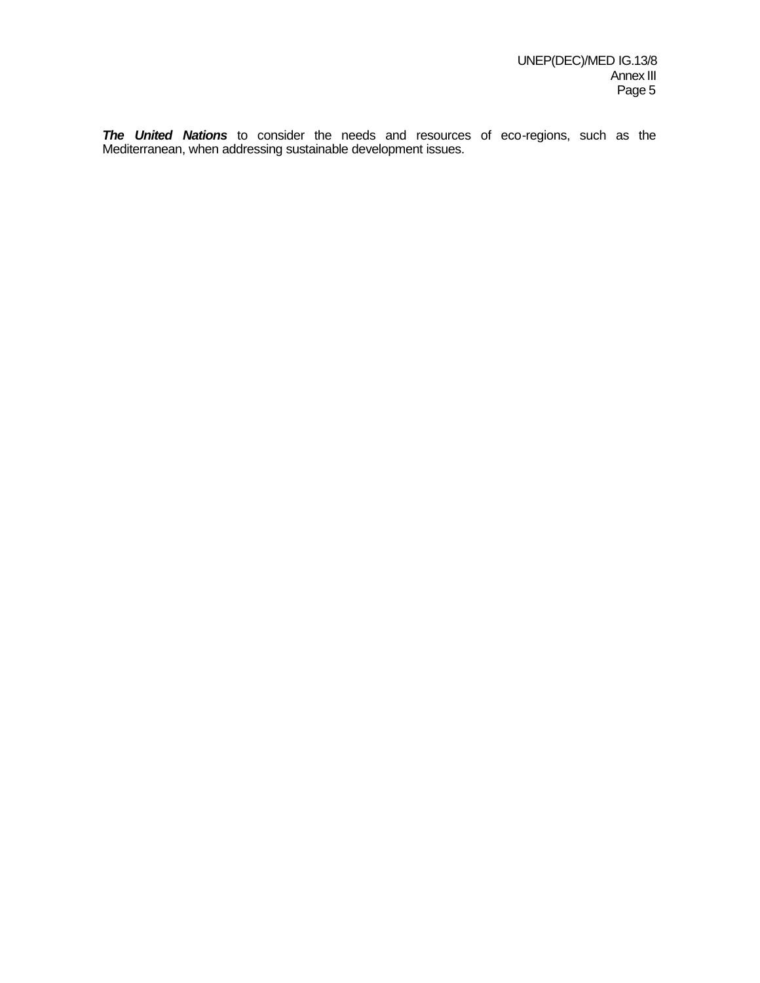*The United Nations* to consider the needs and resources of eco-regions, such as the Mediterranean, when addressing sustainable development issues.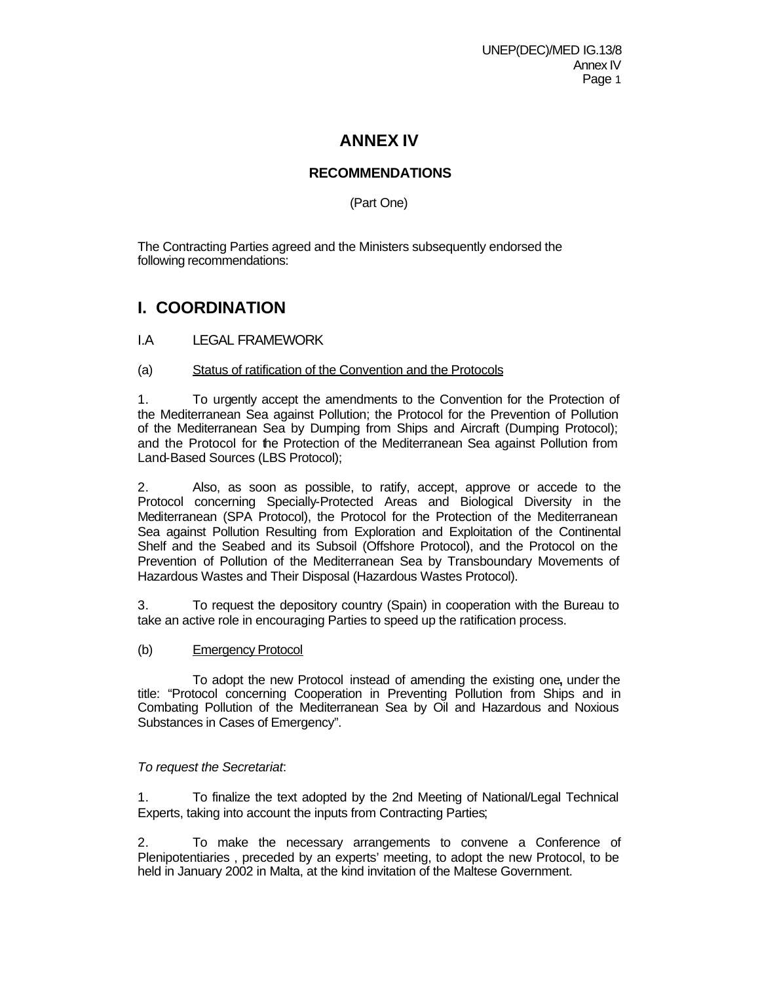# **ANNEX IV**

# **RECOMMENDATIONS**

(Part One)

The Contracting Parties agreed and the Ministers subsequently endorsed the following recommendations:

# **I. COORDINATION**

- I.A LEGAL FRAMEWORK
- (a) Status of ratification of the Convention and the Protocols

1. To urgently accept the amendments to the Convention for the Protection of the Mediterranean Sea against Pollution; the Protocol for the Prevention of Pollution of the Mediterranean Sea by Dumping from Ships and Aircraft (Dumping Protocol); and the Protocol for the Protection of the Mediterranean Sea against Pollution from Land-Based Sources (LBS Protocol);

2. Also, as soon as possible, to ratify, accept, approve or accede to the Protocol concerning Specially-Protected Areas and Biological Diversity in the Mediterranean (SPA Protocol), the Protocol for the Protection of the Mediterranean Sea against Pollution Resulting from Exploration and Exploitation of the Continental Shelf and the Seabed and its Subsoil (Offshore Protocol), and the Protocol on the Prevention of Pollution of the Mediterranean Sea by Transboundary Movements of Hazardous Wastes and Their Disposal (Hazardous Wastes Protocol).

3. To request the depository country (Spain) in cooperation with the Bureau to take an active role in encouraging Parties to speed up the ratification process.

(b) Emergency Protocol

To adopt the new Protocol instead of amending the existing one**,** under the title: "Protocol concerning Cooperation in Preventing Pollution from Ships and in Combating Pollution of the Mediterranean Sea by Oil and Hazardous and Noxious Substances in Cases of Emergency".

## *To request the Secretariat*:

1. To finalize the text adopted by the 2nd Meeting of National/Legal Technical Experts, taking into account the inputs from Contracting Parties;

2. To make the necessary arrangements to convene a Conference of Plenipotentiaries , preceded by an experts' meeting, to adopt the new Protocol, to be held in January 2002 in Malta, at the kind invitation of the Maltese Government.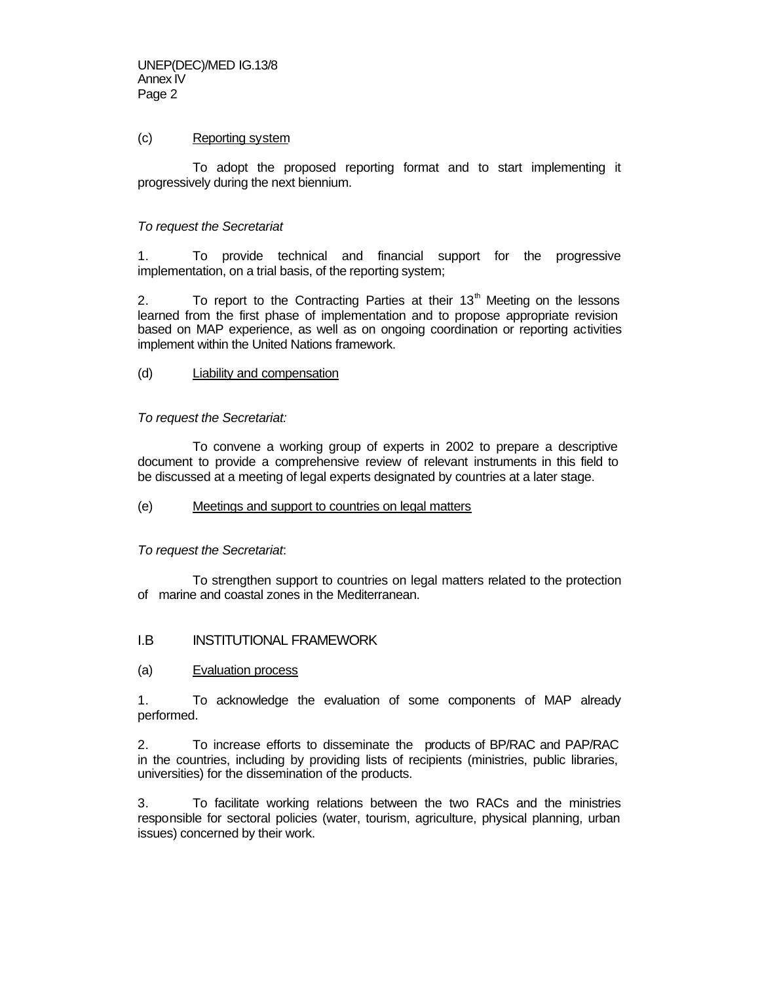## (c) Reporting system

 To adopt the proposed reporting format and to start implementing it progressively during the next biennium.

## *To request the Secretariat*

1. To provide technical and financial support for the progressive implementation, on a trial basis, of the reporting system;

2. To report to the Contracting Parties at their  $13<sup>th</sup>$  Meeting on the lessons learned from the first phase of implementation and to propose appropriate revision based on MAP experience, as well as on ongoing coordination or reporting activities implement within the United Nations framework.

## (d) Liability and compensation

## *To request the Secretariat:*

To convene a working group of experts in 2002 to prepare a descriptive document to provide a comprehensive review of relevant instruments in this field to be discussed at a meeting of legal experts designated by countries at a later stage.

#### (e) Meetings and support to countries on legal matters

## *To request the Secretariat*:

 To strengthen support to countries on legal matters related to the protection of marine and coastal zones in the Mediterranean.

## I.B INSTITUTIONAL FRAMEWORK

#### (a) Evaluation process

1. To acknowledge the evaluation of some components of MAP already performed.

2. To increase efforts to disseminate the products of BP/RAC and PAP/RAC in the countries, including by providing lists of recipients (ministries, public libraries, universities) for the dissemination of the products.

3. To facilitate working relations between the two RACs and the ministries responsible for sectoral policies (water, tourism, agriculture, physical planning, urban issues) concerned by their work.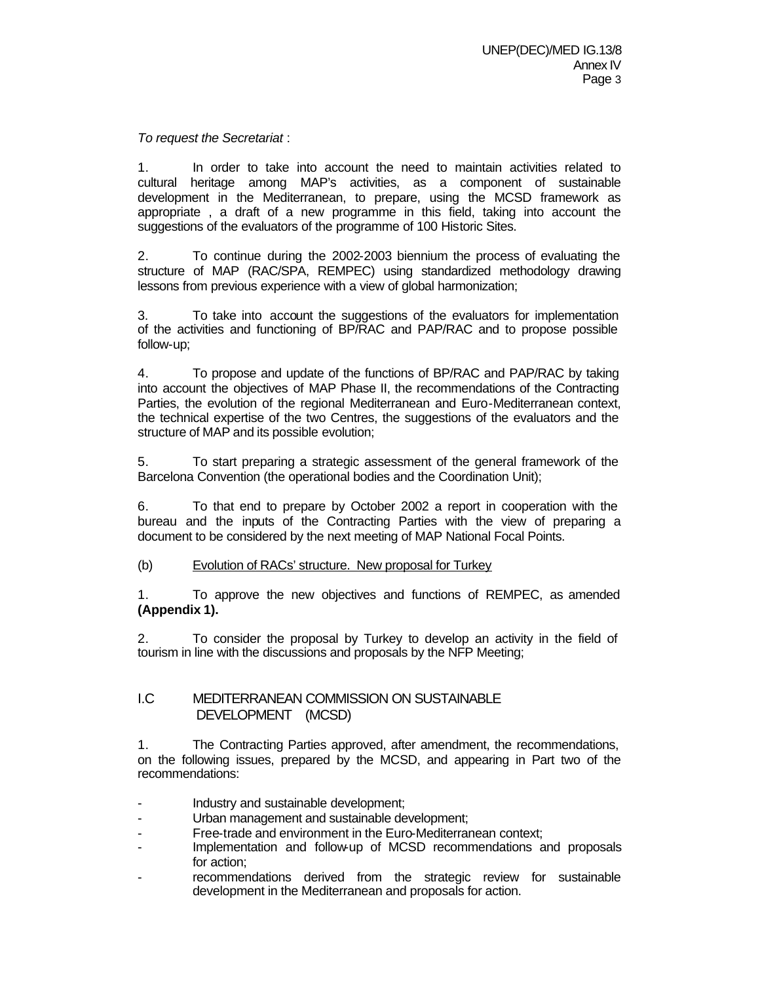## *To request the Secretariat* :

1. In order to take into account the need to maintain activities related to cultural heritage among MAP's activities, as a component of sustainable development in the Mediterranean, to prepare, using the MCSD framework as appropriate , a draft of a new programme in this field, taking into account the suggestions of the evaluators of the programme of 100 Historic Sites.

2. To continue during the 2002-2003 biennium the process of evaluating the structure of MAP (RAC/SPA, REMPEC) using standardized methodology drawing lessons from previous experience with a view of global harmonization;

3. To take into account the suggestions of the evaluators for implementation of the activities and functioning of BP/RAC and PAP/RAC and to propose possible follow-up;

4. To propose and update of the functions of BP/RAC and PAP/RAC by taking into account the objectives of MAP Phase II, the recommendations of the Contracting Parties, the evolution of the regional Mediterranean and Euro-Mediterranean context, the technical expertise of the two Centres, the suggestions of the evaluators and the structure of MAP and its possible evolution;

5. To start preparing a strategic assessment of the general framework of the Barcelona Convention (the operational bodies and the Coordination Unit);

6. To that end to prepare by October 2002 a report in cooperation with the bureau and the inputs of the Contracting Parties with the view of preparing a document to be considered by the next meeting of MAP National Focal Points.

#### (b) Evolution of RACs' structure. New proposal for Turkey

1. To approve the new objectives and functions of REMPEC, as amended **(Appendix 1).**

2. To consider the proposal by Turkey to develop an activity in the field of tourism in line with the discussions and proposals by the NFP Meeting;

## I.C MEDITERRANEAN COMMISSION ON SUSTAINABLE DEVELOPMENT (MCSD)

1. The Contracting Parties approved, after amendment, the recommendations, on the following issues, prepared by the MCSD, and appearing in Part two of the recommendations:

- Industry and sustainable development;
- Urban management and sustainable development;
- Free-trade and environment in the Euro-Mediterranean context;
- Implementation and follow-up of MCSD recommendations and proposals for action;
- recommendations derived from the strategic review for sustainable development in the Mediterranean and proposals for action.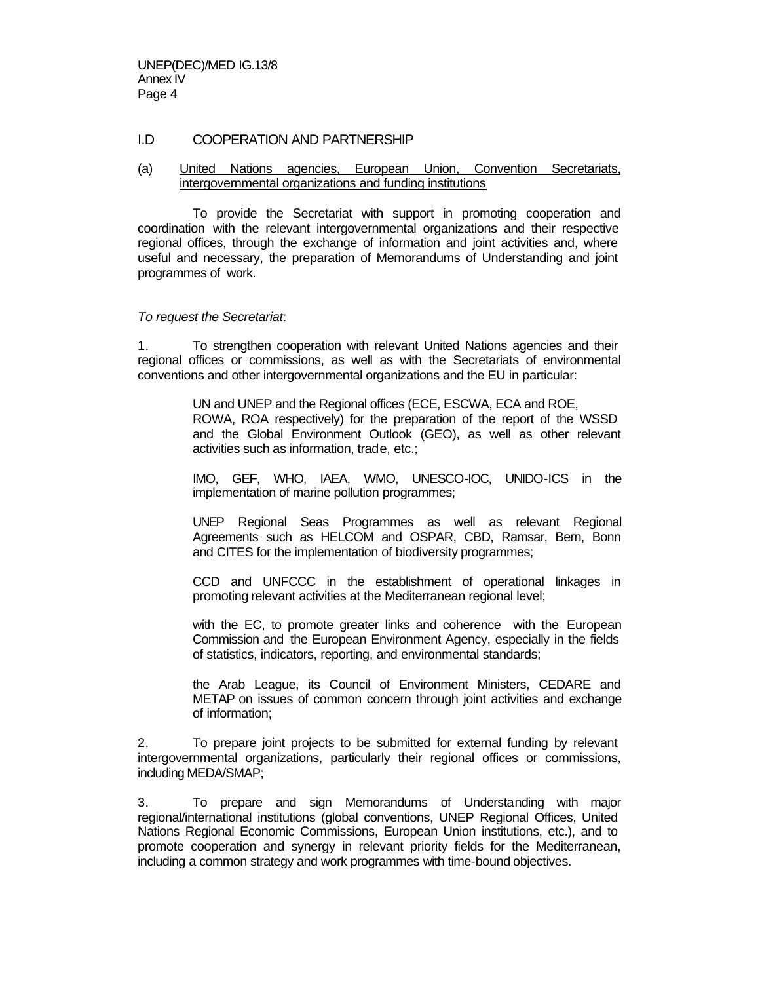## I.D COOPERATION AND PARTNERSHIP

(a) United Nations agencies, European Union, Convention Secretariats, intergovernmental organizations and funding institutions

To provide the Secretariat with support in promoting cooperation and coordination with the relevant intergovernmental organizations and their respective regional offices, through the exchange of information and joint activities and, where useful and necessary, the preparation of Memorandums of Understanding and joint programmes of work.

*To request the Secretariat*:

1. To strengthen cooperation with relevant United Nations agencies and their regional offices or commissions, as well as with the Secretariats of environmental conventions and other intergovernmental organizations and the EU in particular:

> UN and UNEP and the Regional offices (ECE, ESCWA, ECA and ROE, ROWA, ROA respectively) for the preparation of the report of the WSSD and the Global Environment Outlook (GEO), as well as other relevant activities such as information, trade, etc.;

> IMO, GEF, WHO, IAEA, WMO, UNESCO-IOC, UNIDO-ICS in the implementation of marine pollution programmes;

> UNEP Regional Seas Programmes as well as relevant Regional Agreements such as HELCOM and OSPAR, CBD, Ramsar, Bern, Bonn and CITES for the implementation of biodiversity programmes;

> CCD and UNFCCC in the establishment of operational linkages in promoting relevant activities at the Mediterranean regional level;

> with the EC, to promote greater links and coherence with the European Commission and the European Environment Agency, especially in the fields of statistics, indicators, reporting, and environmental standards;

> the Arab League, its Council of Environment Ministers, CEDARE and METAP on issues of common concern through joint activities and exchange of information;

2. To prepare joint projects to be submitted for external funding by relevant intergovernmental organizations, particularly their regional offices or commissions, including MEDA/SMAP;

3. To prepare and sign Memorandums of Understanding with major regional/international institutions (global conventions, UNEP Regional Offices, United Nations Regional Economic Commissions, European Union institutions, etc.), and to promote cooperation and synergy in relevant priority fields for the Mediterranean, including a common strategy and work programmes with time-bound objectives.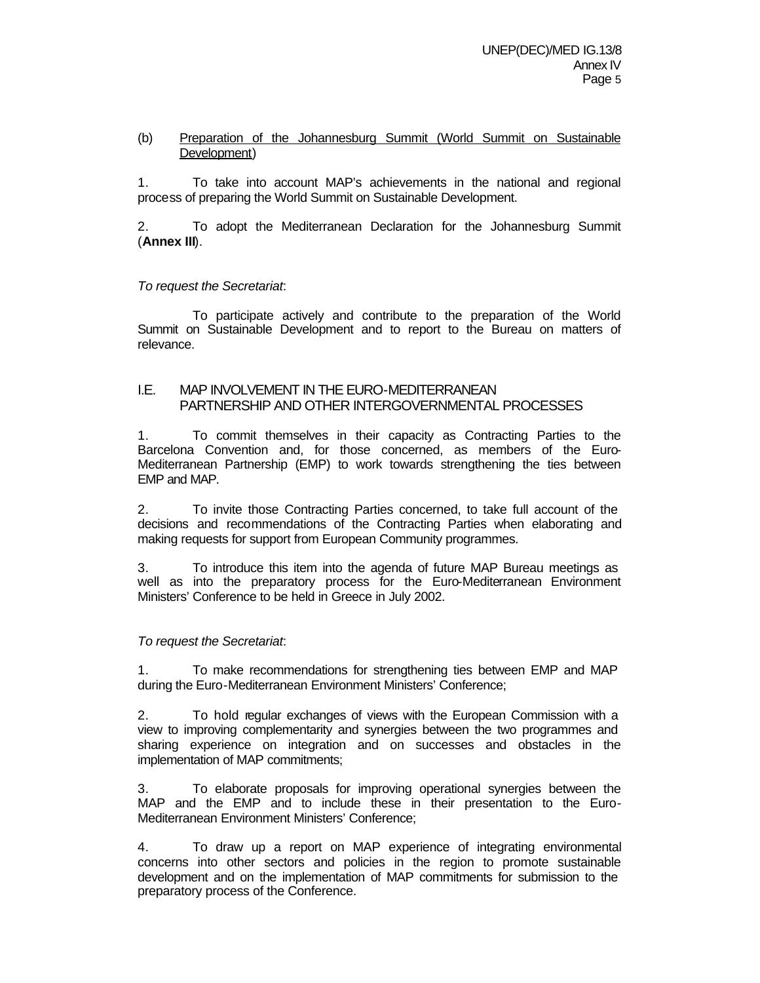## (b) Preparation of the Johannesburg Summit (World Summit on Sustainable Development)

1. To take into account MAP's achievements in the national and regional process of preparing the World Summit on Sustainable Development.

2. To adopt the Mediterranean Declaration for the Johannesburg Summit (**Annex III**).

## *To request the Secretariat*:

To participate actively and contribute to the preparation of the World Summit on Sustainable Development and to report to the Bureau on matters of relevance.

## I.E. MAP INVOLVEMENT IN THE EURO-MEDITERRANEAN PARTNERSHIP AND OTHER INTERGOVERNMENTAL PROCESSES

1. To commit themselves in their capacity as Contracting Parties to the Barcelona Convention and, for those concerned, as members of the Euro-Mediterranean Partnership (EMP) to work towards strengthening the ties between EMP and MAP.

2. To invite those Contracting Parties concerned, to take full account of the decisions and recommendations of the Contracting Parties when elaborating and making requests for support from European Community programmes.

3. To introduce this item into the agenda of future MAP Bureau meetings as well as into the preparatory process for the Euro-Mediterranean Environment Ministers' Conference to be held in Greece in July 2002.

## *To request the Secretariat*:

1. To make recommendations for strengthening ties between EMP and MAP during the Euro-Mediterranean Environment Ministers' Conference;

2. To hold regular exchanges of views with the European Commission with a view to improving complementarity and synergies between the two programmes and sharing experience on integration and on successes and obstacles in the implementation of MAP commitments;

3. To elaborate proposals for improving operational synergies between the MAP and the EMP and to include these in their presentation to the Euro-Mediterranean Environment Ministers' Conference;

4. To draw up a report on MAP experience of integrating environmental concerns into other sectors and policies in the region to promote sustainable development and on the implementation of MAP commitments for submission to the preparatory process of the Conference.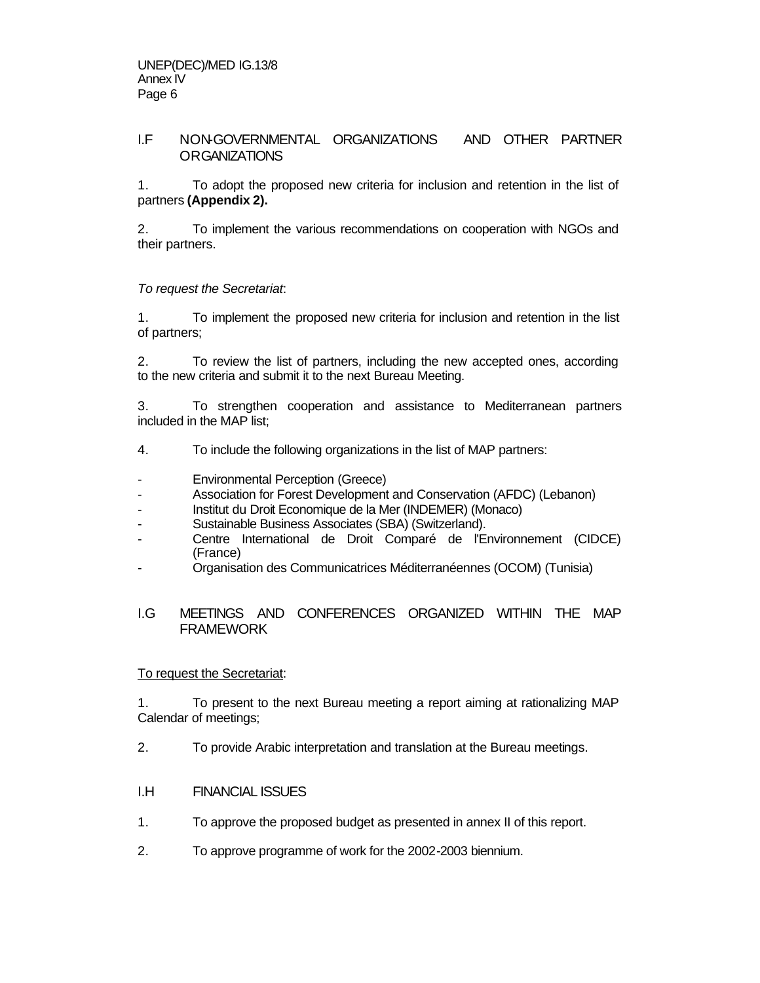# I.F NON-GOVERNMENTAL ORGANIZATIONS AND OTHER PARTNER ORGANIZATIONS

1. To adopt the proposed new criteria for inclusion and retention in the list of partners **(Appendix 2).**

2. To implement the various recommendations on cooperation with NGOs and their partners.

## *To request the Secretariat*:

1. To implement the proposed new criteria for inclusion and retention in the list of partners;

2. To review the list of partners, including the new accepted ones, according to the new criteria and submit it to the next Bureau Meeting.

3. To strengthen cooperation and assistance to Mediterranean partners included in the MAP list;

- 4. To include the following organizations in the list of MAP partners:
- Environmental Perception (Greece)
- Association for Forest Development and Conservation (AFDC) (Lebanon)
- Institut du Droit Economique de la Mer (INDEMER) (Monaco)
- Sustainable Business Associates (SBA) (Switzerland).
- Centre International de Droit Comparé de l'Environnement (CIDCE) (France)
- Organisation des Communicatrices Méditerranéennes (OCOM) (Tunisia)

## I.G MEETINGS AND CONFERENCES ORGANIZED WITHIN THE MAP FRAMEWORK

## To request the Secretariat:

1. To present to the next Bureau meeting a report aiming at rationalizing MAP Calendar of meetings;

- 2. To provide Arabic interpretation and translation at the Bureau meetings.
- I.H FINANCIAL ISSUES
- 1. To approve the proposed budget as presented in annex II of this report.
- 2. To approve programme of work for the 2002-2003 biennium.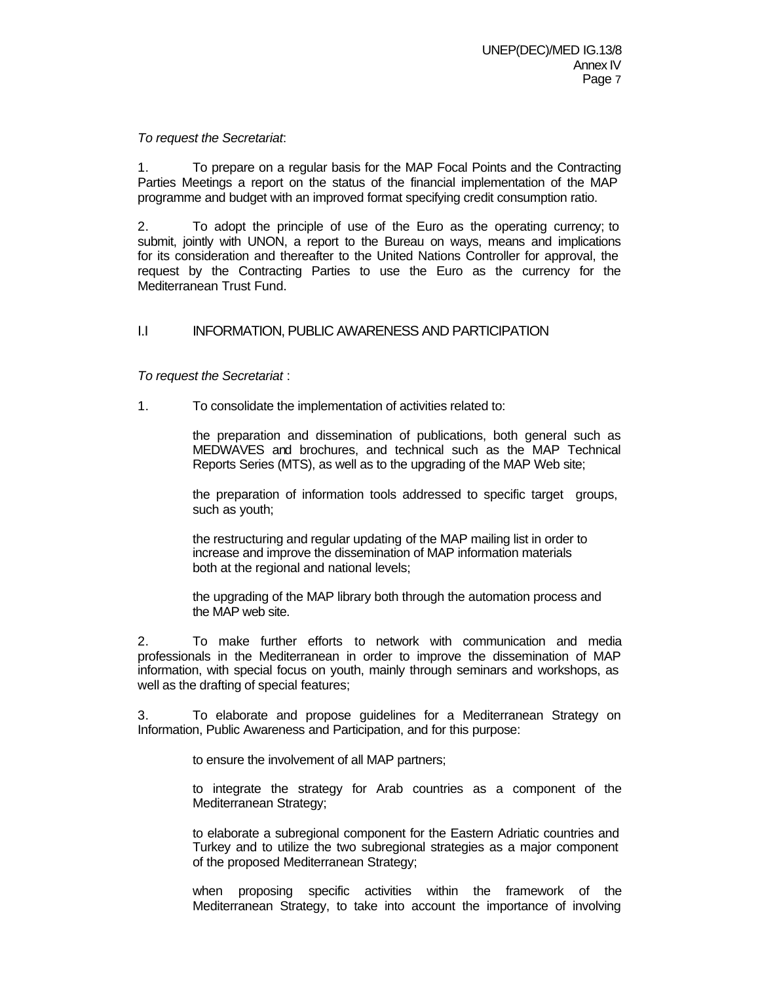#### *To request the Secretariat*:

1. To prepare on a regular basis for the MAP Focal Points and the Contracting Parties Meetings a report on the status of the financial implementation of the MAP programme and budget with an improved format specifying credit consumption ratio.

2. To adopt the principle of use of the Euro as the operating currency; to submit, jointly with UNON, a report to the Bureau on ways, means and implications for its consideration and thereafter to the United Nations Controller for approval, the request by the Contracting Parties to use the Euro as the currency for the Mediterranean Trust Fund.

# I.I INFORMATION, PUBLIC AWARENESS AND PARTICIPATION

*To request the Secretariat* :

1. To consolidate the implementation of activities related to:

the preparation and dissemination of publications, both general such as MEDWAVES and brochures, and technical such as the MAP Technical Reports Series (MTS), as well as to the upgrading of the MAP Web site;

the preparation of information tools addressed to specific target groups, such as youth;

the restructuring and regular updating of the MAP mailing list in order to increase and improve the dissemination of MAP information materials both at the regional and national levels;

the upgrading of the MAP library both through the automation process and the MAP web site.

2. To make further efforts to network with communication and media professionals in the Mediterranean in order to improve the dissemination of MAP information, with special focus on youth, mainly through seminars and workshops, as well as the drafting of special features;

3. To elaborate and propose guidelines for a Mediterranean Strategy on Information, Public Awareness and Participation, and for this purpose:

to ensure the involvement of all MAP partners;

to integrate the strategy for Arab countries as a component of the Mediterranean Strategy;

to elaborate a subregional component for the Eastern Adriatic countries and Turkey and to utilize the two subregional strategies as a major component of the proposed Mediterranean Strategy;

when proposing specific activities within the framework of the Mediterranean Strategy, to take into account the importance of involving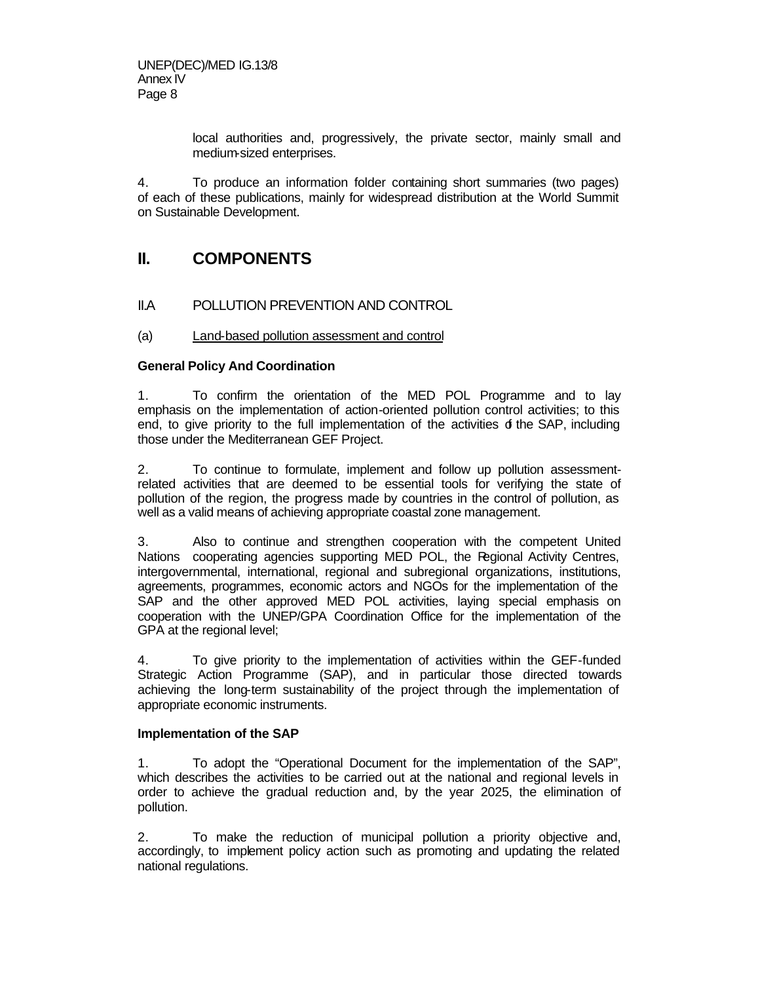local authorities and, progressively, the private sector, mainly small and medium-sized enterprises.

4. To produce an information folder containing short summaries (two pages) of each of these publications, mainly for widespread distribution at the World Summit on Sustainable Development.

# **II. COMPONENTS**

# II.A POLLUTION PREVENTION AND CONTROL

## (a) Land-based pollution assessment and control

## **General Policy And Coordination**

1. To confirm the orientation of the MED POL Programme and to lay emphasis on the implementation of action-oriented pollution control activities; to this end, to give priority to the full implementation of the activities  $d$  the SAP, including those under the Mediterranean GEF Project.

2. To continue to formulate, implement and follow up pollution assessmentrelated activities that are deemed to be essential tools for verifying the state of pollution of the region, the progress made by countries in the control of pollution, as well as a valid means of achieving appropriate coastal zone management.

3. Also to continue and strengthen cooperation with the competent United Nations cooperating agencies supporting MED POL, the Regional Activity Centres, intergovernmental, international, regional and subregional organizations, institutions, agreements, programmes, economic actors and NGOs for the implementation of the SAP and the other approved MED POL activities, laying special emphasis on cooperation with the UNEP/GPA Coordination Office for the implementation of the GPA at the regional level;

4. To give priority to the implementation of activities within the GEF-funded Strategic Action Programme (SAP), and in particular those directed towards achieving the long-term sustainability of the project through the implementation of appropriate economic instruments.

#### **Implementation of the SAP**

1. To adopt the "Operational Document for the implementation of the SAP", which describes the activities to be carried out at the national and regional levels in order to achieve the gradual reduction and, by the year 2025, the elimination of pollution.

2. To make the reduction of municipal pollution a priority objective and, accordingly, to implement policy action such as promoting and updating the related national regulations.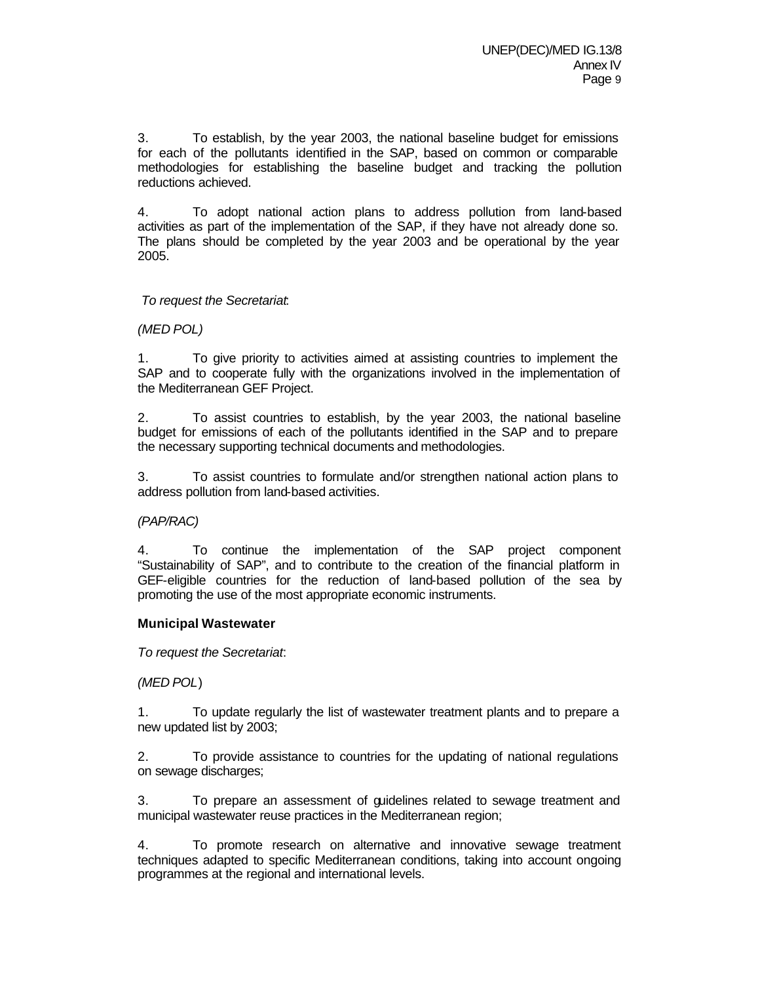3. To establish, by the year 2003, the national baseline budget for emissions for each of the pollutants identified in the SAP, based on common or comparable methodologies for establishing the baseline budget and tracking the pollution reductions achieved.

4. To adopt national action plans to address pollution from land-based activities as part of the implementation of the SAP, if they have not already done so. The plans should be completed by the year 2003 and be operational by the year 2005.

## *To request the Secretariat*:

#### *(MED POL)*

1. To give priority to activities aimed at assisting countries to implement the SAP and to cooperate fully with the organizations involved in the implementation of the Mediterranean GEF Project.

2. To assist countries to establish, by the year 2003, the national baseline budget for emissions of each of the pollutants identified in the SAP and to prepare the necessary supporting technical documents and methodologies.

3. To assist countries to formulate and/or strengthen national action plans to address pollution from land-based activities.

#### *(PAP/RAC)*

4. To continue the implementation of the SAP project component "Sustainability of SAP", and to contribute to the creation of the financial platform in GEF-eligible countries for the reduction of land-based pollution of the sea by promoting the use of the most appropriate economic instruments.

#### **Municipal Wastewater**

*To request the Secretariat*:

*(MED POL*)

1. To update regularly the list of wastewater treatment plants and to prepare a new updated list by 2003;

2. To provide assistance to countries for the updating of national regulations on sewage discharges;

3. To prepare an assessment of guidelines related to sewage treatment and municipal wastewater reuse practices in the Mediterranean region;

4. To promote research on alternative and innovative sewage treatment techniques adapted to specific Mediterranean conditions, taking into account ongoing programmes at the regional and international levels.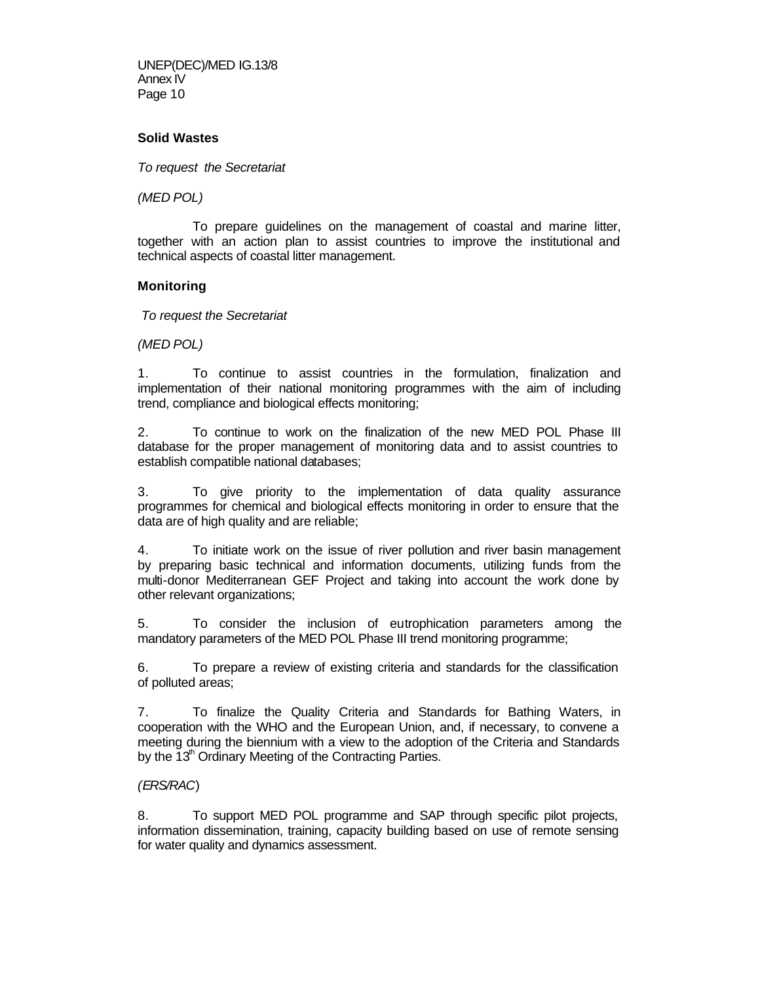UNEP(DEC)/MED IG.13/8 Annex IV Page 10

#### **Solid Wastes**

*To request the Secretariat* 

*(MED POL)*

To prepare guidelines on the management of coastal and marine litter, together with an action plan to assist countries to improve the institutional and technical aspects of coastal litter management.

## **Monitoring**

*To request the Secretariat* 

*(MED POL)*

1. To continue to assist countries in the formulation, finalization and implementation of their national monitoring programmes with the aim of including trend, compliance and biological effects monitoring;

2. To continue to work on the finalization of the new MED POL Phase III database for the proper management of monitoring data and to assist countries to establish compatible national databases;

3. To give priority to the implementation of data quality assurance programmes for chemical and biological effects monitoring in order to ensure that the data are of high quality and are reliable;

4. To initiate work on the issue of river pollution and river basin management by preparing basic technical and information documents, utilizing funds from the multi-donor Mediterranean GEF Project and taking into account the work done by other relevant organizations;

5. To consider the inclusion of eutrophication parameters among the mandatory parameters of the MED POL Phase III trend monitoring programme;

6. To prepare a review of existing criteria and standards for the classification of polluted areas;

7. To finalize the Quality Criteria and Standards for Bathing Waters, in cooperation with the WHO and the European Union, and, if necessary, to convene a meeting during the biennium with a view to the adoption of the Criteria and Standards by the 13<sup>th</sup> Ordinary Meeting of the Contracting Parties.

#### *(ERS/RAC*)

8. To support MED POL programme and SAP through specific pilot projects, information dissemination, training, capacity building based on use of remote sensing for water quality and dynamics assessment.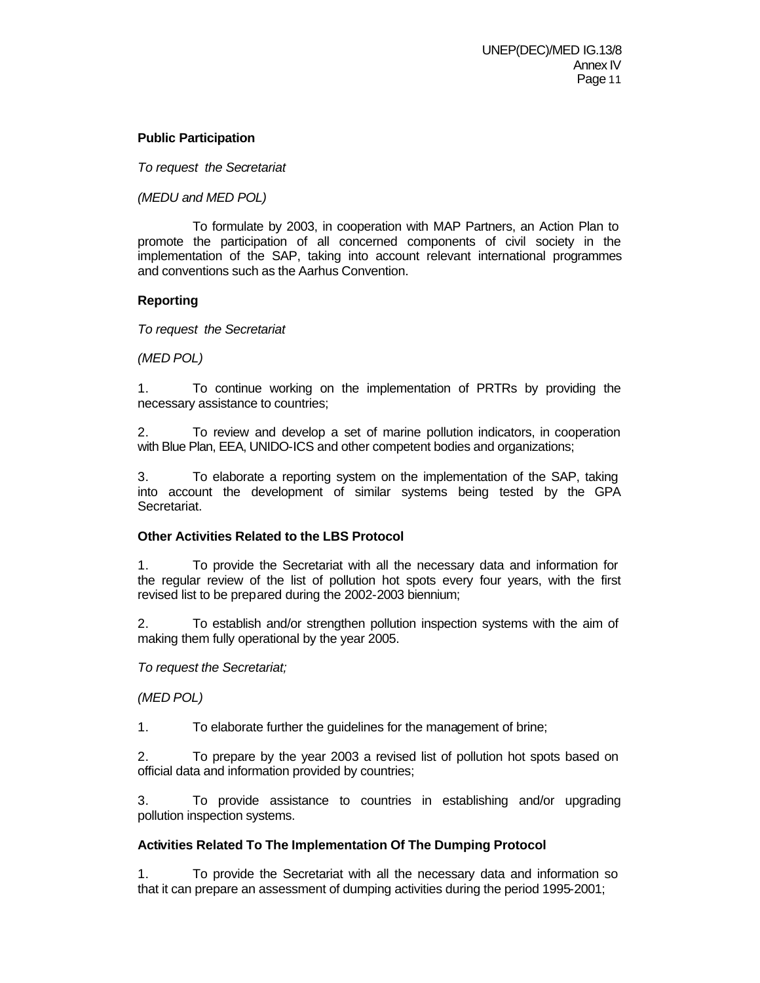## **Public Participation**

*To request the Secretariat* 

*(MEDU and MED POL)*

To formulate by 2003, in cooperation with MAP Partners, an Action Plan to promote the participation of all concerned components of civil society in the implementation of the SAP, taking into account relevant international programmes and conventions such as the Aarhus Convention.

## **Reporting**

*To request the Secretariat* 

*(MED POL)*

1. To continue working on the implementation of PRTRs by providing the necessary assistance to countries;

2. To review and develop a set of marine pollution indicators, in cooperation with Blue Plan, EEA, UNIDO-ICS and other competent bodies and organizations;

3. To elaborate a reporting system on the implementation of the SAP, taking into account the development of similar systems being tested by the GPA Secretariat.

## **Other Activities Related to the LBS Protocol**

1. To provide the Secretariat with all the necessary data and information for the regular review of the list of pollution hot spots every four years, with the first revised list to be prepared during the 2002-2003 biennium;

2. To establish and/or strengthen pollution inspection systems with the aim of making them fully operational by the year 2005.

*To request the Secretariat;*

*(MED POL)*

1. To elaborate further the guidelines for the management of brine;

2. To prepare by the year 2003 a revised list of pollution hot spots based on official data and information provided by countries;

3. To provide assistance to countries in establishing and/or upgrading pollution inspection systems.

## **Activities Related To The Implementation Of The Dumping Protocol**

1. To provide the Secretariat with all the necessary data and information so that it can prepare an assessment of dumping activities during the period 1995-2001;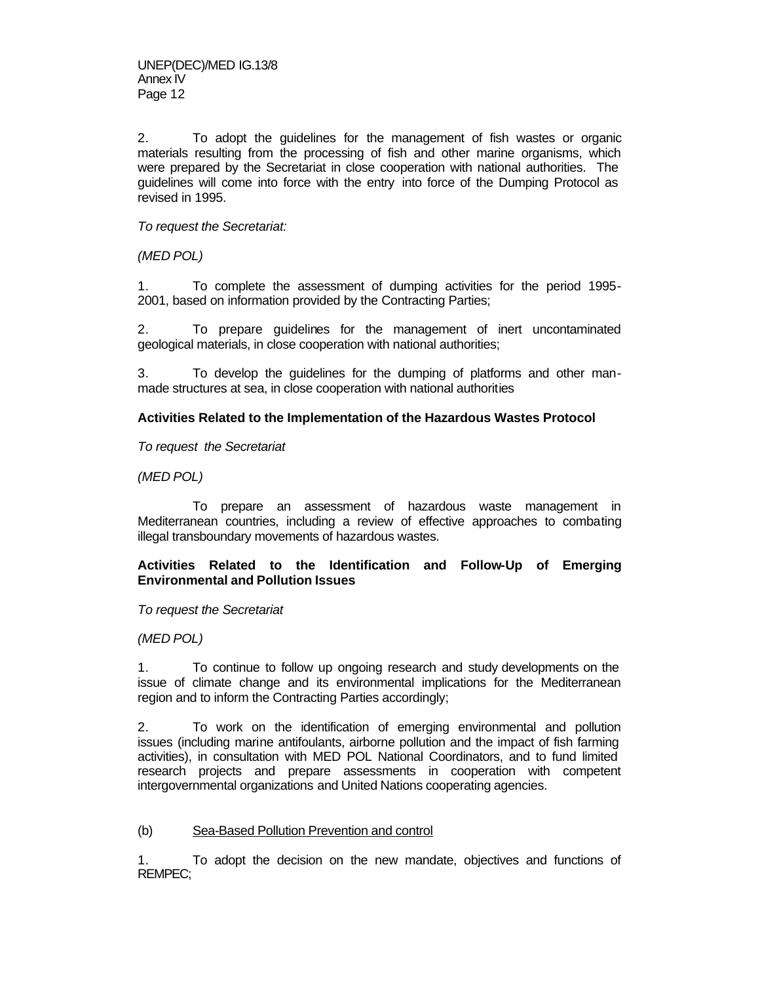2. To adopt the guidelines for the management of fish wastes or organic materials resulting from the processing of fish and other marine organisms, which were prepared by the Secretariat in close cooperation with national authorities. The guidelines will come into force with the entry into force of the Dumping Protocol as revised in 1995.

*To request the Secretariat:*

*(MED POL)*

1. To complete the assessment of dumping activities for the period 1995- 2001, based on information provided by the Contracting Parties;

2. To prepare guidelines for the management of inert uncontaminated geological materials, in close cooperation with national authorities;

3. To develop the guidelines for the dumping of platforms and other manmade structures at sea, in close cooperation with national authorities

#### **Activities Related to the Implementation of the Hazardous Wastes Protocol**

*To request the Secretariat* 

*(MED POL)*

To prepare an assessment of hazardous waste management in Mediterranean countries, including a review of effective approaches to combating illegal transboundary movements of hazardous wastes.

**Activities Related to the Identification and Follow-Up of Emerging Environmental and Pollution Issues**

*To request the Secretariat* 

*(MED POL)*

1. To continue to follow up ongoing research and study developments on the issue of climate change and its environmental implications for the Mediterranean region and to inform the Contracting Parties accordingly;

2. To work on the identification of emerging environmental and pollution issues (including marine antifoulants, airborne pollution and the impact of fish farming activities), in consultation with MED POL National Coordinators, and to fund limited research projects and prepare assessments in cooperation with competent intergovernmental organizations and United Nations cooperating agencies.

#### (b) Sea-Based Pollution Prevention and control

1. To adopt the decision on the new mandate, objectives and functions of REMPEC;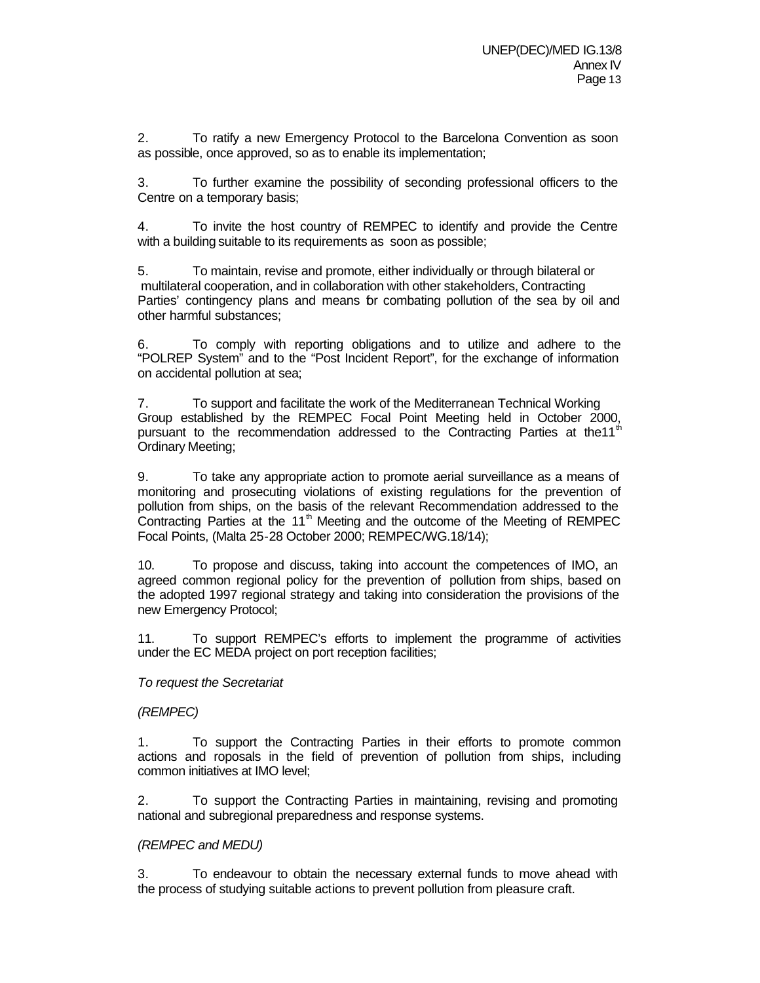2. To ratify a new Emergency Protocol to the Barcelona Convention as soon as possible, once approved, so as to enable its implementation;

3. To further examine the possibility of seconding professional officers to the Centre on a temporary basis;

4. To invite the host country of REMPEC to identify and provide the Centre with a building suitable to its requirements as soon as possible;

5. To maintain, revise and promote, either individually or through bilateral or multilateral cooperation, and in collaboration with other stakeholders, Contracting Parties' contingency plans and means br combating pollution of the sea by oil and other harmful substances;

6. To comply with reporting obligations and to utilize and adhere to the "POLREP System" and to the "Post Incident Report", for the exchange of information on accidental pollution at sea;

7. To support and facilitate the work of the Mediterranean Technical Working Group established by the REMPEC Focal Point Meeting held in October 2000, pursuant to the recommendation addressed to the Contracting Parties at the11<sup>t</sup> Ordinary Meeting;

9. To take any appropriate action to promote aerial surveillance as a means of monitoring and prosecuting violations of existing regulations for the prevention of pollution from ships, on the basis of the relevant Recommendation addressed to the Contracting Parties at the 11<sup>th</sup> Meeting and the outcome of the Meeting of REMPEC Focal Points, (Malta 25-28 October 2000; REMPEC/WG.18/14);

10. To propose and discuss, taking into account the competences of IMO, an agreed common regional policy for the prevention of pollution from ships, based on the adopted 1997 regional strategy and taking into consideration the provisions of the new Emergency Protocol;

11. To support REMPEC's efforts to implement the programme of activities under the EC MEDA project on port reception facilities;

#### *To request the Secretariat*

#### *(REMPEC)*

1. To support the Contracting Parties in their efforts to promote common actions and roposals in the field of prevention of pollution from ships, including common initiatives at IMO level;

2. To support the Contracting Parties in maintaining, revising and promoting national and subregional preparedness and response systems.

#### *(REMPEC and MEDU)*

3. To endeavour to obtain the necessary external funds to move ahead with the process of studying suitable actions to prevent pollution from pleasure craft.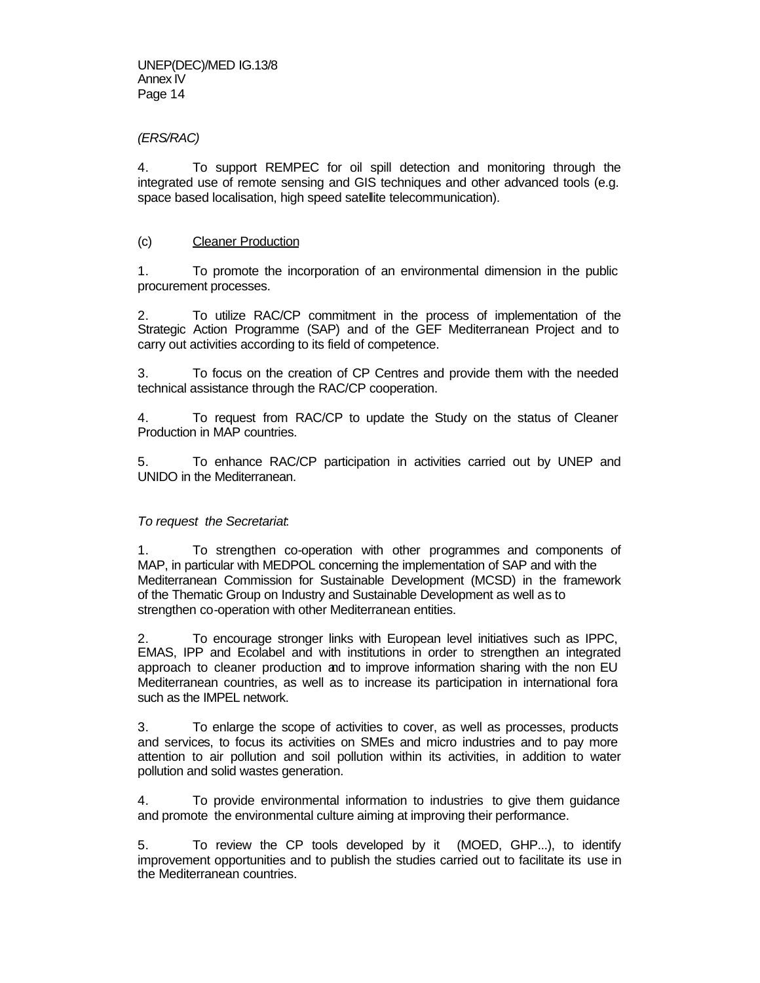## *(ERS/RAC)*

4. To support REMPEC for oil spill detection and monitoring through the integrated use of remote sensing and GIS techniques and other advanced tools (e.g. space based localisation, high speed satellite telecommunication).

## (c) Cleaner Production

1. To promote the incorporation of an environmental dimension in the public procurement processes.

2. To utilize RAC/CP commitment in the process of implementation of the Strategic Action Programme (SAP) and of the GEF Mediterranean Project and to carry out activities according to its field of competence.

3. To focus on the creation of CP Centres and provide them with the needed technical assistance through the RAC/CP cooperation.

4. To request from RAC/CP to update the Study on the status of Cleaner Production in MAP countries.

5. To enhance RAC/CP participation in activities carried out by UNEP and UNIDO in the Mediterranean.

#### *To request the Secretariat*:

1. To strengthen co-operation with other programmes and components of MAP, in particular with MEDPOL concerning the implementation of SAP and with the Mediterranean Commission for Sustainable Development (MCSD) in the framework of the Thematic Group on Industry and Sustainable Development as well as to strengthen co-operation with other Mediterranean entities.

2. To encourage stronger links with European level initiatives such as IPPC, EMAS, IPP and Ecolabel and with institutions in order to strengthen an integrated approach to cleaner production and to improve information sharing with the non EU Mediterranean countries, as well as to increase its participation in international fora such as the IMPEL network.

3. To enlarge the scope of activities to cover, as well as processes, products and services, to focus its activities on SMEs and micro industries and to pay more attention to air pollution and soil pollution within its activities, in addition to water pollution and solid wastes generation.

4. To provide environmental information to industries to give them guidance and promote the environmental culture aiming at improving their performance.

5. To review the CP tools developed by it (MOED, GHP...), to identify improvement opportunities and to publish the studies carried out to facilitate its use in the Mediterranean countries.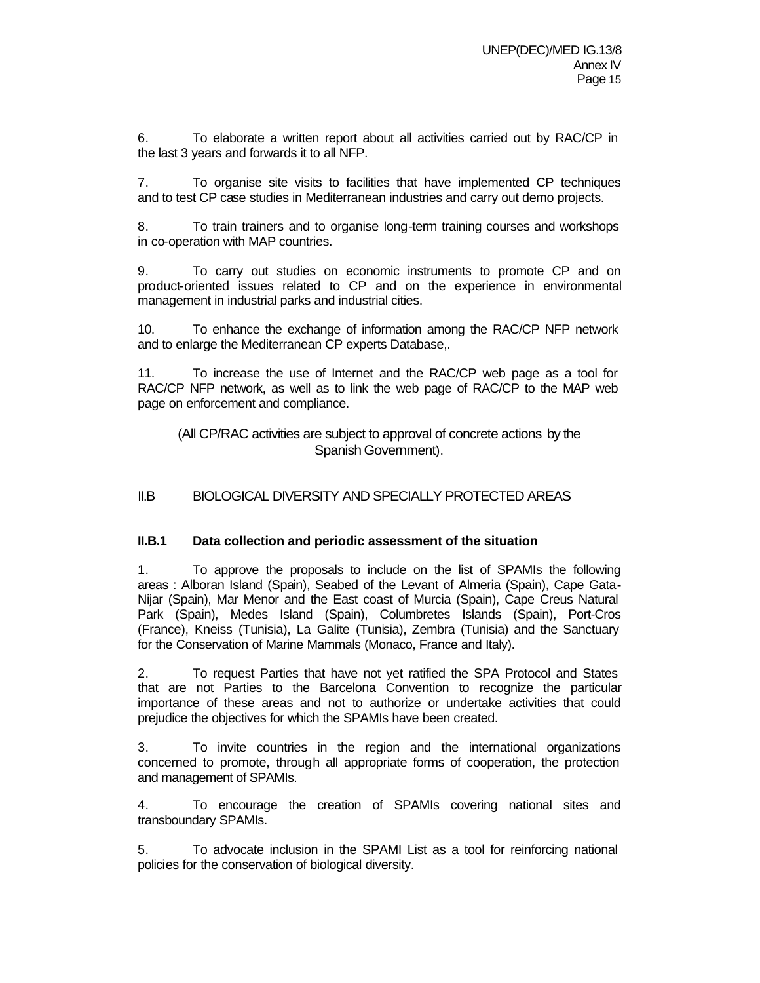6. To elaborate a written report about all activities carried out by RAC/CP in the last 3 years and forwards it to all NFP.

7. To organise site visits to facilities that have implemented CP techniques and to test CP case studies in Mediterranean industries and carry out demo projects.

8. To train trainers and to organise long-term training courses and workshops in co-operation with MAP countries.

9. To carry out studies on economic instruments to promote CP and on product-oriented issues related to CP and on the experience in environmental management in industrial parks and industrial cities.

10. To enhance the exchange of information among the RAC/CP NFP network and to enlarge the Mediterranean CP experts Database,.

11. To increase the use of Internet and the RAC/CP web page as a tool for RAC/CP NFP network, as well as to link the web page of RAC/CP to the MAP web page on enforcement and compliance.

(All CP/RAC activities are subject to approval of concrete actions by the Spanish Government).

II.B BIOLOGICAL DIVERSITY AND SPECIALLY PROTECTED AREAS

## **II.B.1 Data collection and periodic assessment of the situation**

1. To approve the proposals to include on the list of SPAMIs the following areas : Alboran Island (Spain), Seabed of the Levant of Almeria (Spain), Cape Gata-Nijar (Spain), Mar Menor and the East coast of Murcia (Spain), Cape Creus Natural Park (Spain), Medes Island (Spain), Columbretes Islands (Spain), Port-Cros (France), Kneiss (Tunisia), La Galite (Tunisia), Zembra (Tunisia) and the Sanctuary for the Conservation of Marine Mammals (Monaco, France and Italy).

2. To request Parties that have not yet ratified the SPA Protocol and States that are not Parties to the Barcelona Convention to recognize the particular importance of these areas and not to authorize or undertake activities that could prejudice the objectives for which the SPAMIs have been created.

3. To invite countries in the region and the international organizations concerned to promote, through all appropriate forms of cooperation, the protection and management of SPAMIs.

4. To encourage the creation of SPAMIs covering national sites and transboundary SPAMIs.

5. To advocate inclusion in the SPAMI List as a tool for reinforcing national policies for the conservation of biological diversity.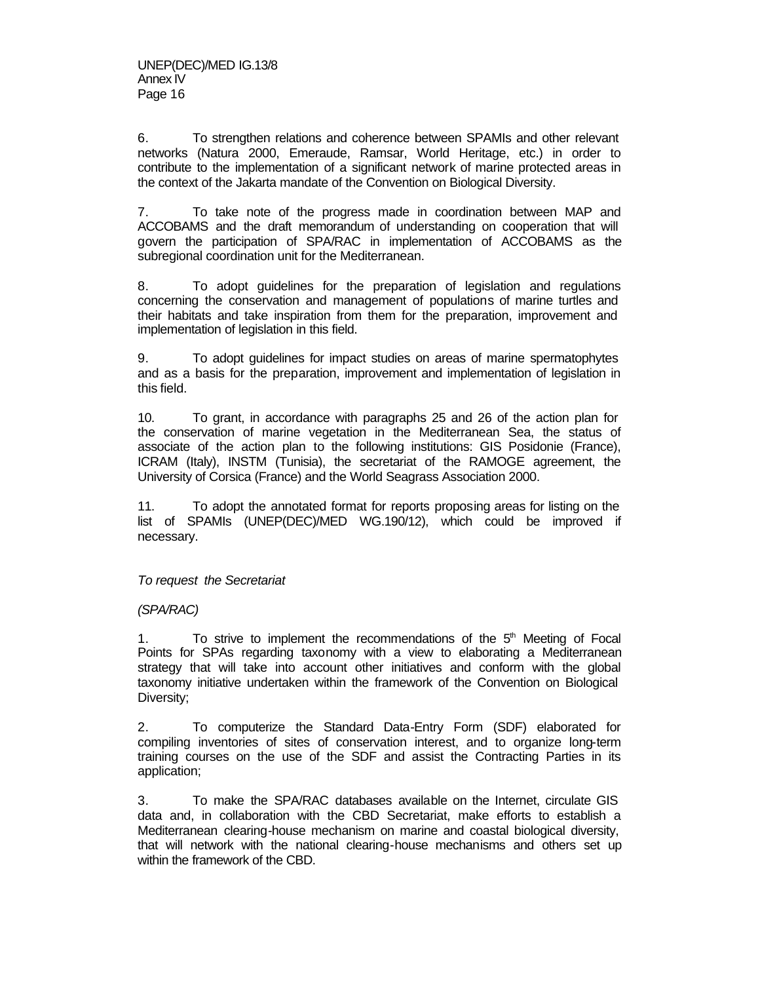6. To strengthen relations and coherence between SPAMIs and other relevant networks (Natura 2000, Emeraude, Ramsar, World Heritage, etc.) in order to contribute to the implementation of a significant network of marine protected areas in the context of the Jakarta mandate of the Convention on Biological Diversity.

7. To take note of the progress made in coordination between MAP and ACCOBAMS and the draft memorandum of understanding on cooperation that will govern the participation of SPA/RAC in implementation of ACCOBAMS as the subregional coordination unit for the Mediterranean.

8. To adopt guidelines for the preparation of legislation and regulations concerning the conservation and management of populations of marine turtles and their habitats and take inspiration from them for the preparation, improvement and implementation of legislation in this field.

9. To adopt guidelines for impact studies on areas of marine spermatophytes and as a basis for the preparation, improvement and implementation of legislation in this field.

10. To grant, in accordance with paragraphs 25 and 26 of the action plan for the conservation of marine vegetation in the Mediterranean Sea, the status of associate of the action plan to the following institutions: GIS Posidonie (France), ICRAM (Italy), INSTM (Tunisia), the secretariat of the RAMOGE agreement, the University of Corsica (France) and the World Seagrass Association 2000.

11. To adopt the annotated format for reports proposing areas for listing on the list of SPAMIs (UNEP(DEC)/MED WG.190/12), which could be improved if necessary.

*To request the Secretariat* 

*(SPA/RAC)*

1. To strive to implement the recommendations of the  $5<sup>th</sup>$  Meeting of Focal Points for SPAs regarding taxonomy with a view to elaborating a Mediterranean strategy that will take into account other initiatives and conform with the global taxonomy initiative undertaken within the framework of the Convention on Biological Diversity;

2. To computerize the Standard Data-Entry Form (SDF) elaborated for compiling inventories of sites of conservation interest, and to organize long-term training courses on the use of the SDF and assist the Contracting Parties in its application;

3. To make the SPA/RAC databases available on the Internet, circulate GIS data and, in collaboration with the CBD Secretariat, make efforts to establish a Mediterranean clearing-house mechanism on marine and coastal biological diversity, that will network with the national clearing-house mechanisms and others set up within the framework of the CBD.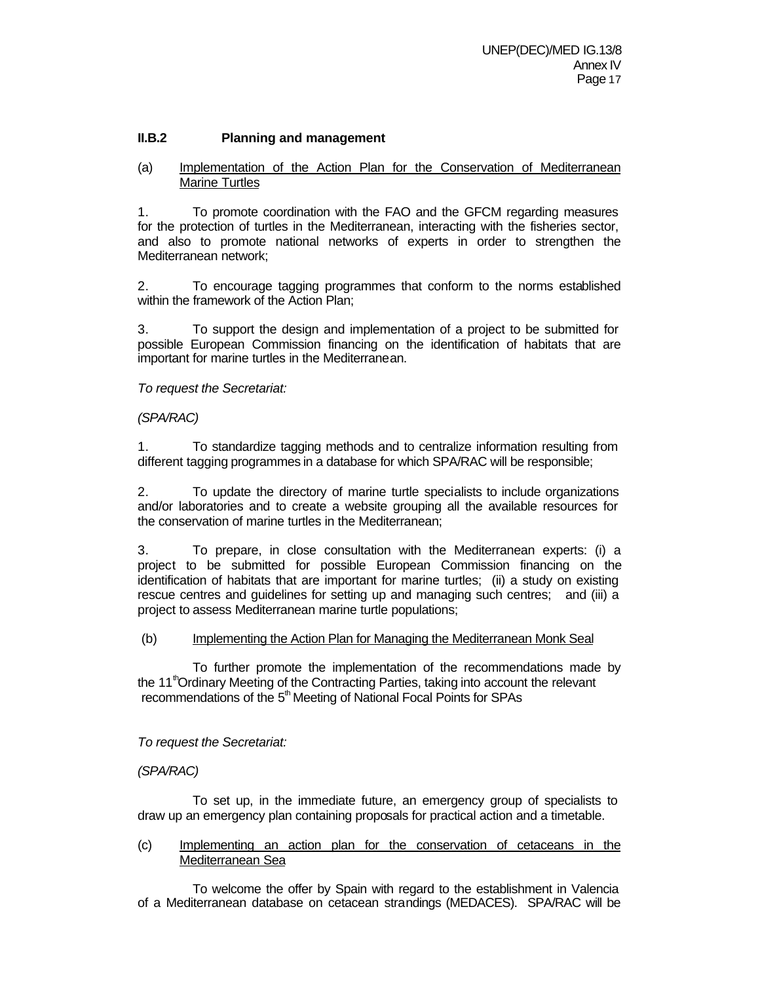## **II.B.2 Planning and management**

(a) Implementation of the Action Plan for the Conservation of Mediterranean Marine Turtles

1. To promote coordination with the FAO and the GFCM regarding measures for the protection of turtles in the Mediterranean, interacting with the fisheries sector, and also to promote national networks of experts in order to strengthen the Mediterranean network;

2. To encourage tagging programmes that conform to the norms established within the framework of the Action Plan;

3. To support the design and implementation of a project to be submitted for possible European Commission financing on the identification of habitats that are important for marine turtles in the Mediterranean.

*To request the Secretariat:*

## *(SPA/RAC)*

1. To standardize tagging methods and to centralize information resulting from different tagging programmes in a database for which SPA/RAC will be responsible;

2. To update the directory of marine turtle specialists to include organizations and/or laboratories and to create a website grouping all the available resources for the conservation of marine turtles in the Mediterranean;

3. To prepare, in close consultation with the Mediterranean experts: (i) a project to be submitted for possible European Commission financing on the identification of habitats that are important for marine turtles; (ii) a study on existing rescue centres and guidelines for setting up and managing such centres; and (iii) a project to assess Mediterranean marine turtle populations;

#### (b) Implementing the Action Plan for Managing the Mediterranean Monk Seal

To further promote the implementation of the recommendations made by the 11<sup>th</sup>Ordinary Meeting of the Contracting Parties, taking into account the relevant recommendations of the  $5<sup>th</sup>$  Meeting of National Focal Points for SPAs

*To request the Secretariat:*

## *(SPA/RAC)*

To set up, in the immediate future, an emergency group of specialists to draw up an emergency plan containing proposals for practical action and a timetable.

(c) Implementing an action plan for the conservation of cetaceans in the Mediterranean Sea

To welcome the offer by Spain with regard to the establishment in Valencia of a Mediterranean database on cetacean strandings (MEDACES). SPA/RAC will be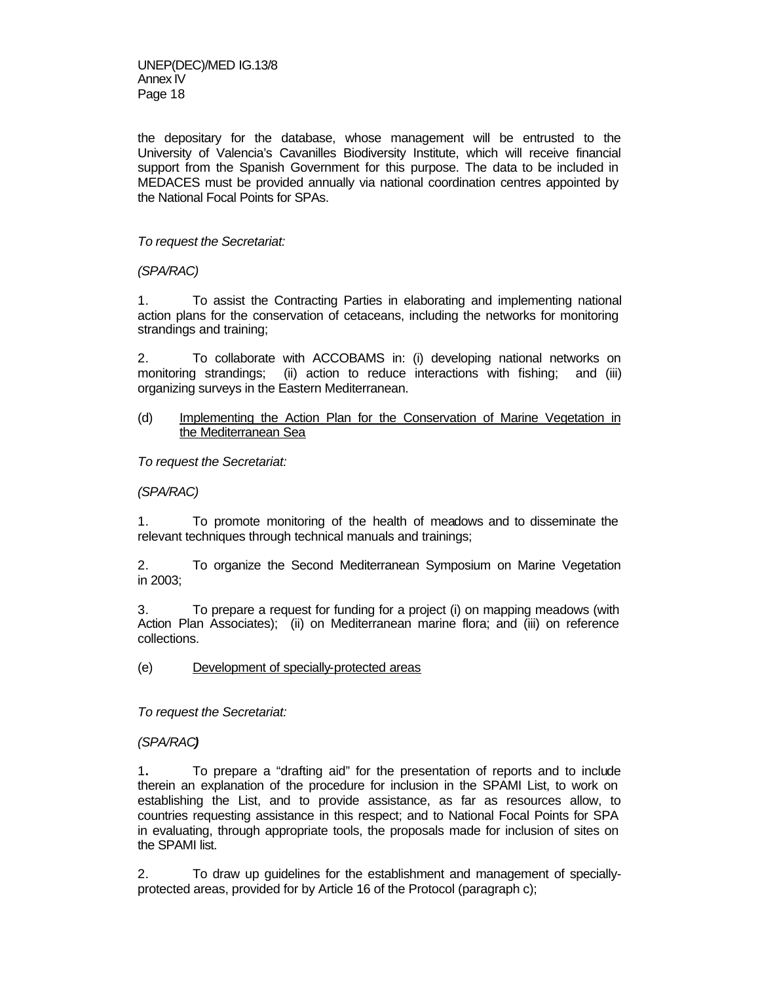the depositary for the database, whose management will be entrusted to the University of Valencia's Cavanilles Biodiversity Institute, which will receive financial support from the Spanish Government for this purpose. The data to be included in MEDACES must be provided annually via national coordination centres appointed by the National Focal Points for SPAs.

## *To request the Secretariat:*

*(SPA/RAC)*

1. To assist the Contracting Parties in elaborating and implementing national action plans for the conservation of cetaceans, including the networks for monitoring strandings and training;

2. To collaborate with ACCOBAMS in: (i) developing national networks on monitoring strandings; (ii) action to reduce interactions with fishing; and (iii) organizing surveys in the Eastern Mediterranean.

#### (d) Implementing the Action Plan for the Conservation of Marine Vegetation in the Mediterranean Sea

*To request the Secretariat:*

#### *(SPA/RAC)*

1. To promote monitoring of the health of meadows and to disseminate the relevant techniques through technical manuals and trainings;

2. To organize the Second Mediterranean Symposium on Marine Vegetation in 2003;

3. To prepare a request for funding for a project (i) on mapping meadows (with Action Plan Associates); (ii) on Mediterranean marine flora; and (iii) on reference collections.

(e) Development of specially-protected areas

*To request the Secretariat:*

## *(SPA/RAC)*

1**.** To prepare a "drafting aid" for the presentation of reports and to include therein an explanation of the procedure for inclusion in the SPAMI List, to work on establishing the List, and to provide assistance, as far as resources allow, to countries requesting assistance in this respect; and to National Focal Points for SPA in evaluating, through appropriate tools, the proposals made for inclusion of sites on the SPAMI list.

2. To draw up guidelines for the establishment and management of speciallyprotected areas, provided for by Article 16 of the Protocol (paragraph c);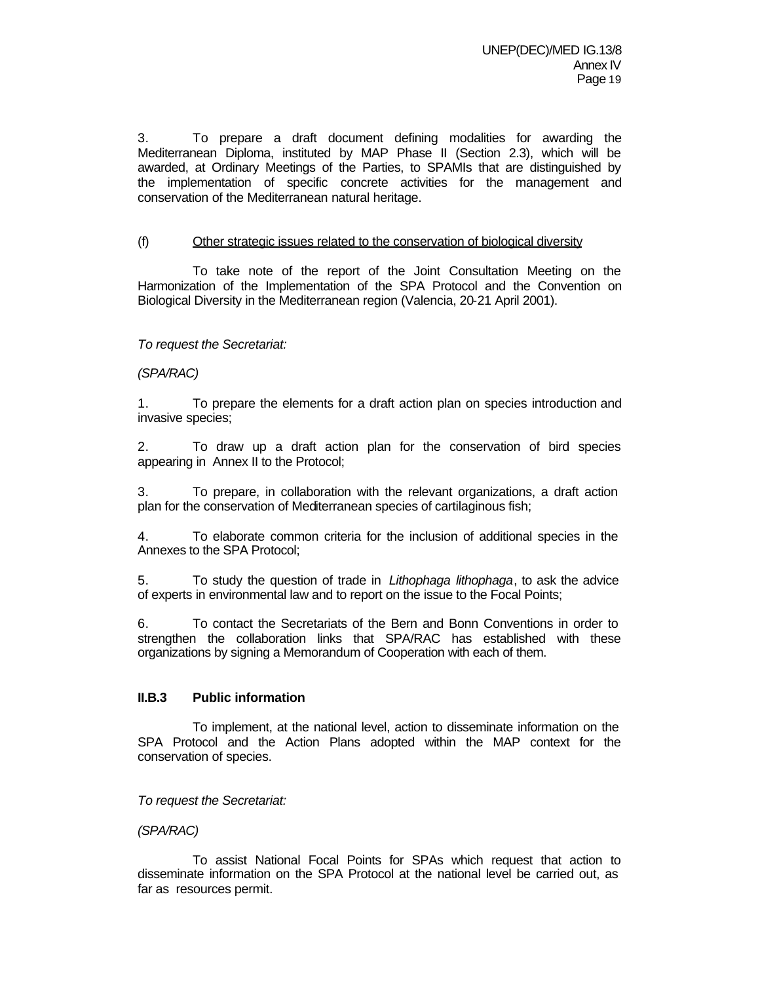3. To prepare a draft document defining modalities for awarding the Mediterranean Diploma, instituted by MAP Phase II (Section 2.3), which will be awarded, at Ordinary Meetings of the Parties, to SPAMIs that are distinguished by the implementation of specific concrete activities for the management and conservation of the Mediterranean natural heritage.

#### (f) Other strategic issues related to the conservation of biological diversity

To take note of the report of the Joint Consultation Meeting on the Harmonization of the Implementation of the SPA Protocol and the Convention on Biological Diversity in the Mediterranean region (Valencia, 20-21 April 2001).

## *To request the Secretariat:*

## *(SPA/RAC)*

1. To prepare the elements for a draft action plan on species introduction and invasive species;

2. To draw up a draft action plan for the conservation of bird species appearing in Annex II to the Protocol;

3. To prepare, in collaboration with the relevant organizations, a draft action plan for the conservation of Mediterranean species of cartilaginous fish;

4. To elaborate common criteria for the inclusion of additional species in the Annexes to the SPA Protocol;

5. To study the question of trade in *Lithophaga lithophaga*, to ask the advice of experts in environmental law and to report on the issue to the Focal Points;

6. To contact the Secretariats of the Bern and Bonn Conventions in order to strengthen the collaboration links that SPA/RAC has established with these organizations by signing a Memorandum of Cooperation with each of them.

#### **II.B.3 Public information**

To implement, at the national level, action to disseminate information on the SPA Protocol and the Action Plans adopted within the MAP context for the conservation of species.

*To request the Secretariat:* 

*(SPA/RAC)*

To assist National Focal Points for SPAs which request that action to disseminate information on the SPA Protocol at the national level be carried out, as far as resources permit.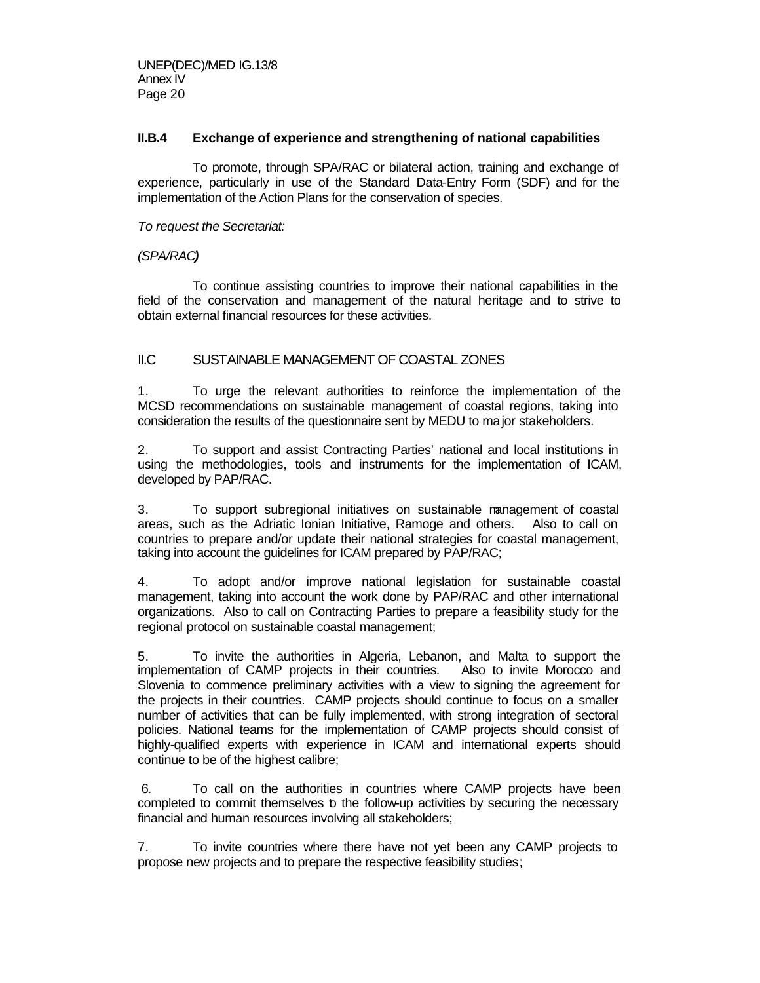## **II.B.4 Exchange of experience and strengthening of national capabilities**

To promote, through SPA/RAC or bilateral action, training and exchange of experience, particularly in use of the Standard Data-Entry Form (SDF) and for the implementation of the Action Plans for the conservation of species.

*To request the Secretariat:*

## *(SPA/RAC)*

To continue assisting countries to improve their national capabilities in the field of the conservation and management of the natural heritage and to strive to obtain external financial resources for these activities.

# II.C SUSTAINABLE MANAGEMENT OF COASTAL ZONES

1. To urge the relevant authorities to reinforce the implementation of the MCSD recommendations on sustainable management of coastal regions, taking into consideration the results of the questionnaire sent by MEDU to major stakeholders.

2. To support and assist Contracting Parties' national and local institutions in using the methodologies, tools and instruments for the implementation of ICAM, developed by PAP/RAC.

3. To support subregional initiatives on sustainable management of coastal areas, such as the Adriatic Ionian Initiative, Ramoge and others. Also to call on countries to prepare and/or update their national strategies for coastal management, taking into account the guidelines for ICAM prepared by PAP/RAC;

4. To adopt and/or improve national legislation for sustainable coastal management, taking into account the work done by PAP/RAC and other international organizations. Also to call on Contracting Parties to prepare a feasibility study for the regional protocol on sustainable coastal management;

5. To invite the authorities in Algeria, Lebanon, and Malta to support the implementation of CAMP projects in their countries. Also to invite Morocco and Slovenia to commence preliminary activities with a view to signing the agreement for the projects in their countries. CAMP projects should continue to focus on a smaller number of activities that can be fully implemented, with strong integration of sectoral policies. National teams for the implementation of CAMP projects should consist of highly-qualified experts with experience in ICAM and international experts should continue to be of the highest calibre;

 6. To call on the authorities in countries where CAMP projects have been completed to commit themselves to the follow-up activities by securing the necessary financial and human resources involving all stakeholders;

7. To invite countries where there have not yet been any CAMP projects to propose new projects and to prepare the respective feasibility studies;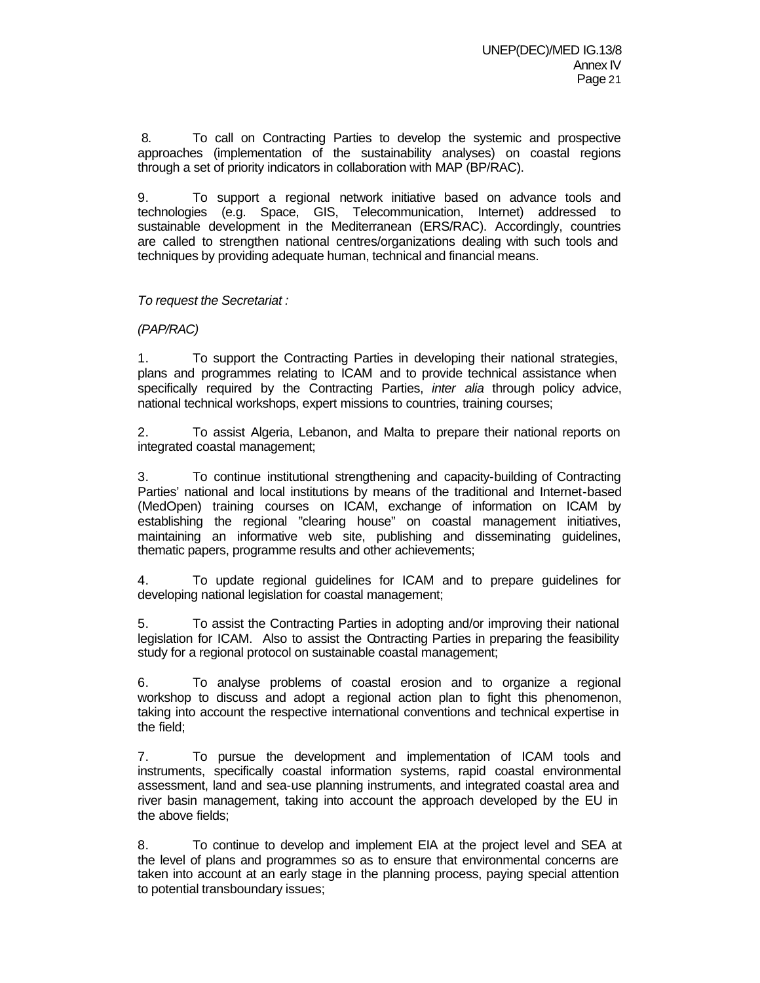8. To call on Contracting Parties to develop the systemic and prospective approaches (implementation of the sustainability analyses) on coastal regions through a set of priority indicators in collaboration with MAP (BP/RAC).

9. To support a regional network initiative based on advance tools and technologies (e.g. Space, GIS, Telecommunication, Internet) addressed to sustainable development in the Mediterranean (ERS/RAC). Accordingly, countries are called to strengthen national centres/organizations dealing with such tools and techniques by providing adequate human, technical and financial means.

## *To request the Secretariat :*

## *(PAP/RAC)*

1. To support the Contracting Parties in developing their national strategies, plans and programmes relating to ICAM and to provide technical assistance when specifically required by the Contracting Parties, *inter alia* through policy advice, national technical workshops, expert missions to countries, training courses;

2. To assist Algeria, Lebanon, and Malta to prepare their national reports on integrated coastal management;

3. To continue institutional strengthening and capacity-building of Contracting Parties' national and local institutions by means of the traditional and Internet-based (MedOpen) training courses on ICAM, exchange of information on ICAM by establishing the regional "clearing house" on coastal management initiatives, maintaining an informative web site, publishing and disseminating guidelines, thematic papers, programme results and other achievements;

4. To update regional guidelines for ICAM and to prepare guidelines for developing national legislation for coastal management;

5. To assist the Contracting Parties in adopting and/or improving their national legislation for ICAM. Also to assist the Contracting Parties in preparing the feasibility study for a regional protocol on sustainable coastal management;

6. To analyse problems of coastal erosion and to organize a regional workshop to discuss and adopt a regional action plan to fight this phenomenon, taking into account the respective international conventions and technical expertise in the field;

7. To pursue the development and implementation of ICAM tools and instruments, specifically coastal information systems, rapid coastal environmental assessment, land and sea-use planning instruments, and integrated coastal area and river basin management, taking into account the approach developed by the EU in the above fields;

8. To continue to develop and implement EIA at the project level and SEA at the level of plans and programmes so as to ensure that environmental concerns are taken into account at an early stage in the planning process, paying special attention to potential transboundary issues;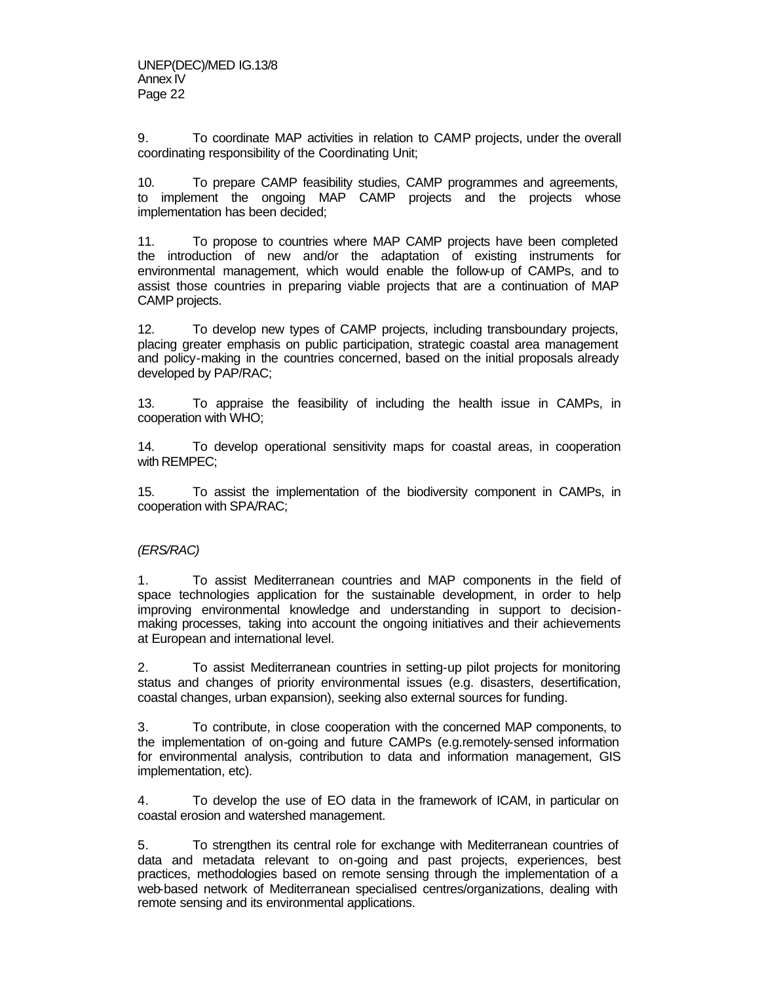9. To coordinate MAP activities in relation to CAMP projects, under the overall coordinating responsibility of the Coordinating Unit;

10. To prepare CAMP feasibility studies, CAMP programmes and agreements, to implement the ongoing MAP CAMP projects and the projects whose implementation has been decided;

11. To propose to countries where MAP CAMP projects have been completed the introduction of new and/or the adaptation of existing instruments for environmental management, which would enable the follow-up of CAMPs, and to assist those countries in preparing viable projects that are a continuation of MAP CAMP projects.

12. To develop new types of CAMP projects, including transboundary projects, placing greater emphasis on public participation, strategic coastal area management and policy-making in the countries concerned, based on the initial proposals already developed by PAP/RAC;

13. To appraise the feasibility of including the health issue in CAMPs, in cooperation with WHO;

14. To develop operational sensitivity maps for coastal areas, in cooperation with REMPEC;

15. To assist the implementation of the biodiversity component in CAMPs, in cooperation with SPA/RAC;

## *(ERS/RAC)*

1. To assist Mediterranean countries and MAP components in the field of space technologies application for the sustainable development, in order to help improving environmental knowledge and understanding in support to decisionmaking processes, taking into account the ongoing initiatives and their achievements at European and international level.

2. To assist Mediterranean countries in setting-up pilot projects for monitoring status and changes of priority environmental issues (e.g. disasters, desertification, coastal changes, urban expansion), seeking also external sources for funding.

3. To contribute, in close cooperation with the concerned MAP components, to the implementation of on-going and future CAMPs (e.g.remotely-sensed information for environmental analysis, contribution to data and information management, GIS implementation, etc).

4. To develop the use of EO data in the framework of ICAM, in particular on coastal erosion and watershed management.

5. To strengthen its central role for exchange with Mediterranean countries of data and metadata relevant to on-going and past projects, experiences, best practices, methodologies based on remote sensing through the implementation of a web-based network of Mediterranean specialised centres/organizations, dealing with remote sensing and its environmental applications.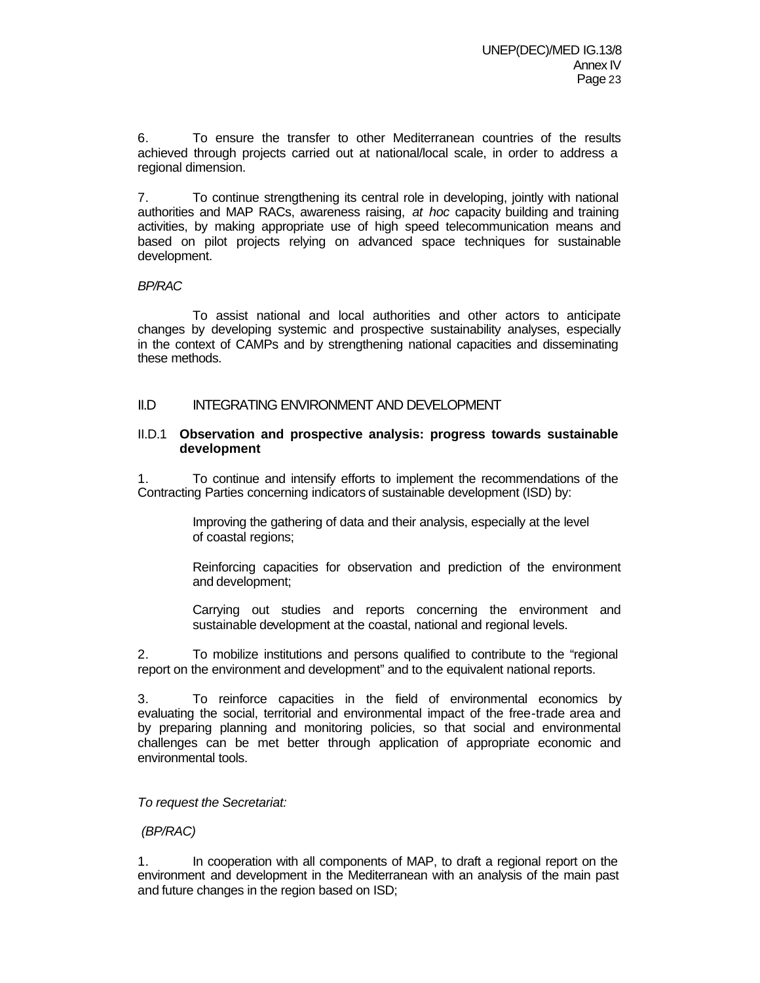6. To ensure the transfer to other Mediterranean countries of the results achieved through projects carried out at national/local scale, in order to address a regional dimension.

7. To continue strengthening its central role in developing, jointly with national authorities and MAP RACs, awareness raising, *at hoc* capacity building and training activities, by making appropriate use of high speed telecommunication means and based on pilot projects relying on advanced space techniques for sustainable development.

## *BP/RAC*

To assist national and local authorities and other actors to anticipate changes by developing systemic and prospective sustainability analyses, especially in the context of CAMPs and by strengthening national capacities and disseminating these methods.

## II.D INTEGRATING ENVIRONMENT AND DEVELOPMENT

## II.D.1 **Observation and prospective analysis: progress towards sustainable development**

1. To continue and intensify efforts to implement the recommendations of the Contracting Parties concerning indicators of sustainable development (ISD) by:

> Improving the gathering of data and their analysis, especially at the level of coastal regions;

Reinforcing capacities for observation and prediction of the environment and development;

Carrying out studies and reports concerning the environment and sustainable development at the coastal, national and regional levels.

2. To mobilize institutions and persons qualified to contribute to the "regional report on the environment and development" and to the equivalent national reports.

3. To reinforce capacities in the field of environmental economics by evaluating the social, territorial and environmental impact of the free-trade area and by preparing planning and monitoring policies, so that social and environmental challenges can be met better through application of appropriate economic and environmental tools.

#### *To request the Secretariat:*

## *(BP/RAC)*

In cooperation with all components of MAP, to draft a regional report on the environment and development in the Mediterranean with an analysis of the main past and future changes in the region based on ISD;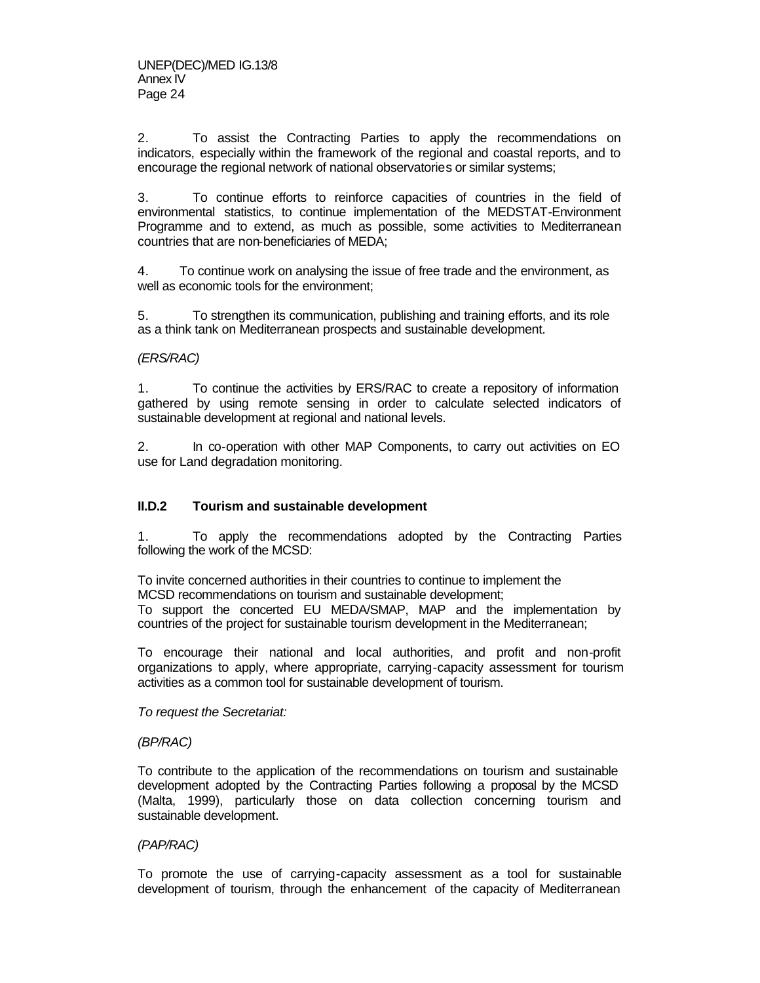2. To assist the Contracting Parties to apply the recommendations on indicators, especially within the framework of the regional and coastal reports, and to encourage the regional network of national observatories or similar systems;

3. To continue efforts to reinforce capacities of countries in the field of environmental statistics, to continue implementation of the MEDSTAT-Environment Programme and to extend, as much as possible, some activities to Mediterranean countries that are non-beneficiaries of MEDA;

4. To continue work on analysing the issue of free trade and the environment, as well as economic tools for the environment;

5. To strengthen its communication, publishing and training efforts, and its role as a think tank on Mediterranean prospects and sustainable development.

## *(ERS/RAC)*

1. To continue the activities by ERS/RAC to create a repository of information gathered by using remote sensing in order to calculate selected indicators of sustainable development at regional and national levels.

2. In co-operation with other MAP Components, to carry out activities on EO use for Land degradation monitoring.

## **II.D.2 Tourism and sustainable development**

1. To apply the recommendations adopted by the Contracting Parties following the work of the MCSD:

To invite concerned authorities in their countries to continue to implement the MCSD recommendations on tourism and sustainable development; To support the concerted EU MEDA/SMAP, MAP and the implementation by countries of the project for sustainable tourism development in the Mediterranean;

To encourage their national and local authorities, and profit and non-profit organizations to apply, where appropriate, carrying-capacity assessment for tourism activities as a common tool for sustainable development of tourism.

*To request the Secretariat:*

#### *(BP/RAC)*

To contribute to the application of the recommendations on tourism and sustainable development adopted by the Contracting Parties following a proposal by the MCSD (Malta, 1999), particularly those on data collection concerning tourism and sustainable development.

#### *(PAP/RAC)*

To promote the use of carrying-capacity assessment as a tool for sustainable development of tourism, through the enhancement of the capacity of Mediterranean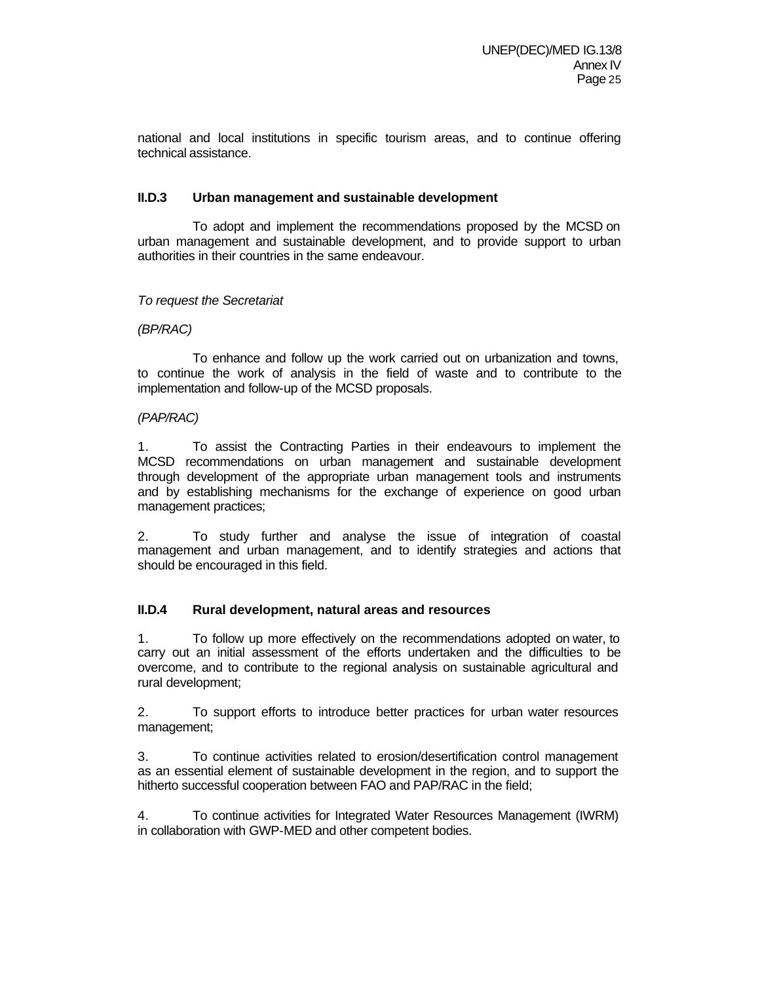national and local institutions in specific tourism areas, and to continue offering technical assistance.

## **II.D.3 Urban management and sustainable development**

To adopt and implement the recommendations proposed by the MCSD on urban management and sustainable development, and to provide support to urban authorities in their countries in the same endeavour.

## *To request the Secretariat*

## *(BP/RAC)*

To enhance and follow up the work carried out on urbanization and towns, to continue the work of analysis in the field of waste and to contribute to the implementation and follow-up of the MCSD proposals.

#### *(PAP/RAC)*

1. To assist the Contracting Parties in their endeavours to implement the MCSD recommendations on urban management and sustainable development through development of the appropriate urban management tools and instruments and by establishing mechanisms for the exchange of experience on good urban management practices;

2. To study further and analyse the issue of integration of coastal management and urban management, and to identify strategies and actions that should be encouraged in this field.

#### **II.D.4 Rural development, natural areas and resources**

1. To follow up more effectively on the recommendations adopted on water, to carry out an initial assessment of the efforts undertaken and the difficulties to be overcome, and to contribute to the regional analysis on sustainable agricultural and rural development;

2. To support efforts to introduce better practices for urban water resources management;

3. To continue activities related to erosion/desertification control management as an essential element of sustainable development in the region, and to support the hitherto successful cooperation between FAO and PAP/RAC in the field;

4. To continue activities for Integrated Water Resources Management (IWRM) in collaboration with GWP-MED and other competent bodies.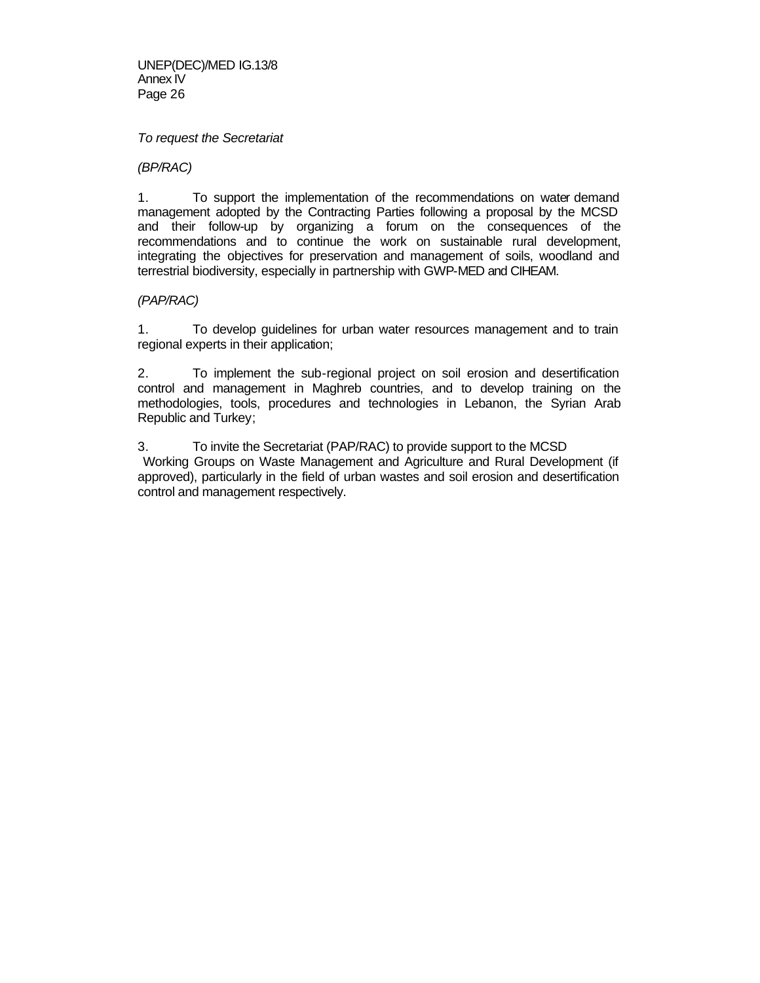UNEP(DEC)/MED IG.13/8 Annex IV Page 26

#### *To request the Secretariat*

*(BP/RAC)*

1. To support the implementation of the recommendations on water demand management adopted by the Contracting Parties following a proposal by the MCSD and their follow-up by organizing a forum on the consequences of the recommendations and to continue the work on sustainable rural development, integrating the objectives for preservation and management of soils, woodland and terrestrial biodiversity, especially in partnership with GWP-MED and CIHEAM.

#### *(PAP/RAC)*

1. To develop guidelines for urban water resources management and to train regional experts in their application;

2. To implement the sub-regional project on soil erosion and desertification control and management in Maghreb countries, and to develop training on the methodologies, tools, procedures and technologies in Lebanon, the Syrian Arab Republic and Turkey;

3. To invite the Secretariat (PAP/RAC) to provide support to the MCSD Working Groups on Waste Management and Agriculture and Rural Development (if approved), particularly in the field of urban wastes and soil erosion and desertification control and management respectively.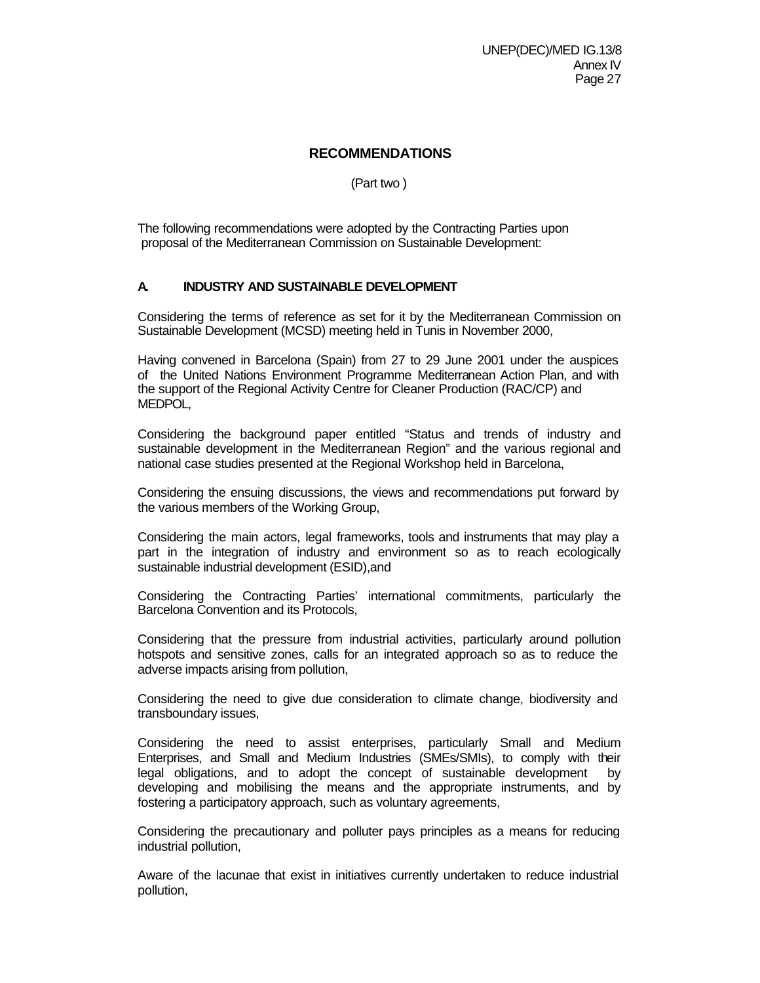## **RECOMMENDATIONS**

(Part two )

The following recommendations were adopted by the Contracting Parties upon proposal of the Mediterranean Commission on Sustainable Development:

# **A. INDUSTRY AND SUSTAINABLE DEVELOPMENT**

Considering the terms of reference as set for it by the Mediterranean Commission on Sustainable Development (MCSD) meeting held in Tunis in November 2000,

Having convened in Barcelona (Spain) from 27 to 29 June 2001 under the auspices of the United Nations Environment Programme Mediterranean Action Plan, and with the support of the Regional Activity Centre for Cleaner Production (RAC/CP) and MEDPOL,

Considering the background paper entitled "Status and trends of industry and sustainable development in the Mediterranean Region" and the various regional and national case studies presented at the Regional Workshop held in Barcelona,

Considering the ensuing discussions, the views and recommendations put forward by the various members of the Working Group,

Considering the main actors, legal frameworks, tools and instruments that may play a part in the integration of industry and environment so as to reach ecologically sustainable industrial development (ESID),and

Considering the Contracting Parties' international commitments, particularly the Barcelona Convention and its Protocols,

Considering that the pressure from industrial activities, particularly around pollution hotspots and sensitive zones, calls for an integrated approach so as to reduce the adverse impacts arising from pollution,

Considering the need to give due consideration to climate change, biodiversity and transboundary issues,

Considering the need to assist enterprises, particularly Small and Medium Enterprises, and Small and Medium Industries (SMEs/SMIs), to comply with their legal obligations, and to adopt the concept of sustainable development by developing and mobilising the means and the appropriate instruments, and by fostering a participatory approach, such as voluntary agreements,

Considering the precautionary and polluter pays principles as a means for reducing industrial pollution,

Aware of the lacunae that exist in initiatives currently undertaken to reduce industrial pollution,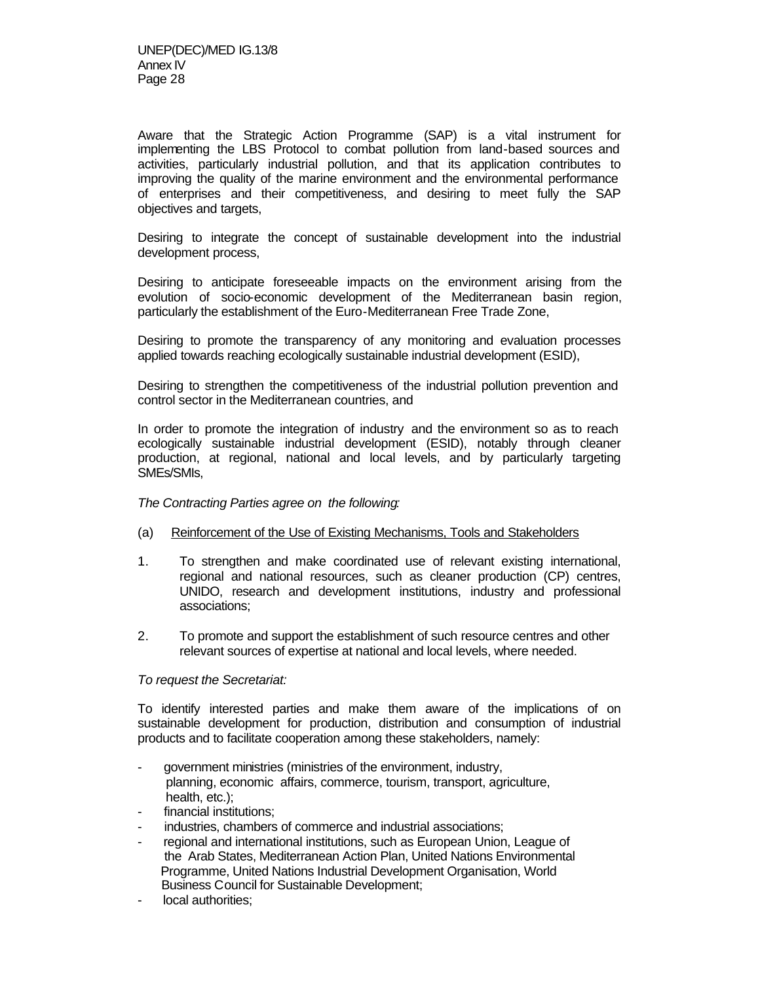Aware that the Strategic Action Programme (SAP) is a vital instrument for implementing the LBS Protocol to combat pollution from land-based sources and activities, particularly industrial pollution, and that its application contributes to improving the quality of the marine environment and the environmental performance of enterprises and their competitiveness, and desiring to meet fully the SAP objectives and targets,

Desiring to integrate the concept of sustainable development into the industrial development process,

Desiring to anticipate foreseeable impacts on the environment arising from the evolution of socio-economic development of the Mediterranean basin region, particularly the establishment of the Euro-Mediterranean Free Trade Zone,

Desiring to promote the transparency of any monitoring and evaluation processes applied towards reaching ecologically sustainable industrial development (ESID),

Desiring to strengthen the competitiveness of the industrial pollution prevention and control sector in the Mediterranean countries, and

In order to promote the integration of industry and the environment so as to reach ecologically sustainable industrial development (ESID), notably through cleaner production, at regional, national and local levels, and by particularly targeting SMEs/SMIs,

*The Contracting Parties agree on the following:*

- (a) Reinforcement of the Use of Existing Mechanisms, Tools and Stakeholders
- 1. To strengthen and make coordinated use of relevant existing international, regional and national resources, such as cleaner production (CP) centres, UNIDO, research and development institutions, industry and professional associations;
- 2. To promote and support the establishment of such resource centres and other relevant sources of expertise at national and local levels, where needed.

#### *To request the Secretariat:*

To identify interested parties and make them aware of the implications of on sustainable development for production, distribution and consumption of industrial products and to facilitate cooperation among these stakeholders, namely:

- government ministries (ministries of the environment, industry, planning, economic affairs, commerce, tourism, transport, agriculture, health, etc.);
- financial institutions;
- industries, chambers of commerce and industrial associations;
- regional and international institutions, such as European Union, League of the Arab States, Mediterranean Action Plan, United Nations Environmental Programme, United Nations Industrial Development Organisation, World Business Council for Sustainable Development;
- local authorities;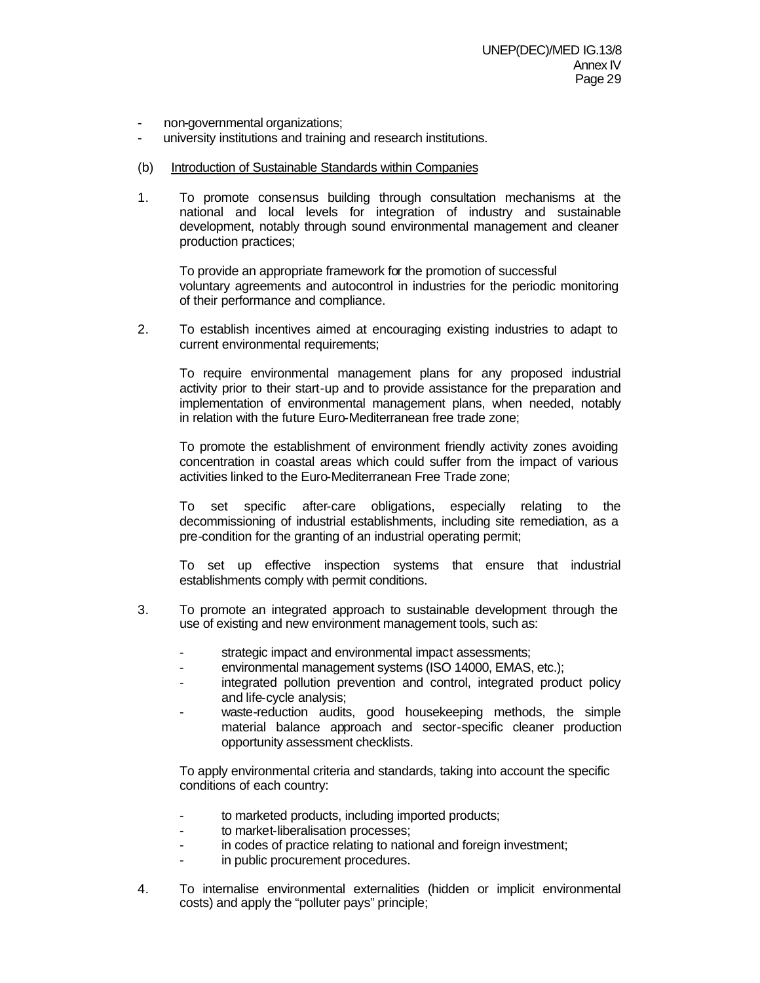- non-governmental organizations;
- university institutions and training and research institutions.
- (b) Introduction of Sustainable Standards within Companies
- 1. To promote consensus building through consultation mechanisms at the national and local levels for integration of industry and sustainable development, notably through sound environmental management and cleaner production practices;

To provide an appropriate framework for the promotion of successful voluntary agreements and autocontrol in industries for the periodic monitoring of their performance and compliance.

2. To establish incentives aimed at encouraging existing industries to adapt to current environmental requirements:

To require environmental management plans for any proposed industrial activity prior to their start-up and to provide assistance for the preparation and implementation of environmental management plans, when needed, notably in relation with the future Euro-Mediterranean free trade zone;

To promote the establishment of environment friendly activity zones avoiding concentration in coastal areas which could suffer from the impact of various activities linked to the Euro-Mediterranean Free Trade zone;

To set specific after-care obligations, especially relating to the decommissioning of industrial establishments, including site remediation, as a pre-condition for the granting of an industrial operating permit;

To set up effective inspection systems that ensure that industrial establishments comply with permit conditions.

- 3. To promote an integrated approach to sustainable development through the use of existing and new environment management tools, such as:
	- strategic impact and environmental impact assessments;
	- environmental management systems (ISO 14000, EMAS, etc.);
	- integrated pollution prevention and control, integrated product policy and life-cycle analysis;
	- waste-reduction audits, good housekeeping methods, the simple material balance approach and sector-specific cleaner production opportunity assessment checklists.

To apply environmental criteria and standards, taking into account the specific conditions of each country:

- to marketed products, including imported products;
- to market-liberalisation processes;
- in codes of practice relating to national and foreign investment;
- in public procurement procedures.
- 4. To internalise environmental externalities (hidden or implicit environmental costs) and apply the "polluter pays" principle;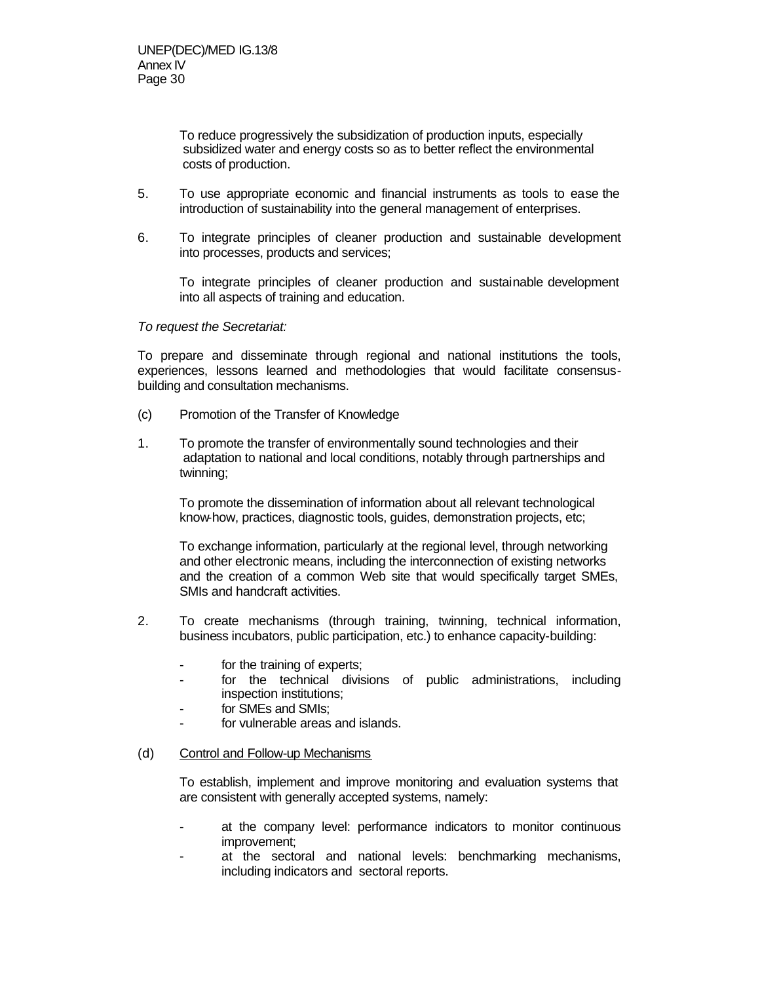To reduce progressively the subsidization of production inputs, especially subsidized water and energy costs so as to better reflect the environmental costs of production.

- 5. To use appropriate economic and financial instruments as tools to ease the introduction of sustainability into the general management of enterprises.
- 6. To integrate principles of cleaner production and sustainable development into processes, products and services;

To integrate principles of cleaner production and sustainable development into all aspects of training and education.

*To request the Secretariat:*

To prepare and disseminate through regional and national institutions the tools, experiences, lessons learned and methodologies that would facilitate consensusbuilding and consultation mechanisms.

- (c) Promotion of the Transfer of Knowledge
- 1. To promote the transfer of environmentally sound technologies and their adaptation to national and local conditions, notably through partnerships and twinning;

 To promote the dissemination of information about all relevant technological know-how, practices, diagnostic tools, guides, demonstration projects, etc;

To exchange information, particularly at the regional level, through networking and other electronic means, including the interconnection of existing networks and the creation of a common Web site that would specifically target SMEs, SMIs and handcraft activities.

- 2. To create mechanisms (through training, twinning, technical information, business incubators, public participation, etc.) to enhance capacity-building:
	- for the training of experts;
	- for the technical divisions of public administrations, including inspection institutions;
	- for SMEs and SMIs;
	- for vulnerable areas and islands.

#### (d) Control and Follow-up Mechanisms

To establish, implement and improve monitoring and evaluation systems that are consistent with generally accepted systems, namely:

- at the company level: performance indicators to monitor continuous improvement;
- at the sectoral and national levels: benchmarking mechanisms, including indicators and sectoral reports.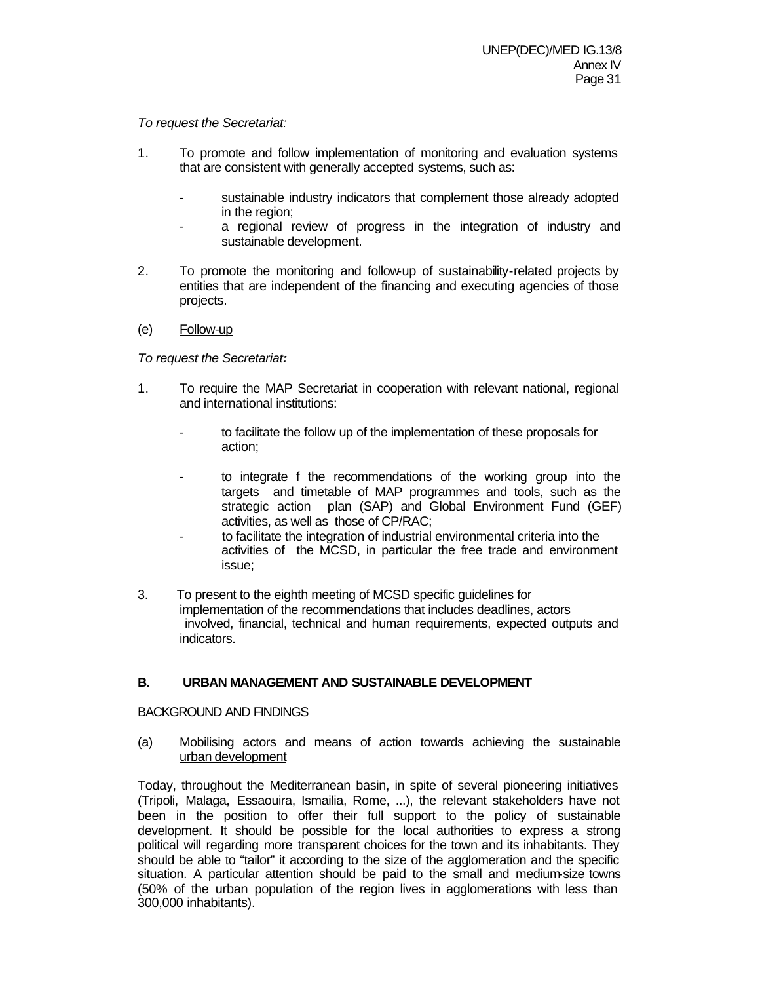## *To request the Secretariat:*

- 1. To promote and follow implementation of monitoring and evaluation systems that are consistent with generally accepted systems, such as:
	- sustainable industry indicators that complement those already adopted in the region;
	- a regional review of progress in the integration of industry and sustainable development.
- 2. To promote the monitoring and follow-up of sustainability-related projects by entities that are independent of the financing and executing agencies of those projects.
- (e) Follow-up

*To request the Secretariat:*

- 1. To require the MAP Secretariat in cooperation with relevant national, regional and international institutions:
	- to facilitate the follow up of the implementation of these proposals for action;
	- to integrate f the recommendations of the working group into the targets and timetable of MAP programmes and tools, such as the strategic action plan (SAP) and Global Environment Fund (GEF) activities, as well as those of CP/RAC;
	- to facilitate the integration of industrial environmental criteria into the activities of the MCSD, in particular the free trade and environment issue;
- 3. To present to the eighth meeting of MCSD specific guidelines for implementation of the recommendations that includes deadlines, actors involved, financial, technical and human requirements, expected outputs and indicators.

## **B. URBAN MANAGEMENT AND SUSTAINABLE DEVELOPMENT**

## BACKGROUND AND FINDINGS

(a) Mobilising actors and means of action towards achieving the sustainable urban development

Today, throughout the Mediterranean basin, in spite of several pioneering initiatives (Tripoli, Malaga, Essaouira, Ismailia, Rome, ...), the relevant stakeholders have not been in the position to offer their full support to the policy of sustainable development. It should be possible for the local authorities to express a strong political will regarding more transparent choices for the town and its inhabitants. They should be able to "tailor" it according to the size of the agglomeration and the specific situation. A particular attention should be paid to the small and medium-size towns (50% of the urban population of the region lives in agglomerations with less than 300,000 inhabitants).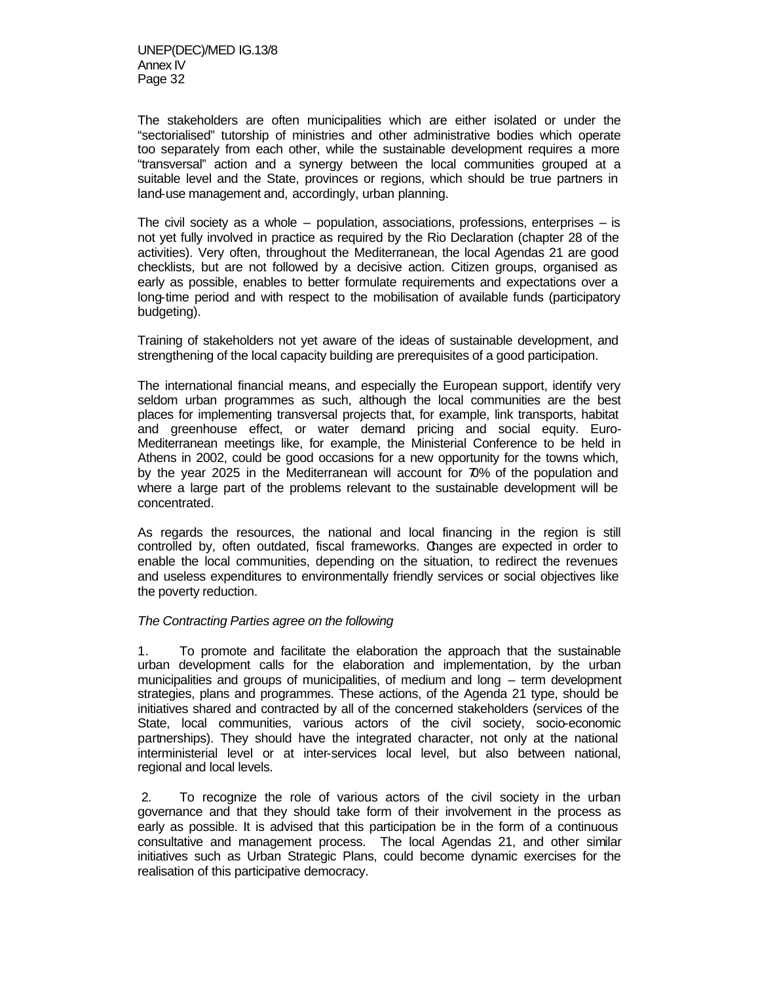The stakeholders are often municipalities which are either isolated or under the "sectorialised" tutorship of ministries and other administrative bodies which operate too separately from each other, while the sustainable development requires a more "transversal" action and a synergy between the local communities grouped at a suitable level and the State, provinces or regions, which should be true partners in land-use management and, accordingly, urban planning.

The civil society as a whole – population, associations, professions, enterprises – is not yet fully involved in practice as required by the Rio Declaration (chapter 28 of the activities). Very often, throughout the Mediterranean, the local Agendas 21 are good checklists, but are not followed by a decisive action. Citizen groups, organised as early as possible, enables to better formulate requirements and expectations over a long-time period and with respect to the mobilisation of available funds (participatory budgeting).

Training of stakeholders not yet aware of the ideas of sustainable development, and strengthening of the local capacity building are prerequisites of a good participation.

The international financial means, and especially the European support, identify very seldom urban programmes as such, although the local communities are the best places for implementing transversal projects that, for example, link transports, habitat and greenhouse effect, or water demand pricing and social equity. Euro-Mediterranean meetings like, for example, the Ministerial Conference to be held in Athens in 2002, could be good occasions for a new opportunity for the towns which, by the year 2025 in the Mediterranean will account for 70% of the population and where a large part of the problems relevant to the sustainable development will be concentrated.

As regards the resources, the national and local financing in the region is still controlled by, often outdated, fiscal frameworks. Changes are expected in order to enable the local communities, depending on the situation, to redirect the revenues and useless expenditures to environmentally friendly services or social objectives like the poverty reduction.

#### *The Contracting Parties agree on the following*

1. To promote and facilitate the elaboration the approach that the sustainable urban development calls for the elaboration and implementation, by the urban municipalities and groups of municipalities, of medium and long – term development strategies, plans and programmes. These actions, of the Agenda 21 type, should be initiatives shared and contracted by all of the concerned stakeholders (services of the State, local communities, various actors of the civil society, socio-economic partnerships). They should have the integrated character, not only at the national interministerial level or at inter-services local level, but also between national, regional and local levels.

 2. To recognize the role of various actors of the civil society in the urban governance and that they should take form of their involvement in the process as early as possible. It is advised that this participation be in the form of a continuous consultative and management process. The local Agendas 21, and other similar initiatives such as Urban Strategic Plans, could become dynamic exercises for the realisation of this participative democracy.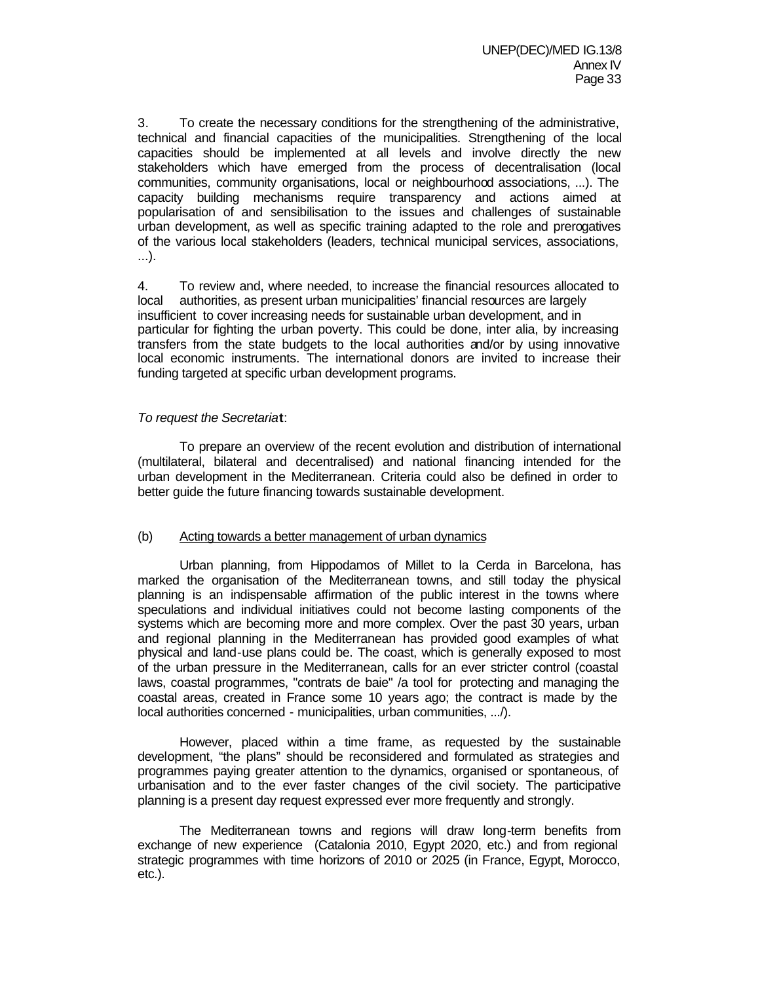3. To create the necessary conditions for the strengthening of the administrative, technical and financial capacities of the municipalities. Strengthening of the local capacities should be implemented at all levels and involve directly the new stakeholders which have emerged from the process of decentralisation (local communities, community organisations, local or neighbourhood associations, ...). The capacity building mechanisms require transparency and actions aimed at popularisation of and sensibilisation to the issues and challenges of sustainable urban development, as well as specific training adapted to the role and prerogatives of the various local stakeholders (leaders, technical municipal services, associations, ...).

4. To review and, where needed, to increase the financial resources allocated to local authorities, as present urban municipalities' financial resources are largely insufficient to cover increasing needs for sustainable urban development, and in particular for fighting the urban poverty. This could be done, inter alia, by increasing transfers from the state budgets to the local authorities and/or by using innovative local economic instruments. The international donors are invited to increase their funding targeted at specific urban development programs.

## *To request the Secretaria***t**:

To prepare an overview of the recent evolution and distribution of international (multilateral, bilateral and decentralised) and national financing intended for the urban development in the Mediterranean. Criteria could also be defined in order to better guide the future financing towards sustainable development.

## (b) Acting towards a better management of urban dynamics

Urban planning, from Hippodamos of Millet to la Cerda in Barcelona, has marked the organisation of the Mediterranean towns, and still today the physical planning is an indispensable affirmation of the public interest in the towns where speculations and individual initiatives could not become lasting components of the systems which are becoming more and more complex. Over the past 30 years, urban and regional planning in the Mediterranean has provided good examples of what physical and land-use plans could be. The coast, which is generally exposed to most of the urban pressure in the Mediterranean, calls for an ever stricter control (coastal laws, coastal programmes, "contrats de baie" /a tool for protecting and managing the coastal areas, created in France some 10 years ago; the contract is made by the local authorities concerned - municipalities, urban communities, .../).

However, placed within a time frame, as requested by the sustainable development, "the plans" should be reconsidered and formulated as strategies and programmes paying greater attention to the dynamics, organised or spontaneous, of urbanisation and to the ever faster changes of the civil society. The participative planning is a present day request expressed ever more frequently and strongly.

The Mediterranean towns and regions will draw long-term benefits from exchange of new experience (Catalonia 2010, Egypt 2020, etc.) and from regional strategic programmes with time horizons of 2010 or 2025 (in France, Egypt, Morocco, etc.).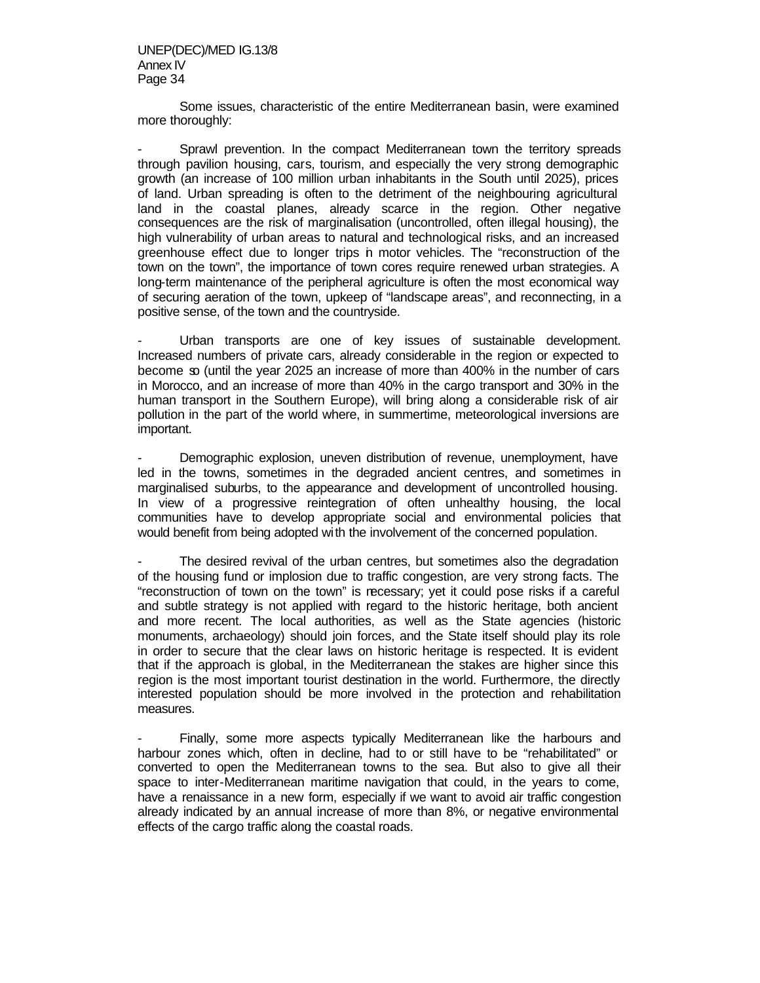Some issues, characteristic of the entire Mediterranean basin, were examined more thoroughly:

Sprawl prevention. In the compact Mediterranean town the territory spreads through pavilion housing, cars, tourism, and especially the very strong demographic growth (an increase of 100 million urban inhabitants in the South until 2025), prices of land. Urban spreading is often to the detriment of the neighbouring agricultural land in the coastal planes, already scarce in the region. Other negative consequences are the risk of marginalisation (uncontrolled, often illegal housing), the high vulnerability of urban areas to natural and technological risks, and an increased greenhouse effect due to longer trips in motor vehicles. The "reconstruction of the town on the town", the importance of town cores require renewed urban strategies. A long-term maintenance of the peripheral agriculture is often the most economical way of securing aeration of the town, upkeep of "landscape areas", and reconnecting, in a positive sense, of the town and the countryside.

Urban transports are one of key issues of sustainable development. Increased numbers of private cars, already considerable in the region or expected to become so (until the year 2025 an increase of more than 400% in the number of cars in Morocco, and an increase of more than 40% in the cargo transport and 30% in the human transport in the Southern Europe), will bring along a considerable risk of air pollution in the part of the world where, in summertime, meteorological inversions are important.

Demographic explosion, uneven distribution of revenue, unemployment, have led in the towns, sometimes in the degraded ancient centres, and sometimes in marginalised suburbs, to the appearance and development of uncontrolled housing. In view of a progressive reintegration of often unhealthy housing, the local communities have to develop appropriate social and environmental policies that would benefit from being adopted with the involvement of the concerned population.

The desired revival of the urban centres, but sometimes also the degradation of the housing fund or implosion due to traffic congestion, are very strong facts. The "reconstruction of town on the town" is necessary; yet it could pose risks if a careful and subtle strategy is not applied with regard to the historic heritage, both ancient and more recent. The local authorities, as well as the State agencies (historic monuments, archaeology) should join forces, and the State itself should play its role in order to secure that the clear laws on historic heritage is respected. It is evident that if the approach is global, in the Mediterranean the stakes are higher since this region is the most important tourist destination in the world. Furthermore, the directly interested population should be more involved in the protection and rehabilitation measures.

Finally, some more aspects typically Mediterranean like the harbours and harbour zones which, often in decline, had to or still have to be "rehabilitated" or converted to open the Mediterranean towns to the sea. But also to give all their space to inter-Mediterranean maritime navigation that could, in the years to come, have a renaissance in a new form, especially if we want to avoid air traffic congestion already indicated by an annual increase of more than 8%, or negative environmental effects of the cargo traffic along the coastal roads.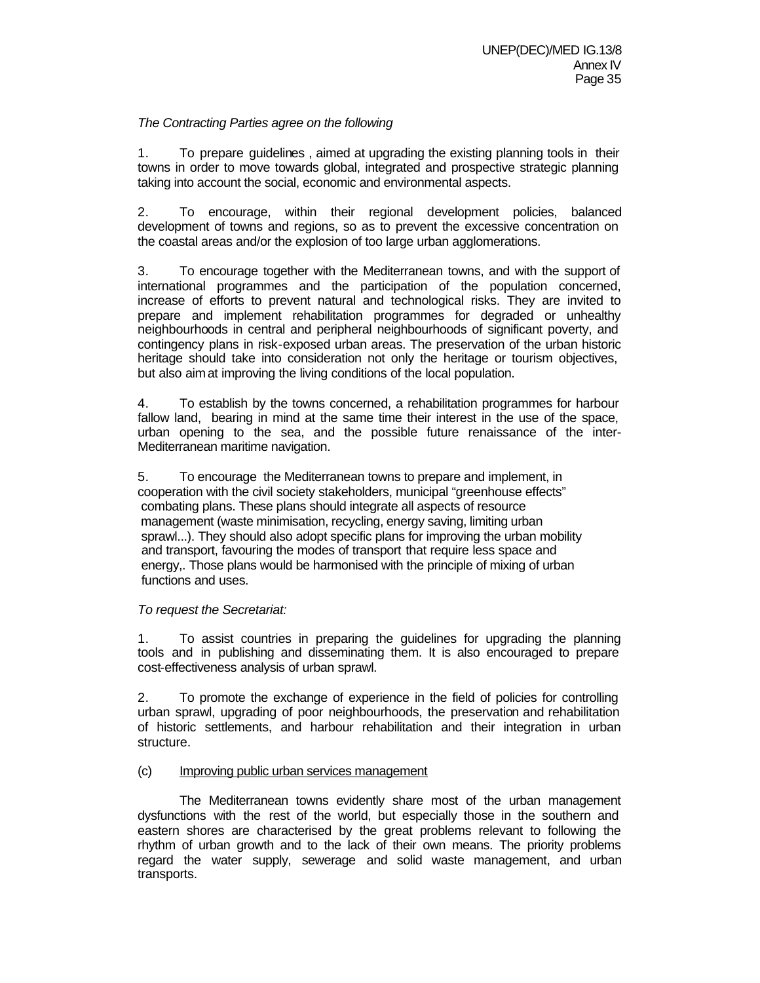# *The Contracting Parties agree on the following*

1. To prepare guidelines , aimed at upgrading the existing planning tools in their towns in order to move towards global, integrated and prospective strategic planning taking into account the social, economic and environmental aspects.

2. To encourage, within their regional development policies, balanced development of towns and regions, so as to prevent the excessive concentration on the coastal areas and/or the explosion of too large urban agglomerations.

3. To encourage together with the Mediterranean towns, and with the support of international programmes and the participation of the population concerned, increase of efforts to prevent natural and technological risks. They are invited to prepare and implement rehabilitation programmes for degraded or unhealthy neighbourhoods in central and peripheral neighbourhoods of significant poverty, and contingency plans in risk-exposed urban areas. The preservation of the urban historic heritage should take into consideration not only the heritage or tourism objectives, but also aim at improving the living conditions of the local population.

4. To establish by the towns concerned, a rehabilitation programmes for harbour fallow land, bearing in mind at the same time their interest in the use of the space, urban opening to the sea, and the possible future renaissance of the inter-Mediterranean maritime navigation.

5. To encourage the Mediterranean towns to prepare and implement, in cooperation with the civil society stakeholders, municipal "greenhouse effects" combating plans. These plans should integrate all aspects of resource management (waste minimisation, recycling, energy saving, limiting urban sprawl...). They should also adopt specific plans for improving the urban mobility and transport, favouring the modes of transport that require less space and energy,. Those plans would be harmonised with the principle of mixing of urban functions and uses.

## *To request the Secretariat:*

1. To assist countries in preparing the guidelines for upgrading the planning tools and in publishing and disseminating them. It is also encouraged to prepare cost-effectiveness analysis of urban sprawl.

2. To promote the exchange of experience in the field of policies for controlling urban sprawl, upgrading of poor neighbourhoods, the preservation and rehabilitation of historic settlements, and harbour rehabilitation and their integration in urban structure.

# (c) Improving public urban services management

The Mediterranean towns evidently share most of the urban management dysfunctions with the rest of the world, but especially those in the southern and eastern shores are characterised by the great problems relevant to following the rhythm of urban growth and to the lack of their own means. The priority problems regard the water supply, sewerage and solid waste management, and urban transports.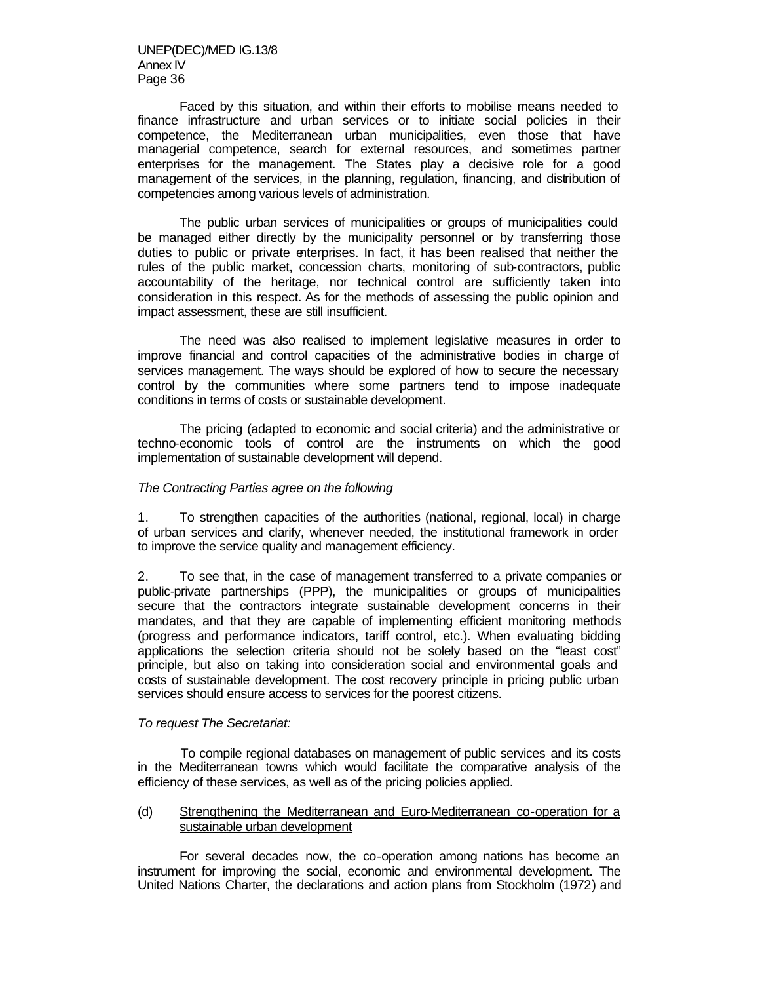UNEP(DEC)/MED IG.13/8 Annex IV Page 36

Faced by this situation, and within their efforts to mobilise means needed to finance infrastructure and urban services or to initiate social policies in their competence, the Mediterranean urban municipalities, even those that have managerial competence, search for external resources, and sometimes partner enterprises for the management. The States play a decisive role for a good management of the services, in the planning, regulation, financing, and distribution of competencies among various levels of administration.

The public urban services of municipalities or groups of municipalities could be managed either directly by the municipality personnel or by transferring those duties to public or private enterprises. In fact, it has been realised that neither the rules of the public market, concession charts, monitoring of sub-contractors, public accountability of the heritage, nor technical control are sufficiently taken into consideration in this respect. As for the methods of assessing the public opinion and impact assessment, these are still insufficient.

The need was also realised to implement legislative measures in order to improve financial and control capacities of the administrative bodies in charge of services management. The ways should be explored of how to secure the necessary control by the communities where some partners tend to impose inadequate conditions in terms of costs or sustainable development.

The pricing (adapted to economic and social criteria) and the administrative or techno-economic tools of control are the instruments on which the good implementation of sustainable development will depend.

#### *The Contracting Parties agree on the following*

1. To strengthen capacities of the authorities (national, regional, local) in charge of urban services and clarify, whenever needed, the institutional framework in order to improve the service quality and management efficiency.

2. To see that, in the case of management transferred to a private companies or public-private partnerships (PPP), the municipalities or groups of municipalities secure that the contractors integrate sustainable development concerns in their mandates, and that they are capable of implementing efficient monitoring methods (progress and performance indicators, tariff control, etc.). When evaluating bidding applications the selection criteria should not be solely based on the "least cost" principle, but also on taking into consideration social and environmental goals and costs of sustainable development. The cost recovery principle in pricing public urban services should ensure access to services for the poorest citizens.

#### *To request The Secretariat:*

 To compile regional databases on management of public services and its costs in the Mediterranean towns which would facilitate the comparative analysis of the efficiency of these services, as well as of the pricing policies applied.

#### (d) Strengthening the Mediterranean and Euro-Mediterranean co-operation for a sustainable urban development

For several decades now, the co-operation among nations has become an instrument for improving the social, economic and environmental development. The United Nations Charter, the declarations and action plans from Stockholm (1972) and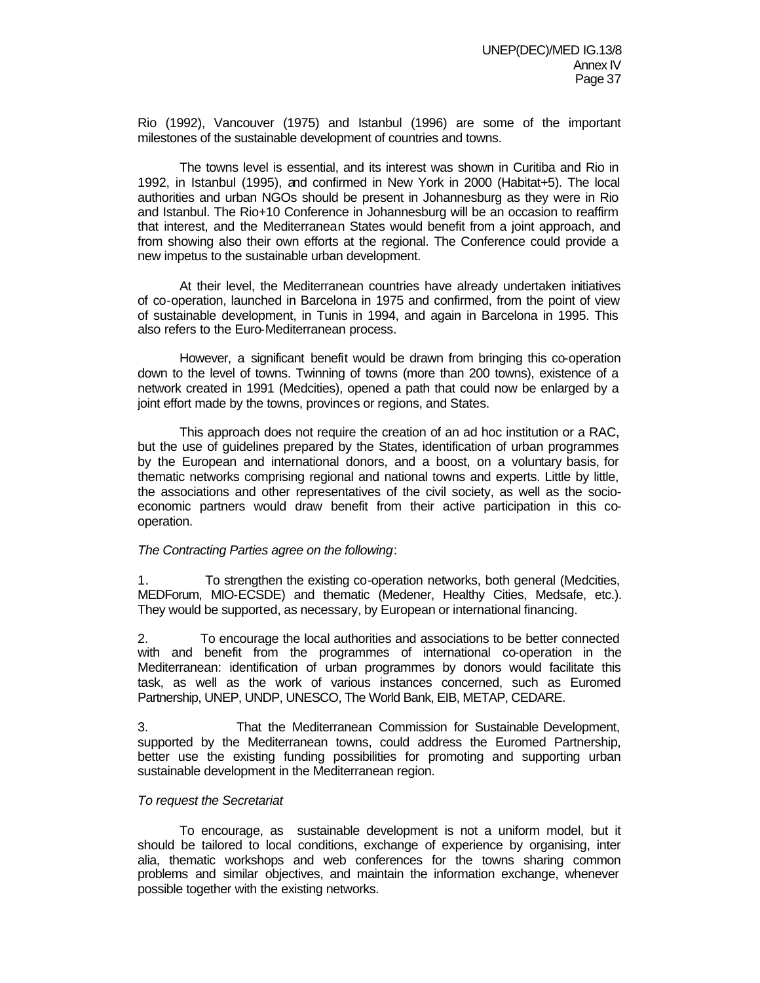Rio (1992), Vancouver (1975) and Istanbul (1996) are some of the important milestones of the sustainable development of countries and towns.

The towns level is essential, and its interest was shown in Curitiba and Rio in 1992, in Istanbul (1995), and confirmed in New York in 2000 (Habitat+5). The local authorities and urban NGOs should be present in Johannesburg as they were in Rio and Istanbul. The Rio+10 Conference in Johannesburg will be an occasion to reaffirm that interest, and the Mediterranean States would benefit from a joint approach, and from showing also their own efforts at the regional. The Conference could provide a new impetus to the sustainable urban development.

At their level, the Mediterranean countries have already undertaken initiatives of co-operation, launched in Barcelona in 1975 and confirmed, from the point of view of sustainable development, in Tunis in 1994, and again in Barcelona in 1995. This also refers to the Euro-Mediterranean process.

However, a significant benefit would be drawn from bringing this co-operation down to the level of towns. Twinning of towns (more than 200 towns), existence of a network created in 1991 (Medcities), opened a path that could now be enlarged by a joint effort made by the towns, provinces or regions, and States.

This approach does not require the creation of an ad hoc institution or a RAC, but the use of guidelines prepared by the States, identification of urban programmes by the European and international donors, and a boost, on a voluntary basis, for thematic networks comprising regional and national towns and experts. Little by little, the associations and other representatives of the civil society, as well as the socioeconomic partners would draw benefit from their active participation in this cooperation.

## *The Contracting Parties agree on the following*:

1. To strengthen the existing co-operation networks, both general (Medcities, MEDForum, MIO-ECSDE) and thematic (Medener, Healthy Cities, Medsafe, etc.). They would be supported, as necessary, by European or international financing.

2. To encourage the local authorities and associations to be better connected with and benefit from the programmes of international co-operation in the Mediterranean: identification of urban programmes by donors would facilitate this task, as well as the work of various instances concerned, such as Euromed Partnership, UNEP, UNDP, UNESCO, The World Bank, EIB, METAP, CEDARE.

3. That the Mediterranean Commission for Sustainable Development, supported by the Mediterranean towns, could address the Euromed Partnership, better use the existing funding possibilities for promoting and supporting urban sustainable development in the Mediterranean region.

#### *To request the Secretariat*

To encourage, as sustainable development is not a uniform model, but it should be tailored to local conditions, exchange of experience by organising, inter alia, thematic workshops and web conferences for the towns sharing common problems and similar objectives, and maintain the information exchange, whenever possible together with the existing networks.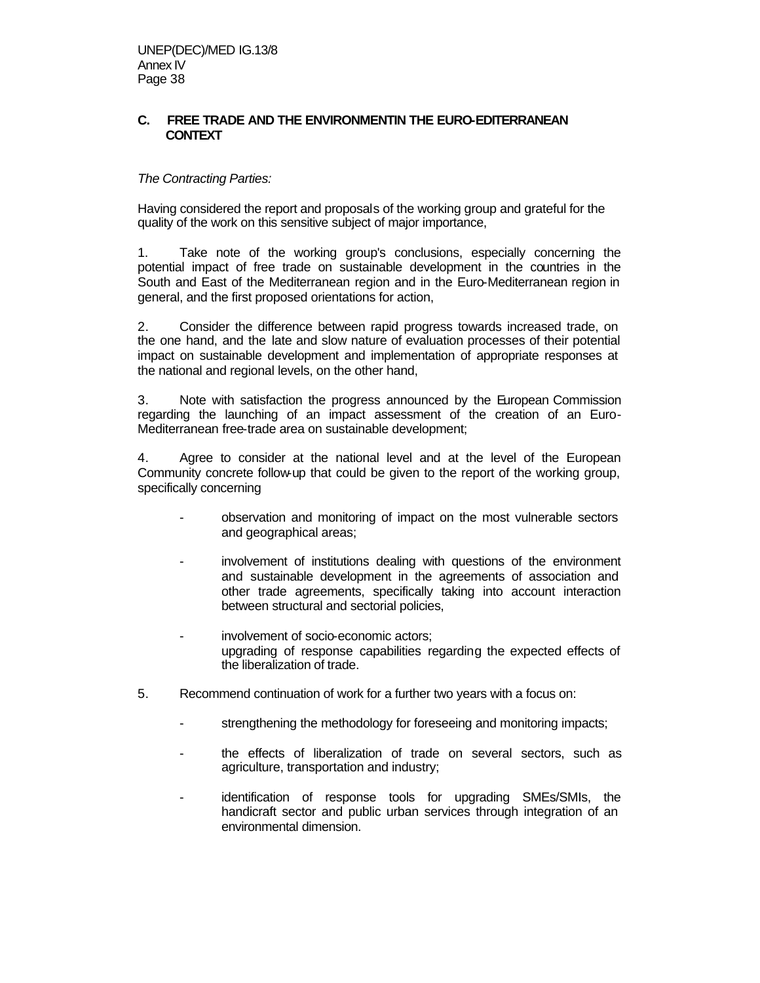# **C. FREE TRADE AND THE ENVIRONMENTIN THE EURO-EDITERRANEAN CONTEXT**

# *The Contracting Parties:*

Having considered the report and proposals of the working group and grateful for the quality of the work on this sensitive subject of major importance,

1. Take note of the working group's conclusions, especially concerning the potential impact of free trade on sustainable development in the countries in the South and East of the Mediterranean region and in the Euro-Mediterranean region in general, and the first proposed orientations for action,

2. Consider the difference between rapid progress towards increased trade, on the one hand, and the late and slow nature of evaluation processes of their potential impact on sustainable development and implementation of appropriate responses at the national and regional levels, on the other hand,

3. Note with satisfaction the progress announced by the European Commission regarding the launching of an impact assessment of the creation of an Euro-Mediterranean free-trade area on sustainable development;

4. Agree to consider at the national level and at the level of the European Community concrete follow-up that could be given to the report of the working group, specifically concerning

- observation and monitoring of impact on the most vulnerable sectors and geographical areas;
- involvement of institutions dealing with questions of the environment and sustainable development in the agreements of association and other trade agreements, specifically taking into account interaction between structural and sectorial policies,
- involvement of socio-economic actors; upgrading of response capabilities regarding the expected effects of the liberalization of trade.
- 5. Recommend continuation of work for a further two years with a focus on:
	- strengthening the methodology for foreseeing and monitoring impacts;
	- the effects of liberalization of trade on several sectors, such as agriculture, transportation and industry;
	- identification of response tools for upgrading SMEs/SMIs, the handicraft sector and public urban services through integration of an environmental dimension.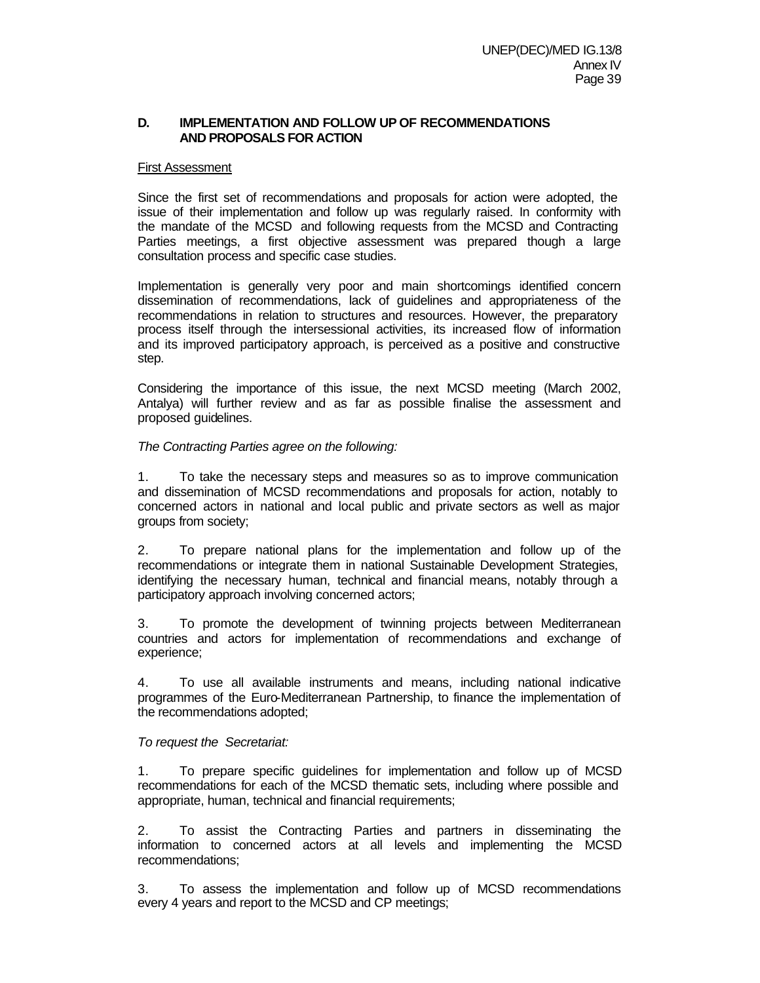# **D. IMPLEMENTATION AND FOLLOW UP OF RECOMMENDATIONS AND PROPOSALS FOR ACTION**

#### First Assessment

Since the first set of recommendations and proposals for action were adopted, the issue of their implementation and follow up was regularly raised. In conformity with the mandate of the MCSD and following requests from the MCSD and Contracting Parties meetings, a first objective assessment was prepared though a large consultation process and specific case studies.

Implementation is generally very poor and main shortcomings identified concern dissemination of recommendations, lack of guidelines and appropriateness of the recommendations in relation to structures and resources. However, the preparatory process itself through the intersessional activities, its increased flow of information and its improved participatory approach, is perceived as a positive and constructive step.

Considering the importance of this issue, the next MCSD meeting (March 2002, Antalya) will further review and as far as possible finalise the assessment and proposed guidelines.

# *The Contracting Parties agree on the following:*

1. To take the necessary steps and measures so as to improve communication and dissemination of MCSD recommendations and proposals for action, notably to concerned actors in national and local public and private sectors as well as major groups from society;

2. To prepare national plans for the implementation and follow up of the recommendations or integrate them in national Sustainable Development Strategies, identifying the necessary human, technical and financial means, notably through a participatory approach involving concerned actors;

3. To promote the development of twinning projects between Mediterranean countries and actors for implementation of recommendations and exchange of experience;

4. To use all available instruments and means, including national indicative programmes of the Euro-Mediterranean Partnership, to finance the implementation of the recommendations adopted;

## *To request the Secretariat:*

1. To prepare specific guidelines for implementation and follow up of MCSD recommendations for each of the MCSD thematic sets, including where possible and appropriate, human, technical and financial requirements;

2. To assist the Contracting Parties and partners in disseminating the information to concerned actors at all levels and implementing the MCSD recommendations;

3. To assess the implementation and follow up of MCSD recommendations every 4 years and report to the MCSD and CP meetings;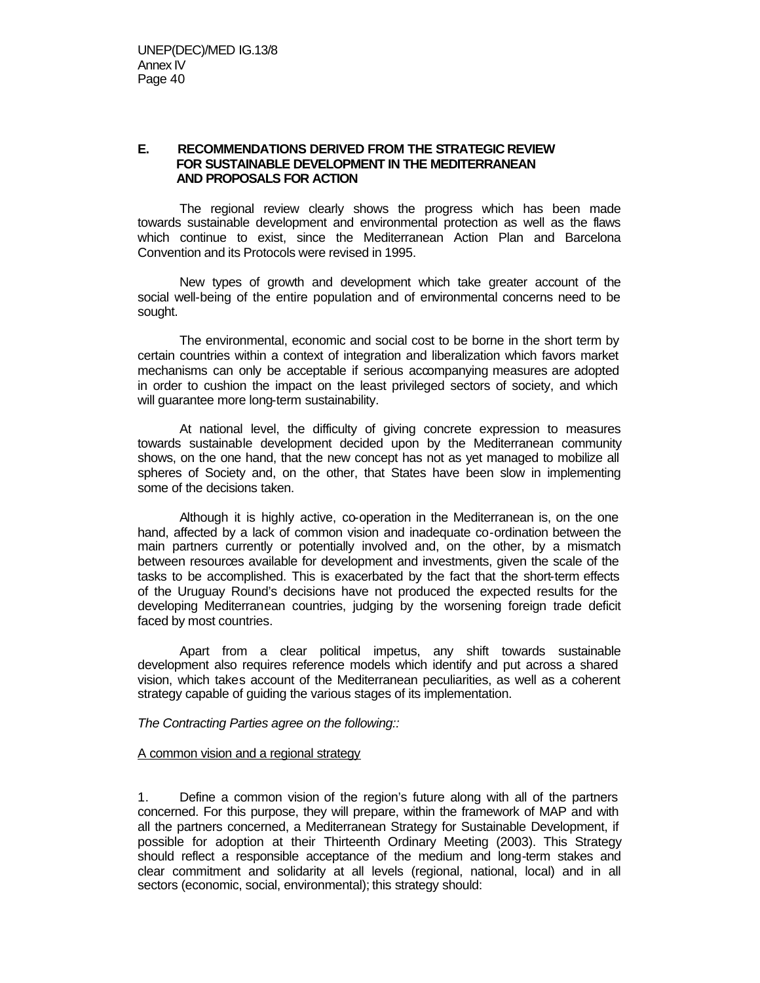# **E. RECOMMENDATIONS DERIVED FROM THE STRATEGIC REVIEW FOR SUSTAINABLE DEVELOPMENT IN THE MEDITERRANEAN AND PROPOSALS FOR ACTION**

The regional review clearly shows the progress which has been made towards sustainable development and environmental protection as well as the flaws which continue to exist, since the Mediterranean Action Plan and Barcelona Convention and its Protocols were revised in 1995.

New types of growth and development which take greater account of the social well-being of the entire population and of environmental concerns need to be sought.

The environmental, economic and social cost to be borne in the short term by certain countries within a context of integration and liberalization which favors market mechanisms can only be acceptable if serious accompanying measures are adopted in order to cushion the impact on the least privileged sectors of society, and which will guarantee more long-term sustainability.

At national level, the difficulty of giving concrete expression to measures towards sustainable development decided upon by the Mediterranean community shows, on the one hand, that the new concept has not as yet managed to mobilize all spheres of Society and, on the other, that States have been slow in implementing some of the decisions taken.

Although it is highly active, co-operation in the Mediterranean is, on the one hand, affected by a lack of common vision and inadequate co-ordination between the main partners currently or potentially involved and, on the other, by a mismatch between resources available for development and investments, given the scale of the tasks to be accomplished. This is exacerbated by the fact that the short-term effects of the Uruguay Round's decisions have not produced the expected results for the developing Mediterranean countries, judging by the worsening foreign trade deficit faced by most countries.

Apart from a clear political impetus, any shift towards sustainable development also requires reference models which identify and put across a shared vision, which takes account of the Mediterranean peculiarities, as well as a coherent strategy capable of guiding the various stages of its implementation.

*The Contracting Parties agree on the following::*

#### A common vision and a regional strategy

1. Define a common vision of the region's future along with all of the partners concerned. For this purpose, they will prepare, within the framework of MAP and with all the partners concerned, a Mediterranean Strategy for Sustainable Development, if possible for adoption at their Thirteenth Ordinary Meeting (2003). This Strategy should reflect a responsible acceptance of the medium and long-term stakes and clear commitment and solidarity at all levels (regional, national, local) and in all sectors (economic, social, environmental); this strategy should: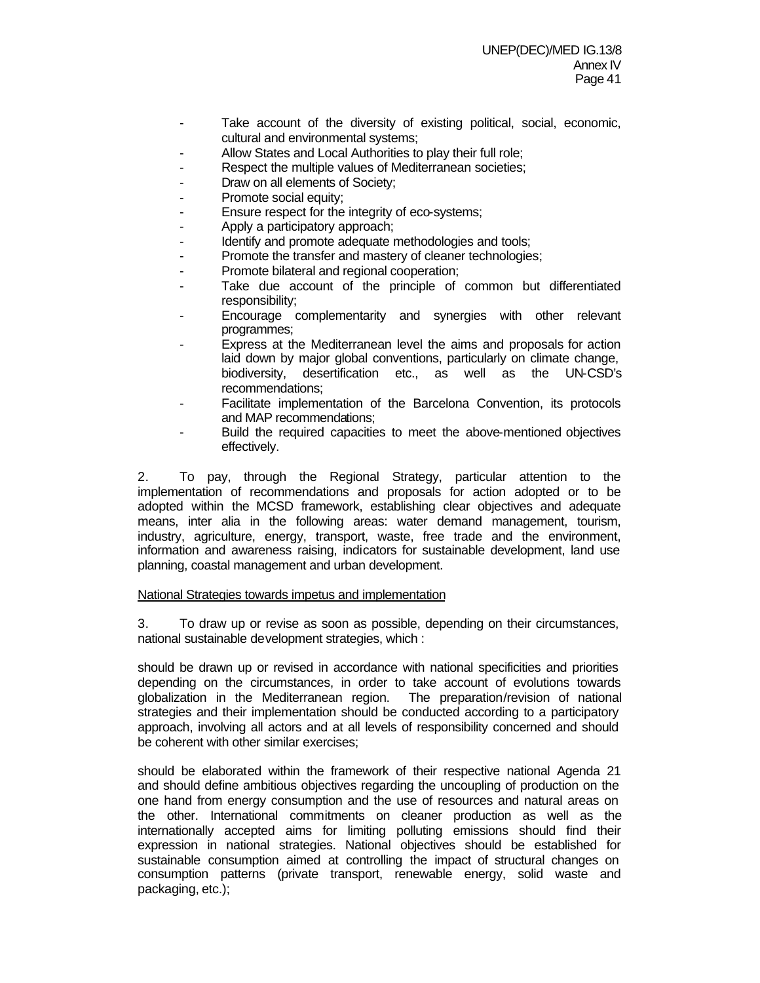- Take account of the diversity of existing political, social, economic, cultural and environmental systems;
- Allow States and Local Authorities to play their full role;
- Respect the multiple values of Mediterranean societies;
- Draw on all elements of Society;
- Promote social equity;
- Ensure respect for the integrity of eco-systems;
- Apply a participatory approach;
- Identify and promote adequate methodologies and tools;
- Promote the transfer and mastery of cleaner technologies;
- Promote bilateral and regional cooperation;
- Take due account of the principle of common but differentiated responsibility;
- Encourage complementarity and synergies with other relevant programmes;
- Express at the Mediterranean level the aims and proposals for action laid down by major global conventions, particularly on climate change, biodiversity, desertification etc., as well as the UN-CSD's recommendations;
- Facilitate implementation of the Barcelona Convention, its protocols and MAP recommendations;
- Build the required capacities to meet the above-mentioned objectives effectively.

2. To pay, through the Regional Strategy, particular attention to the implementation of recommendations and proposals for action adopted or to be adopted within the MCSD framework, establishing clear objectives and adequate means, inter alia in the following areas: water demand management, tourism, industry, agriculture, energy, transport, waste, free trade and the environment, information and awareness raising, indicators for sustainable development, land use planning, coastal management and urban development.

## National Strategies towards impetus and implementation

3. To draw up or revise as soon as possible, depending on their circumstances, national sustainable development strategies, which :

should be drawn up or revised in accordance with national specificities and priorities depending on the circumstances, in order to take account of evolutions towards globalization in the Mediterranean region. The preparation/revision of national strategies and their implementation should be conducted according to a participatory approach, involving all actors and at all levels of responsibility concerned and should be coherent with other similar exercises;

should be elaborated within the framework of their respective national Agenda 21 and should define ambitious objectives regarding the uncoupling of production on the one hand from energy consumption and the use of resources and natural areas on the other. International commitments on cleaner production as well as the internationally accepted aims for limiting polluting emissions should find their expression in national strategies. National objectives should be established for sustainable consumption aimed at controlling the impact of structural changes on consumption patterns (private transport, renewable energy, solid waste and packaging, etc.);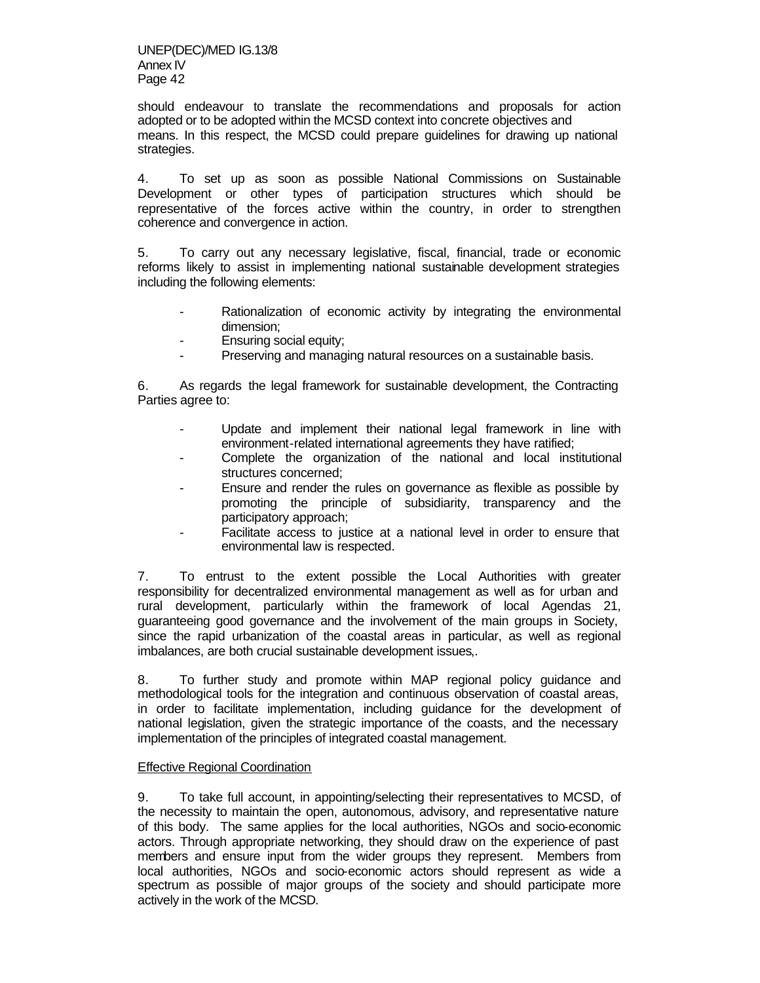should endeavour to translate the recommendations and proposals for action adopted or to be adopted within the MCSD context into concrete objectives and means. In this respect, the MCSD could prepare guidelines for drawing up national strategies.

4. To set up as soon as possible National Commissions on Sustainable Development or other types of participation structures which should be representative of the forces active within the country, in order to strengthen coherence and convergence in action.

5. To carry out any necessary legislative, fiscal, financial, trade or economic reforms likely to assist in implementing national sustainable development strategies including the following elements:

- Rationalization of economic activity by integrating the environmental dimension;
- Ensuring social equity;
- Preserving and managing natural resources on a sustainable basis.

6. As regards the legal framework for sustainable development, the Contracting Parties agree to:

- Update and implement their national legal framework in line with environment-related international agreements they have ratified;
- Complete the organization of the national and local institutional structures concerned;
- Ensure and render the rules on governance as flexible as possible by promoting the principle of subsidiarity, transparency and the participatory approach;
- Facilitate access to justice at a national level in order to ensure that environmental law is respected.

7. To entrust to the extent possible the Local Authorities with greater responsibility for decentralized environmental management as well as for urban and rural development, particularly within the framework of local Agendas 21, guaranteeing good governance and the involvement of the main groups in Society, since the rapid urbanization of the coastal areas in particular, as well as regional imbalances, are both crucial sustainable development issues,.

8. To further study and promote within MAP regional policy guidance and methodological tools for the integration and continuous observation of coastal areas, in order to facilitate implementation, including guidance for the development of national legislation, given the strategic importance of the coasts, and the necessary implementation of the principles of integrated coastal management.

## Effective Regional Coordination

9. To take full account, in appointing/selecting their representatives to MCSD, of the necessity to maintain the open, autonomous, advisory, and representative nature of this body. The same applies for the local authorities, NGOs and socio-economic actors. Through appropriate networking, they should draw on the experience of past members and ensure input from the wider groups they represent. Members from local authorities, NGOs and socio-economic actors should represent as wide a spectrum as possible of major groups of the society and should participate more actively in the work of the MCSD.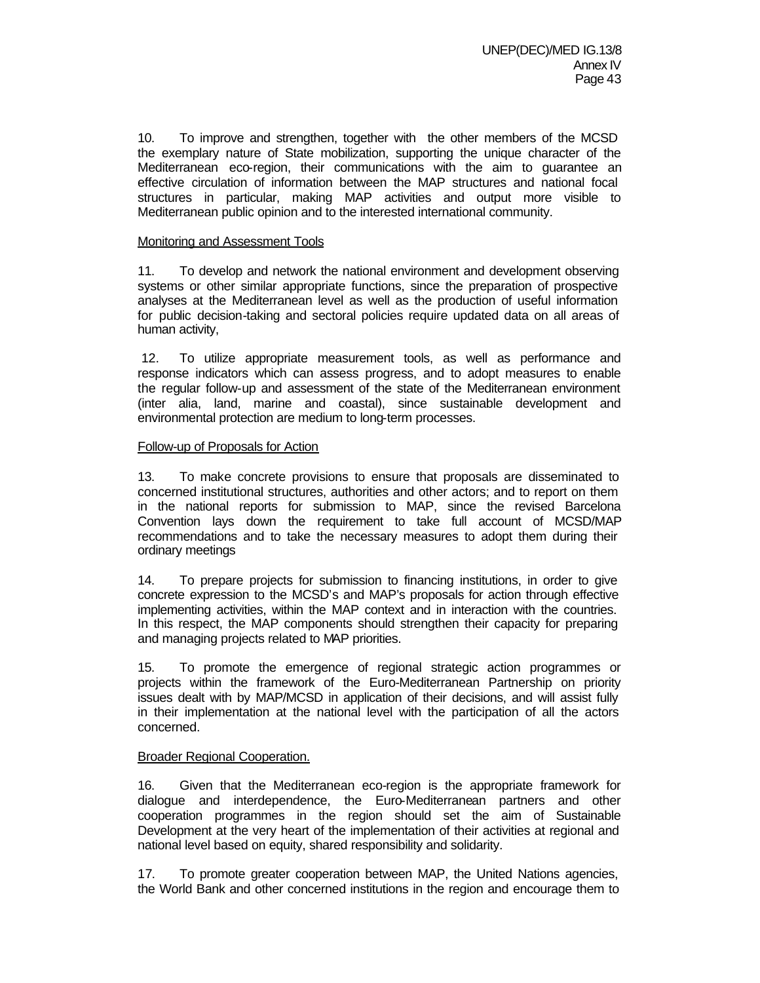10. To improve and strengthen, together with the other members of the MCSD the exemplary nature of State mobilization, supporting the unique character of the Mediterranean eco-region, their communications with the aim to guarantee an effective circulation of information between the MAP structures and national focal structures in particular, making MAP activities and output more visible to Mediterranean public opinion and to the interested international community.

## Monitoring and Assessment Tools

11. To develop and network the national environment and development observing systems or other similar appropriate functions, since the preparation of prospective analyses at the Mediterranean level as well as the production of useful information for public decision-taking and sectoral policies require updated data on all areas of human activity,

 12. To utilize appropriate measurement tools, as well as performance and response indicators which can assess progress, and to adopt measures to enable the regular follow-up and assessment of the state of the Mediterranean environment (inter alia, land, marine and coastal), since sustainable development and environmental protection are medium to long-term processes.

# Follow-up of Proposals for Action

13. To make concrete provisions to ensure that proposals are disseminated to concerned institutional structures, authorities and other actors; and to report on them in the national reports for submission to MAP, since the revised Barcelona Convention lays down the requirement to take full account of MCSD/MAP recommendations and to take the necessary measures to adopt them during their ordinary meetings

14. To prepare projects for submission to financing institutions, in order to give concrete expression to the MCSD's and MAP's proposals for action through effective implementing activities, within the MAP context and in interaction with the countries. In this respect, the MAP components should strengthen their capacity for preparing and managing projects related to MAP priorities.

15. To promote the emergence of regional strategic action programmes or projects within the framework of the Euro-Mediterranean Partnership on priority issues dealt with by MAP/MCSD in application of their decisions, and will assist fully in their implementation at the national level with the participation of all the actors concerned.

# Broader Regional Cooperation.

16. Given that the Mediterranean eco-region is the appropriate framework for dialogue and interdependence, the Euro-Mediterranean partners and other cooperation programmes in the region should set the aim of Sustainable Development at the very heart of the implementation of their activities at regional and national level based on equity, shared responsibility and solidarity.

17. To promote greater cooperation between MAP, the United Nations agencies, the World Bank and other concerned institutions in the region and encourage them to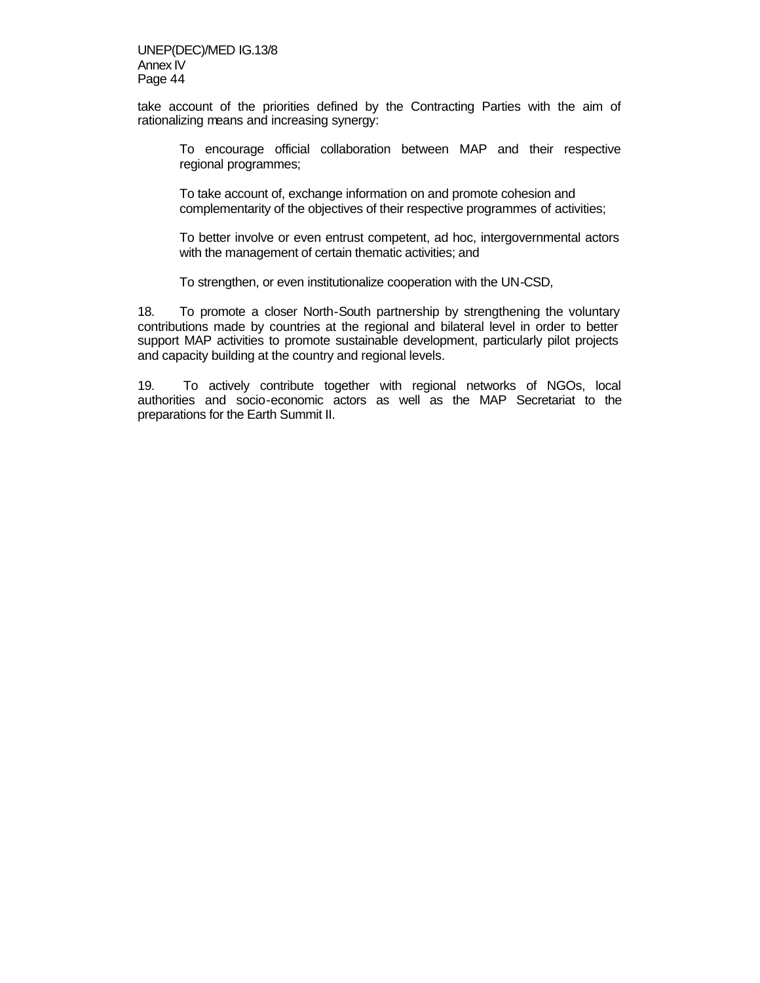take account of the priorities defined by the Contracting Parties with the aim of rationalizing means and increasing synergy:

To encourage official collaboration between MAP and their respective regional programmes;

To take account of, exchange information on and promote cohesion and complementarity of the objectives of their respective programmes of activities;

To better involve or even entrust competent, ad hoc, intergovernmental actors with the management of certain thematic activities; and

To strengthen, or even institutionalize cooperation with the UN-CSD,

18. To promote a closer North-South partnership by strengthening the voluntary contributions made by countries at the regional and bilateral level in order to better support MAP activities to promote sustainable development, particularly pilot projects and capacity building at the country and regional levels.

19. To actively contribute together with regional networks of NGOs, local authorities and socio-economic actors as well as the MAP Secretariat to the preparations for the Earth Summit II.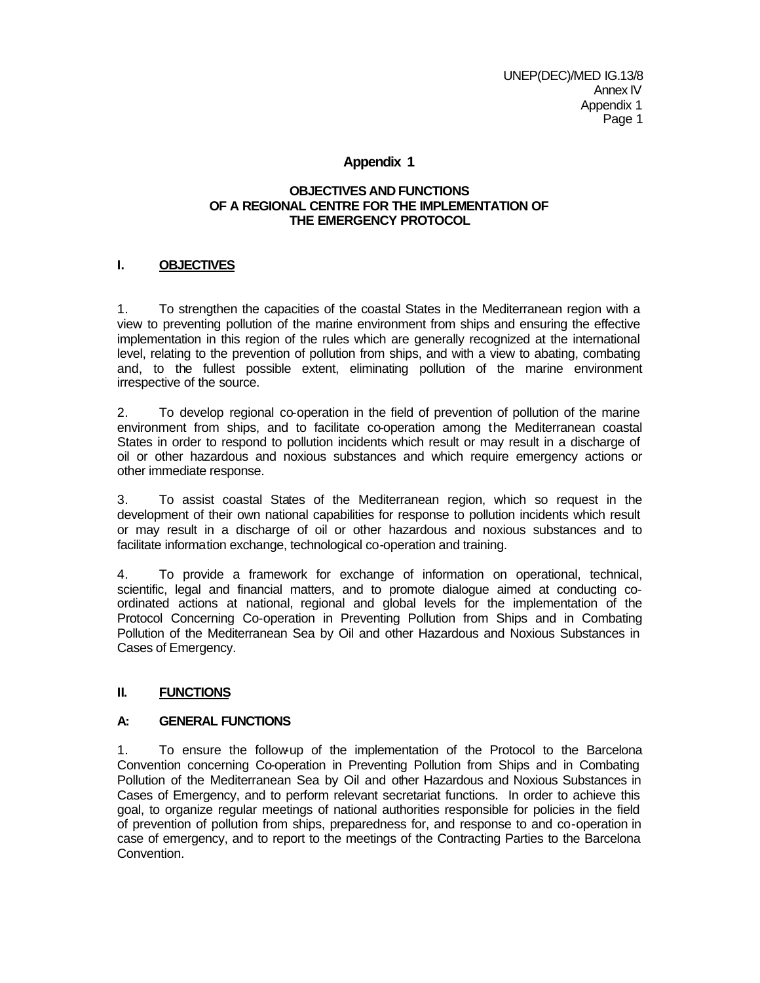# **Appendix 1**

# **OBJECTIVES AND FUNCTIONS OF A REGIONAL CENTRE FOR THE IMPLEMENTATION OF THE EMERGENCY PROTOCOL**

# **I. OBJECTIVES**

1. To strengthen the capacities of the coastal States in the Mediterranean region with a view to preventing pollution of the marine environment from ships and ensuring the effective implementation in this region of the rules which are generally recognized at the international level, relating to the prevention of pollution from ships, and with a view to abating, combating and, to the fullest possible extent, eliminating pollution of the marine environment irrespective of the source.

2. To develop regional co-operation in the field of prevention of pollution of the marine environment from ships, and to facilitate co-operation among the Mediterranean coastal States in order to respond to pollution incidents which result or may result in a discharge of oil or other hazardous and noxious substances and which require emergency actions or other immediate response.

3. To assist coastal States of the Mediterranean region, which so request in the development of their own national capabilities for response to pollution incidents which result or may result in a discharge of oil or other hazardous and noxious substances and to facilitate information exchange, technological co-operation and training.

4. To provide a framework for exchange of information on operational, technical, scientific, legal and financial matters, and to promote dialogue aimed at conducting coordinated actions at national, regional and global levels for the implementation of the Protocol Concerning Co-operation in Preventing Pollution from Ships and in Combating Pollution of the Mediterranean Sea by Oil and other Hazardous and Noxious Substances in Cases of Emergency.

# **II. FUNCTIONS**

# **A: GENERAL FUNCTIONS**

1. To ensure the follow-up of the implementation of the Protocol to the Barcelona Convention concerning Co-operation in Preventing Pollution from Ships and in Combating Pollution of the Mediterranean Sea by Oil and other Hazardous and Noxious Substances in Cases of Emergency, and to perform relevant secretariat functions. In order to achieve this goal, to organize regular meetings of national authorities responsible for policies in the field of prevention of pollution from ships, preparedness for, and response to and co-operation in case of emergency, and to report to the meetings of the Contracting Parties to the Barcelona Convention.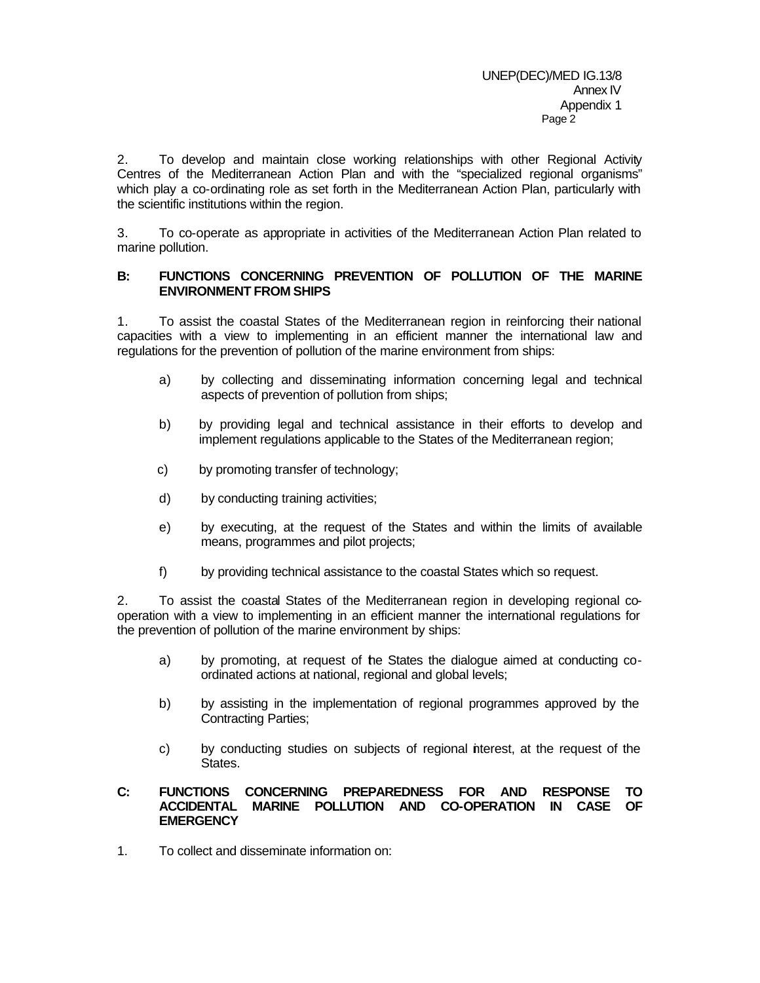2. To develop and maintain close working relationships with other Regional Activity Centres of the Mediterranean Action Plan and with the "specialized regional organisms" which play a co-ordinating role as set forth in the Mediterranean Action Plan, particularly with the scientific institutions within the region.

3. To co-operate as appropriate in activities of the Mediterranean Action Plan related to marine pollution.

# **B: FUNCTIONS CONCERNING PREVENTION OF POLLUTION OF THE MARINE ENVIRONMENT FROM SHIPS**

1. To assist the coastal States of the Mediterranean region in reinforcing their national capacities with a view to implementing in an efficient manner the international law and regulations for the prevention of pollution of the marine environment from ships:

- a) by collecting and disseminating information concerning legal and technical aspects of prevention of pollution from ships;
- b) by providing legal and technical assistance in their efforts to develop and implement regulations applicable to the States of the Mediterranean region;
- c) by promoting transfer of technology;
- d) by conducting training activities;
- e) by executing, at the request of the States and within the limits of available means, programmes and pilot projects;
- f) by providing technical assistance to the coastal States which so request.

2. To assist the coastal States of the Mediterranean region in developing regional cooperation with a view to implementing in an efficient manner the international regulations for the prevention of pollution of the marine environment by ships:

- a) by promoting, at request of the States the dialogue aimed at conducting coordinated actions at national, regional and global levels;
- b) by assisting in the implementation of regional programmes approved by the Contracting Parties;
- c) by conducting studies on subjects of regional interest, at the request of the States.

# **C: FUNCTIONS CONCERNING PREPAREDNESS FOR AND RESPONSE TO ACCIDENTAL MARINE POLLUTION AND CO-OPERATION IN CASE OF EMERGENCY**

1. To collect and disseminate information on: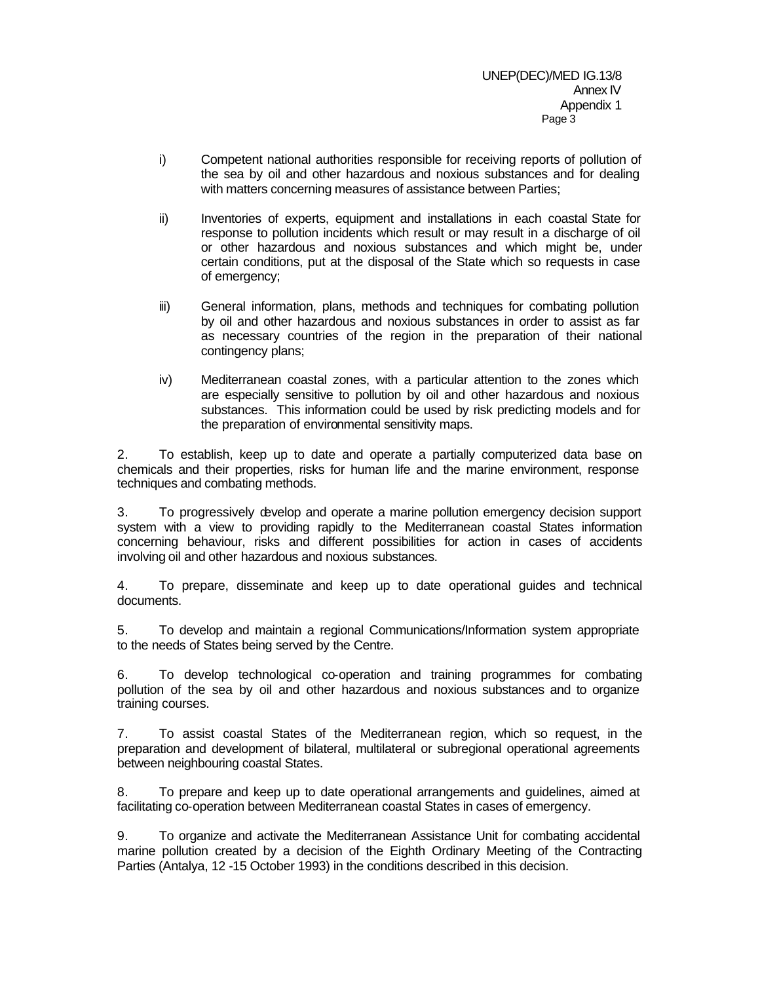- i) Competent national authorities responsible for receiving reports of pollution of the sea by oil and other hazardous and noxious substances and for dealing with matters concerning measures of assistance between Parties;
- ii) Inventories of experts, equipment and installations in each coastal State for response to pollution incidents which result or may result in a discharge of oil or other hazardous and noxious substances and which might be, under certain conditions, put at the disposal of the State which so requests in case of emergency;
- iii) General information, plans, methods and techniques for combating pollution by oil and other hazardous and noxious substances in order to assist as far as necessary countries of the region in the preparation of their national contingency plans;
- iv) Mediterranean coastal zones, with a particular attention to the zones which are especially sensitive to pollution by oil and other hazardous and noxious substances. This information could be used by risk predicting models and for the preparation of environmental sensitivity maps.

2. To establish, keep up to date and operate a partially computerized data base on chemicals and their properties, risks for human life and the marine environment, response techniques and combating methods.

3. To progressively develop and operate a marine pollution emergency decision support system with a view to providing rapidly to the Mediterranean coastal States information concerning behaviour, risks and different possibilities for action in cases of accidents involving oil and other hazardous and noxious substances.

4. To prepare, disseminate and keep up to date operational guides and technical documents.

5. To develop and maintain a regional Communications/Information system appropriate to the needs of States being served by the Centre.

6. To develop technological co-operation and training programmes for combating pollution of the sea by oil and other hazardous and noxious substances and to organize training courses.

7. To assist coastal States of the Mediterranean region, which so request, in the preparation and development of bilateral, multilateral or subregional operational agreements between neighbouring coastal States.

8. To prepare and keep up to date operational arrangements and guidelines, aimed at facilitating co-operation between Mediterranean coastal States in cases of emergency.

9. To organize and activate the Mediterranean Assistance Unit for combating accidental marine pollution created by a decision of the Eighth Ordinary Meeting of the Contracting Parties (Antalya, 12 -15 October 1993) in the conditions described in this decision.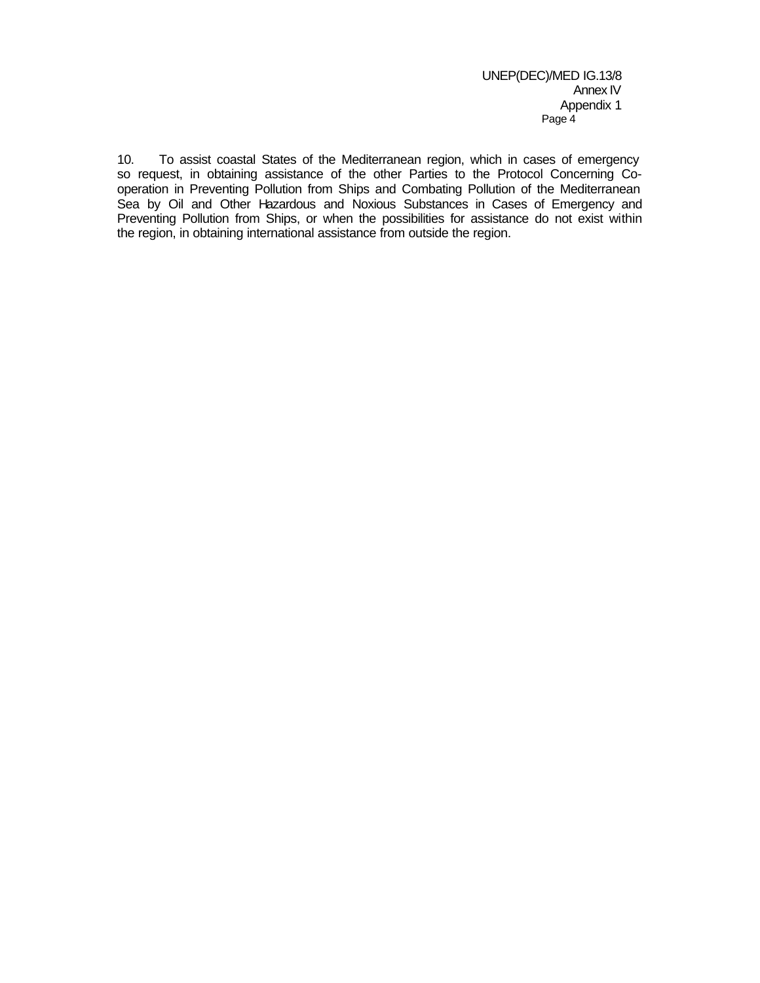10. To assist coastal States of the Mediterranean region, which in cases of emergency so request, in obtaining assistance of the other Parties to the Protocol Concerning Cooperation in Preventing Pollution from Ships and Combating Pollution of the Mediterranean Sea by Oil and Other Hazardous and Noxious Substances in Cases of Emergency and Preventing Pollution from Ships, or when the possibilities for assistance do not exist within the region, in obtaining international assistance from outside the region.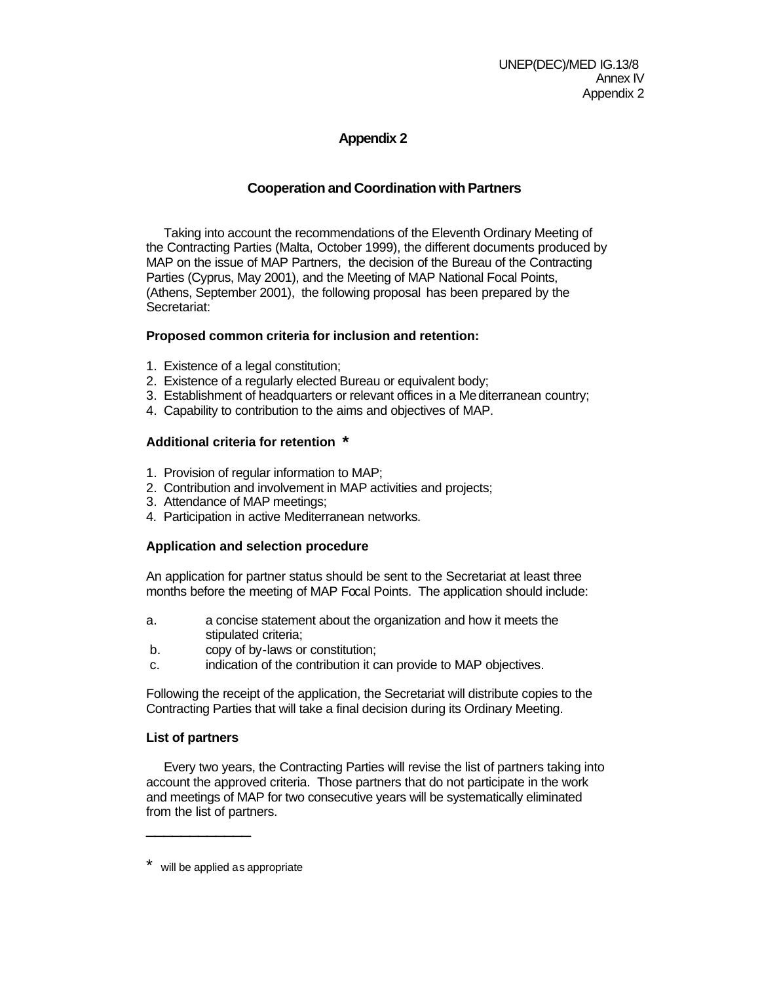# **Appendix 2**

# **Cooperation and Coordination with Partners**

Taking into account the recommendations of the Eleventh Ordinary Meeting of the Contracting Parties (Malta, October 1999), the different documents produced by MAP on the issue of MAP Partners, the decision of the Bureau of the Contracting Parties (Cyprus, May 2001), and the Meeting of MAP National Focal Points, (Athens, September 2001), the following proposal has been prepared by the Secretariat:

# **Proposed common criteria for inclusion and retention:**

- 1. Existence of a legal constitution;
- 2. Existence of a regularly elected Bureau or equivalent body;
- 3. Establishment of headquarters or relevant offices in a Mediterranean country;
- 4. Capability to contribution to the aims and objectives of MAP.

# **Additional criteria for retention \***

- 1. Provision of regular information to MAP;
- 2. Contribution and involvement in MAP activities and projects;
- 3. Attendance of MAP meetings;
- 4. Participation in active Mediterranean networks.

# **Application and selection procedure**

An application for partner status should be sent to the Secretariat at least three months before the meeting of MAP Focal Points. The application should include:

- a. a concise statement about the organization and how it meets the stipulated criteria;
- b. copy of by-laws or constitution;
- c. indication of the contribution it can provide to MAP objectives.

Following the receipt of the application, the Secretariat will distribute copies to the Contracting Parties that will take a final decision during its Ordinary Meeting.

# **List of partners**

\_\_\_\_\_\_\_\_\_\_\_\_

Every two years, the Contracting Parties will revise the list of partners taking into account the approved criteria. Those partners that do not participate in the work and meetings of MAP for two consecutive years will be systematically eliminated from the list of partners.

will be applied as appropriate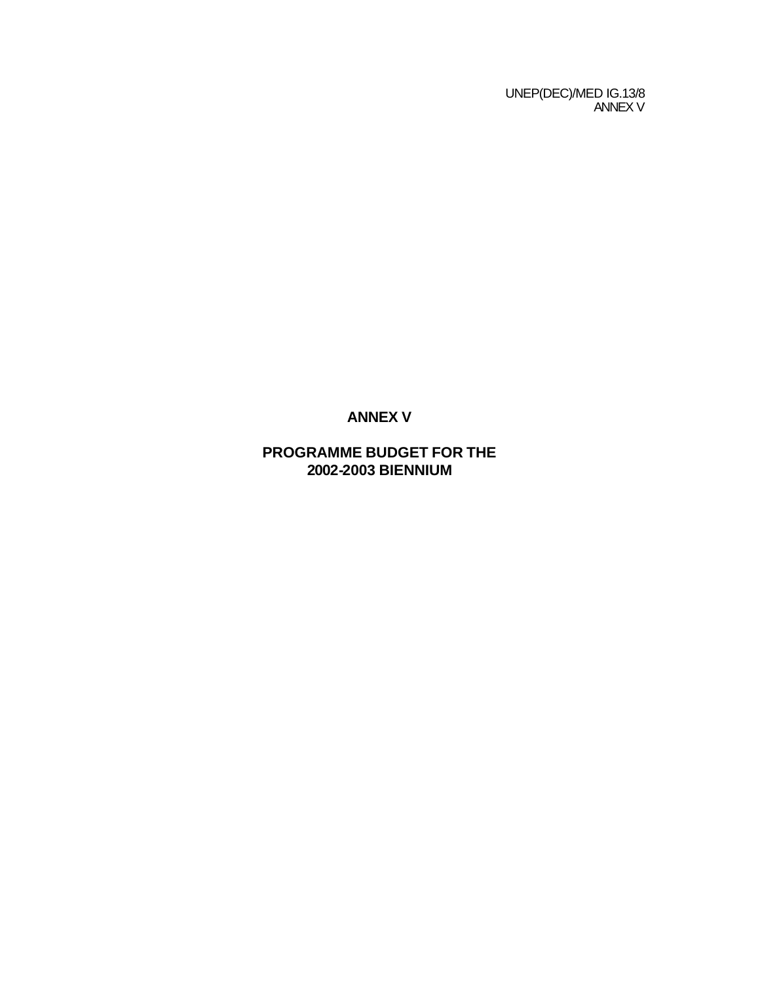UNEP(DEC)/MED IG.13/8 ANNEX V

# **ANNEX V**

# **PROGRAMME BUDGET FOR THE 2002-2003 BIENNIUM**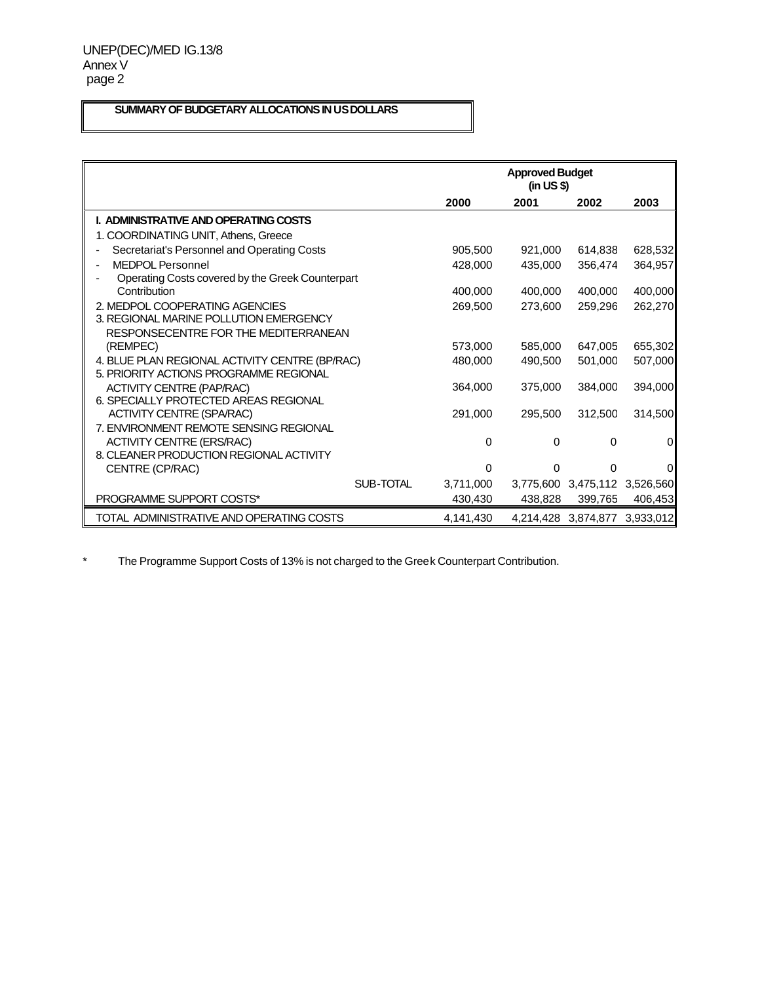# **SUMMARY OF BUDGETARY ALLOCATIONS IN US DOLLARS**

|                                                                                          | <b>Approved Budget</b><br>(in US \$) |          |                               |           |
|------------------------------------------------------------------------------------------|--------------------------------------|----------|-------------------------------|-----------|
|                                                                                          | 2000                                 | 2001     | 2002                          | 2003      |
| I. ADMINISTRATIVE AND OPERATING COSTS                                                    |                                      |          |                               |           |
| 1. COORDINATING UNIT, Athens, Greece                                                     |                                      |          |                               |           |
| Secretariat's Personnel and Operating Costs                                              | 905.500                              | 921.000  | 614,838                       | 628,532   |
| <b>MEDPOL Personnel</b><br>ä,                                                            | 428,000                              | 435.000  | 356.474                       | 364,957   |
| Operating Costs covered by the Greek Counterpart                                         |                                      |          |                               |           |
| Contribution                                                                             | 400,000                              | 400,000  | 400,000                       | 400,000   |
| 2. MEDPOL COOPERATING AGENCIES                                                           | 269.500                              | 273,600  | 259.296                       | 262,270   |
| 3. REGIONAL MARINE POLLUTION EMERGENCY                                                   |                                      |          |                               |           |
| RESPONSECENTRE FOR THE MEDITERRANEAN                                                     |                                      |          |                               |           |
| (REMPEC)                                                                                 | 573,000                              | 585,000  | 647.005                       | 655,302   |
| 4. BLUE PLAN REGIONAL ACTIVITY CENTRE (BP/RAC)<br>5. PRIORITY ACTIONS PROGRAMME REGIONAL | 480,000                              | 490,500  | 501.000                       | 507,000   |
|                                                                                          | 364,000                              | 375,000  | 384,000                       | 394,000   |
| <b>ACTIVITY CENTRE (PAP/RAC)</b><br>6. SPECIALLY PROTECTED AREAS REGIONAL                |                                      |          |                               |           |
| <b>ACTIVITY CENTRE (SPA/RAC)</b>                                                         | 291.000                              | 295,500  | 312.500                       | 314,500   |
| 7. ENVIRONMENT REMOTE SENSING REGIONAL                                                   |                                      |          |                               |           |
| <b>ACTIVITY CENTRE (ERS/RAC)</b>                                                         | 0                                    | 0        | 0                             | 0         |
| 8. CLEANER PRODUCTION REGIONAL ACTIVITY                                                  |                                      |          |                               |           |
| CENTRE (CP/RAC)                                                                          | 0                                    | $\Omega$ | O                             | $\Omega$  |
| SUB-TOTAL                                                                                | 3,711,000                            |          | 3,775,600 3,475,112 3,526,560 |           |
| <b>PROGRAMME SUPPORT COSTS*</b>                                                          | 430,430                              | 438.828  | 399.765                       | 406,453   |
| TOTAL ADMINISTRATIVE AND OPERATING COSTS                                                 | 4.141.430                            |          | 4,214,428 3,874,877           | 3.933.012 |

\* The Programme Support Costs of 13% is not charged to the Greek Counterpart Contribution.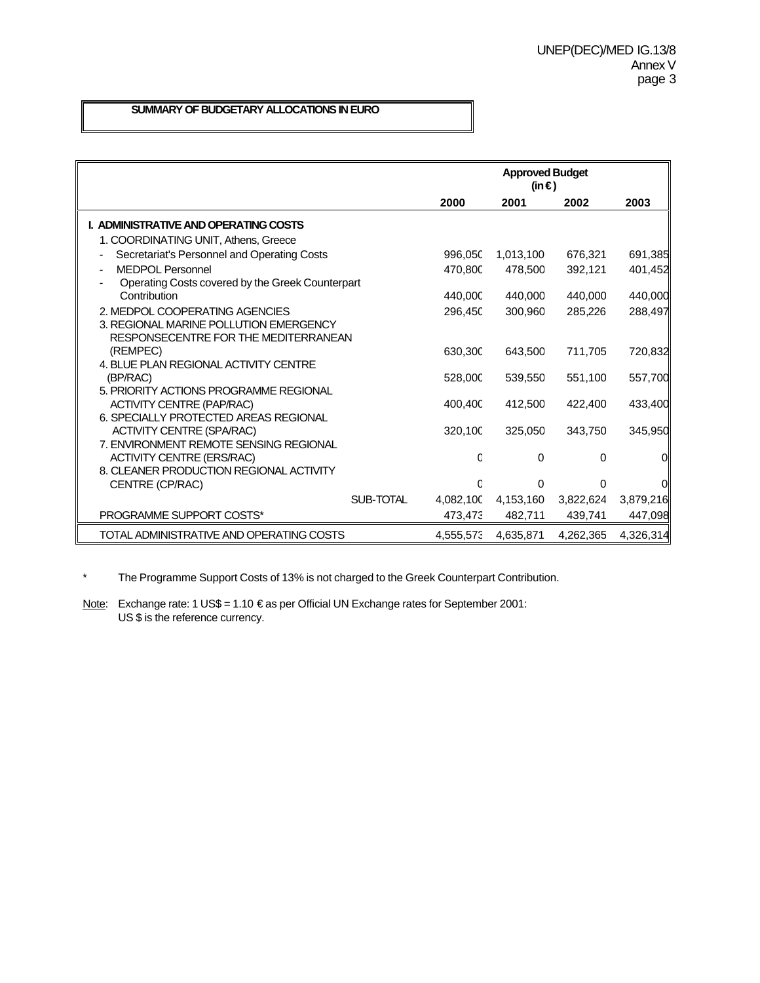# **SUMMARY OF BUDGETARY ALLOCATIONS IN EURO**

|                                                   | <b>Approved Budget</b><br>(in €) |           |           |           |
|---------------------------------------------------|----------------------------------|-----------|-----------|-----------|
|                                                   | 2000                             | 2001      | 2002      | 2003      |
| I. ADMINISTRATIVE AND OPERATING COSTS             |                                  |           |           |           |
| 1. COORDINATING UNIT, Athens, Greece              |                                  |           |           |           |
| Secretariat's Personnel and Operating Costs       | 996,05C                          | 1,013,100 | 676,321   | 691,385   |
| <b>MEDPOL Personnel</b>                           | 470,800                          | 478,500   | 392,121   | 401,452   |
| Operating Costs covered by the Greek Counterpart  |                                  |           |           |           |
| Contribution                                      | 440,000                          | 440.000   | 440.000   | 440,000   |
| 2. MEDPOL COOPERATING AGENCIES                    | 296,45C                          | 300,960   | 285,226   | 288,497   |
| 3. REGIONAL MARINE POLLUTION EMERGENCY            |                                  |           |           |           |
| RESPONSECENTRE FOR THE MEDITERRANEAN              |                                  |           |           |           |
| (REMPEC)<br>4. BLUE PLAN REGIONAL ACTIVITY CENTRE | 630.30C                          | 643.500   | 711.705   | 720,832   |
| (BP/RAC)                                          | 528,000                          | 539,550   | 551,100   | 557,700   |
| 5. PRIORITY ACTIONS PROGRAMME REGIONAL            |                                  |           |           |           |
| <b>ACTIVITY CENTRE (PAP/RAC)</b>                  | 400,400                          | 412,500   | 422,400   | 433.400   |
| 6. SPECIALLY PROTECTED AREAS REGIONAL             |                                  |           |           |           |
| <b>ACTIVITY CENTRE (SPA/RAC)</b>                  | 320,10C                          | 325,050   | 343,750   | 345,950   |
| 7. ENVIRONMENT REMOTE SENSING REGIONAL            |                                  |           |           |           |
| <b>ACTIVITY CENTRE (ERS/RAC)</b>                  | C                                | 0         | 0         | 0         |
| 8. CLEANER PRODUCTION REGIONAL ACTIVITY           |                                  |           |           |           |
| CENTRE (CP/RAC)                                   | C                                | 0         | 0         | O         |
| SUB-TOTAL                                         | 4,082,100                        | 4,153,160 | 3,822,624 | 3,879,216 |
| PROGRAMME SUPPORT COSTS*                          | 473,473                          | 482,711   | 439,741   | 447,098   |
| TOTAL ADMINISTRATIVE AND OPERATING COSTS          | 4,555,573                        | 4,635,871 | 4,262,365 | 4,326,314 |

\* The Programme Support Costs of 13% is not charged to the Greek Counterpart Contribution.

Note: Exchange rate: 1 US\$ = 1.10 € as per Official UN Exchange rates for September 2001: US \$ is the reference currency.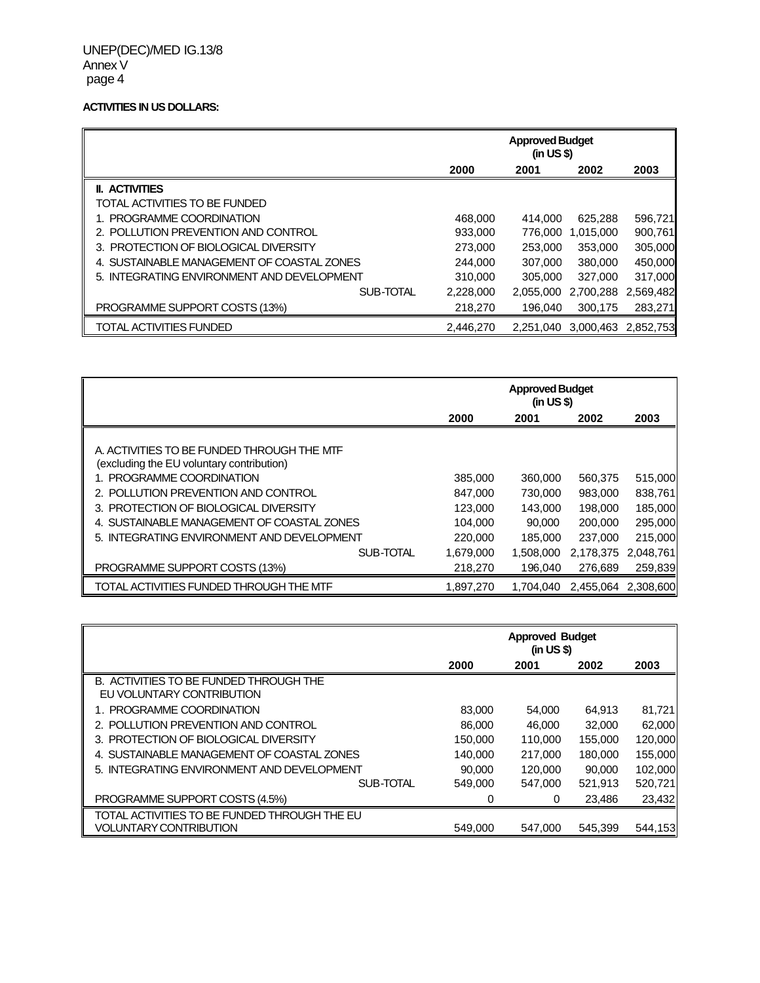#### **ACTIVITIES IN US DOLLARS:**

|                                            |           | <b>Approved Budget</b><br>(in US \$) |           |           |
|--------------------------------------------|-----------|--------------------------------------|-----------|-----------|
|                                            | 2000      | 2001                                 | 2002      | 2003      |
| <b>II. ACTIVITIES</b>                      |           |                                      |           |           |
| TOTAL ACTIVITIES TO BE FUNDED              |           |                                      |           |           |
| 1. PROGRAMME COORDINATION                  | 468,000   | 414.000                              | 625.288   | 596,721   |
| 2. POLLUTION PREVENTION AND CONTROL        | 933,000   | 776,000                              | 1,015,000 | 900,761   |
| 3. PROTECTION OF BIOLOGICAL DIVERSITY      | 273,000   | 253,000                              | 353,000   | 305,000   |
| 4. SUSTAINABLE MANAGEMENT OF COASTAL ZONES | 244.000   | 307.000                              | 380,000   | 450,000   |
| 5. INTEGRATING ENVIRONMENT AND DEVELOPMENT | 310,000   | 305,000                              | 327,000   | 317,000   |
| SUB-TOTAL                                  | 2,228,000 | 2.055.000                            | 2,700,288 | 2,569,482 |
| PROGRAMME SUPPORT COSTS (13%)              | 218,270   | 196,040                              | 300,175   | 283,271   |
| TOTAL ACTIVITIES FUNDED                    | 2.446.270 | 2.251.040                            | 3.000.463 | 2.852.753 |

|                                                                                         |           | <b>Approved Budget</b><br>(in US \$) |                     |           |
|-----------------------------------------------------------------------------------------|-----------|--------------------------------------|---------------------|-----------|
|                                                                                         | 2000      | 2001                                 | 2002                | 2003      |
| A. ACTIVITIES TO BE FUNDED THROUGH THE MTF<br>(excluding the EU voluntary contribution) |           |                                      |                     |           |
| 1. PROGRAMME COORDINATION                                                               | 385,000   | 360,000                              | 560,375             | 515,000   |
| 2. POLLUTION PREVENTION AND CONTROL                                                     | 847,000   | 730,000                              | 983,000             | 838,761   |
| 3. PROTECTION OF BIOLOGICAL DIVERSITY                                                   | 123,000   | 143,000                              | 198,000             | 185,000   |
| 4. SUSTAINABLE MANAGEMENT OF COASTAL ZONES                                              | 104.000   | 90,000                               | 200,000             | 295,000   |
| 5. INTEGRATING ENVIRONMENT AND DEVELOPMENT                                              | 220,000   | 185,000                              | 237,000             | 215,000   |
| SUB-TOTAL                                                                               | 1,679,000 | 1.508.000                            | 2,178,375           | 2,048,761 |
| PROGRAMME SUPPORT COSTS (13%)                                                           | 218,270   | 196.040                              | 276.689             | 259,839   |
| TOTAL ACTIVITIES FUNDED THROUGH THE MTF                                                 | 1,897,270 | 1.704.040                            | 2.455.064 2.308.600 |           |

|                                                                     | <b>Approved Budget</b><br>(in US \$) |         |         |         |
|---------------------------------------------------------------------|--------------------------------------|---------|---------|---------|
|                                                                     | 2000                                 | 2001    | 2002    | 2003    |
| B. ACTIVITIES TO BE FUNDED THROUGH THE<br>EU VOLUNTARY CONTRIBUTION |                                      |         |         |         |
| 1. PROGRAMME COORDINATION                                           | 83,000                               | 54.000  | 64.913  | 81,721  |
| 2. POLLUTION PREVENTION AND CONTROL                                 | 86,000                               | 46.000  | 32,000  | 62,000  |
| 3. PROTECTION OF BIOLOGICAL DIVERSITY                               | 150,000                              | 110.000 | 155.000 | 120,000 |
| 4. SUSTAINABLE MANAGEMENT OF COASTAL ZONES                          | 140,000                              | 217,000 | 180,000 | 155,000 |
| 5. INTEGRATING ENVIRONMENT AND DEVELOPMENT                          | 90,000                               | 120,000 | 90.000  | 102.000 |
| SUB-TOTAL                                                           | 549.000                              | 547,000 | 521,913 | 520,721 |
| PROGRAMME SUPPORT COSTS (4.5%)                                      | O                                    | 0       | 23.486  | 23,432  |
| TOTAL ACTIVITIES TO BE FUNDED THROUGH THE EU                        |                                      |         |         |         |
| <b>VOLUNTARY CONTRIBUTION</b>                                       | 549.000                              | 547.000 | 545.399 | 544,153 |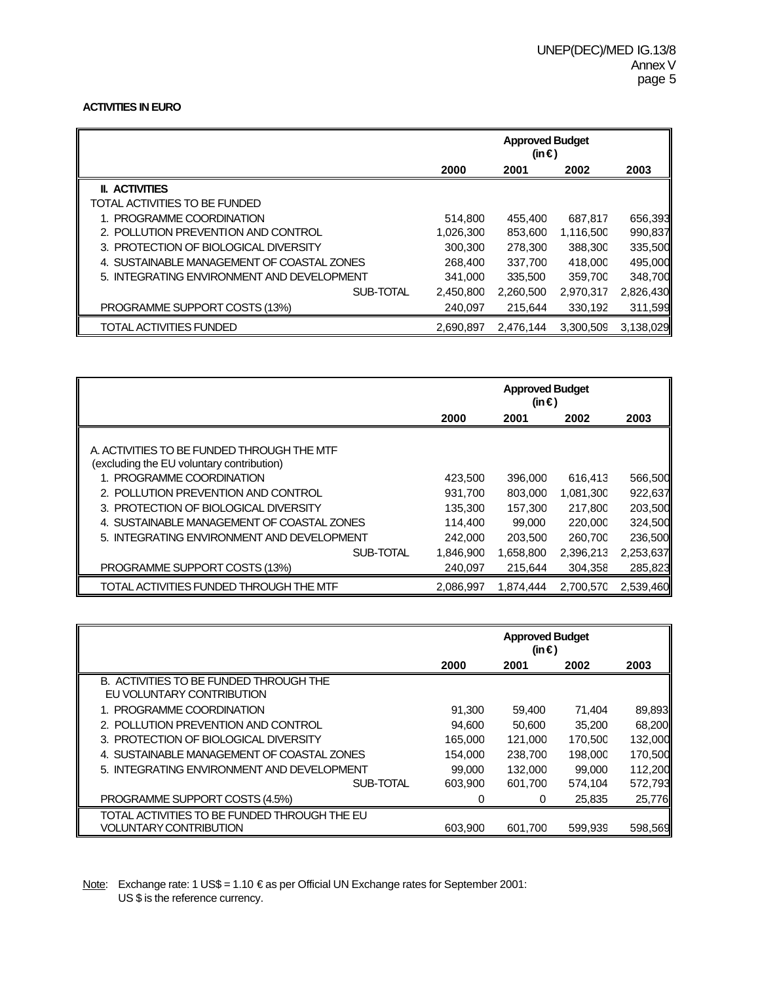## **ACTIVITIES IN EURO**

|                                            | <b>Approved Budget</b><br>(in €) |           |           |           |
|--------------------------------------------|----------------------------------|-----------|-----------|-----------|
|                                            | 2000                             | 2001      | 2002      | 2003      |
| <b>II. ACTIVITIES</b>                      |                                  |           |           |           |
| TOTAL ACTIVITIES TO BE FUNDED              |                                  |           |           |           |
| 1. PROGRAMME COORDINATION                  | 514.800                          | 455,400   | 687,817   | 656,393   |
| 2. POLLUTION PREVENTION AND CONTROL        | 1,026,300                        | 853,600   | 1,116,500 | 990,837   |
| 3. PROTECTION OF BIOLOGICAL DIVERSITY      | 300.300                          | 278,300   | 388,300   | 335,500   |
| 4. SUSTAINABLE MANAGEMENT OF COASTAL ZONES | 268,400                          | 337,700   | 418,00C   | 495,000   |
| 5. INTEGRATING ENVIRONMENT AND DEVELOPMENT | 341.000                          | 335,500   | 359,70C   | 348,700   |
| SUB-TOTAL                                  | 2,450,800                        | 2,260,500 | 2,970,317 | 2,826,430 |
| PROGRAMME SUPPORT COSTS (13%)              | 240,097                          | 215,644   | 330,192   | 311,599   |
| <b>TOTAL ACTIVITIES FUNDED</b>             | 2,690,897                        | 2.476.144 | 3.300.509 | 3,138,029 |

|                                                                                         |           | <b>Approved Budget</b><br>(in €) |           |           |
|-----------------------------------------------------------------------------------------|-----------|----------------------------------|-----------|-----------|
|                                                                                         | 2000      | 2001                             | 2002      | 2003      |
| A. ACTIVITIES TO BE FUNDED THROUGH THE MTF<br>(excluding the EU voluntary contribution) |           |                                  |           |           |
| 1. PROGRAMME COORDINATION                                                               | 423,500   | 396,000                          | 616,413   | 566,500   |
| 2. POLLUTION PREVENTION AND CONTROL                                                     | 931,700   | 803,000                          | 1,081,300 | 922,637   |
| 3. PROTECTION OF BIOLOGICAL DIVERSITY                                                   | 135.300   | 157.300                          | 217,800   | 203,500   |
| 4. SUSTAINABLE MANAGEMENT OF COASTAL ZONES                                              | 114,400   | 99,000                           | 220,00C   | 324,500   |
| 5. INTEGRATING ENVIRONMENT AND DEVELOPMENT                                              | 242,000   | 203,500                          | 260,70C   | 236,500   |
| SUB-TOTAL                                                                               | 1,846,900 | 1,658,800                        | 2,396,213 | 2,253,637 |
| PROGRAMME SUPPORT COSTS (13%)                                                           | 240.097   | 215,644                          | 304.358   | 285,823   |
| TOTAL ACTIVITIES FUNDED THROUGH THE MTF                                                 | 2,086,997 | 1,874,444                        | 2,700,57C | 2,539,460 |

|                                                                     |         | <b>Approved Budget</b><br>(in €) |         |         |
|---------------------------------------------------------------------|---------|----------------------------------|---------|---------|
|                                                                     | 2000    | 2001                             | 2002    | 2003    |
| B. ACTIVITIES TO BE FUNDED THROUGH THE<br>EU VOLUNTARY CONTRIBUTION |         |                                  |         |         |
| 1. PROGRAMME COORDINATION                                           | 91.300  | 59.400                           | 71.404  | 89,893  |
| 2. POLLUTION PREVENTION AND CONTROL                                 | 94.600  | 50,600                           | 35,200  | 68,200  |
| 3. PROTECTION OF BIOLOGICAL DIVERSITY                               | 165.000 | 121.000                          | 170,50C | 132,000 |
| 4. SUSTAINABLE MANAGEMENT OF COASTAL ZONES                          | 154.000 | 238,700                          | 198,00C | 170,500 |
| 5. INTEGRATING ENVIRONMENT AND DEVELOPMENT                          | 99,000  | 132,000                          | 99,000  | 112,200 |
| SUB-TOTAL                                                           | 603,900 | 601,700                          | 574,104 | 572,793 |
| PROGRAMME SUPPORT COSTS (4.5%)                                      |         | 0                                | 25,835  | 25,776  |
| TOTAL ACTIVITIES TO BE FUNDED THROUGH THE EU                        |         |                                  |         |         |
| <b>VOLUNTARY CONTRIBUTION</b>                                       | 603.900 | 601,700                          | 599,939 | 598,569 |

Note: Exchange rate: 1 US\$ = 1.10 € as per Official UN Exchange rates for September 2001: US \$ is the reference currency.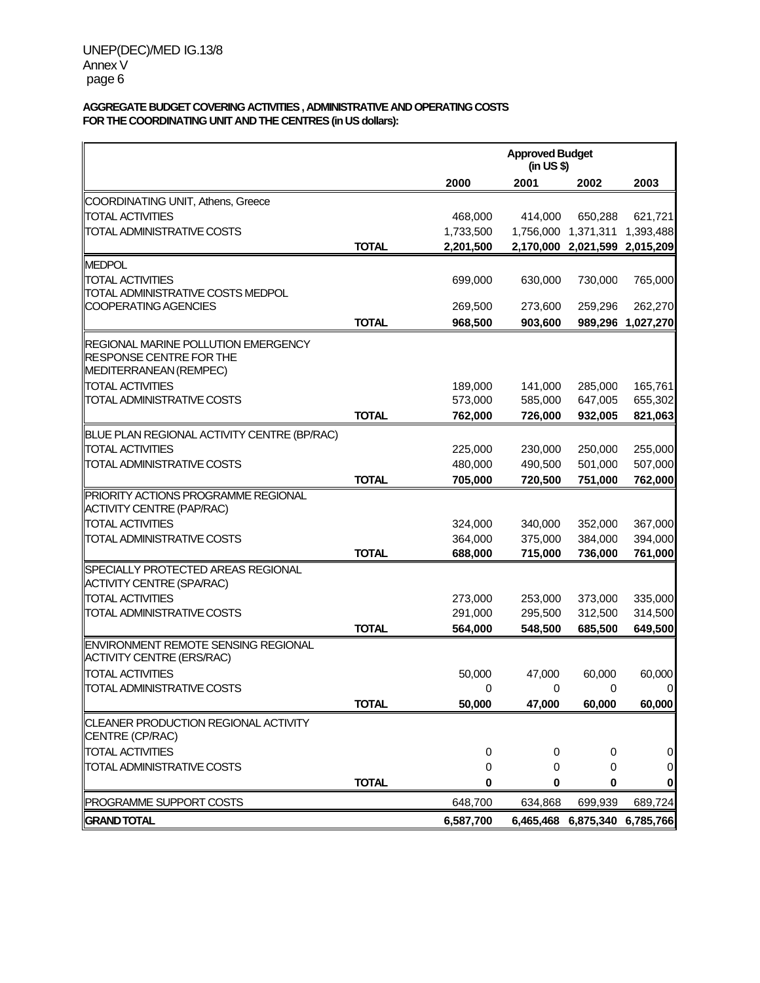## **AGGREGATE BUDGET COVERING ACTIVITIES , ADMINISTRATIVE AND OPERATING COSTS FOR THE COORDINATING UNIT AND THE CENTRES (in US dollars):**

|                                                                         |              |                    | <b>Approved Budget</b><br>(in US \$) |                    |                     |  |
|-------------------------------------------------------------------------|--------------|--------------------|--------------------------------------|--------------------|---------------------|--|
|                                                                         |              | 2000               | 2001                                 | 2002               | 2003                |  |
| COORDINATING UNIT, Athens, Greece                                       |              |                    |                                      |                    |                     |  |
| <b>TOTAL ACTIVITIES</b>                                                 |              | 468,000            | 414,000                              | 650,288            | 621,721             |  |
| TOTAL ADMINISTRATIVE COSTS                                              |              | 1,733,500          | 1,756,000                            | 1,371,311          | 1,393,488           |  |
|                                                                         | <b>TOTAL</b> | 2,201,500          | 2,170,000                            | 2,021,599          | 2,015,209           |  |
| <b>MEDPOL</b>                                                           |              |                    |                                      |                    |                     |  |
| <b>TOTAL ACTIVITIES</b>                                                 |              | 699,000            | 630,000                              | 730,000            | 765,000             |  |
| TOTAL ADMINISTRATIVE COSTS MEDPOL                                       |              |                    |                                      |                    |                     |  |
| COOPERATING AGENCIES                                                    |              | 269,500            | 273,600                              | 259,296            | 262,270             |  |
|                                                                         | <b>TOTAL</b> | 968,500            | 903,600                              |                    | 989,296 1,027,270   |  |
| REGIONAL MARINE POLLUTION EMERGENCY                                     |              |                    |                                      |                    |                     |  |
| RESPONSE CENTRE FOR THE                                                 |              |                    |                                      |                    |                     |  |
| MEDITERRANEAN (REMPEC)<br><b>TOTAL ACTIVITIES</b>                       |              |                    |                                      |                    |                     |  |
| TOTAL ADMINISTRATIVE COSTS                                              |              | 189,000<br>573,000 | 141,000<br>585,000                   | 285,000<br>647,005 | 165,761<br>655,302  |  |
|                                                                         | <b>TOTAL</b> | 762,000            | 726,000                              | 932,005            | 821,063             |  |
| BLUE PLAN REGIONAL ACTIVITY CENTRE (BP/RAC)                             |              |                    |                                      |                    |                     |  |
| <b>TOTAL ACTIVITIES</b>                                                 |              | 225,000            | 230,000                              | 250,000            | 255,000             |  |
| TOTAL ADMINISTRATIVE COSTS                                              |              | 480,000            | 490,500                              | 501,000            | 507,000             |  |
|                                                                         | <b>TOTAL</b> | 705,000            | 720,500                              | 751,000            | 762,000             |  |
| PRIORITY ACTIONS PROGRAMME REGIONAL                                     |              |                    |                                      |                    |                     |  |
| <b>ACTIVITY CENTRE (PAP/RAC)</b>                                        |              |                    |                                      |                    |                     |  |
| <b>TOTAL ACTIVITIES</b>                                                 |              | 324,000            | 340,000                              | 352,000            | 367,000             |  |
| TOTAL ADMINISTRATIVE COSTS                                              |              | 364,000            | 375,000                              | 384,000            | 394,000             |  |
|                                                                         | <b>TOTAL</b> | 688,000            | 715,000                              | 736,000            | 761,000             |  |
| SPECIALLY PROTECTED AREAS REGIONAL                                      |              |                    |                                      |                    |                     |  |
| <b>ACTIVITY CENTRE (SPA/RAC)</b>                                        |              |                    |                                      |                    |                     |  |
| <b>TOTAL ACTIVITIES</b>                                                 |              | 273,000            | 253,000                              | 373,000            | 335,000             |  |
| TOTAL ADMINISTRATIVE COSTS                                              |              | 291,000            | 295,500                              | 312,500            | 314,500             |  |
|                                                                         | <b>TOTAL</b> | 564,000            | 548,500                              | 685,500            | 649,500             |  |
| ENVIRONMENT REMOTE SENSING REGIONAL<br><b>ACTIVITY CENTRE (ERS/RAC)</b> |              |                    |                                      |                    |                     |  |
| <b>TOTAL ACTIVITIES</b>                                                 |              | 50,000             | 47,000                               | 60,000             | 60,000              |  |
| TOTAL ADMINISTRATIVE COSTS                                              |              | 0                  | 0                                    | 0                  | 0                   |  |
|                                                                         | <b>TOTAL</b> | 50,000             | 47,000                               | 60,000             | 60,000              |  |
| CLEANER PRODUCTION REGIONAL ACTIVITY                                    |              |                    |                                      |                    |                     |  |
| CENTRE (CP/RAC)                                                         |              |                    |                                      |                    |                     |  |
| <b>TOTAL ACTIVITIES</b>                                                 |              | 0                  | 0                                    | 0                  | $\mathbf 0$         |  |
| TOTAL ADMINISTRATIVE COSTS                                              |              | 0                  | 0                                    | 0                  | $\pmb{0}$           |  |
|                                                                         | <b>TOTAL</b> | 0                  | 0                                    | 0                  | 0                   |  |
| PROGRAMME SUPPORT COSTS                                                 |              | 648,700            | 634,868                              | 699,939            | 689,724             |  |
| <b>GRAND TOTAL</b>                                                      |              | 6,587,700          | 6,465,468                            |                    | 6,875,340 6,785,766 |  |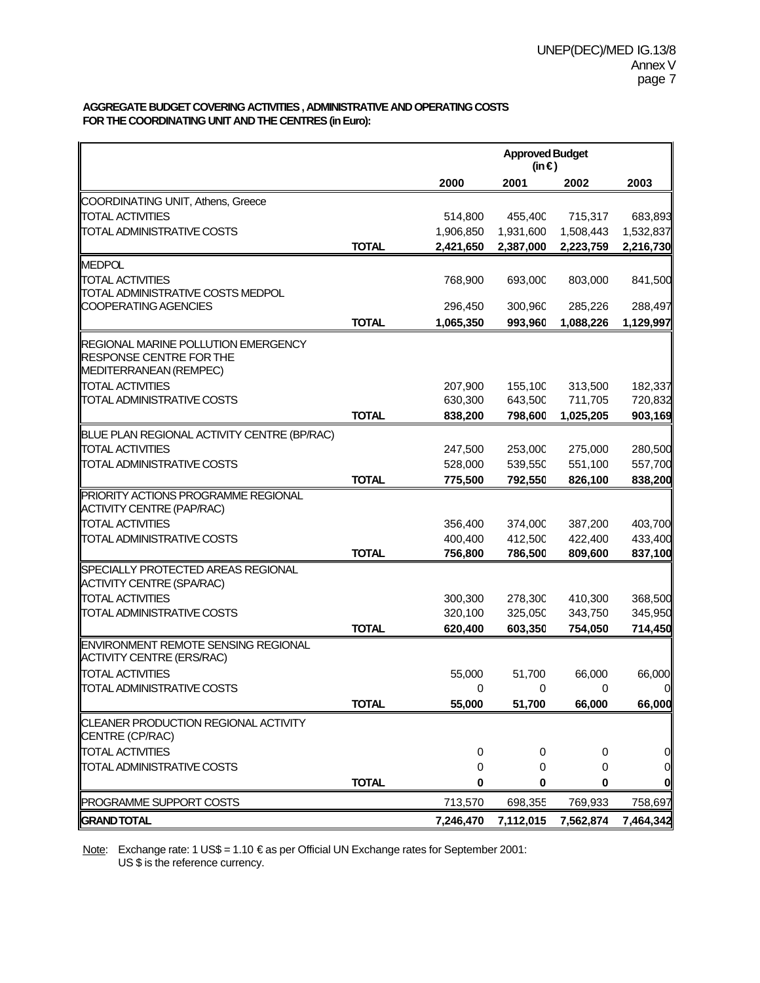## **AGGREGATE BUDGET COVERING ACTIVITIES , ADMINISTRATIVE AND OPERATING COSTS FOR THE COORDINATING UNIT AND THE CENTRES (in Euro):**

|                                                              |              |             | <b>Approved Budget</b><br>(in $\epsilon$ ) |             |                |  |
|--------------------------------------------------------------|--------------|-------------|--------------------------------------------|-------------|----------------|--|
|                                                              |              | 2000        | 2001                                       | 2002        | 2003           |  |
| COORDINATING UNIT, Athens, Greece                            |              |             |                                            |             |                |  |
| <b>TOTAL ACTIVITIES</b>                                      |              | 514,800     | 455,40C                                    | 715,317     | 683,893        |  |
| TOTAL ADMINISTRATIVE COSTS                                   |              | 1,906,850   | 1,931,600                                  | 1,508,443   | 1,532,837      |  |
|                                                              | <b>TOTAL</b> | 2,421,650   | 2,387,000                                  | 2,223,759   | 2,216,730      |  |
| <b>MEDPOL</b>                                                |              |             |                                            |             |                |  |
| <b>TOTAL ACTIVITIES</b>                                      |              | 768,900     | 693,00C                                    | 803,000     | 841,500        |  |
| TOTAL ADMINISTRATIVE COSTS MEDPOL                            |              |             |                                            |             |                |  |
| COOPERATING AGENCIES                                         |              | 296,450     | 300,960                                    | 285,226     | 288,497        |  |
|                                                              | <b>TOTAL</b> | 1,065,350   | 993,960                                    | 1,088,226   | 1,129,997      |  |
| REGIONAL MARINE POLLUTION EMERGENCY                          |              |             |                                            |             |                |  |
| RESPONSE CENTRE FOR THE                                      |              |             |                                            |             |                |  |
| MEDITERRANEAN (REMPEC)                                       |              |             |                                            |             |                |  |
| <b>TOTAL ACTIVITIES</b>                                      |              | 207,900     | 155,10C                                    | 313,500     | 182,337        |  |
| TOTAL ADMINISTRATIVE COSTS                                   |              | 630,300     | 643,50C                                    | 711,705     | 720,832        |  |
|                                                              | <b>TOTAL</b> | 838,200     | 798,600                                    | 1,025,205   | 903,169        |  |
| BLUE PLAN REGIONAL ACTIVITY CENTRE (BP/RAC)                  |              |             |                                            |             |                |  |
| <b>TOTAL ACTIVITIES</b>                                      |              | 247,500     | 253,00C                                    | 275,000     | 280,500        |  |
| TOTAL ADMINISTRATIVE COSTS                                   |              | 528,000     | 539,55C                                    | 551,100     | 557,700        |  |
|                                                              | <b>TOTAL</b> | 775,500     | 792,550                                    | 826,100     | 838,200        |  |
| PRIORITY ACTIONS PROGRAMME REGIONAL                          |              |             |                                            |             |                |  |
| <b>ACTIVITY CENTRE (PAP/RAC)</b>                             |              |             |                                            |             |                |  |
| <b>TOTAL ACTIVITIES</b>                                      |              | 356,400     | 374,00C                                    | 387,200     | 403,700        |  |
| TOTAL ADMINISTRATIVE COSTS                                   |              | 400,400     | 412,50C                                    | 422,400     | 433,400        |  |
|                                                              | <b>TOTAL</b> | 756,800     | 786,500                                    | 809,600     | 837,100        |  |
| SPECIALLY PROTECTED AREAS REGIONAL                           |              |             |                                            |             |                |  |
| <b>ACTIVITY CENTRE (SPA/RAC)</b>                             |              |             |                                            |             |                |  |
| <b>TOTAL ACTIVITIES</b>                                      |              | 300,300     | 278,30C                                    | 410,300     | 368,500        |  |
| TOTAL ADMINISTRATIVE COSTS                                   |              | 320,100     | 325,05C                                    | 343,750     | 345,950        |  |
|                                                              | <b>TOTAL</b> | 620,400     | 603,350                                    | 754,050     | 714,450        |  |
| ENVIRONMENT REMOTE SENSING REGIONAL                          |              |             |                                            |             |                |  |
| ACTIVITY CENTRE (ERS/RAC)                                    |              |             |                                            |             |                |  |
| <b>TOTAL ACTIVITIES</b><br><b>TOTAL ADMINISTRATIVE COSTS</b> |              | 55,000      | 51,700                                     | 66,000      | 66,000         |  |
|                                                              | <b>TOTAL</b> | 0<br>55,000 | 0<br>51,700                                | 0<br>66,000 | 0<br>66,000    |  |
|                                                              |              |             |                                            |             |                |  |
| CLEANER PRODUCTION REGIONAL ACTIVITY<br>CENTRE (CP/RAC)      |              |             |                                            |             |                |  |
| <b>TOTAL ACTIVITIES</b>                                      |              | 0           | 0                                          | 0           | 0              |  |
| TOTAL ADMINISTRATIVE COSTS                                   |              | 0           | 0                                          | 0           | $\overline{0}$ |  |
|                                                              | <b>TOTAL</b> | 0           | 0                                          | 0           | $\mathbf{0}$   |  |
| PROGRAMME SUPPORT COSTS                                      |              | 713,570     | 698,355                                    | 769,933     | 758,697        |  |
| <b>GRAND TOTAL</b>                                           |              | 7,246,470   | 7,112,015                                  | 7,562,874   | 7,464,342      |  |

Note: Exchange rate: 1 US\$ = 1.10 € as per Official UN Exchange rates for September 2001: US \$ is the reference currency.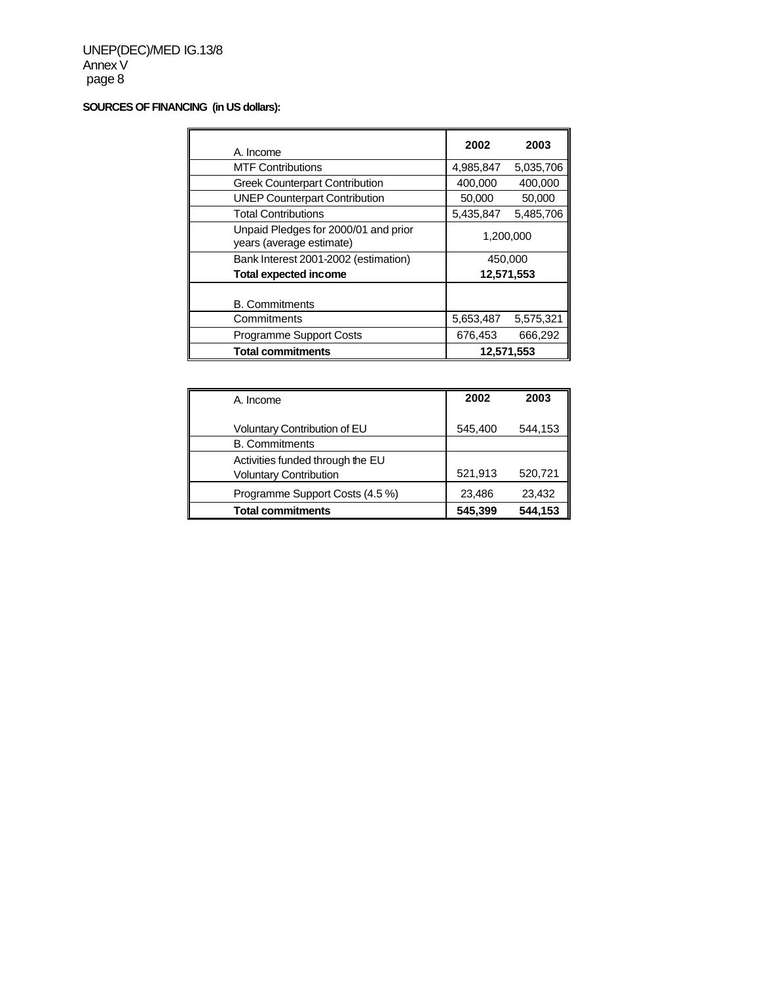# **SOURCES OF FINANCING (in US dollars):**

| A. Income                                                        | 2002       | 2003       |  |
|------------------------------------------------------------------|------------|------------|--|
| <b>MTF Contributions</b>                                         | 4,985,847  | 5,035,706  |  |
| <b>Greek Counterpart Contribution</b>                            | 400,000    | 400,000    |  |
| <b>UNEP Counterpart Contribution</b>                             | 50,000     | 50,000     |  |
| <b>Total Contributions</b>                                       | 5,435,847  | 5,485,706  |  |
| Unpaid Pledges for 2000/01 and prior<br>years (average estimate) | 1,200,000  |            |  |
| Bank Interest 2001-2002 (estimation)                             | 450,000    |            |  |
| <b>Total expected income</b>                                     |            | 12,571,553 |  |
| <b>B.</b> Commitments                                            |            |            |  |
| Commitments                                                      | 5,653,487  | 5,575,321  |  |
| Programme Support Costs                                          | 676,453    | 666,292    |  |
| <b>Total commitments</b>                                         | 12,571,553 |            |  |

| A. Income                                                         | 2002    | 2003    |
|-------------------------------------------------------------------|---------|---------|
| Voluntary Contribution of EU                                      | 545,400 | 544,153 |
| <b>B.</b> Commitments                                             |         |         |
| Activities funded through the EU<br><b>Voluntary Contribution</b> | 521,913 | 520,721 |
| Programme Support Costs (4.5 %)                                   | 23,486  | 23,432  |
| <b>Total commitments</b>                                          | 545,399 | 544,153 |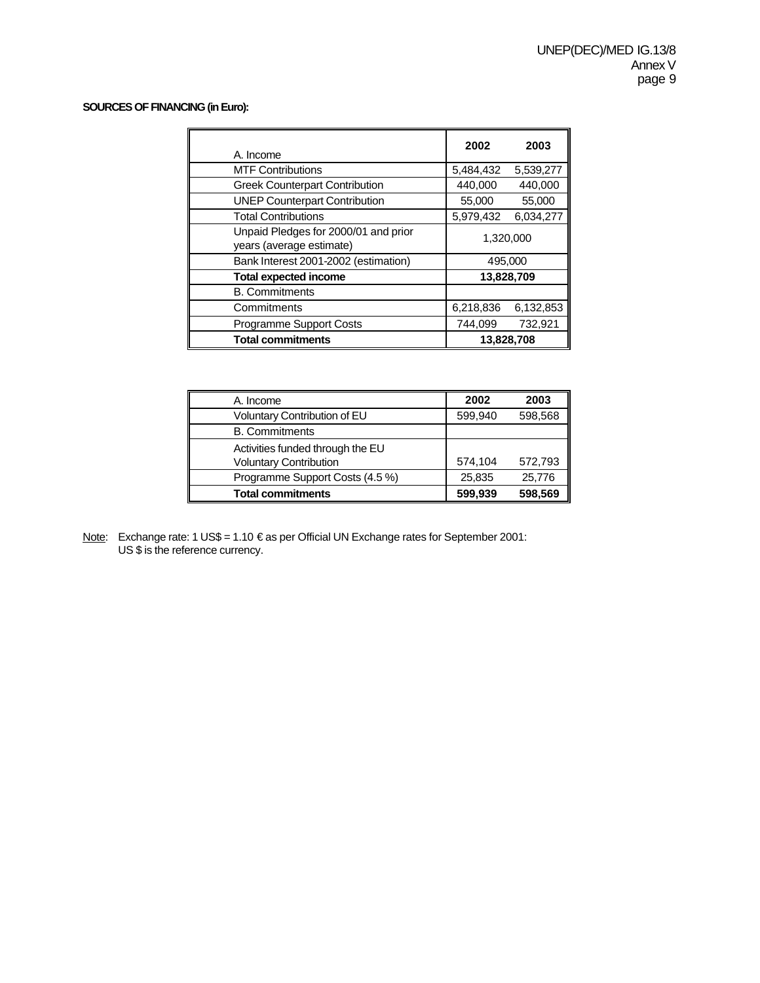# **SOURCES OF FINANCING (in Euro):**

| A. Income                                                        | 2002      | 2003       |  |
|------------------------------------------------------------------|-----------|------------|--|
| <b>MTF Contributions</b>                                         | 5,484,432 | 5,539,277  |  |
| <b>Greek Counterpart Contribution</b>                            | 440,000   | 440,000    |  |
| <b>UNEP Counterpart Contribution</b>                             | 55,000    | 55,000     |  |
| <b>Total Contributions</b>                                       | 5,979,432 | 6.034.277  |  |
| Unpaid Pledges for 2000/01 and prior<br>years (average estimate) | 1,320,000 |            |  |
| Bank Interest 2001-2002 (estimation)                             | 495,000   |            |  |
| <b>Total expected income</b>                                     |           | 13,828,709 |  |
| <b>B.</b> Commitments                                            |           |            |  |
| Commitments                                                      | 6,218,836 | 6,132,853  |  |
| <b>Programme Support Costs</b>                                   | 744.099   | 732,921    |  |
| <b>Total commitments</b>                                         |           | 13,828,708 |  |

| A. Income                                                         | 2002    | 2003    |
|-------------------------------------------------------------------|---------|---------|
| Voluntary Contribution of EU                                      | 599,940 | 598,568 |
| <b>B.</b> Commitments                                             |         |         |
| Activities funded through the EU<br><b>Voluntary Contribution</b> | 574,104 | 572,793 |
| Programme Support Costs (4.5 %)                                   | 25,835  | 25,776  |
| <b>Total commitments</b>                                          | 599,939 | 598,569 |

Note: Exchange rate: 1 US\$ = 1.10 € as per Official UN Exchange rates for September 2001: US \$ is the reference currency.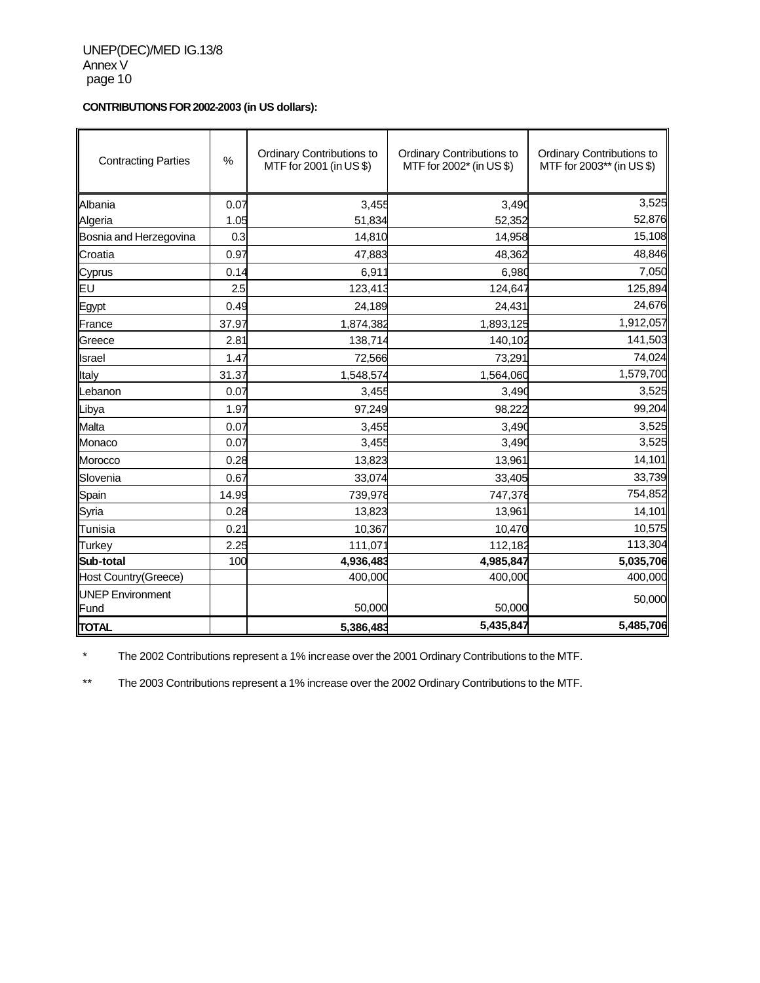**CONTRIBUTIONS FOR 2002-2003 (in US dollars):**

| <b>Contracting Parties</b>      | $\%$  | Ordinary Contributions to<br>MTF for 2001 (in US \$) | Ordinary Contributions to<br>MTF for 2002* (in US \$) | Ordinary Contributions to<br>MTF for 2003** (in US \$) |
|---------------------------------|-------|------------------------------------------------------|-------------------------------------------------------|--------------------------------------------------------|
| Albania                         | 0.07  | 3,455                                                | 3,490                                                 | 3,525                                                  |
| Algeria                         | 1.05  | 51,834                                               | 52,352                                                | 52,876                                                 |
| Bosnia and Herzegovina          | 0.3   | 14,810                                               | 14,958                                                | 15,108                                                 |
| Croatia                         | 0.97  | 47,883                                               | 48,362                                                | 48,846                                                 |
| Cyprus                          | 0.14  | 6,911                                                | 6,980                                                 | 7,050                                                  |
| EU                              | 2.5   | 123,413                                              | 124,647                                               | 125,894                                                |
| Egypt                           | 0.49  | 24,189                                               | 24,431                                                | 24,676                                                 |
| France                          | 37.97 | 1,874,382                                            | 1,893,125                                             | 1,912,057                                              |
| Greece                          | 2.81  | 138,714                                              | 140,102                                               | 141,503                                                |
| Israel                          | 1.47  | 72,566                                               | 73,291                                                | 74,024                                                 |
| Italy                           | 31.37 | 1,548,574                                            | 1,564,060                                             | 1,579,700                                              |
| Lebanon                         | 0.07  | 3,455                                                | 3,490                                                 | 3,525                                                  |
| Libya                           | 1.97  | 97,249                                               | 98,222                                                | 99,204                                                 |
| Malta                           | 0.07  | 3,455                                                | 3,490                                                 | 3,525                                                  |
| Monaco                          | 0.07  | 3,455                                                | 3,490                                                 | 3,525                                                  |
| Morocco                         | 0.28  | 13,823                                               | 13,961                                                | 14,101                                                 |
| Slovenia                        | 0.67  | 33,074                                               | 33,405                                                | 33,739                                                 |
| Spain                           | 14.99 | 739,978                                              | 747,378                                               | 754,852                                                |
| Syria                           | 0.28  | 13,823                                               | 13,961                                                | 14,101                                                 |
| Tunisia                         | 0.21  | 10,367                                               | 10,470                                                | 10,575                                                 |
| <b>Turkey</b>                   | 2.25  | 111,071                                              | 112,182                                               | 113,304                                                |
| Sub-total                       | 100   | 4,936,483                                            | 4,985,847                                             | 5,035,706                                              |
| Host Country(Greece)            |       | 400,000                                              | 400,000                                               | 400,000                                                |
| <b>UNEP Environment</b><br>Fund |       | 50,000                                               | 50,000                                                | 50,000                                                 |
| <b>TOTAL</b>                    |       | 5,386,483                                            | 5,435,847                                             | 5,485,706                                              |

\* The 2002 Contributions represent a 1% increase over the 2001 Ordinary Contributions to the MTF.

\*\* The 2003 Contributions represent a 1% increase over the 2002 Ordinary Contributions to the MTF.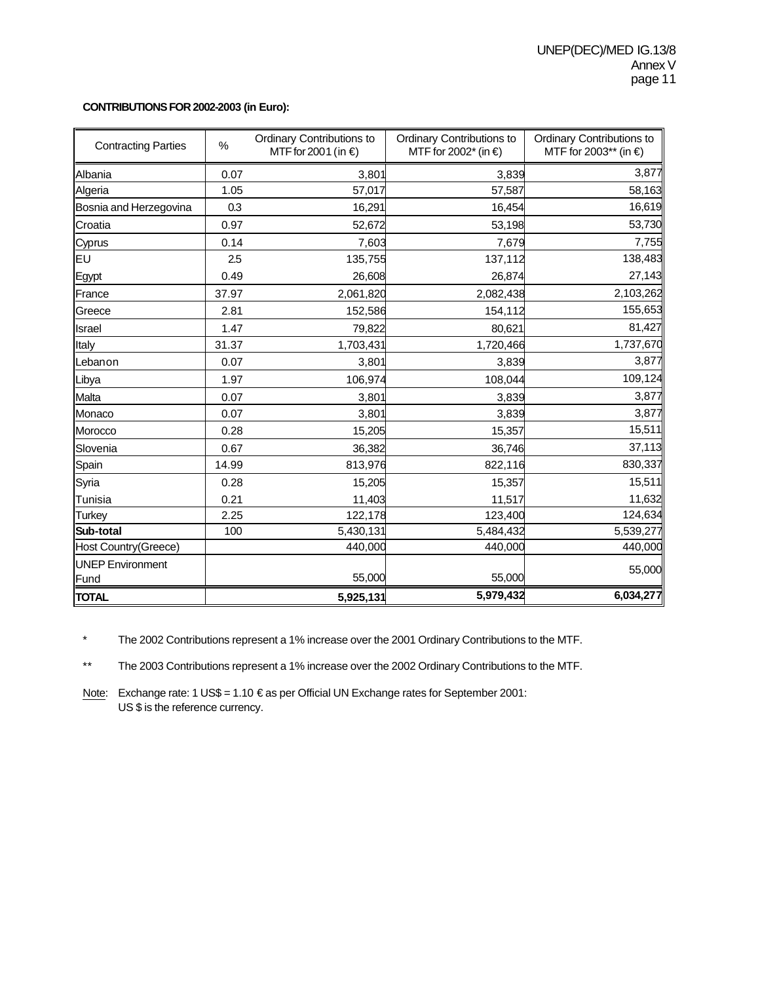#### **CONTRIBUTIONS FOR 2002-2003 (in Euro):**

| <b>Contracting Parties</b>  | $\%$  | Ordinary Contributions to<br>MTF for 2001 (in €) | Ordinary Contributions to<br>MTF for 2002* (in €) | Ordinary Contributions to<br>MTF for 2003** (in €) |
|-----------------------------|-------|--------------------------------------------------|---------------------------------------------------|----------------------------------------------------|
| Albania                     | 0.07  | 3,801                                            | 3,839                                             | 3,877                                              |
| Algeria                     | 1.05  | 57,017                                           | 57,587                                            | 58,163                                             |
| Bosnia and Herzegovina      | 0.3   | 16,291                                           | 16,454                                            | 16,619                                             |
| Croatia                     | 0.97  | 52,672                                           | 53,198                                            | 53,730                                             |
| Cyprus                      | 0.14  | 7,603                                            | 7,679                                             | 7,755                                              |
| EU                          | 2.5   | 135,755                                          | 137,112                                           | 138,483                                            |
| Egypt                       | 0.49  | 26,608                                           | 26,874                                            | 27,143                                             |
| France                      | 37.97 | 2,061,820                                        | 2,082,438                                         | 2,103,262                                          |
| Greece                      | 2.81  | 152,586                                          | 154,112                                           | 155,653                                            |
| Israel                      | 1.47  | 79,822                                           | 80,621                                            | 81,427                                             |
| Italy                       | 31.37 | 1,703,431                                        | 1,720,466                                         | 1,737,670                                          |
| Lebanon                     | 0.07  | 3,801                                            | 3,839                                             | 3,877                                              |
| Libya                       | 1.97  | 106,974                                          | 108,044                                           | 109,124                                            |
| Malta                       | 0.07  | 3,801                                            | 3,839                                             | 3,877                                              |
| Monaco                      | 0.07  | 3,801                                            | 3,839                                             | 3,877                                              |
| Morocco                     | 0.28  | 15,205                                           | 15,357                                            | 15,511                                             |
| Slovenia                    | 0.67  | 36,382                                           | 36,746                                            | 37,113                                             |
| Spain                       | 14.99 | 813,976                                          | 822,116                                           | 830,337                                            |
| Syria                       | 0.28  | 15,205                                           | 15,357                                            | 15,511                                             |
| Tunisia                     | 0.21  | 11,403                                           | 11,517                                            | 11,632                                             |
| <b>Turkey</b>               | 2.25  | 122,178                                          | 123,400                                           | 124,634                                            |
| Sub-total                   | 100   | 5,430,131                                        | 5,484,432                                         | 5,539,277                                          |
| <b>Host Country(Greece)</b> |       | 440,000                                          | 440,000                                           | 440,000                                            |
| <b>UNEP Environment</b>     |       |                                                  |                                                   | 55,000                                             |
| Fund                        |       | 55,000                                           | 55,000                                            |                                                    |
| <b>TOTAL</b>                |       | 5,925,131                                        | 5,979,432                                         | 6,034,277                                          |

\* The 2002 Contributions represent a 1% increase over the 2001 Ordinary Contributions to the MTF.

\*\* The 2003 Contributions represent a 1% increase over the 2002 Ordinary Contributions to the MTF.

Note: Exchange rate: 1 US\$ = 1.10 € as per Official UN Exchange rates for September 2001: US \$ is the reference currency.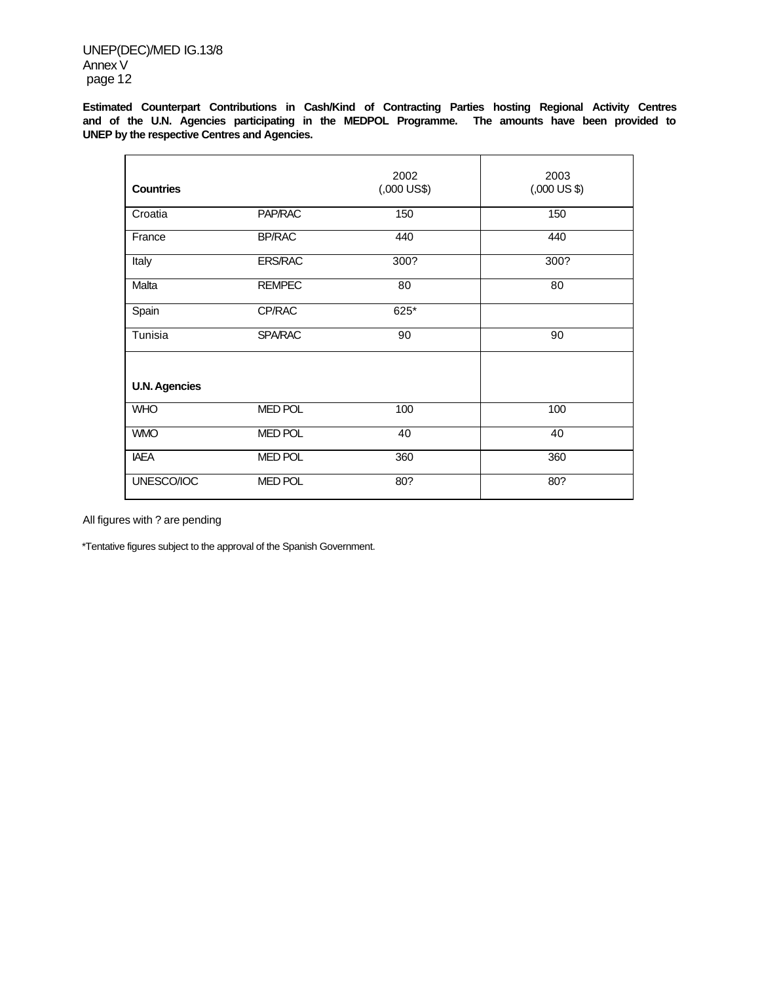UNEP(DEC)/MED IG.13/8 Annex V page 12

**Estimated Counterpart Contributions in Cash/Kind of Contracting Parties hosting Regional Activity Centres and of the U.N. Agencies participating in the MEDPOL Programme. The amounts have been provided to UNEP by the respective Centres and Agencies.**

| <b>Countries</b>     |                | 2002<br>$(000 \text{ US}$ \$) | 2003<br>$(.000 \text{ US } $)$ |
|----------------------|----------------|-------------------------------|--------------------------------|
| Croatia              | PAP/RAC        | 150                           | 150                            |
| France               | <b>BP/RAC</b>  | 440                           | 440                            |
| Italy                | <b>ERS/RAC</b> | 300?                          | 300?                           |
| Malta                | <b>REMPEC</b>  | 80                            | 80                             |
| Spain                | CP/RAC         | 625*                          |                                |
| Tunisia              | <b>SPA/RAC</b> | 90                            | 90                             |
|                      |                |                               |                                |
| <b>U.N. Agencies</b> |                |                               |                                |
| <b>WHO</b>           | <b>MED POL</b> | 100                           | 100                            |
| <b>WMO</b>           | <b>MED POL</b> | 40                            | 40                             |
| <b>IAEA</b>          | <b>MED POL</b> | 360                           | 360                            |
| UNESCO/IOC           | <b>MED POL</b> | 80?                           | 80?                            |

All figures with ? are pending

\*Tentative figures subject to the approval of the Spanish Government.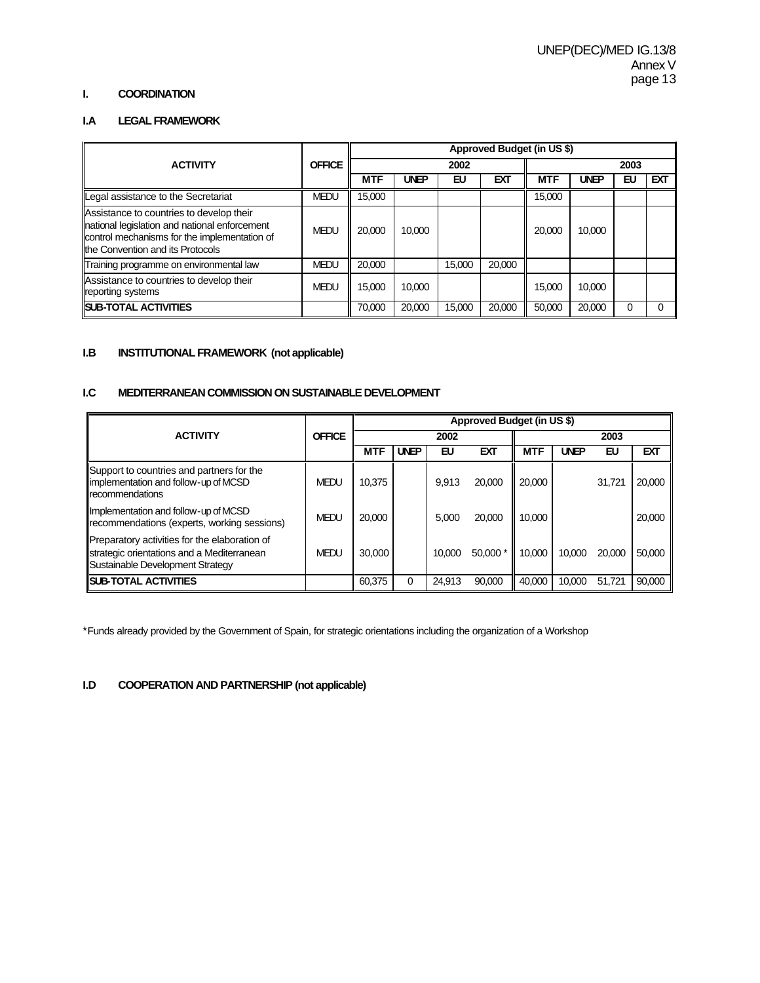#### **I. COORDINATION**

# **I.A LEGAL FRAMEWORK**

|                                                                                                                                                                                |               | Approved Budget (in US \$) |             |        |        |            |             |    |     |
|--------------------------------------------------------------------------------------------------------------------------------------------------------------------------------|---------------|----------------------------|-------------|--------|--------|------------|-------------|----|-----|
| <b>ACTIVITY</b>                                                                                                                                                                | <b>OFFICE</b> |                            |             | 2002   |        | 2003       |             |    |     |
|                                                                                                                                                                                |               | <b>MTF</b>                 | <b>UNEP</b> | EU     | EXT    | <b>MTF</b> | <b>UNEP</b> | EU | EХТ |
| Legal assistance to the Secretariat                                                                                                                                            | <b>MEDU</b>   | 15.000                     |             |        |        | 15,000     |             |    |     |
| Assistance to countries to develop their<br>national legislation and national enforcement<br>control mechanisms for the implementation of<br>Ithe Convention and its Protocols | <b>MEDU</b>   | 20,000                     | 10.000      |        |        | 20,000     | 10,000      |    |     |
| Training programme on environmental law                                                                                                                                        | <b>MEDU</b>   | 20.000                     |             | 15,000 | 20,000 |            |             |    |     |
| Assistance to countries to develop their<br>reporting systems                                                                                                                  | <b>MEDU</b>   | 15.000                     | 10,000      |        |        | 15,000     | 10,000      |    |     |
| <b>ISUB-TOTAL ACTIVITIES</b>                                                                                                                                                   |               | 70.000                     | 20,000      | 15,000 | 20,000 | 50,000     | 20,000      | 0  |     |

# **I.B INSTITUTIONAL FRAMEWORK (not applicable)**

## **I.C MEDITERRANEAN COMMISSION ON SUSTAINABLE DEVELOPMENT**

|                                                                                                                                 |               | Approved Budget (in US \$) |             |        |            |            |             |        |            |
|---------------------------------------------------------------------------------------------------------------------------------|---------------|----------------------------|-------------|--------|------------|------------|-------------|--------|------------|
| <b>ACTIVITY</b>                                                                                                                 | <b>OFFICE</b> |                            |             | 2002   |            |            |             | 2003   |            |
|                                                                                                                                 |               | <b>MTF</b>                 | <b>UNEP</b> | EU     | <b>EXT</b> | <b>MTF</b> | <b>UNEP</b> | EU     | <b>EXT</b> |
| Support to countries and partners for the<br>limplementation and follow-up of MCSD<br><b>Ilrecommendations</b>                  | <b>MEDU</b>   | 10.375                     |             | 9.913  | 20,000     | 20,000     |             | 31,721 | 20,000     |
| Implementation and follow-up of MCSD<br>recommendations (experts, working sessions)                                             | <b>MEDU</b>   | 20,000                     |             | 5.000  | 20,000     | 10.000     |             |        | 20,000     |
| Preparatory activities for the elaboration of<br>strategic orientations and a Mediterranean<br>Sustainable Development Strategy | <b>MEDU</b>   | 30,000                     |             | 10.000 | 50,000 *   | 10.000     | 10,000      | 20,000 | 50,000     |
| <b>ISUB-TOTAL ACTIVITIES</b>                                                                                                    |               | 60,375                     |             | 24.913 | 90,000     | 40.000     | 10.000      | 51.721 | 90.000     |

\*Funds already provided by the Government of Spain, for strategic orientations including the organization of a Workshop

#### **I.D COOPERATION AND PARTNERSHIP (not applicable)**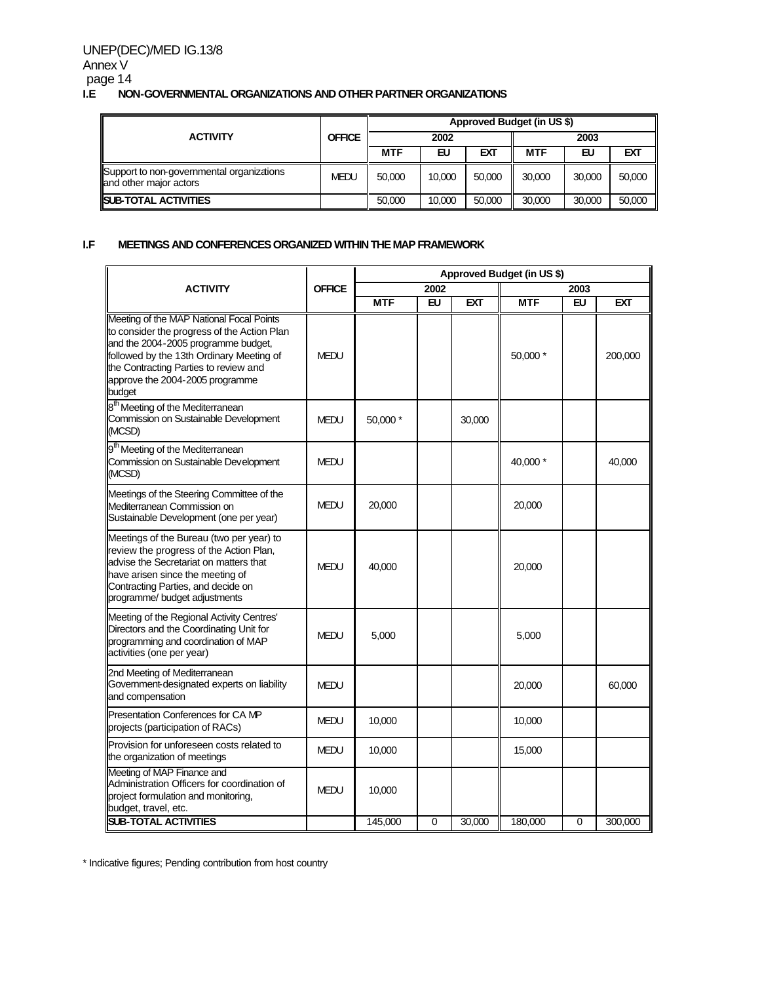## UNEP(DEC)/MED IG.13/8 Annex V page 14<br>**I.E** NO **I.E NON-GOVERNMENTAL ORGANIZATIONS AND OTHER PARTNER ORGANIZATIONS**

|                                                                     | <b>OFFICE</b> | Approved Budget (in US \$) |        |        |            |        |        |  |  |
|---------------------------------------------------------------------|---------------|----------------------------|--------|--------|------------|--------|--------|--|--|
| <b>ACTIVITY</b>                                                     |               |                            | 2002   |        | 2003       |        |        |  |  |
|                                                                     |               | <b>MTF</b>                 | EU     | EXT    | <b>MTF</b> | EU     | EXT    |  |  |
| Support to non-governmental organizations<br>and other major actors | <b>MEDU</b>   | 50,000                     | 10,000 | 50,000 | 30,000     | 30,000 | 50,000 |  |  |
| <b>ISUB-TOTAL ACTIVITIES</b>                                        |               | 50,000                     | 10.000 | 50,000 | 30,000     | 30,000 | 50,000 |  |  |

## **I.F MEETINGS AND CONFERENCES ORGANIZED WITHIN THE MAP FRAMEWORK**

|                                                                                                                                                                                                                                                                  |               | Approved Budget (in US \$) |             |        |            |             |         |  |
|------------------------------------------------------------------------------------------------------------------------------------------------------------------------------------------------------------------------------------------------------------------|---------------|----------------------------|-------------|--------|------------|-------------|---------|--|
| <b>ACTIVITY</b>                                                                                                                                                                                                                                                  | <b>OFFICE</b> |                            | 2002        |        |            | 2003        |         |  |
|                                                                                                                                                                                                                                                                  |               | <b>MTF</b>                 | <b>EU</b>   | EXT    | <b>MTF</b> | EU          | EXT     |  |
| Meeting of the MAP National Focal Points<br>to consider the progress of the Action Plan<br>and the 2004-2005 programme budget,<br>followed by the 13th Ordinary Meeting of<br>the Contracting Parties to review and<br>approve the 2004-2005 programme<br>budget | <b>MEDU</b>   |                            |             |        | 50,000 *   |             | 200,000 |  |
| 8 <sup>th</sup> Meeting of the Mediterranean<br>Commission on Sustainable Development<br>(MCSD)                                                                                                                                                                  | <b>MEDU</b>   | 50,000 *                   |             | 30,000 |            |             |         |  |
| 9 <sup>th</sup> Meeting of the Mediterranean<br>Commission on Sustainable Development<br>(MCSD)                                                                                                                                                                  | <b>MEDU</b>   |                            |             |        | 40,000 *   |             | 40,000  |  |
| Meetings of the Steering Committee of the<br>Mediterranean Commission on<br>Sustainable Development (one per year)                                                                                                                                               | <b>MEDU</b>   | 20,000                     |             |        | 20,000     |             |         |  |
| Meetings of the Bureau (two per year) to<br>review the progress of the Action Plan,<br>advise the Secretariat on matters that<br>have arisen since the meeting of<br>Contracting Parties, and decide on<br>programme/ budget adjustments                         | MEDU          | 40,000                     |             |        | 20,000     |             |         |  |
| Meeting of the Regional Activity Centres'<br>Directors and the Coordinating Unit for<br>programming and coordination of MAP<br>activities (one per year)                                                                                                         | <b>MEDU</b>   | 5,000                      |             |        | 5,000      |             |         |  |
| 2nd Meeting of Mediterranean<br>Government-designated experts on liability<br>and compensation                                                                                                                                                                   | <b>MEDU</b>   |                            |             |        | 20,000     |             | 60,000  |  |
| Presentation Conferences for CA MP<br>projects (participation of RACs)                                                                                                                                                                                           | MEDU          | 10,000                     |             |        | 10,000     |             |         |  |
| Provision for unforeseen costs related to<br>the organization of meetings                                                                                                                                                                                        | <b>MEDU</b>   | 10,000                     |             |        | 15,000     |             |         |  |
| Meeting of MAP Finance and<br>Administration Officers for coordination of<br>project formulation and monitoring,<br>budget, travel, etc.                                                                                                                         | MEDU          | 10,000                     |             |        |            |             |         |  |
| <b>SUB-TOTAL ACTIVITIES</b>                                                                                                                                                                                                                                      |               | 145,000                    | $\mathbf 0$ | 30,000 | 180,000    | $\mathbf 0$ | 300,000 |  |

\* Indicative figures; Pending contribution from host country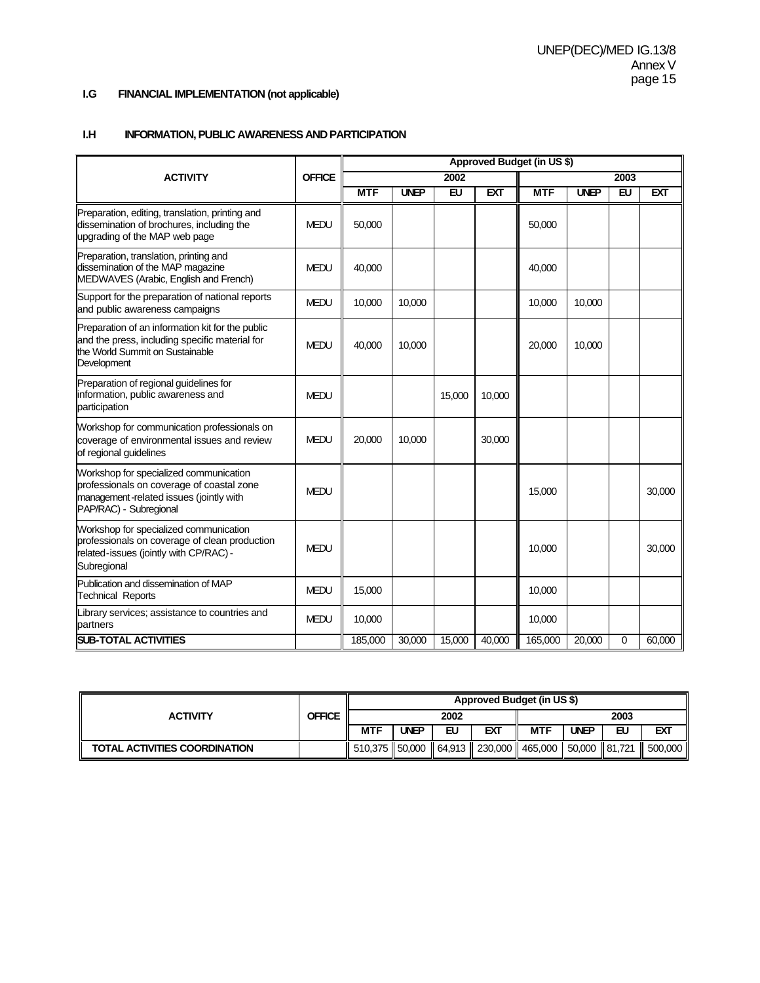# **I.G FINANCIAL IMPLEMENTATION (not applicable)**

#### **I.H INFORMATION, PUBLIC AWARENESS AND PARTICIPATION**

|                                                                                                                                                          |               |            |             |           |            | Approved Budget (in US \$) |             |             |            |
|----------------------------------------------------------------------------------------------------------------------------------------------------------|---------------|------------|-------------|-----------|------------|----------------------------|-------------|-------------|------------|
| <b>ACTIVITY</b>                                                                                                                                          | <b>OFFICE</b> |            |             | 2002      |            |                            |             | 2003        |            |
|                                                                                                                                                          |               | <b>MTF</b> | <b>UNEP</b> | <b>EU</b> | <b>EXT</b> | <b>MTF</b>                 | <b>UNEP</b> | <b>EU</b>   | <b>EXT</b> |
| Preparation, editing, translation, printing and<br>dissemination of brochures, including the<br>upgrading of the MAP web page                            | <b>MEDU</b>   | 50,000     |             |           |            | 50,000                     |             |             |            |
| Preparation, translation, printing and<br>dissemination of the MAP magazine<br>MEDWAVES (Arabic, English and French)                                     | <b>MEDU</b>   | 40.000     |             |           |            | 40.000                     |             |             |            |
| Support for the preparation of national reports<br>and public awareness campaigns                                                                        | <b>MEDU</b>   | 10,000     | 10,000      |           |            | 10,000                     | 10,000      |             |            |
| Preparation of an information kit for the public<br>and the press, including specific material for<br>the World Summit on Sustainable<br>Development     | <b>MEDU</b>   | 40,000     | 10,000      |           |            | 20,000                     | 10,000      |             |            |
| Preparation of regional guidelines for<br>information, public awareness and<br>participation                                                             | <b>MEDU</b>   |            |             | 15,000    | 10,000     |                            |             |             |            |
| Workshop for communication professionals on<br>coverage of environmental issues and review<br>of regional guidelines                                     | <b>MEDU</b>   | 20,000     | 10,000      |           | 30,000     |                            |             |             |            |
| Workshop for specialized communication<br>professionals on coverage of coastal zone<br>management-related issues (jointly with<br>PAP/RAC) - Subregional | <b>MEDU</b>   |            |             |           |            | 15,000                     |             |             | 30,000     |
| Workshop for specialized communication<br>professionals on coverage of clean production<br>related-issues (jointly with CP/RAC) -<br>Subregional         | <b>MEDU</b>   |            |             |           |            | 10,000                     |             |             | 30,000     |
| Publication and dissemination of MAP<br><b>Technical Reports</b>                                                                                         | <b>MEDU</b>   | 15,000     |             |           |            | 10,000                     |             |             |            |
| Library services; assistance to countries and<br>partners                                                                                                | <b>MEDU</b>   | 10,000     |             |           |            | 10,000                     |             |             |            |
| <b>SUB-TOTAL ACTIVITIES</b>                                                                                                                              |               | 185,000    | 30,000      | 15,000    | 40,000     | 165,000                    | 20,000      | $\mathbf 0$ | 60,000     |

|                               | <b>OFFICE</b> | Approved Budget (in US \$)                                           |             |    |     |      |             |    |         |
|-------------------------------|---------------|----------------------------------------------------------------------|-------------|----|-----|------|-------------|----|---------|
| <b>ACTIVITY</b>               |               | 2002                                                                 |             |    |     | 2003 |             |    |         |
|                               |               | <b>MTF</b>                                                           | <b>UNEP</b> | EU | EXT | MTF  | <b>UNEP</b> | EU | EXT     |
| TOTAL ACTIVITIES COORDINATION |               | 510.375    50.000    64.913    230.000    465.000   50.000    81.721 |             |    |     |      |             |    | 500,000 |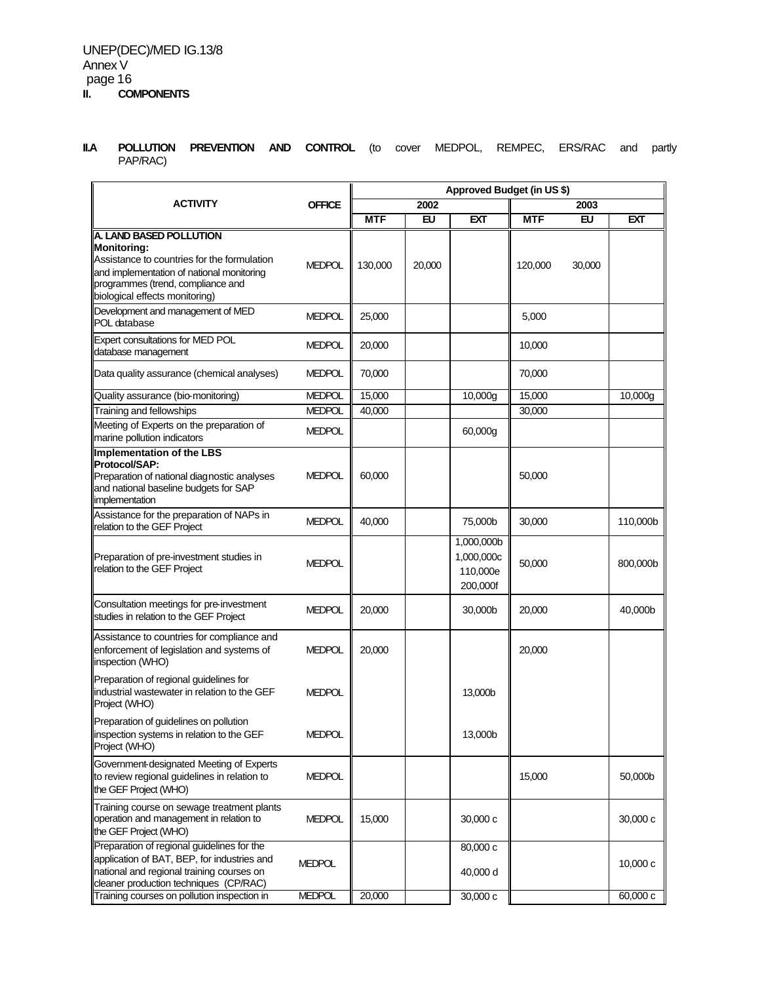**II.A POLLUTION PREVENTION AND CONTROL** (to cover MEDPOL, REMPEC, ERS/RAC and partly PAP/RAC)

|                                                                                                                                                                                                           |               | Approved Budget (in US \$) |           |                                                  |            |        |            |  |
|-----------------------------------------------------------------------------------------------------------------------------------------------------------------------------------------------------------|---------------|----------------------------|-----------|--------------------------------------------------|------------|--------|------------|--|
| <b>ACTIVITY</b>                                                                                                                                                                                           | <b>OFFICE</b> |                            | 2002      |                                                  |            | 2003   |            |  |
|                                                                                                                                                                                                           |               | <b>MTF</b>                 | <b>EU</b> | <b>EXT</b>                                       | <b>MTF</b> | EU     | <b>EXT</b> |  |
| A. LAND BASED POLLUTION<br>Monitoring:<br>Assistance to countries for the formulation<br>and implementation of national monitoring<br>programmes (trend, compliance and<br>biological effects monitoring) | <b>MEDPOL</b> | 130,000                    | 20,000    |                                                  | 120,000    | 30,000 |            |  |
| Development and management of MED<br>POL database                                                                                                                                                         | <b>MEDPOL</b> | 25,000                     |           |                                                  | 5,000      |        |            |  |
| Expert consultations for MED POL<br>database management                                                                                                                                                   | <b>MEDPOL</b> | 20,000                     |           |                                                  | 10,000     |        |            |  |
| Data quality assurance (chemical analyses)                                                                                                                                                                | <b>MEDPOL</b> | 70,000                     |           |                                                  | 70,000     |        |            |  |
| Quality assurance (bio-monitoring)                                                                                                                                                                        | <b>MEDPOL</b> | 15,000                     |           | 10,000g                                          | 15,000     |        | 10,000g    |  |
| Training and fellowships                                                                                                                                                                                  | <b>MEDPOL</b> | 40,000                     |           |                                                  | 30,000     |        |            |  |
| Meeting of Experts on the preparation of<br>marine pollution indicators                                                                                                                                   | <b>MEDPOL</b> |                            |           | 60,000g                                          |            |        |            |  |
| Implementation of the LBS<br>Protocol/SAP:<br>Preparation of national diagnostic analyses<br>and national baseline budgets for SAP<br>implementation                                                      | <b>MEDPOL</b> | 60,000                     |           |                                                  | 50,000     |        |            |  |
| Assistance for the preparation of NAPs in<br>relation to the GEF Project                                                                                                                                  | <b>MEDPOL</b> | 40.000                     |           | 75,000b                                          | 30,000     |        | 110,000b   |  |
| Preparation of pre-investment studies in<br>relation to the GEF Project                                                                                                                                   | <b>MEDPOL</b> |                            |           | 1,000,000b<br>1,000,000c<br>110,000e<br>200,000f | 50,000     |        | 800,000b   |  |
| Consultation meetings for pre-investment<br>studies in relation to the GEF Project                                                                                                                        | <b>MEDPOL</b> | 20,000                     |           | 30,000b                                          | 20,000     |        | 40,000b    |  |
| Assistance to countries for compliance and<br>enforcement of legislation and systems of<br>inspection (WHO)                                                                                               | <b>MEDPOL</b> | 20,000                     |           |                                                  | 20,000     |        |            |  |
| Preparation of regional guidelines for<br>industrial wastewater in relation to the GEF<br>Project (WHO)                                                                                                   | <b>MEDPOL</b> |                            |           | 13,000b                                          |            |        |            |  |
| Preparation of guidelines on pollution<br>inspection systems in relation to the GEF<br>Project (WHO)                                                                                                      | <b>MEDPOL</b> |                            |           | 13,000b                                          |            |        |            |  |
| Government-designated Meeting of Experts<br>to review regional guidelines in relation to<br>the GEF Project (WHO)                                                                                         | <b>MEDPOL</b> |                            |           |                                                  | 15,000     |        | 50,000b    |  |
| Training course on sewage treatment plants<br>operation and management in relation to<br>the GEF Project (WHO)                                                                                            | <b>MEDPOL</b> | 15,000                     |           | 30,000 c                                         |            |        | 30,000 c   |  |
| Preparation of regional guidelines for the<br>application of BAT, BEP, for industries and<br>national and regional training courses on<br>cleaner production techniques (CP/RAC)                          | <b>MEDPOL</b> |                            |           | 80,000 c<br>40,000 d                             |            |        | 10,000c    |  |
| Training courses on pollution inspection in                                                                                                                                                               | <b>MEDPOL</b> | 20,000                     |           | 30,000 c                                         |            |        | 60,000 c   |  |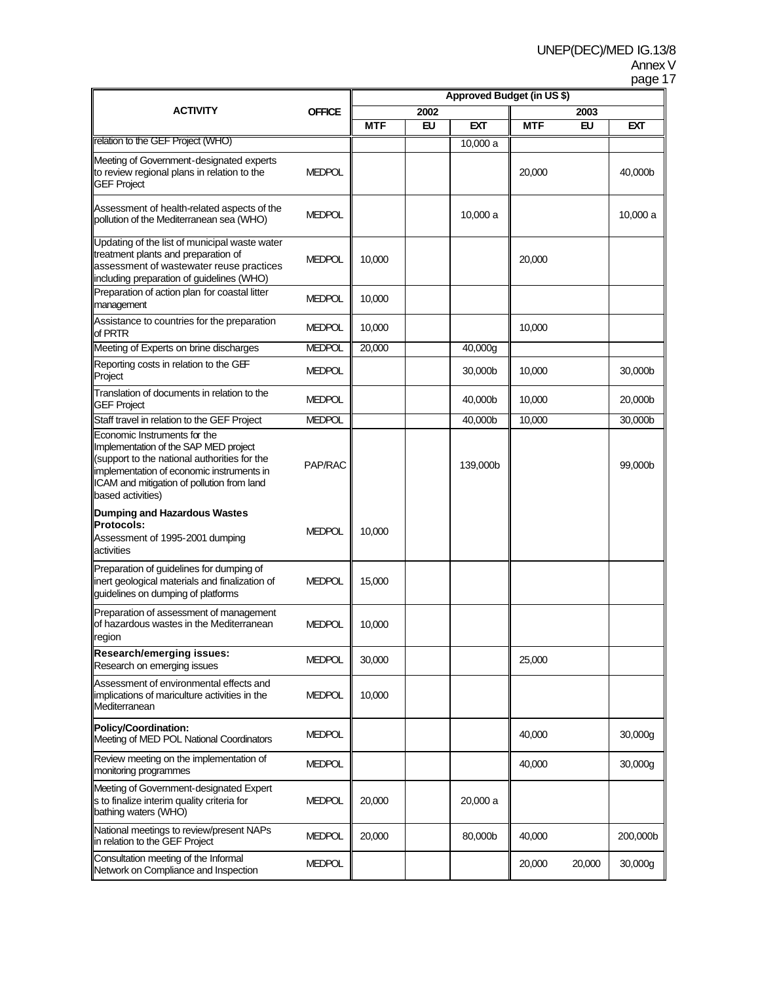# Annex V

|                                                                                                                                                                                                                                       |               |                            |           |          |            |        | page 17  |  |
|---------------------------------------------------------------------------------------------------------------------------------------------------------------------------------------------------------------------------------------|---------------|----------------------------|-----------|----------|------------|--------|----------|--|
|                                                                                                                                                                                                                                       |               | Approved Budget (in US \$) |           |          |            |        |          |  |
| ACTIVITY                                                                                                                                                                                                                              | <b>OFFICE</b> | 2002                       |           |          |            |        |          |  |
|                                                                                                                                                                                                                                       |               | <b>MTF</b>                 | <b>EU</b> | EXT      | <b>MTF</b> | EU     | EXT      |  |
| relation to the GEF Project (WHO)                                                                                                                                                                                                     |               |                            |           | 10,000 a |            |        |          |  |
| Meeting of Government-designated experts<br>to review regional plans in relation to the<br><b>GEF Project</b>                                                                                                                         | <b>MEDPOL</b> |                            |           |          | 20,000     |        | 40,000b  |  |
| Assessment of health-related aspects of the<br>pollution of the Mediterranean sea (WHO)                                                                                                                                               | <b>MEDPOL</b> |                            |           | 10,000 a |            |        | 10,000 a |  |
| Updating of the list of municipal waste water<br>treatment plants and preparation of<br>assessment of wastewater reuse practices<br>including preparation of guidelines (WHO)                                                         | <b>MEDPOL</b> | 10,000                     |           |          | 20,000     |        |          |  |
| Preparation of action plan for coastal litter<br>management                                                                                                                                                                           | <b>MEDPOL</b> | 10,000                     |           |          |            |        |          |  |
| Assistance to countries for the preparation<br>of PRTR                                                                                                                                                                                | <b>MEDPOL</b> | 10,000                     |           |          | 10,000     |        |          |  |
| Meeting of Experts on brine discharges                                                                                                                                                                                                | <b>MEDPOL</b> | 20,000                     |           | 40,000g  |            |        |          |  |
| Reporting costs in relation to the GEF<br>Project                                                                                                                                                                                     | <b>MEDPOL</b> |                            |           | 30,000b  | 10,000     |        | 30,000b  |  |
| Translation of documents in relation to the<br><b>GEF Project</b>                                                                                                                                                                     | <b>MEDPOL</b> |                            |           | 40,000b  | 10,000     |        | 20,000b  |  |
| Staff travel in relation to the GEF Project                                                                                                                                                                                           | <b>MEDPOL</b> |                            |           | 40,000b  | 10,000     |        | 30,000b  |  |
| Economic Instruments for the<br>Implementation of the SAP MED project<br>(support to the national authorities for the<br>implementation of economic instruments in<br>ICAM and mitigation of pollution from land<br>based activities) | PAP/RAC       |                            |           | 139,000b |            |        | 99,000b  |  |
| Dumping and Hazardous Wastes<br><b>Protocols:</b><br>Assessment of 1995-2001 dumping<br>activities                                                                                                                                    | <b>MEDPOL</b> | 10,000                     |           |          |            |        |          |  |
| Preparation of guidelines for dumping of<br>inert geological materials and finalization of<br>guidelines on dumping of platforms                                                                                                      | <b>MEDPOL</b> | 15,000                     |           |          |            |        |          |  |
| Preparation of assessment of management<br>of hazardous wastes in the Mediterranean<br>region                                                                                                                                         | <b>MEDPOL</b> | 10,000                     |           |          |            |        |          |  |
| Research/emerging issues:<br>Research on emerging issues                                                                                                                                                                              | <b>MEDPOL</b> | 30,000                     |           |          | 25,000     |        |          |  |
| Assessment of environmental effects and<br>implications of mariculture activities in the<br>Mediterranean                                                                                                                             | <b>MEDPOL</b> | 10,000                     |           |          |            |        |          |  |
| Policy/Coordination:<br>Meeting of MED POL National Coordinators                                                                                                                                                                      | <b>MEDPOL</b> |                            |           |          | 40,000     |        | 30,000g  |  |
| Review meeting on the implementation of<br>monitoring programmes                                                                                                                                                                      | <b>MEDPOL</b> |                            |           |          | 40,000     |        | 30,000g  |  |
| Meeting of Government-designated Expert<br>s to finalize interim quality criteria for<br>bathing waters (WHO)                                                                                                                         | <b>MEDPOL</b> | 20,000                     |           | 20,000 a |            |        |          |  |
| National meetings to review/present NAPs<br>in relation to the GEF Project                                                                                                                                                            | <b>MEDPOL</b> | 20,000                     |           | 80,000b  | 40,000     |        | 200,000b |  |
| Consultation meeting of the Informal<br>Network on Compliance and Inspection                                                                                                                                                          | <b>MEDPOL</b> |                            |           |          | 20,000     | 20,000 | 30,000g  |  |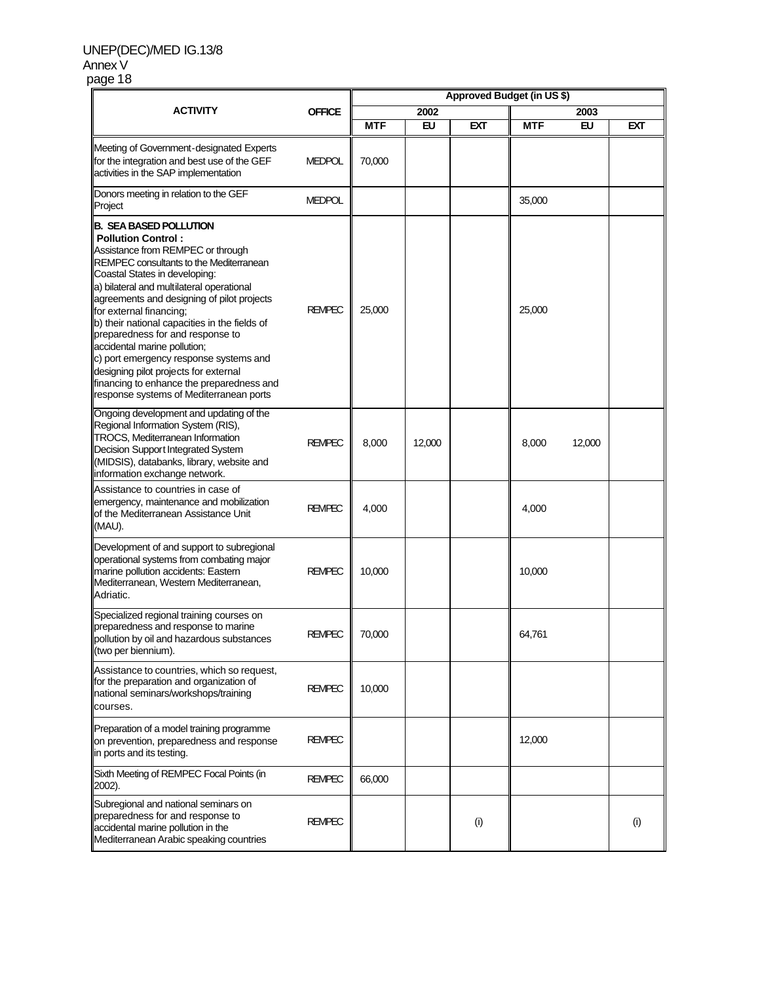### UNEP(DEC)/MED IG.13/8 Annex V page 18

|                                                                                                                                                                                                                                                                                                                                                                                                                                                                                                                                                                                            | <b>OFFICE</b> | Approved Budget (in US \$) |           |            |            |        |            |  |
|--------------------------------------------------------------------------------------------------------------------------------------------------------------------------------------------------------------------------------------------------------------------------------------------------------------------------------------------------------------------------------------------------------------------------------------------------------------------------------------------------------------------------------------------------------------------------------------------|---------------|----------------------------|-----------|------------|------------|--------|------------|--|
| <b>ACTIVITY</b>                                                                                                                                                                                                                                                                                                                                                                                                                                                                                                                                                                            |               | 2002                       |           |            | 2003       |        |            |  |
|                                                                                                                                                                                                                                                                                                                                                                                                                                                                                                                                                                                            |               | <b>MTF</b>                 | <b>EU</b> | <b>EXT</b> | <b>MTF</b> | EU     | <b>EXT</b> |  |
| Meeting of Government-designated Experts<br>for the integration and best use of the GEF<br>activities in the SAP implementation                                                                                                                                                                                                                                                                                                                                                                                                                                                            | <b>MEDPOL</b> | 70,000                     |           |            |            |        |            |  |
| Donors meeting in relation to the GEF<br>Project                                                                                                                                                                                                                                                                                                                                                                                                                                                                                                                                           | <b>MEDPOL</b> |                            |           |            | 35,000     |        |            |  |
| B. SEA BASED POLLUTION<br><b>Pollution Control:</b><br>Assistance from REMPEC or through<br>REMPEC consultants to the Mediterranean<br>Coastal States in developing:<br>a) bilateral and multilateral operational<br>agreements and designing of pilot projects<br>for external financing;<br>b) their national capacities in the fields of<br>preparedness for and response to<br>accidental marine pollution;<br>c) port emergency response systems and<br>designing pilot projects for external<br>financing to enhance the preparedness and<br>response systems of Mediterranean ports | <b>REMPEC</b> | 25,000                     |           |            | 25,000     |        |            |  |
| Ongoing development and updating of the<br>Regional Information System (RIS),<br>TROCS, Mediterranean Information<br>Decision Support Integrated System<br>(MIDSIS), databanks, library, website and<br>information exchange network.                                                                                                                                                                                                                                                                                                                                                      | <b>REMPEC</b> | 8,000                      | 12,000    |            | 8,000      | 12,000 |            |  |
| Assistance to countries in case of<br>emergency, maintenance and mobilization<br>of the Mediterranean Assistance Unit<br>(MAU).                                                                                                                                                                                                                                                                                                                                                                                                                                                            | <b>REMPEC</b> | 4,000                      |           |            | 4,000      |        |            |  |
| Development of and support to subregional<br>operational systems from combating major<br>marine pollution accidents: Eastern<br>Mediterranean, Western Mediterranean,<br>Adriatic.                                                                                                                                                                                                                                                                                                                                                                                                         | <b>REMPEC</b> | 10,000                     |           |            | 10,000     |        |            |  |
| Specialized regional training courses on<br>preparedness and response to marine<br>pollution by oil and hazardous substances<br>(two per biennium).                                                                                                                                                                                                                                                                                                                                                                                                                                        | <b>REMPEC</b> | 70,000                     |           |            | 64,761     |        |            |  |
| Assistance to countries, which so request,<br>for the preparation and organization of<br>national seminars/workshops/training<br>courses.                                                                                                                                                                                                                                                                                                                                                                                                                                                  | <b>REMPEC</b> | 10,000                     |           |            |            |        |            |  |
| Preparation of a model training programme<br>on prevention, preparedness and response<br>in ports and its testing.                                                                                                                                                                                                                                                                                                                                                                                                                                                                         | <b>REMPEC</b> |                            |           |            | 12,000     |        |            |  |
| Sixth Meeting of REMPEC Focal Points (in<br>2002).                                                                                                                                                                                                                                                                                                                                                                                                                                                                                                                                         | <b>REMPEC</b> | 66,000                     |           |            |            |        |            |  |
| Subregional and national seminars on<br>preparedness for and response to<br>accidental marine pollution in the<br>Mediterranean Arabic speaking countries                                                                                                                                                                                                                                                                                                                                                                                                                                  | <b>REMPEC</b> |                            |           | (i)        |            |        | (i)        |  |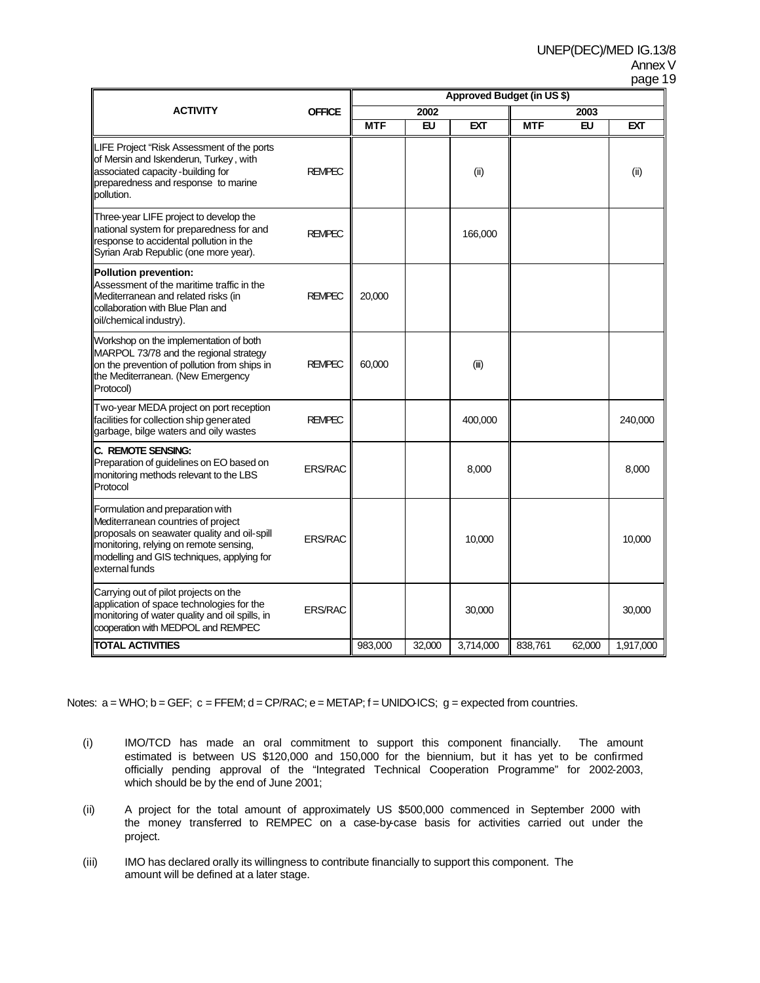# Annex V

| ı<br>и<br>ı |  |
|-------------|--|
|-------------|--|

|                                                                                                                                                                                                                                 | <b>OFFICE</b>  | Approved Budget (in US \$) |           |            |            |           |            |
|---------------------------------------------------------------------------------------------------------------------------------------------------------------------------------------------------------------------------------|----------------|----------------------------|-----------|------------|------------|-----------|------------|
| <b>ACTIVITY</b>                                                                                                                                                                                                                 |                | 2002                       |           |            | 2003       |           |            |
|                                                                                                                                                                                                                                 |                | <b>MTF</b>                 | <b>EU</b> | <b>EXT</b> | <b>MTF</b> | <b>EU</b> | <b>EXT</b> |
| LIFE Project "Risk Assessment of the ports<br>of Mersin and Iskenderun, Turkey, with<br>associated capacity - building for<br>preparedness and response to marine<br>pollution.                                                 | <b>REMPEC</b>  |                            |           | (ii)       |            |           | (ii)       |
| Three-year LIFE project to develop the<br>national system for preparedness for and<br>response to accidental pollution in the<br>Syrian Arab Republic (one more year).                                                          | <b>REMPEC</b>  |                            |           | 166,000    |            |           |            |
| Pollution prevention:<br>Assessment of the maritime traffic in the<br>Mediterranean and related risks (in<br>collaboration with Blue Plan and<br>oil/chemical industry).                                                        | <b>REMPEC</b>  | 20,000                     |           |            |            |           |            |
| Workshop on the implementation of both<br>MARPOL 73/78 and the regional strategy<br>on the prevention of pollution from ships in<br>the Mediterranean. (New Emergency<br>Protocol)                                              | <b>REMPEC</b>  | 60,000                     |           | (iii)      |            |           |            |
| Two-year MEDA project on port reception<br>facilities for collection ship generated<br>garbage, bilge waters and oily wastes                                                                                                    | <b>REMPEC</b>  |                            |           | 400,000    |            |           | 240,000    |
| C. REMOTE SENSING:<br>Preparation of guidelines on EO based on<br>monitoring methods relevant to the LBS<br>Protocol                                                                                                            | <b>ERS/RAC</b> |                            |           | 8,000      |            |           | 8,000      |
| Formulation and preparation with<br>Mediterranean countries of project<br>proposals on seawater quality and oil-spill<br>monitoring, relying on remote sensing,<br>modelling and GIS techniques, applying for<br>external funds | <b>ERS/RAC</b> |                            |           | 10,000     |            |           | 10,000     |
| Carrying out of pilot projects on the<br>application of space technologies for the<br>monitoring of water quality and oil spills, in<br>cooperation with MEDPOL and REMPEC                                                      | <b>ERS/RAC</b> |                            |           | 30,000     |            |           | 30,000     |
| <b>TOTAL ACTIVITIES</b>                                                                                                                                                                                                         |                | 983,000                    | 32,000    | 3,714,000  | 838,761    | 62,000    | 1,917,000  |

Notes:  $a = WHO$ ;  $b = GEF$ ;  $c = FFEM$ ;  $d = CP/RAC$ ;  $e = METAP$ ;  $f = UNIDO\cdot ICS$ ;  $g = expected from countries$ .

- (i) IMO/TCD has made an oral commitment to support this component financially. The amount estimated is between US \$120,000 and 150,000 for the biennium, but it has yet to be confirmed officially pending approval of the "Integrated Technical Cooperation Programme" for 2002-2003, which should be by the end of June 2001;
- (ii) A project for the total amount of approximately US \$500,000 commenced in September 2000 with the money transferred to REMPEC on a case-by-case basis for activities carried out under the project.
- (iii) IMO has declared orally its willingness to contribute financially to support this component. The amount will be defined at a later stage.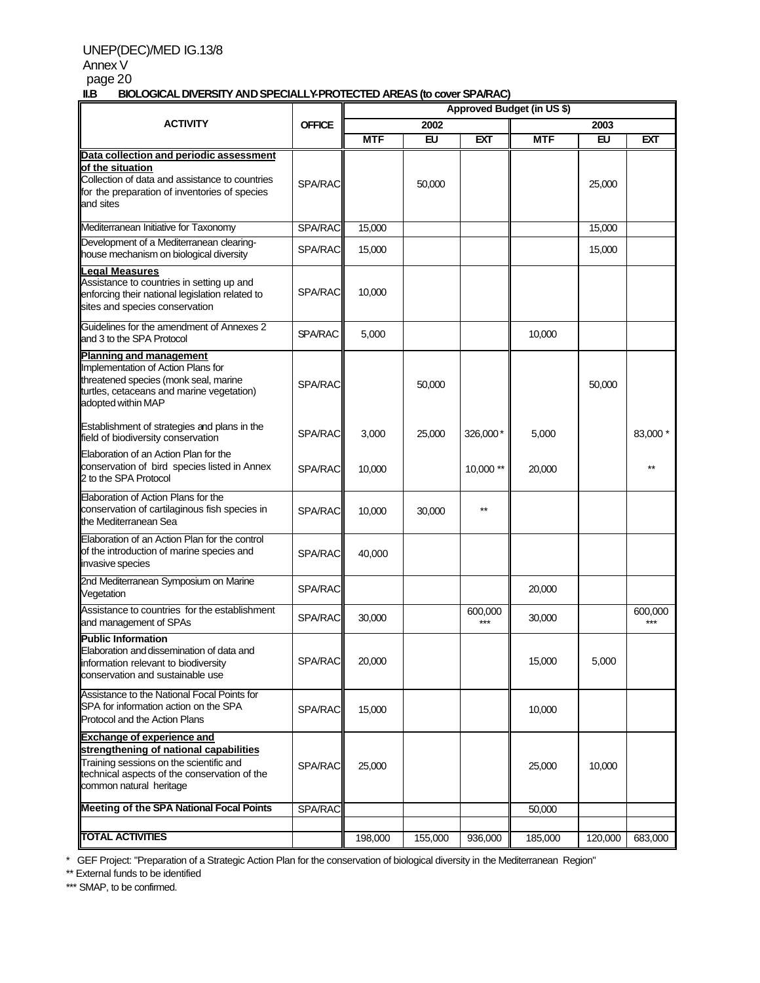## UNEP(DEC)/MED IG.13/8

# Annex V page  $20$ <br>**IIB** BIO

**II.B BIOLOGICAL DIVERSITY AND SPECIALLY-PROTECTED AREAS (to cover SPA/RAC)**

| . .                                                                                                                                                                                        |                | <u>CAL DIVERSITI AND OF LOALL PEROTED HILLAO (IO COVEL OF ARAC)</u><br>Approved Budget (in US \$) |           |            |            |           |                |
|--------------------------------------------------------------------------------------------------------------------------------------------------------------------------------------------|----------------|---------------------------------------------------------------------------------------------------|-----------|------------|------------|-----------|----------------|
| <b>ACTIVITY</b>                                                                                                                                                                            | <b>OFFICE</b>  |                                                                                                   | 2002      |            |            | 2003      |                |
|                                                                                                                                                                                            |                | <b>MTF</b>                                                                                        | <b>EU</b> | <b>EXT</b> | <b>MTF</b> | <b>EU</b> | <b>EXT</b>     |
|                                                                                                                                                                                            |                |                                                                                                   |           |            |            |           |                |
| Data collection and periodic assessment<br>of the situation<br>Collection of data and assistance to countries<br>for the preparation of inventories of species<br>and sites                | SPA/RAC        |                                                                                                   | 50,000    |            |            | 25,000    |                |
| Mediterranean Initiative for Taxonomy                                                                                                                                                      | SPA/RAC        | 15,000                                                                                            |           |            |            | 15,000    |                |
| Development of a Mediterranean clearing-<br>house mechanism on biological diversity                                                                                                        | SPA/RAC        | 15,000                                                                                            |           |            |            | 15,000    |                |
| egal Measures<br>Assistance to countries in setting up and<br>enforcing their national legislation related to<br>sites and species conservation                                            | <b>SPA/RAC</b> | 10,000                                                                                            |           |            |            |           |                |
| Guidelines for the amendment of Annexes 2<br>and 3 to the SPA Protocol                                                                                                                     | <b>SPA/RAC</b> | 5,000                                                                                             |           |            | 10,000     |           |                |
| Planning and management<br>Implementation of Action Plans for<br>threatened species (monk seal, marine<br>turtles, cetaceans and marine vegetation)<br>adopted within MAP                  | <b>SPA/RAC</b> |                                                                                                   | 50,000    |            |            | 50,000    |                |
| Establishment of strategies and plans in the<br>field of biodiversity conservation                                                                                                         | <b>SPA/RAC</b> | 3,000                                                                                             | 25,000    | 326,000*   | 5,000      |           | 83,000 *       |
| Elaboration of an Action Plan for the<br>conservation of bird species listed in Annex<br>2 to the SPA Protocol                                                                             | <b>SPA/RAC</b> | 10,000                                                                                            |           | 10,000**   | 20,000     |           |                |
| Elaboration of Action Plans for the<br>conservation of cartilaginous fish species in<br>the Mediterranean Sea                                                                              | <b>SPA/RAC</b> | 10,000                                                                                            | 30,000    | $**$       |            |           |                |
| Elaboration of an Action Plan for the control<br>of the introduction of marine species and<br>invasive species                                                                             | <b>SPA/RAC</b> | 40,000                                                                                            |           |            |            |           |                |
| 2nd Mediterranean Symposium on Marine<br>Vegetation                                                                                                                                        | <b>SPA/RAC</b> |                                                                                                   |           |            | 20,000     |           |                |
| Assistance to countries for the establishment<br>and management of SPAs                                                                                                                    | <b>SPA/RAC</b> | 30,000                                                                                            |           | 600,000    | 30,000     |           | 600,000<br>*** |
| <b>Public Information</b><br>Elaboration and dissemination of data and<br>information relevant to biodiversity<br>conservation and sustainable use                                         | <b>SPA/RAC</b> | 20,000                                                                                            |           |            | 15,000     | 5,000     |                |
| Assistance to the National Focal Points for<br>SPA for information action on the SPA<br><b>Protocol and the Action Plans</b>                                                               | <b>SPA/RAC</b> | 15,000                                                                                            |           |            | 10,000     |           |                |
| Exchange of experience and<br>strengthening of national capabilities<br>Training sessions on the scientific and<br>technical aspects of the conservation of the<br>common natural heritage | SPA/RAC        | 25,000                                                                                            |           |            | 25,000     | 10,000    |                |
| <b>Meeting of the SPA National Focal Points</b>                                                                                                                                            | SPA/RAC        |                                                                                                   |           |            | 50,000     |           |                |
|                                                                                                                                                                                            |                |                                                                                                   |           |            |            |           |                |
| <b>TOTAL ACTIVITIES</b>                                                                                                                                                                    |                | 198,000                                                                                           | 155,000   | 936,000    | 185,000    | 120,000   | 683,000        |

\* GEF Project: "Preparation of a Strategic Action Plan for the conservation of biological diversity in the Mediterranean Region"

\*\* External funds to be identified

\*\*\* SMAP, to be confirmed.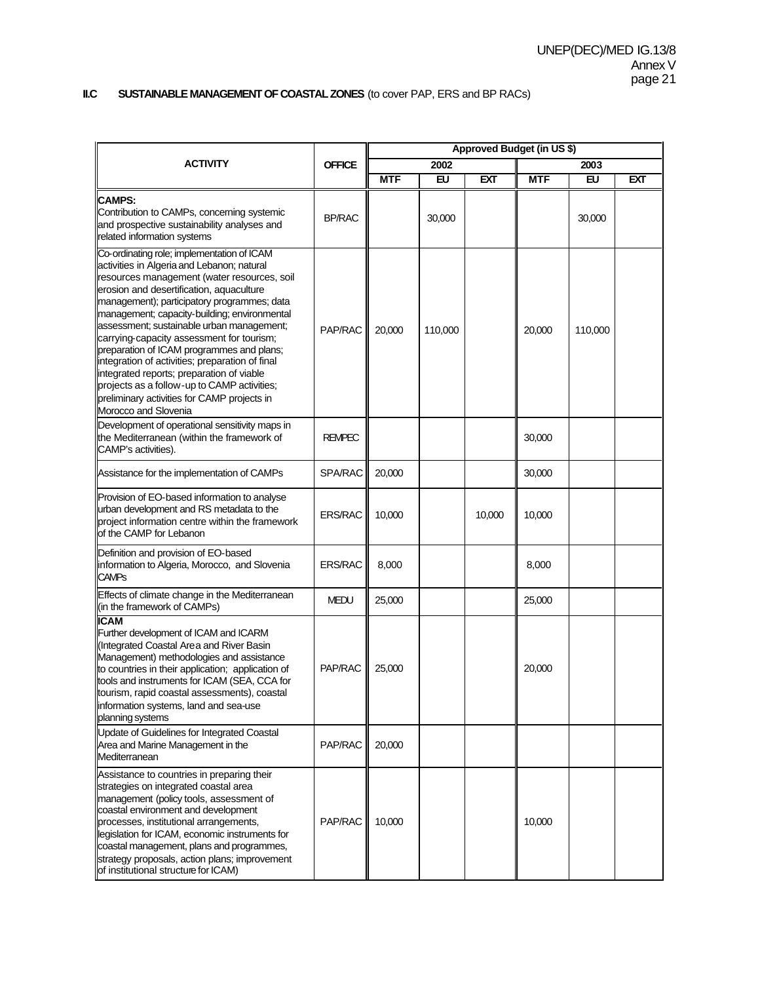#### **II.C SUSTAINABLE MANAGEMENT OF COASTAL ZONES** (to cover PAP, ERS and BP RACs)

|                                                                                                                                                                                                                                                                                                                                                                                                                                                                                                                                                                                                                                                 |                | Approved Budget (in US \$) |         |        |            |         |            |
|-------------------------------------------------------------------------------------------------------------------------------------------------------------------------------------------------------------------------------------------------------------------------------------------------------------------------------------------------------------------------------------------------------------------------------------------------------------------------------------------------------------------------------------------------------------------------------------------------------------------------------------------------|----------------|----------------------------|---------|--------|------------|---------|------------|
| <b>ACTIVITY</b>                                                                                                                                                                                                                                                                                                                                                                                                                                                                                                                                                                                                                                 | <b>OFFICE</b>  |                            | 2002    |        | 2003       |         |            |
|                                                                                                                                                                                                                                                                                                                                                                                                                                                                                                                                                                                                                                                 |                | <b>MTF</b>                 | EU      | EXT    | <b>MTF</b> | EU      | <b>EXT</b> |
| <b>CAMPS:</b><br>Contribution to CAMPs, concerning systemic<br>and prospective sustainability analyses and<br>related information systems                                                                                                                                                                                                                                                                                                                                                                                                                                                                                                       | <b>BP/RAC</b>  |                            | 30,000  |        |            | 30,000  |            |
| Co-ordinating role; implementation of ICAM<br>activities in Algeria and Lebanon; natural<br>resources management (water resources, soil<br>erosion and desertification, aquaculture<br>management); participatory programmes; data<br>management; capacity-building; environmental<br>assessment; sustainable urban management;<br>carrying-capacity assessment for tourism;<br>preparation of ICAM programmes and plans;<br>integration of activities; preparation of final<br>integrated reports; preparation of viable<br>projects as a follow-up to CAMP activities;<br>preliminary activities for CAMP projects in<br>Morocco and Slovenia | PAP/RAC        | 20,000                     | 110,000 |        | 20,000     | 110,000 |            |
| Development of operational sensitivity maps in<br>the Mediterranean (within the framework of<br>CAMP's activities).                                                                                                                                                                                                                                                                                                                                                                                                                                                                                                                             | <b>REMPEC</b>  |                            |         |        | 30,000     |         |            |
| Assistance for the implementation of CAMPs                                                                                                                                                                                                                                                                                                                                                                                                                                                                                                                                                                                                      | <b>SPA/RAC</b> | 20,000                     |         |        | 30,000     |         |            |
| Provision of EO-based information to analyse<br>urban development and RS metadata to the<br>project information centre within the framework<br>of the CAMP for Lebanon                                                                                                                                                                                                                                                                                                                                                                                                                                                                          | <b>ERS/RAC</b> | 10,000                     |         | 10,000 | 10,000     |         |            |
| Definition and provision of EO-based<br>information to Algeria, Morocco, and Slovenia<br><b>CAMPs</b>                                                                                                                                                                                                                                                                                                                                                                                                                                                                                                                                           | <b>ERS/RAC</b> | 8,000                      |         |        | 8,000      |         |            |
| Effects of climate change in the Mediterranean<br>(in the framework of CAMPs)                                                                                                                                                                                                                                                                                                                                                                                                                                                                                                                                                                   | <b>MEDU</b>    | 25,000                     |         |        | 25,000     |         |            |
| <b>ICAM</b><br>Further development of ICAM and ICARM<br>(Integrated Coastal Area and River Basin<br>Management) methodologies and assistance<br>to countries in their application; application of<br>tools and instruments for ICAM (SEA, CCA for<br>tourism, rapid coastal assessments), coastal<br>information systems, land and sea-use<br>planning systems                                                                                                                                                                                                                                                                                  | PAP/RAC        | 25,000                     |         |        | 20,000     |         |            |
| Update of Guidelines for Integrated Coastal<br>Area and Marine Management in the<br>Mediterranean                                                                                                                                                                                                                                                                                                                                                                                                                                                                                                                                               | PAP/RAC        | 20,000                     |         |        |            |         |            |
| Assistance to countries in preparing their<br>strategies on integrated coastal area<br>management (policy tools, assessment of<br>coastal environment and development<br>processes, institutional arrangements,<br>legislation for ICAM, economic instruments for<br>coastal management, plans and programmes,<br>strategy proposals, action plans; improvement<br>of institutional structure for ICAM)                                                                                                                                                                                                                                         | PAP/RAC        | 10,000                     |         |        | 10,000     |         |            |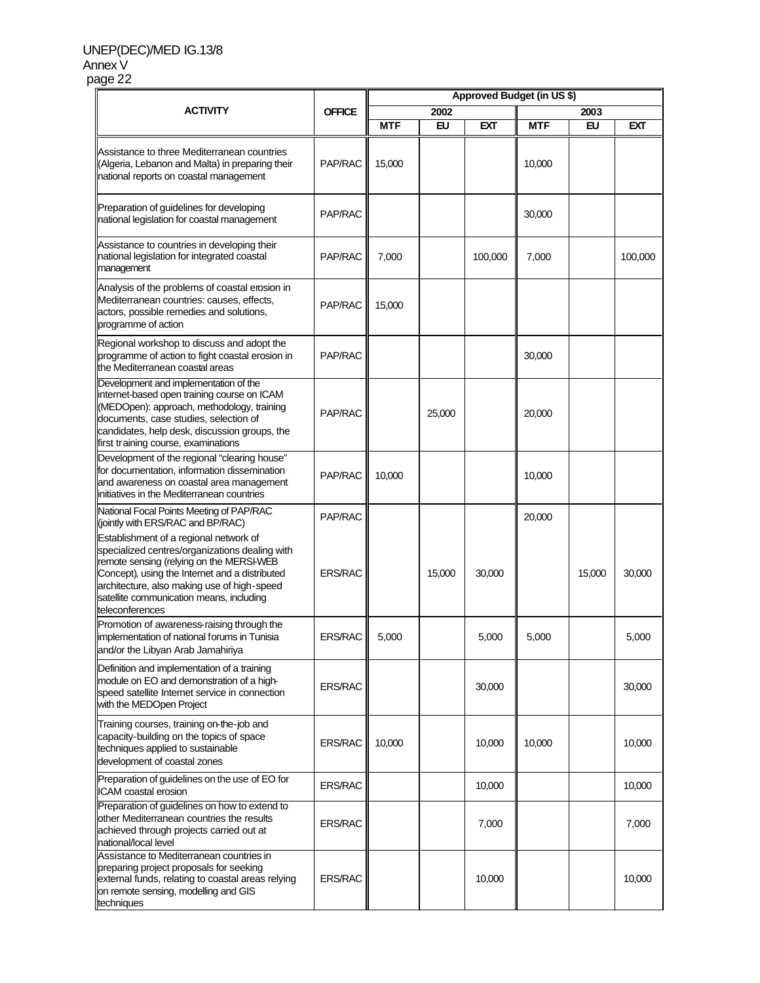#### UNEP(DEC)/MED IG.13/8 Annex V page 22

|                                                                                                                                                                                                                                                                                                      |                | Approved Budget (in US \$) |           |         |            |        |         |
|------------------------------------------------------------------------------------------------------------------------------------------------------------------------------------------------------------------------------------------------------------------------------------------------------|----------------|----------------------------|-----------|---------|------------|--------|---------|
| <b>ACTIVITY</b>                                                                                                                                                                                                                                                                                      | <b>OFFICE</b>  |                            | 2002      |         | 2003       |        |         |
|                                                                                                                                                                                                                                                                                                      |                | <b>MTF</b>                 | <b>EU</b> | EXT     | <b>MTF</b> | EU     | EXT     |
| Assistance to three Mediterranean countries<br>(Algeria, Lebanon and Malta) in preparing their<br>national reports on coastal management                                                                                                                                                             | PAP/RAC        | 15,000                     |           |         | 10,000     |        |         |
| Preparation of guidelines for developing<br>national legislation for coastal management                                                                                                                                                                                                              | PAP/RAC        |                            |           |         | 30,000     |        |         |
| Assistance to countries in developing their<br>national legislation for integrated coastal<br>management                                                                                                                                                                                             | PAP/RAC        | 7,000                      |           | 100,000 | 7,000      |        | 100,000 |
| Analysis of the problems of coastal erosion in<br>Mediterranean countries: causes, effects,<br>actors, possible remedies and solutions,<br>programme of action                                                                                                                                       | PAP/RAC        | 15,000                     |           |         |            |        |         |
| Regional workshop to discuss and adopt the<br>programme of action to fight coastal erosion in<br>the Mediterranean coastal areas                                                                                                                                                                     | PAP/RAC        |                            |           |         | 30,000     |        |         |
| Development and implementation of the<br>internet-based open training course on ICAM<br>(MEDOpen): approach, methodology, training<br>documents, case studies, selection of<br>candidates, help desk, discussion groups, the<br>first training course, examinations                                  | PAP/RAC        |                            | 25,000    |         | 20,000     |        |         |
| Development of the regional "clearing house"<br>for documentation, information dissemination<br>and awareness on coastal area management<br>initiatives in the Mediterranean countries                                                                                                               | PAP/RAC        | 10,000                     |           |         | 10,000     |        |         |
| National Focal Points Meeting of PAP/RAC<br>(jointly with ERS/RAC and BP/RAC)                                                                                                                                                                                                                        | PAP/RAC        |                            |           |         | 20,000     |        |         |
| Establishment of a regional network of<br>specialized centres/organizations dealing with<br>remote sensing (relying on the MERSI-WEB<br>Concept), using the Internet and a distributed<br>architecture, also making use of high-speed<br>satellite communication means, including<br>teleconferences | <b>ERS/RAC</b> |                            | 15,000    | 30,000  |            | 15,000 | 30,000  |
| Promotion of awareness-raising through the<br>implementation of national forums in Tunisia<br>and/or the Libyan Arab Jamahiriya                                                                                                                                                                      | <b>ERS/RAC</b> | 5,000                      |           | 5,000   | 5,000      |        | 5,000   |
| Definition and implementation of a training<br>module on EO and demonstration of a high-<br>speed satellite Internet service in connection<br>with the MEDOpen Project                                                                                                                               | <b>ERS/RAC</b> |                            |           | 30,000  |            |        | 30,000  |
| Training courses, training on-the-job and<br>capacity-building on the topics of space<br>techniques applied to sustainable<br>development of coastal zones                                                                                                                                           | <b>ERS/RAC</b> | 10.000                     |           | 10,000  | 10.000     |        | 10,000  |
| Preparation of guidelines on the use of EO for<br>ICAM coastal erosion                                                                                                                                                                                                                               | <b>ERS/RAC</b> |                            |           | 10,000  |            |        | 10,000  |
| Preparation of guidelines on how to extend to<br>other Mediterranean countries the results<br>achieved through projects carried out at<br>national/local level                                                                                                                                       | <b>ERS/RAC</b> |                            |           | 7,000   |            |        | 7,000   |
| Assistance to Mediterranean countries in<br>preparing project proposals for seeking<br>external funds, relating to coastal areas relying<br>on remote sensing, modelling and GIS<br>techniques                                                                                                       | <b>ERS/RAC</b> |                            |           | 10,000  |            |        | 10,000  |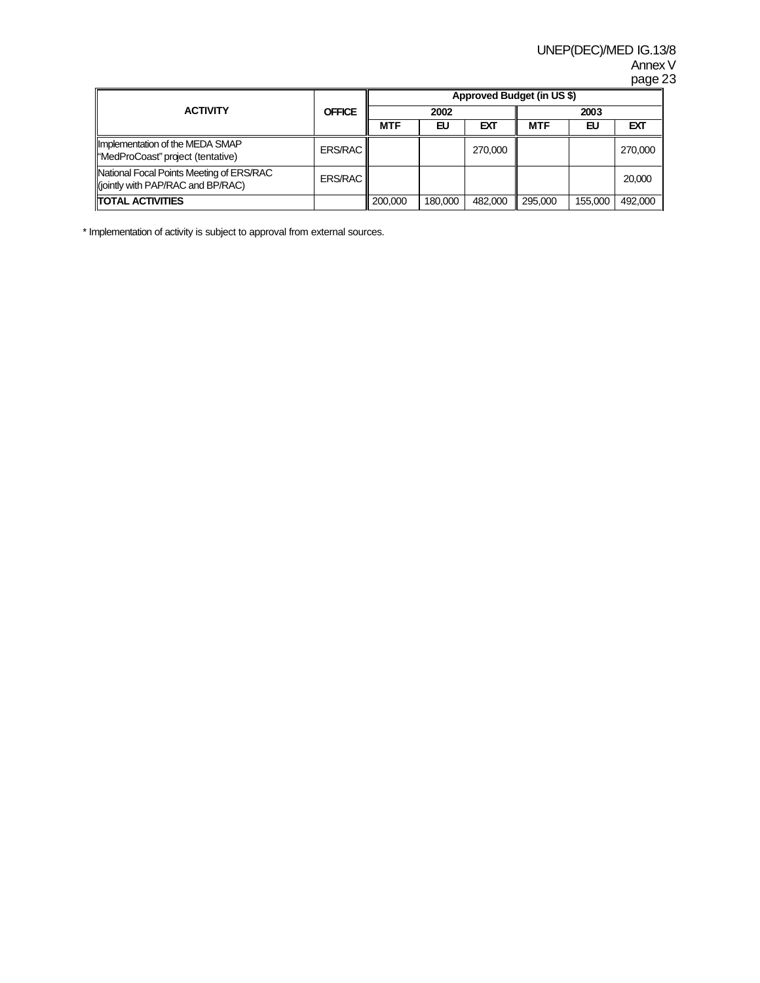|                                                                                 |               |            |         |         | Approved Budget (in US \$) |         |         |  |  |
|---------------------------------------------------------------------------------|---------------|------------|---------|---------|----------------------------|---------|---------|--|--|
| <b>ACTIVITY</b>                                                                 | <b>OFFICE</b> |            | 2002    |         |                            | 2003    |         |  |  |
|                                                                                 |               | <b>MTF</b> | EU      | EXT     | <b>MTF</b>                 | EU      | EXT     |  |  |
| Implementation of the MEDA SMAP<br>l"MedProCoast" project (tentative)           | ERS/RAC       |            |         | 270,000 |                            |         | 270,000 |  |  |
| National Focal Points Meeting of ERS/RAC<br>li(jointly with PAP/RAC and BP/RAC) | ERS/RAC       |            |         |         |                            |         | 20,000  |  |  |
| <b>ITOTAL ACTIVITIES</b>                                                        |               | 200.000    | 180,000 | 482,000 | 295,000                    | 155.000 | 492,000 |  |  |

\* Implementation of activity is subject to approval from external sources.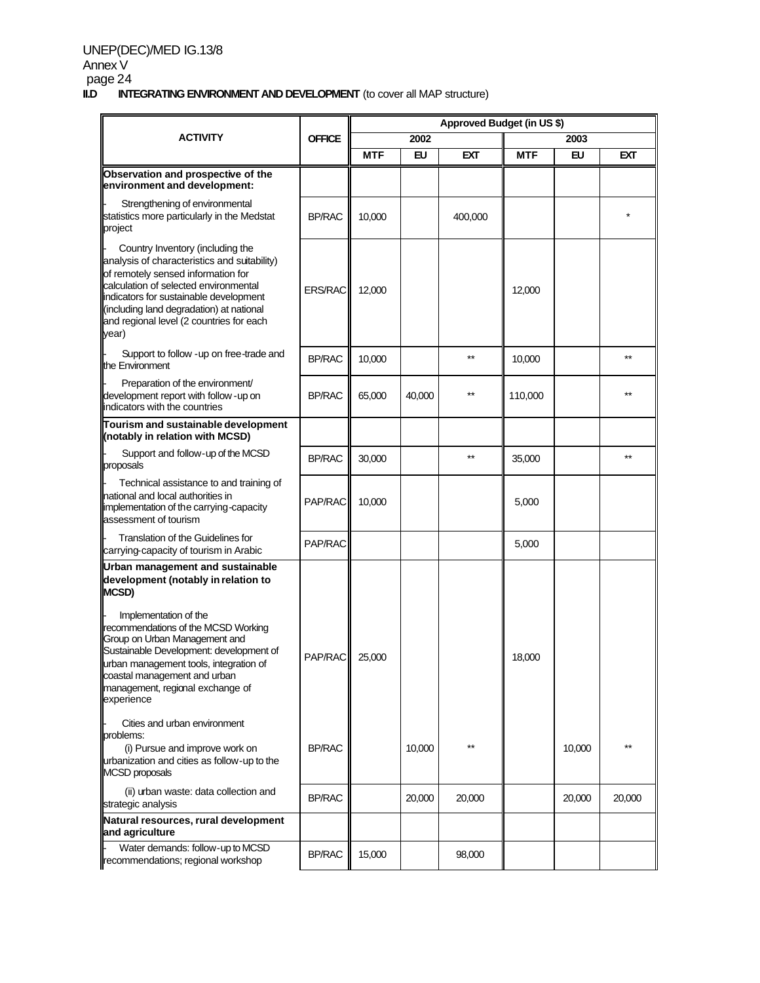# UNEP(DEC)/MED IG.13/8 Annex V page 24<br>**II.D INT**

**INTEGRATING ENVIRONMENT AND DEVELOPMENT** (to cover all MAP structure)

|                                                                                                                                                                                                                                                                                                            |                | Approved Budget (in US \$) |        |         |            |        |        |
|------------------------------------------------------------------------------------------------------------------------------------------------------------------------------------------------------------------------------------------------------------------------------------------------------------|----------------|----------------------------|--------|---------|------------|--------|--------|
| <b>ACTIVITY</b>                                                                                                                                                                                                                                                                                            | <b>OFFICE</b>  |                            | 2002   |         |            | 2003   |        |
|                                                                                                                                                                                                                                                                                                            |                | <b>MTF</b>                 | EU     | EXT     | <b>MTF</b> | EU     | EXT    |
| Observation and prospective of the<br>environment and development:                                                                                                                                                                                                                                         |                |                            |        |         |            |        |        |
| Strengthening of environmental<br>statistics more particularly in the Medstat<br>project                                                                                                                                                                                                                   | <b>BP/RAC</b>  | 10,000                     |        | 400,000 |            |        |        |
| Country Inventory (including the<br>analysis of characteristics and suitability)<br>of remotely sensed information for<br>calculation of selected environmental<br>indicators for sustainable development<br>(including land degradation) at national<br>and regional level (2 countries for each<br>year) | <b>ERS/RAC</b> | 12,000                     |        |         | 12,000     |        |        |
| Support to follow -up on free-trade and<br>the Environment                                                                                                                                                                                                                                                 | <b>BP/RAC</b>  | 10,000                     |        | $**$    | 10,000     |        | $**$   |
| Preparation of the environment/<br>development report with follow - up on<br>lindicators with the countries                                                                                                                                                                                                | <b>BP/RAC</b>  | 65,000                     | 40,000 | $**$    | 110,000    |        |        |
| Tourism and sustainable development<br>(notably in relation with MCSD)                                                                                                                                                                                                                                     |                |                            |        |         |            |        |        |
| Support and follow-up of the MCSD<br>proposals                                                                                                                                                                                                                                                             | <b>BP/RAC</b>  | 30,000                     |        | $**$    | 35,000     |        | **     |
| Technical assistance to and training of<br>national and local authorities in<br>implementation of the carrying-capacity<br>assessment of tourism                                                                                                                                                           | PAP/RAC        | 10,000                     |        |         | 5,000      |        |        |
| Translation of the Guidelines for<br>carrying-capacity of tourism in Arabic                                                                                                                                                                                                                                | PAP/RAC        |                            |        |         | 5,000      |        |        |
| Urban management and sustainable<br>development (notably in relation to<br><b>MCSD)</b>                                                                                                                                                                                                                    |                |                            |        |         |            |        |        |
| Implementation of the<br>recommendations of the MCSD Working<br>Group on Urban Management and<br>Sustainable Development: development of<br>urban management tools, integration of<br>coastal management and urban<br>management, regional exchange of<br>experience                                       | PAP/RAC        | 25,000                     |        |         | 18,000     |        |        |
| Cities and urban environment<br>problems:<br>(i) Pursue and improve work on<br>urbanization and cities as follow-up to the<br><b>MCSD</b> proposals                                                                                                                                                        | <b>BP/RAC</b>  |                            | 10,000 | $**$    |            | 10,000 |        |
| (ii) urban waste: data collection and<br>strategic analysis                                                                                                                                                                                                                                                | <b>BP/RAC</b>  |                            | 20,000 | 20,000  |            | 20,000 | 20,000 |
| Natural resources, rural development<br>and agriculture                                                                                                                                                                                                                                                    |                |                            |        |         |            |        |        |
| Water demands: follow-up to MCSD<br>recommendations; regional workshop                                                                                                                                                                                                                                     | <b>BP/RAC</b>  | 15,000                     |        | 98,000  |            |        |        |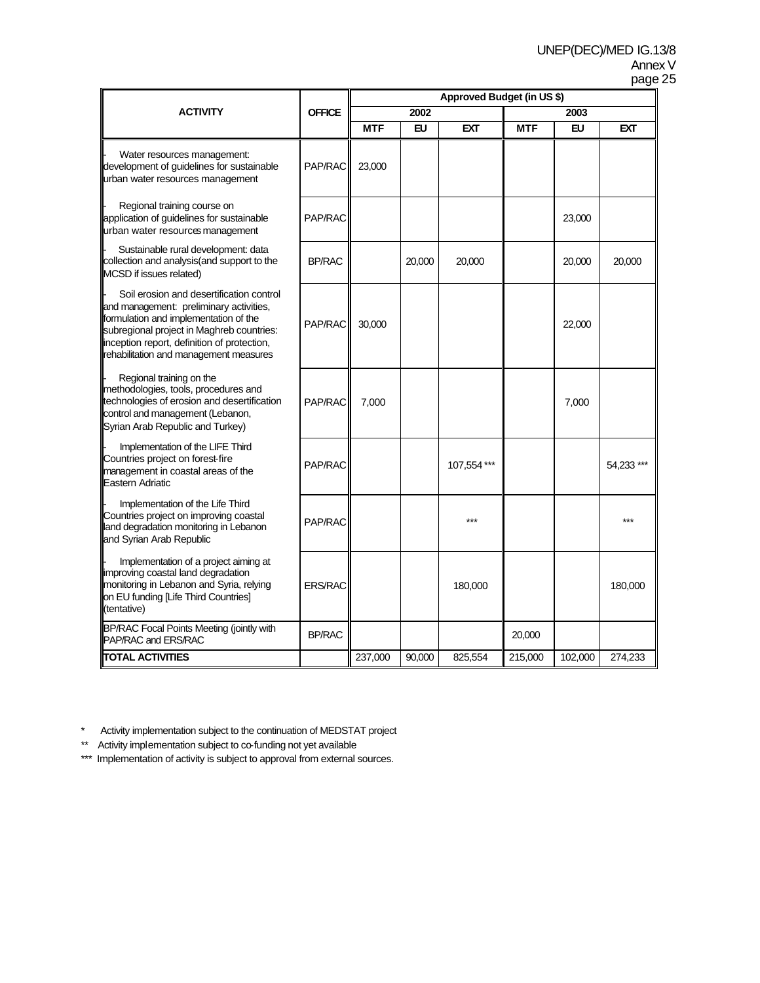|                                                                                                                                                                                                                                                                    |                 | Approved Budget (in US \$) |        |             |            |         |           |
|--------------------------------------------------------------------------------------------------------------------------------------------------------------------------------------------------------------------------------------------------------------------|-----------------|----------------------------|--------|-------------|------------|---------|-----------|
| <b>ACTIVITY</b>                                                                                                                                                                                                                                                    | <b>OFFICE</b>   |                            | 2002   |             |            | 2003    |           |
|                                                                                                                                                                                                                                                                    |                 | <b>MTF</b>                 | EU     | <b>EXT</b>  | <b>MTF</b> | EU      | EXT       |
| Water resources management:<br>development of guidelines for sustainable<br>urban water resources management                                                                                                                                                       | <b>PAP/RACI</b> | 23,000                     |        |             |            |         |           |
| Regional training course on<br>application of guidelines for sustainable<br>urban water resources management                                                                                                                                                       | PAP/RAC         |                            |        |             |            | 23,000  |           |
| Sustainable rural development: data<br>collection and analysis(and support to the<br>MCSD if issues related)                                                                                                                                                       | <b>BP/RAC</b>   |                            | 20,000 | 20,000      |            | 20,000  | 20,000    |
| Soil erosion and desertification control<br>and management: preliminary activities,<br>formulation and implementation of the<br>subregional project in Maghreb countries:<br>inception report, definition of protection,<br>rehabilitation and management measures | PAP/RAC         | 30.000                     |        |             |            | 22,000  |           |
| Regional training on the<br>methodologies, tools, procedures and<br>technologies of erosion and desertification<br>control and management (Lebanon,<br>Syrian Arab Republic and Turkey)                                                                            | PAP/RAC         | 7,000                      |        |             |            | 7,000   |           |
| Implementation of the LIFE Third<br>Countries project on forest-fire<br>management in coastal areas of the<br>Eastern Adriatic                                                                                                                                     | PAP/RAC         |                            |        | 107,554 *** |            |         | 54,233*** |
| Implementation of the Life Third<br>Countries project on improving coastal<br>land degradation monitoring in Lebanon<br>and Syrian Arab Republic                                                                                                                   | PAP/RAC         |                            |        | ***         |            |         | ***       |
| Implementation of a project aiming at<br>improving coastal land degradation<br>monitoring in Lebanon and Syria, relying<br>on EU funding [Life Third Countries]<br>(tentative)                                                                                     | <b>ERS/RAC</b>  |                            |        | 180,000     |            |         | 180,000   |
| BP/RAC Focal Points Meeting (jointly with<br>PAP/RAC and ERS/RAC                                                                                                                                                                                                   | <b>BP/RAC</b>   |                            |        |             | 20,000     |         |           |
| <b>TOTAL ACTIVITIES</b>                                                                                                                                                                                                                                            |                 | 237,000                    | 90,000 | 825,554     | 215,000    | 102,000 | 274,233   |

\* Activity implementation subject to the continuation of MEDSTAT project

\*\* Activity implementation subject to co-funding not yet available

\*\*\* Implementation of activity is subject to approval from external sources.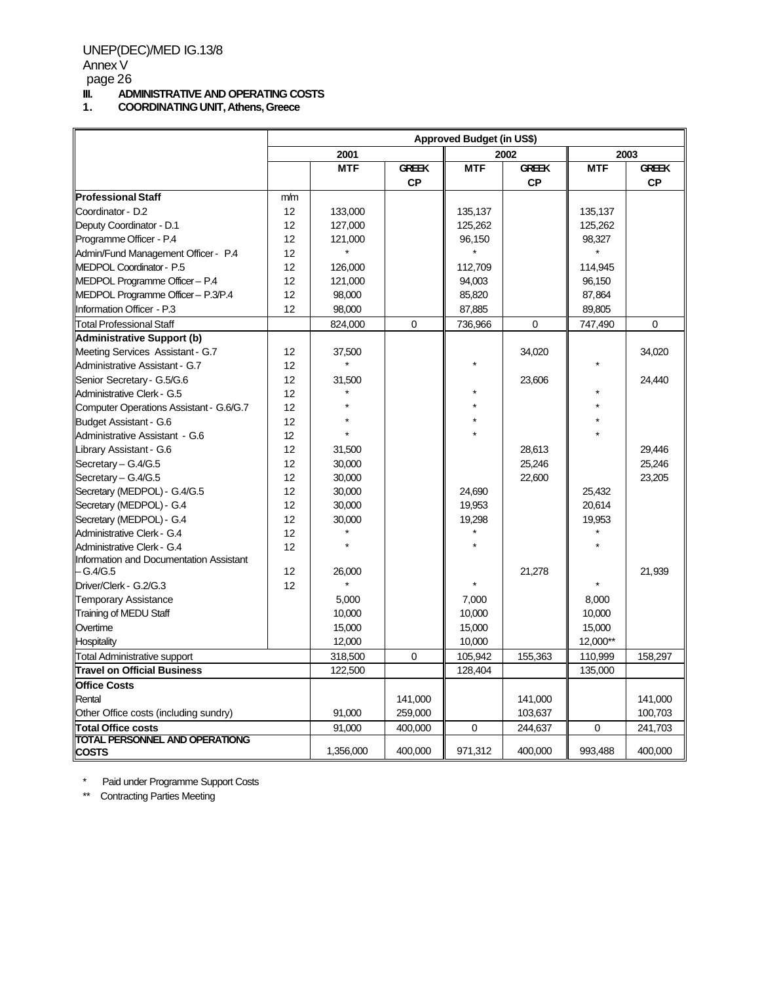page 26

# **III.** ADMINISTRATIVE AND OPERATING COSTS<br>1. COORDINATING UNIT, Athens, Greece

**1. COORDINATING UNIT, Athens, Greece**

|                                         | <b>Approved Budget (in US\$)</b> |            |              |            |              |            |              |
|-----------------------------------------|----------------------------------|------------|--------------|------------|--------------|------------|--------------|
|                                         |                                  | 2001       |              |            | 2002         |            | 2003         |
|                                         |                                  | <b>MTF</b> | <b>GREEK</b> | <b>MTF</b> | <b>GREEK</b> | <b>MTF</b> | <b>GREEK</b> |
|                                         |                                  |            | <b>CP</b>    |            | <b>CP</b>    |            | <b>CP</b>    |
| <b>Professional Staff</b>               | m/m                              |            |              |            |              |            |              |
| Coordinator - D.2                       | 12                               | 133,000    |              | 135,137    |              | 135,137    |              |
| Deputy Coordinator - D.1                | 12                               | 127,000    |              | 125,262    |              | 125,262    |              |
| Programme Officer - P.4                 | 12                               | 121,000    |              | 96,150     |              | 98,327     |              |
| Admin/Fund Management Officer - P.4     | 12                               |            |              |            |              |            |              |
| MEDPOL Coordinator - P.5                | 12                               | 126,000    |              | 112,709    |              | 114,945    |              |
| MEDPOL Programme Officer - P.4          | 12                               | 121,000    |              | 94,003     |              | 96,150     |              |
| MEDPOL Programme Officer - P.3/P.4      | 12                               | 98,000     |              | 85,820     |              | 87,864     |              |
| Information Officer - P.3               | 12                               | 98,000     |              | 87,885     |              | 89,805     |              |
| <b>Total Professional Staff</b>         |                                  | 824,000    | $\mathbf 0$  | 736,966    | 0            | 747,490    | 0            |
| <b>Administrative Support (b)</b>       |                                  |            |              |            |              |            |              |
| Meeting Services Assistant - G.7        | 12                               | 37,500     |              |            | 34,020       |            | 34,020       |
| Administrative Assistant - G.7          | 12                               |            |              |            |              |            |              |
| Senior Secretary - G.5/G.6              | 12                               | 31,500     |              |            | 23,606       |            | 24,440       |
| Administrative Clerk - G.5              | 12                               |            |              |            |              |            |              |
| Computer Operations Assistant - G.6/G.7 | 12                               |            |              |            |              |            |              |
| <b>Budget Assistant - G.6</b>           | 12                               |            |              |            |              |            |              |
| Administrative Assistant - G.6          | 12                               |            |              |            |              |            |              |
| Library Assistant - G.6                 | 12                               | 31,500     |              |            | 28,613       |            | 29.446       |
| Secretary - G.4/G.5                     | 12                               | 30,000     |              |            | 25,246       |            | 25,246       |
| Secretary - G.4/G.5                     | 12                               | 30,000     |              |            | 22,600       |            | 23,205       |
| Secretary (MEDPOL) - G.4/G.5            | 12                               | 30,000     |              | 24,690     |              | 25,432     |              |
| Secretary (MEDPOL) - G.4                | 12                               | 30,000     |              | 19.953     |              | 20,614     |              |
| Secretary (MEDPOL) - G.4                | 12                               | 30,000     |              | 19,298     |              | 19,953     |              |
| Administrative Clerk - G.4              | 12                               |            |              |            |              |            |              |
| Administrative Clerk - G.4              | 12                               |            |              |            |              |            |              |
| Information and Documentation Assistant |                                  |            |              |            |              |            |              |
| – G.4/G.5                               | 12                               | 26,000     |              |            | 21,278       |            | 21,939       |
| Driver/Clerk - G.2/G.3                  | 12                               |            |              |            |              |            |              |
| <b>Temporary Assistance</b>             |                                  | 5,000      |              | 7,000      |              | 8,000      |              |
| Training of MEDU Staff                  |                                  | 10,000     |              | 10,000     |              | 10,000     |              |
| Overtime                                |                                  | 15,000     |              | 15,000     |              | 15,000     |              |
| <b>Hospitality</b>                      |                                  | 12,000     |              | 10,000     |              | 12,000**   |              |
| <b>Total Administrative support</b>     |                                  | 318,500    | $\mathbf 0$  | 105,942    | 155,363      | 110,999    | 158,297      |
| <b>Travel on Official Business</b>      |                                  | 122,500    |              | 128,404    |              | 135,000    |              |
| <b>Office Costs</b>                     |                                  |            |              |            |              |            |              |
| Rental                                  |                                  |            | 141,000      |            | 141,000      |            | 141,000      |
| Other Office costs (including sundry)   |                                  | 91,000     | 259,000      |            | 103,637      |            | 100,703      |
| <b>Total Office costs</b>               |                                  | 91,000     | 400,000      | 0          | 244,637      | 0          | 241,703      |
| <b>TOTAL PERSONNEL AND OPERATIONG</b>   |                                  |            |              |            |              |            |              |
| <b>COSTS</b>                            |                                  | 1,356,000  | 400,000      | 971,312    | 400,000      | 993,488    | 400,000      |

\* Paid under Programme Support Costs

\*\* Contracting Parties Meeting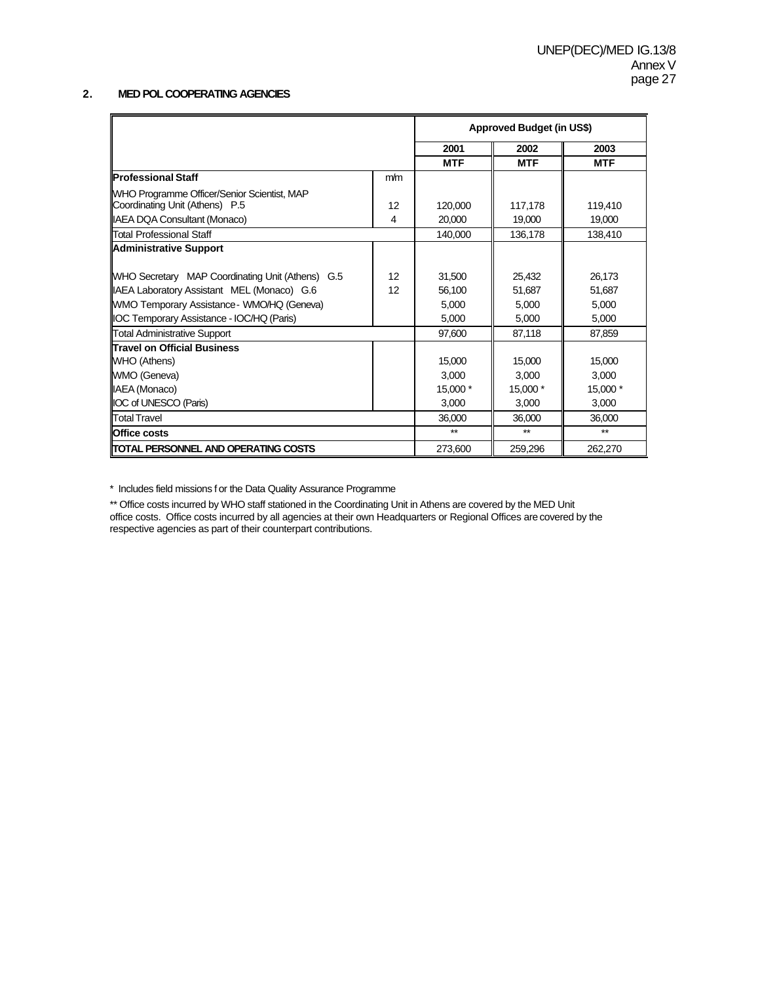### **2. MED POL COOPERATING AGENCIES**

|                                                         |     |            | <b>Approved Budget (in US\$)</b> |            |
|---------------------------------------------------------|-----|------------|----------------------------------|------------|
|                                                         |     | 2001       | 2002                             | 2003       |
|                                                         |     | <b>MTF</b> | <b>MTF</b>                       | <b>MTF</b> |
| <b>IProfessional Staff</b>                              | m/m |            |                                  |            |
| WHO Programme Officer/Senior Scientist, MAP             |     |            |                                  |            |
| Coordinating Unit (Athens) P.5                          | 12  | 120,000    | 117,178                          | 119,410    |
| <b>IAEA DQA Consultant (Monaco)</b>                     | 4   | 20,000     | 19,000                           | 19,000     |
| Total Professional Staff                                |     | 140,000    | 136,178                          | 138,410    |
| Administrative Support                                  |     |            |                                  |            |
|                                                         |     |            |                                  |            |
| <b>WHO Secretary MAP Coordinating Unit (Athens) G.5</b> | 12  | 31,500     | 25,432                           | 26,173     |
| IAEA Laboratory Assistant MEL (Monaco) G.6              | 12  | 56,100     | 51.687                           | 51,687     |
| WMO Temporary Assistance - WMO/HQ (Geneva)              |     | 5,000      | 5,000                            | 5,000      |
| IOC Temporary Assistance - IOC/HQ (Paris)               |     | 5,000      | 5,000                            | 5,000      |
| Total Administrative Support                            |     | 97,600     | 87,118                           | 87,859     |
| <b>Travel on Official Business</b>                      |     |            |                                  |            |
| WHO (Athens)                                            |     | 15,000     | 15,000                           | 15,000     |
| WMO (Geneva)                                            |     | 3,000      | 3,000                            | 3,000      |
| IAEA (Monaco)                                           |     | 15,000 *   | 15,000 *                         | 15,000 *   |
| <b>IOC of UNESCO (Paris)</b>                            |     | 3,000      | 3,000                            | 3,000      |
| <b>Total Travel</b>                                     |     | 36,000     | 36,000                           | 36,000     |
| <b>Office costs</b>                                     |     | $**$       | $**$                             | $**$       |
| <b>ITOTAL PERSONNEL AND OPERATING COSTS</b>             |     | 273,600    | 259,296                          | 262,270    |

\* Includes field missions f or the Data Quality Assurance Programme

\*\* Office costs incurred by WHO staff stationed in the Coordinating Unit in Athens are covered by the MED Unit office costs. Office costs incurred by all agencies at their own Headquarters or Regional Offices are covered by the respective agencies as part of their counterpart contributions.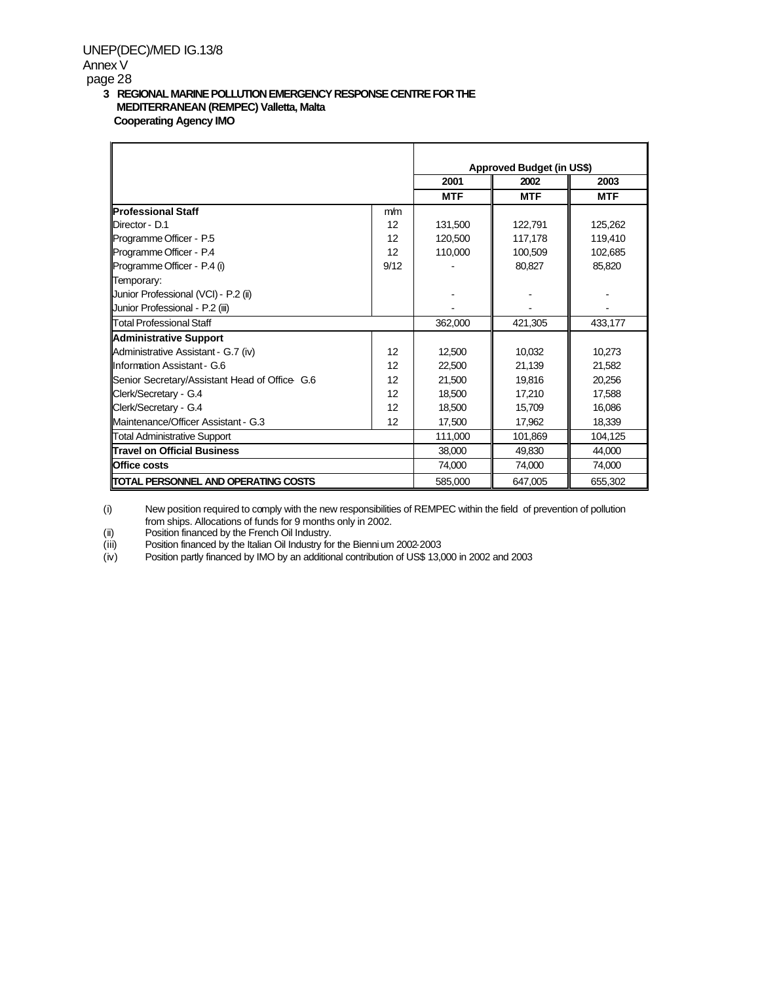UNEP(DEC)/MED IG.13/8

Annex V

#### page 28

#### **3 REGIONAL MARINE POLLUTION EMERGENCY RESPONSE CENTRE FOR THE MEDITERRANEAN (REMPEC) Valletta, Malta Cooperating Agency IMO**

|                                               |      |            | <b>Approved Budget (in US\$)</b> |            |
|-----------------------------------------------|------|------------|----------------------------------|------------|
|                                               |      | 2001       | 2002                             | 2003       |
|                                               |      | <b>MTF</b> | <b>MTF</b>                       | <b>MTF</b> |
| <b>IProfessional Staff</b>                    | m/m  |            |                                  |            |
| <b>IDirector - D.1</b>                        | 12   | 131.500    | 122.791                          | 125,262    |
| Programme Officer - P.5                       | 12   | 120,500    | 117,178                          | 119,410    |
| Programme Officer - P.4                       | 12   | 110,000    | 100,509                          | 102,685    |
| Programme Officer - P.4 (i)                   | 9/12 |            | 80,827                           | 85,820     |
| Temporary:                                    |      |            |                                  |            |
| Junior Professional (VCI) - P.2 (ii)          |      |            |                                  |            |
| Junior Professional - P.2 (iii)               |      |            |                                  |            |
| <b>Total Professional Staff</b>               |      | 362,000    | 421,305                          | 433,177    |
| <b>Administrative Support</b>                 |      |            |                                  |            |
| Administrative Assistant - G.7 (iv)           | 12   | 12.500     | 10.032                           | 10,273     |
| Illnformation Assistant - G.6                 | 12   | 22,500     | 21,139                           | 21,582     |
| Senior Secretary/Assistant Head of Office G.6 | 12   | 21,500     | 19,816                           | 20,256     |
| Clerk/Secretary - G.4                         | 12   | 18.500     | 17.210                           | 17.588     |
| Clerk/Secretary - G.4                         | 12   | 18.500     | 15,709                           | 16,086     |
| Maintenance/Officer Assistant - G.3           | 12   | 17,500     | 17,962                           | 18,339     |
| <b>Total Administrative Support</b>           |      | 111,000    | 101,869                          | 104,125    |
| <b>Travel on Official Business</b>            |      | 38,000     | 49.830                           | 44.000     |
| <b>IOffice costs</b>                          |      | 74,000     | 74,000                           | 74,000     |
| <b>ITOTAL PERSONNEL AND OPERATING COSTS</b>   |      | 585,000    | 647,005                          | 655,302    |

(i) New position required to comply with the new responsibilities of REMPEC within the field of prevention of pollution from ships. Allocations of funds for 9 months only in 2002.

(ii) Position financed by the French Oil Industry.<br>
Position financed by the Italian Oil Industry for<br>
Position financed by the Italian Oil Industry for

Position financed by the Italian Oil Industry for the Biennium 2002-2003

(iv) Position partly financed by IMO by an additional contribution of US\$ 13,000 in 2002 and 2003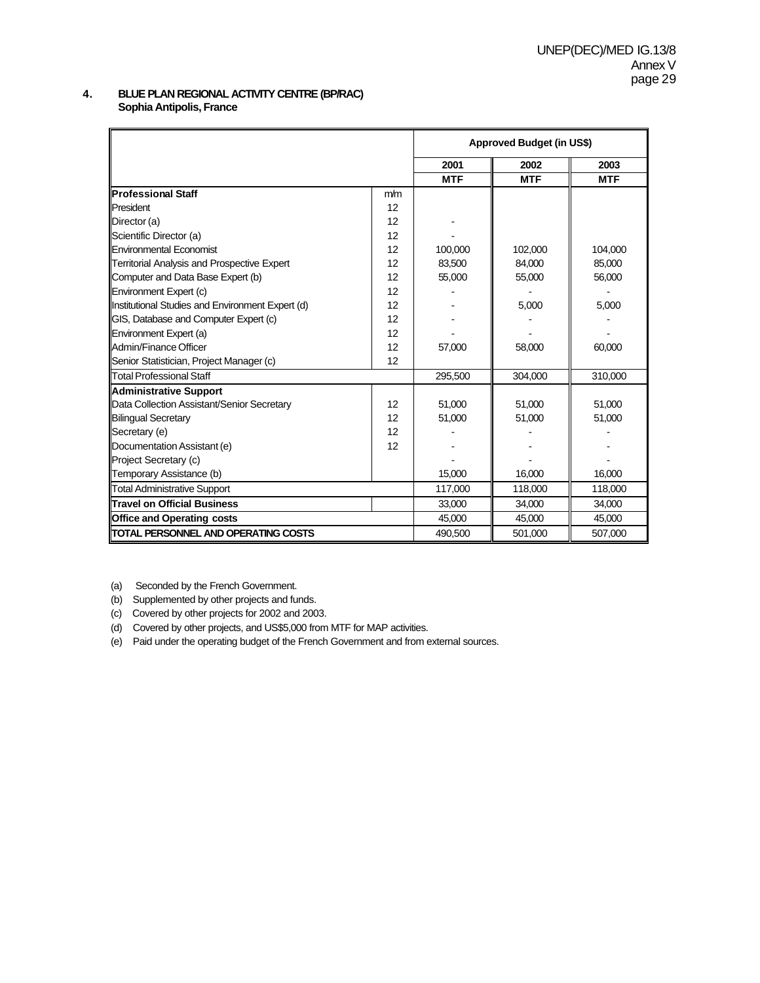#### **4. BLUE PLAN REGIONAL ACTIVITY CENTRE (BP/RAC) Sophia Antipolis, France**

|                                                  |     |            | Approved Budget (in US\$) |            |
|--------------------------------------------------|-----|------------|---------------------------|------------|
|                                                  |     | 2001       | 2002                      | 2003       |
|                                                  |     | <b>MTF</b> | <b>MTF</b>                | <b>MTF</b> |
| <b>Professional Staff</b>                        | m/m |            |                           |            |
| President                                        | 12  |            |                           |            |
| Director (a)                                     | 12  |            |                           |            |
| Scientific Director (a)                          | 12  |            |                           |            |
| Environmental Economist                          | 12  | 100,000    | 102,000                   | 104,000    |
| Territorial Analysis and Prospective Expert      | 12  | 83.500     | 84.000                    | 85.000     |
| Computer and Data Base Expert (b)                | 12  | 55,000     | 55,000                    | 56,000     |
| Environment Expert (c)                           | 12  |            |                           |            |
| Institutional Studies and Environment Expert (d) | 12  |            | 5,000                     | 5,000      |
| <b>GIS, Database and Computer Expert (c)</b>     | 12  |            |                           |            |
| Environment Expert (a)                           | 12  |            |                           |            |
| <b>IAdmin/Finance Officer</b>                    | 12  | 57.000     | 58,000                    | 60,000     |
| Senior Statistician, Project Manager (c)         | 12  |            |                           |            |
| <b>Total Professional Staff</b>                  |     | 295,500    | 304,000                   | 310,000    |
| <b>Administrative Support</b>                    |     |            |                           |            |
| Data Collection Assistant/Senior Secretary       | 12  | 51,000     | 51,000                    | 51,000     |
| <b>Bilingual Secretary</b>                       | 12  | 51,000     | 51,000                    | 51,000     |
| Secretary (e)                                    | 12  |            |                           |            |
| Documentation Assistant (e)                      | 12  |            |                           |            |
| Project Secretary (c)                            |     |            |                           |            |
| Temporary Assistance (b)                         |     | 15,000     | 16,000                    | 16,000     |
| <b>Total Administrative Support</b>              |     | 117,000    | 118,000                   | 118,000    |
| Travel on Official Business                      |     | 33,000     | 34,000                    | 34,000     |
| <b>Office and Operating costs</b>                |     | 45,000     | 45,000                    | 45,000     |
| <b>ITOTAL PERSONNEL AND OPERATING COSTS</b>      |     | 490,500    | 501,000                   | 507,000    |

(a) Seconded by the French Government.

(b) Supplemented by other projects and funds.

(c) Covered by other projects for 2002 and 2003.

(d) Covered by other projects, and US\$5,000 from MTF for MAP activities.

(e) Paid under the operating budget of the French Government and from external sources.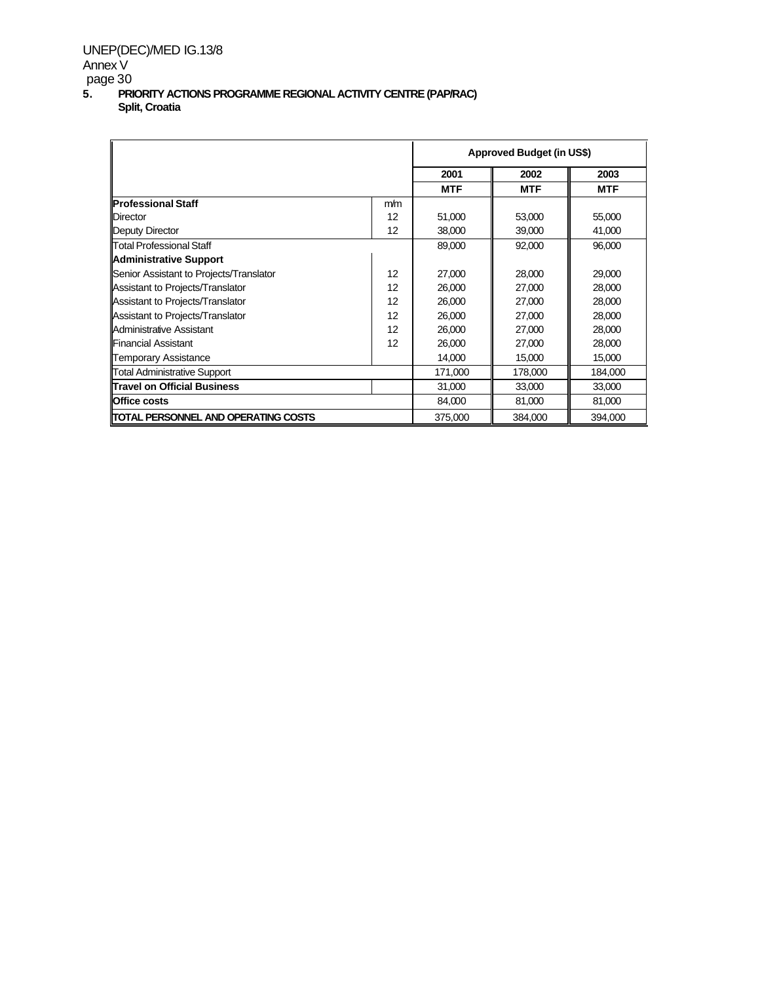# UNEP(DEC)/MED IG.13/8 Annex V

page 30

**5. PRIORITY ACTIONS PROGRAMME REGIONAL ACTIVITY CENTRE (PAP/RAC) Split, Croatia**

|                                             |     |            | <b>Approved Budget (in US\$)</b> |            |  |  |
|---------------------------------------------|-----|------------|----------------------------------|------------|--|--|
|                                             |     | 2001       | 2002                             | 2003       |  |  |
|                                             |     | <b>MTF</b> | <b>MTF</b>                       | <b>MTF</b> |  |  |
| <b>Professional Staff</b>                   | m/m |            |                                  |            |  |  |
| Director                                    | 12  | 51,000     | 53,000                           | 55,000     |  |  |
| Deputy Director                             | 12  | 38,000     | 39,000                           | 41,000     |  |  |
| Total Professional Staff                    |     | 89,000     | 92,000                           | 96.000     |  |  |
| <b>Administrative Support</b>               |     |            |                                  |            |  |  |
| Senior Assistant to Projects/Translator     | 12  | 27,000     | 28,000                           | 29,000     |  |  |
| Assistant to Projects/Translator            | 12  | 26,000     | 27,000                           | 28,000     |  |  |
| Assistant to Projects/Translator            | 12  | 26,000     | 27,000                           | 28,000     |  |  |
| Assistant to Projects/Translator            | 12  | 26,000     | 27,000                           | 28,000     |  |  |
| Administrative Assistant                    | 12  | 26,000     | 27,000                           | 28,000     |  |  |
| <b>Financial Assistant</b>                  | 12  | 26,000     | 27,000                           | 28,000     |  |  |
| <b>Temporary Assistance</b>                 |     | 14,000     | 15,000                           | 15,000     |  |  |
| <b>Total Administrative Support</b>         |     | 171,000    | 178,000                          | 184,000    |  |  |
| <b>Travel on Official Business</b>          |     | 31,000     | 33,000                           | 33,000     |  |  |
| <b>Office costs</b>                         |     | 84,000     | 81,000                           | 81,000     |  |  |
| <b>ITOTAL PERSONNEL AND OPERATING COSTS</b> |     | 375,000    | 384,000                          | 394.000    |  |  |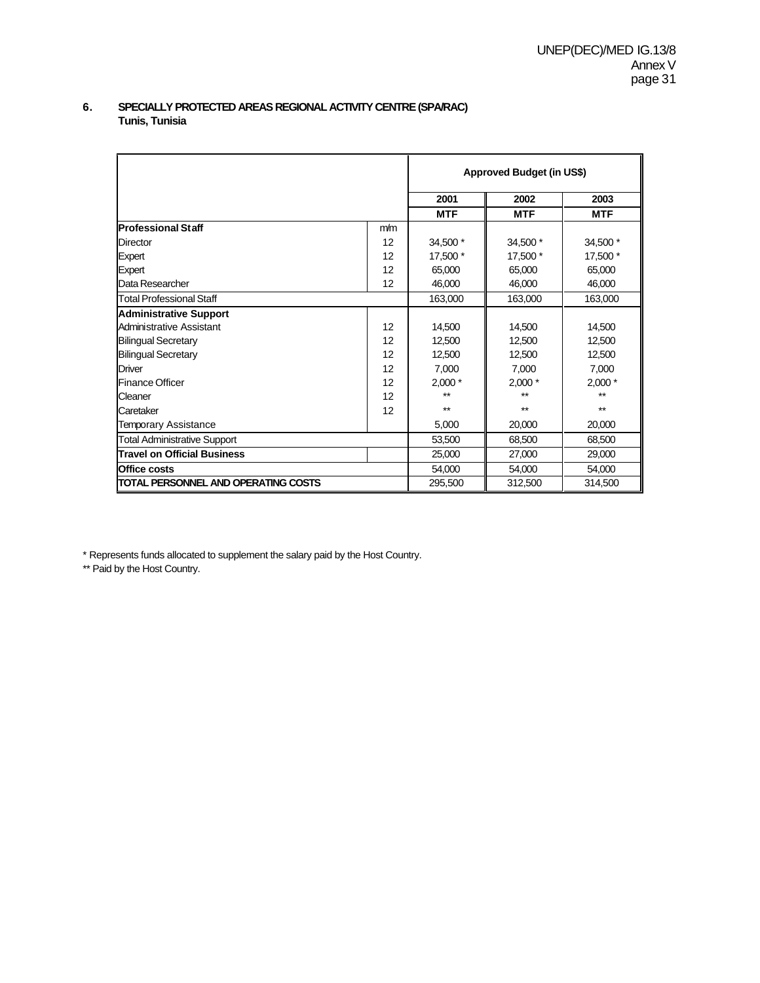#### **6.** SPECIALLY PROTECTED AREAS REGIONAL ACTIVITY CENTRE (SPA/RAC) **Tunis, Tunisia**

|                                             |     |            | Approved Budget (in US\$) |            |
|---------------------------------------------|-----|------------|---------------------------|------------|
|                                             |     | 2001       | 2002                      | 2003       |
|                                             |     | <b>MTF</b> | <b>MTF</b>                | <b>MTF</b> |
| <b>Professional Staff</b>                   | m/m |            |                           |            |
| Director                                    | 12  | 34,500 *   | 34,500 *                  | 34,500 *   |
| Expert                                      | 12  | 17,500 *   | 17,500 *                  | 17,500 *   |
| Expert                                      | 12  | 65.000     | 65,000                    | 65,000     |
| Data Researcher                             | 12  | 46,000     | 46,000                    | 46,000     |
| <b>Total Professional Staff</b>             |     | 163,000    | 163,000                   | 163,000    |
| <b>Administrative Support</b>               |     |            |                           |            |
| Administrative Assistant                    | 12  | 14,500     | 14,500                    | 14,500     |
| <b>Bilingual Secretary</b>                  | 12  | 12,500     | 12.500                    | 12,500     |
| <b>Bilingual Secretary</b>                  | 12  | 12,500     | 12,500                    | 12,500     |
| Driver                                      | 12  | 7,000      | 7,000                     | 7,000      |
| Finance Officer                             | 12  | $2,000*$   | $2,000*$                  | $2,000*$   |
| Cleaner                                     | 12  | $**$       | $**$                      | $**$       |
| Caretaker                                   | 12  | $**$       | **                        | $***$      |
| <b>Temporary Assistance</b>                 |     | 5,000      | 20,000                    | 20,000     |
| <b>Total Administrative Support</b>         |     | 53,500     | 68.500                    | 68,500     |
| <b>Travel on Official Business</b>          |     | 25,000     | 27,000                    | 29,000     |
| <b>Office costs</b>                         |     | 54,000     | 54,000                    | 54,000     |
| <b>ITOTAL PERSONNEL AND OPERATING COSTS</b> |     | 295,500    | 312,500                   | 314,500    |

\* Represents funds allocated to supplement the salary paid by the Host Country.

\*\* Paid by the Host Country.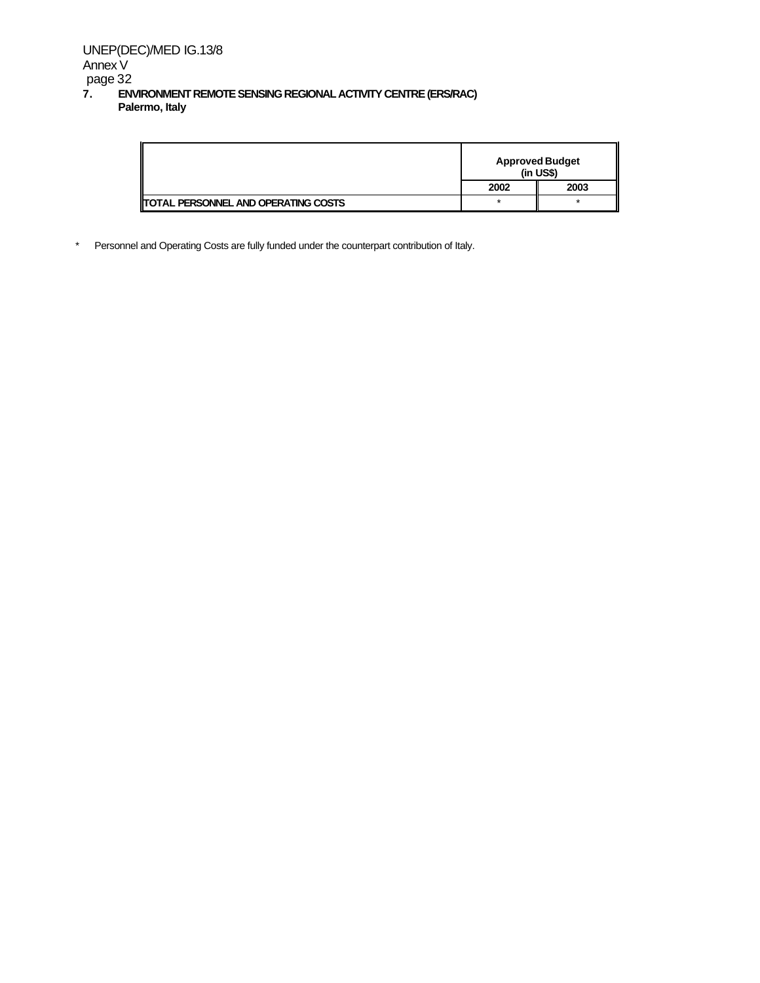|                                             | <b>Approved Budget</b><br>$(in USS)$ |         |
|---------------------------------------------|--------------------------------------|---------|
|                                             | 2002                                 | 2003    |
| <b>ITOTAL PERSONNEL AND OPERATING COSTS</b> |                                      | $\star$ |

\* Personnel and Operating Costs are fully funded under the counterpart contribution of Italy.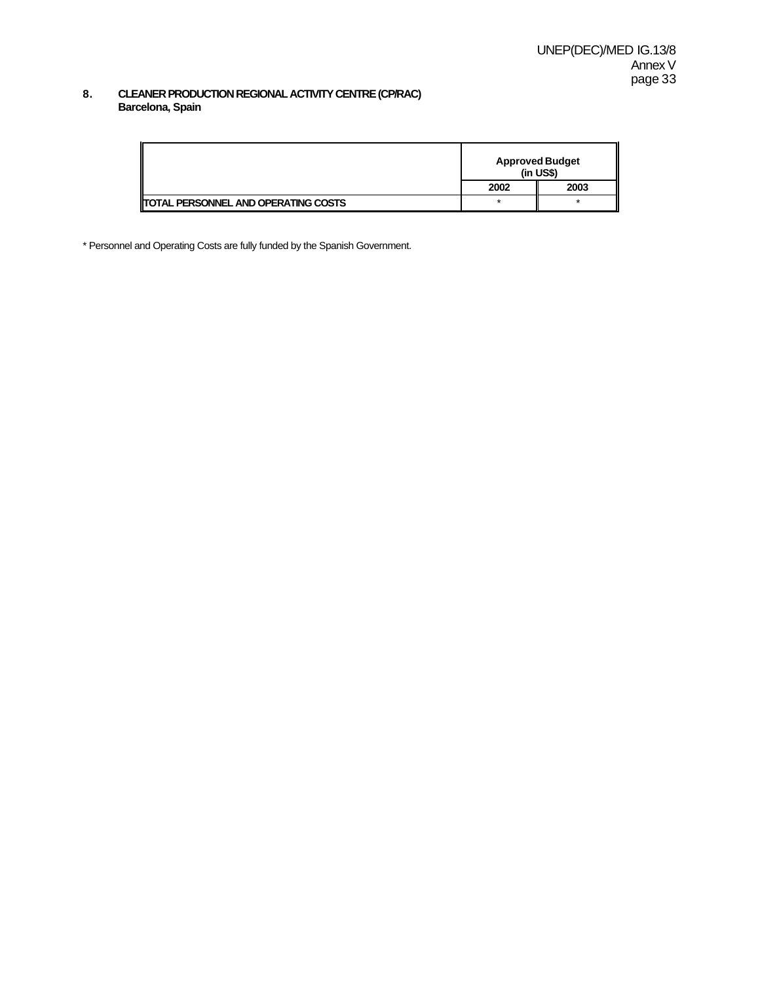#### **8. CLEANER PRODUCTION REGIONAL ACTIVITY CENTRE (CP/RAC) Barcelona, Spain**

|                                            | <b>Approved Budget</b><br>$(in US$)$ |      |
|--------------------------------------------|--------------------------------------|------|
|                                            | 2002                                 | 2003 |
| <b>TOTAL PERSONNEL AND OPERATING COSTS</b> |                                      |      |

\* Personnel and Operating Costs are fully funded by the Spanish Government.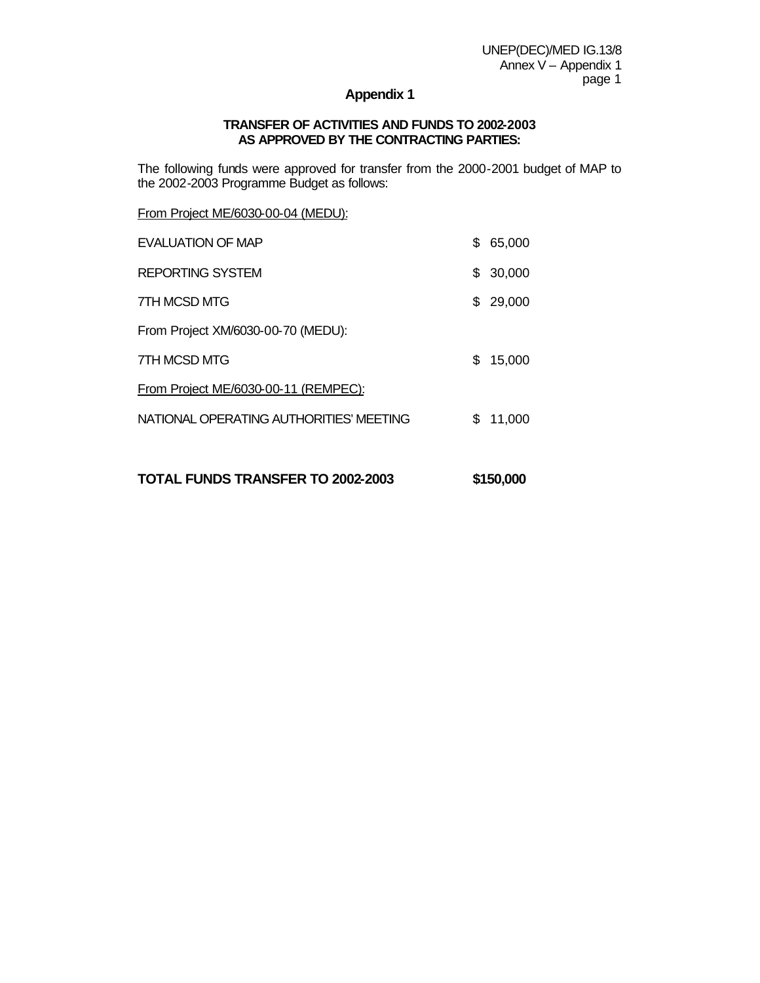#### **Appendix 1**

#### **TRANSFER OF ACTIVITIES AND FUNDS TO 2002-2003 AS APPROVED BY THE CONTRACTING PARTIES:**

The following funds were approved for transfer from the 2000-2001 budget of MAP to the 2002-2003 Programme Budget as follows:

From Project ME/6030-00-04 (MEDU):

| EVALUATION OF MAP                       | \$  | 65,000 |
|-----------------------------------------|-----|--------|
| REPORTING SYSTEM                        | \$. | 30,000 |
| 7TH MCSD MTG                            | S.  | 29,000 |
| From Project XM/6030-00-70 (MEDU):      |     |        |
| 7TH MCSD MTG                            | \$  | 15,000 |
| From Project ME/6030-00-11 (REMPEC):    |     |        |
| NATIONAL OPERATING AUTHORITIES' MEETING | \$. | 11,000 |
|                                         |     |        |

**TOTAL FUNDS TRANSFER TO 2002-2003 \$150,000**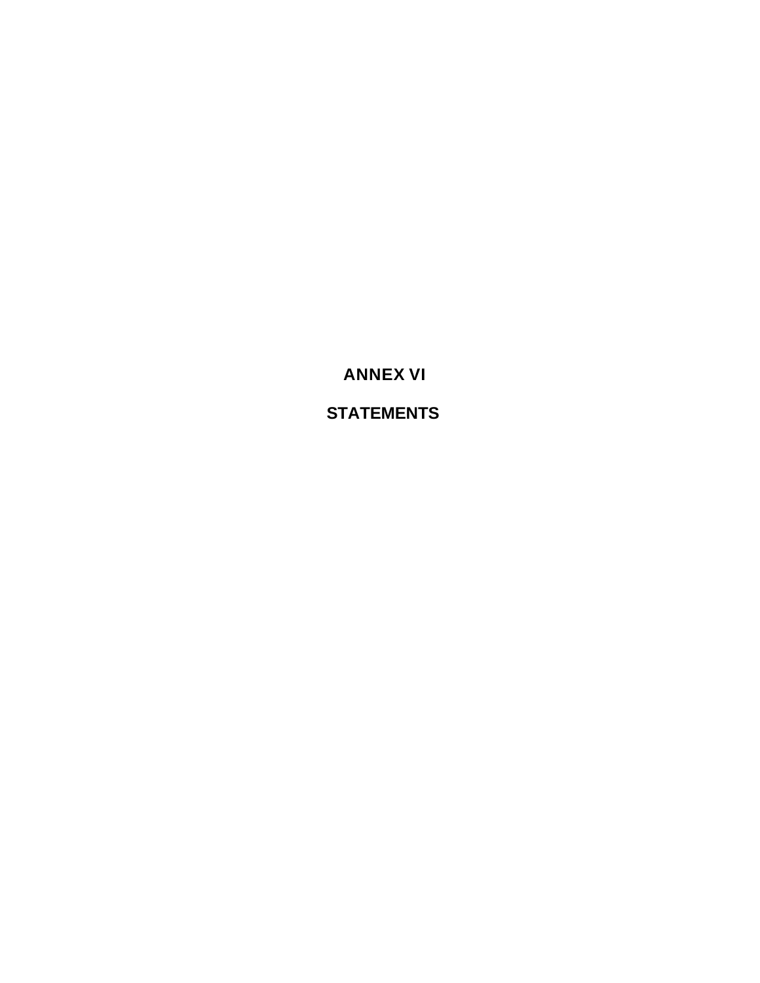**ANNEX VI**

**STATEMENTS**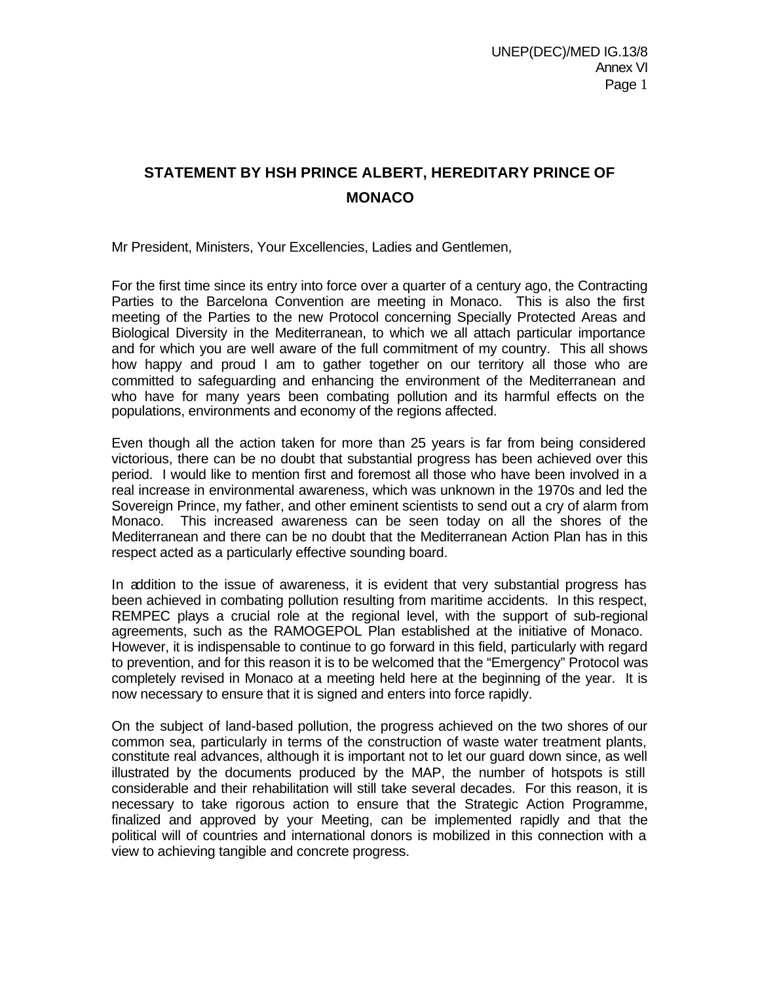# **STATEMENT BY HSH PRINCE ALBERT, HEREDITARY PRINCE OF MONACO**

Mr President, Ministers, Your Excellencies, Ladies and Gentlemen,

For the first time since its entry into force over a quarter of a century ago, the Contracting Parties to the Barcelona Convention are meeting in Monaco. This is also the first meeting of the Parties to the new Protocol concerning Specially Protected Areas and Biological Diversity in the Mediterranean, to which we all attach particular importance and for which you are well aware of the full commitment of my country. This all shows how happy and proud I am to gather together on our territory all those who are committed to safeguarding and enhancing the environment of the Mediterranean and who have for many years been combating pollution and its harmful effects on the populations, environments and economy of the regions affected.

Even though all the action taken for more than 25 years is far from being considered victorious, there can be no doubt that substantial progress has been achieved over this period. I would like to mention first and foremost all those who have been involved in a real increase in environmental awareness, which was unknown in the 1970s and led the Sovereign Prince, my father, and other eminent scientists to send out a cry of alarm from Monaco. This increased awareness can be seen today on all the shores of the Mediterranean and there can be no doubt that the Mediterranean Action Plan has in this respect acted as a particularly effective sounding board.

In addition to the issue of awareness, it is evident that very substantial progress has been achieved in combating pollution resulting from maritime accidents. In this respect, REMPEC plays a crucial role at the regional level, with the support of sub-regional agreements, such as the RAMOGEPOL Plan established at the initiative of Monaco. However, it is indispensable to continue to go forward in this field, particularly with regard to prevention, and for this reason it is to be welcomed that the "Emergency" Protocol was completely revised in Monaco at a meeting held here at the beginning of the year. It is now necessary to ensure that it is signed and enters into force rapidly.

On the subject of land-based pollution, the progress achieved on the two shores of our common sea, particularly in terms of the construction of waste water treatment plants, constitute real advances, although it is important not to let our guard down since, as well illustrated by the documents produced by the MAP, the number of hotspots is still considerable and their rehabilitation will still take several decades. For this reason, it is necessary to take rigorous action to ensure that the Strategic Action Programme, finalized and approved by your Meeting, can be implemented rapidly and that the political will of countries and international donors is mobilized in this connection with a view to achieving tangible and concrete progress.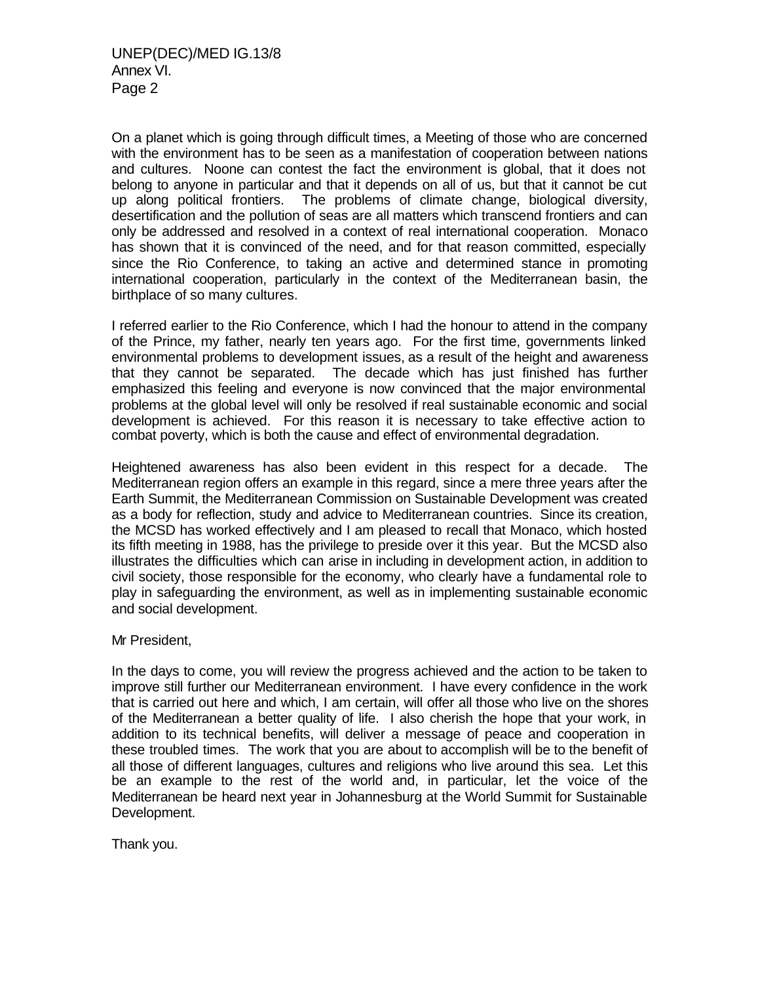On a planet which is going through difficult times, a Meeting of those who are concerned with the environment has to be seen as a manifestation of cooperation between nations and cultures. Noone can contest the fact the environment is global, that it does not belong to anyone in particular and that it depends on all of us, but that it cannot be cut up along political frontiers. The problems of climate change, biological diversity, desertification and the pollution of seas are all matters which transcend frontiers and can only be addressed and resolved in a context of real international cooperation. Monaco has shown that it is convinced of the need, and for that reason committed, especially since the Rio Conference, to taking an active and determined stance in promoting international cooperation, particularly in the context of the Mediterranean basin, the birthplace of so many cultures.

I referred earlier to the Rio Conference, which I had the honour to attend in the company of the Prince, my father, nearly ten years ago. For the first time, governments linked environmental problems to development issues, as a result of the height and awareness that they cannot be separated. The decade which has just finished has further emphasized this feeling and everyone is now convinced that the major environmental problems at the global level will only be resolved if real sustainable economic and social development is achieved. For this reason it is necessary to take effective action to combat poverty, which is both the cause and effect of environmental degradation.

Heightened awareness has also been evident in this respect for a decade. The Mediterranean region offers an example in this regard, since a mere three years after the Earth Summit, the Mediterranean Commission on Sustainable Development was created as a body for reflection, study and advice to Mediterranean countries. Since its creation, the MCSD has worked effectively and I am pleased to recall that Monaco, which hosted its fifth meeting in 1988, has the privilege to preside over it this year. But the MCSD also illustrates the difficulties which can arise in including in development action, in addition to civil society, those responsible for the economy, who clearly have a fundamental role to play in safeguarding the environment, as well as in implementing sustainable economic and social development.

Mr President,

In the days to come, you will review the progress achieved and the action to be taken to improve still further our Mediterranean environment. I have every confidence in the work that is carried out here and which, I am certain, will offer all those who live on the shores of the Mediterranean a better quality of life. I also cherish the hope that your work, in addition to its technical benefits, will deliver a message of peace and cooperation in these troubled times. The work that you are about to accomplish will be to the benefit of all those of different languages, cultures and religions who live around this sea. Let this be an example to the rest of the world and, in particular, let the voice of the Mediterranean be heard next year in Johannesburg at the World Summit for Sustainable Development.

Thank you.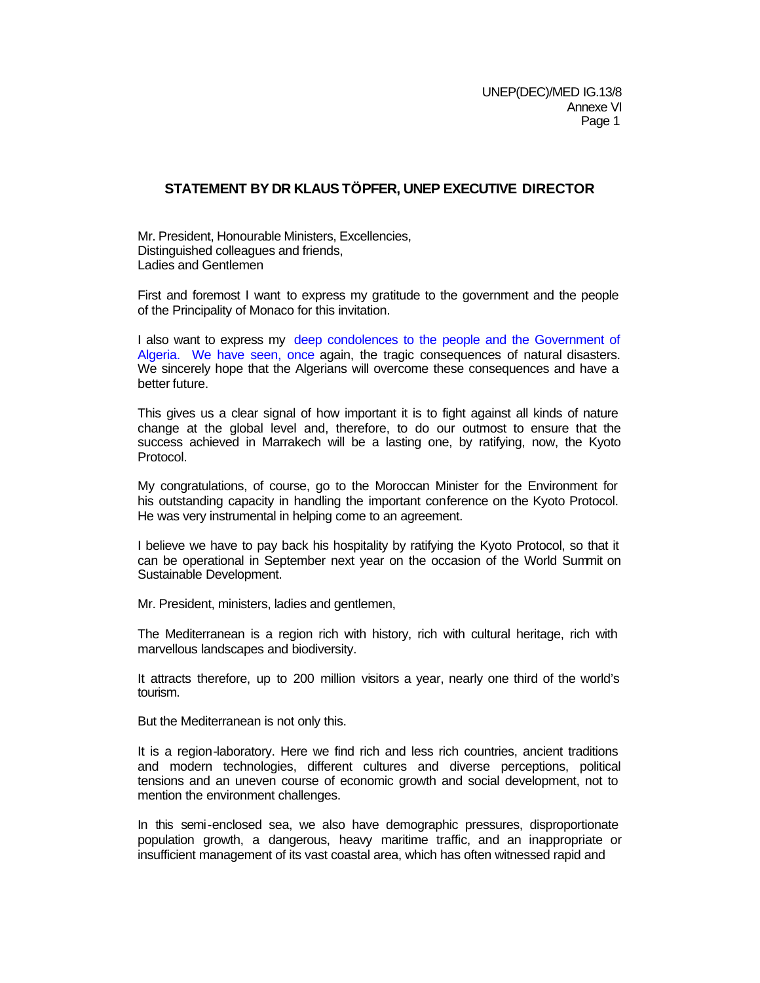## **STATEMENT BY DR KLAUS TÖPFER, UNEP EXECUTIVE DIRECTOR**

Mr. President, Honourable Ministers, Excellencies, Distinguished colleagues and friends, Ladies and Gentlemen

First and foremost I want to express my gratitude to the government and the people of the Principality of Monaco for this invitation.

I also want to express my deep condolences to the people and the Government of Algeria. We have seen, once again, the tragic consequences of natural disasters. We sincerely hope that the Algerians will overcome these consequences and have a better future.

This gives us a clear signal of how important it is to fight against all kinds of nature change at the global level and, therefore, to do our outmost to ensure that the success achieved in Marrakech will be a lasting one, by ratifying, now, the Kyoto Protocol.

My congratulations, of course, go to the Moroccan Minister for the Environment for his outstanding capacity in handling the important conference on the Kyoto Protocol. He was very instrumental in helping come to an agreement.

I believe we have to pay back his hospitality by ratifying the Kyoto Protocol, so that it can be operational in September next year on the occasion of the World Summit on Sustainable Development.

Mr. President, ministers, ladies and gentlemen,

The Mediterranean is a region rich with history, rich with cultural heritage, rich with marvellous landscapes and biodiversity.

It attracts therefore, up to 200 million visitors a year, nearly one third of the world's tourism.

But the Mediterranean is not only this.

It is a region-laboratory. Here we find rich and less rich countries, ancient traditions and modern technologies, different cultures and diverse perceptions, political tensions and an uneven course of economic growth and social development, not to mention the environment challenges.

In this semi-enclosed sea, we also have demographic pressures, disproportionate population growth, a dangerous, heavy maritime traffic, and an inappropriate or insufficient management of its vast coastal area, which has often witnessed rapid and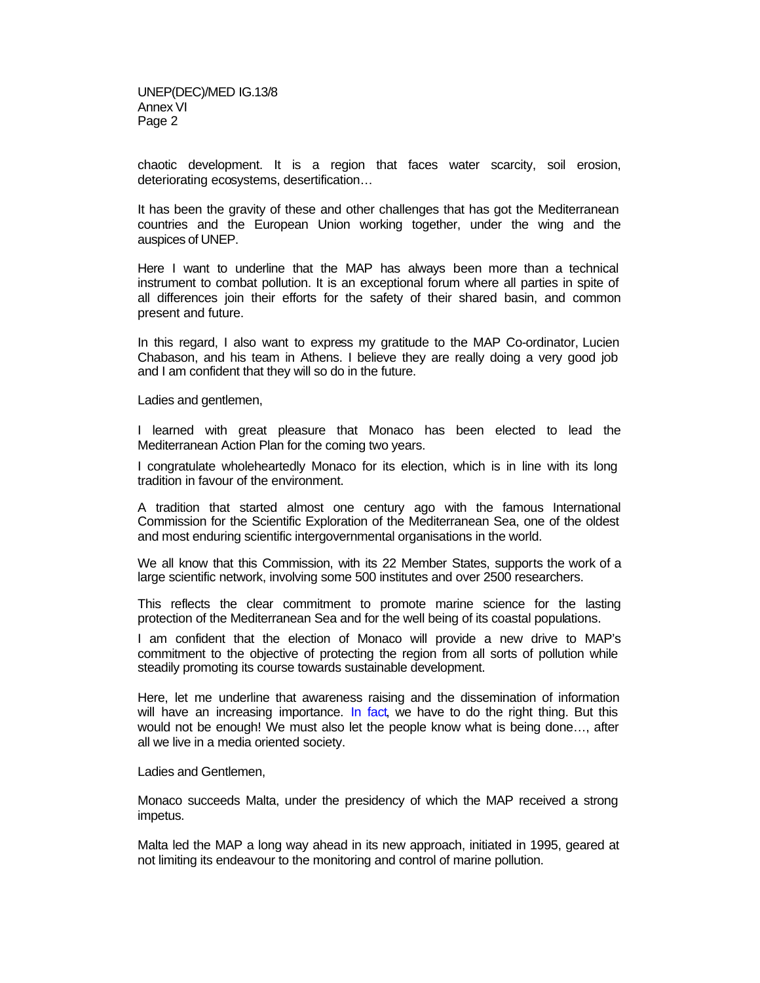chaotic development. It is a region that faces water scarcity, soil erosion, deteriorating ecosystems, desertification…

It has been the gravity of these and other challenges that has got the Mediterranean countries and the European Union working together, under the wing and the auspices of UNEP.

Here I want to underline that the MAP has always been more than a technical instrument to combat pollution. It is an exceptional forum where all parties in spite of all differences join their efforts for the safety of their shared basin, and common present and future.

In this regard, I also want to express my gratitude to the MAP Co-ordinator, Lucien Chabason, and his team in Athens. I believe they are really doing a very good job and I am confident that they will so do in the future.

Ladies and gentlemen,

I learned with great pleasure that Monaco has been elected to lead the Mediterranean Action Plan for the coming two years.

I congratulate wholeheartedly Monaco for its election, which is in line with its long tradition in favour of the environment.

A tradition that started almost one century ago with the famous International Commission for the Scientific Exploration of the Mediterranean Sea, one of the oldest and most enduring scientific intergovernmental organisations in the world.

We all know that this Commission, with its 22 Member States, supports the work of a large scientific network, involving some 500 institutes and over 2500 researchers.

This reflects the clear commitment to promote marine science for the lasting protection of the Mediterranean Sea and for the well being of its coastal populations.

I am confident that the election of Monaco will provide a new drive to MAP's commitment to the objective of protecting the region from all sorts of pollution while steadily promoting its course towards sustainable development.

Here, let me underline that awareness raising and the dissemination of information will have an increasing importance. In fact, we have to do the right thing. But this would not be enough! We must also let the people know what is being done…, after all we live in a media oriented society.

Ladies and Gentlemen,

Monaco succeeds Malta, under the presidency of which the MAP received a strong impetus.

Malta led the MAP a long way ahead in its new approach, initiated in 1995, geared at not limiting its endeavour to the monitoring and control of marine pollution.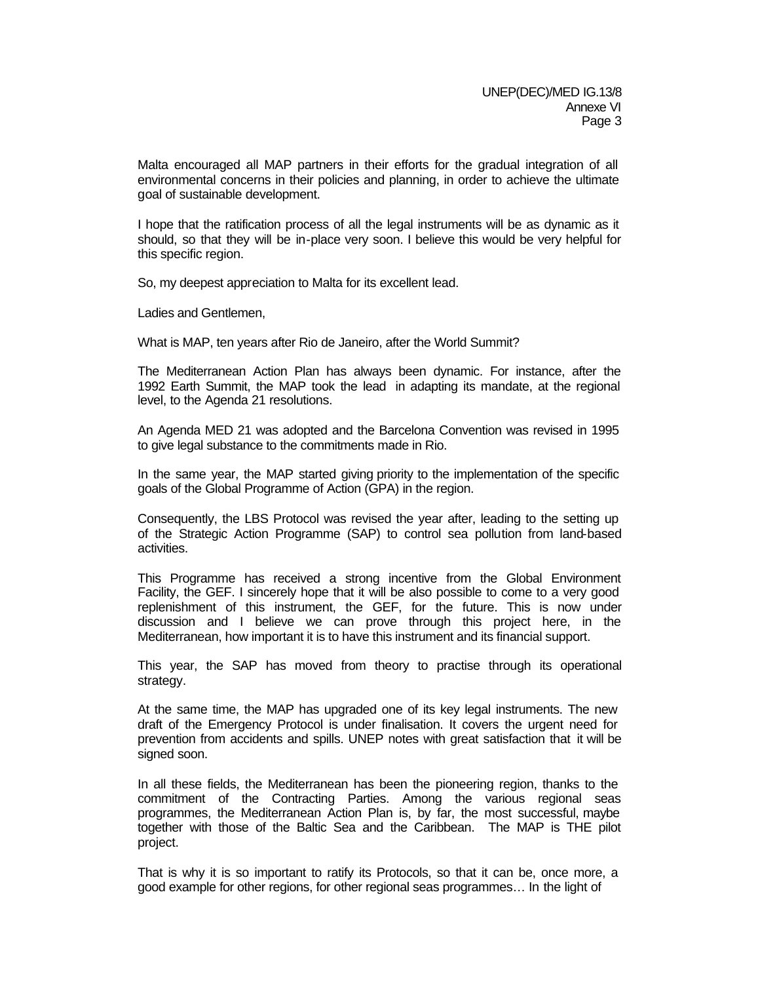Malta encouraged all MAP partners in their efforts for the gradual integration of all environmental concerns in their policies and planning, in order to achieve the ultimate goal of sustainable development.

I hope that the ratification process of all the legal instruments will be as dynamic as it should, so that they will be in-place very soon. I believe this would be very helpful for this specific region.

So, my deepest appreciation to Malta for its excellent lead.

Ladies and Gentlemen,

What is MAP, ten years after Rio de Janeiro, after the World Summit?

The Mediterranean Action Plan has always been dynamic. For instance, after the 1992 Earth Summit, the MAP took the lead in adapting its mandate, at the regional level, to the Agenda 21 resolutions.

An Agenda MED 21 was adopted and the Barcelona Convention was revised in 1995 to give legal substance to the commitments made in Rio.

In the same year, the MAP started giving priority to the implementation of the specific goals of the Global Programme of Action (GPA) in the region.

Consequently, the LBS Protocol was revised the year after, leading to the setting up of the Strategic Action Programme (SAP) to control sea pollution from land-based activities.

This Programme has received a strong incentive from the Global Environment Facility, the GEF. I sincerely hope that it will be also possible to come to a very good replenishment of this instrument, the GEF, for the future. This is now under discussion and I believe we can prove through this project here, in the Mediterranean, how important it is to have this instrument and its financial support.

This year, the SAP has moved from theory to practise through its operational strategy.

At the same time, the MAP has upgraded one of its key legal instruments. The new draft of the Emergency Protocol is under finalisation. It covers the urgent need for prevention from accidents and spills. UNEP notes with great satisfaction that it will be signed soon.

In all these fields, the Mediterranean has been the pioneering region, thanks to the commitment of the Contracting Parties. Among the various regional seas programmes, the Mediterranean Action Plan is, by far, the most successful, maybe together with those of the Baltic Sea and the Caribbean. The MAP is THE pilot project.

That is why it is so important to ratify its Protocols, so that it can be, once more, a good example for other regions, for other regional seas programmes… In the light of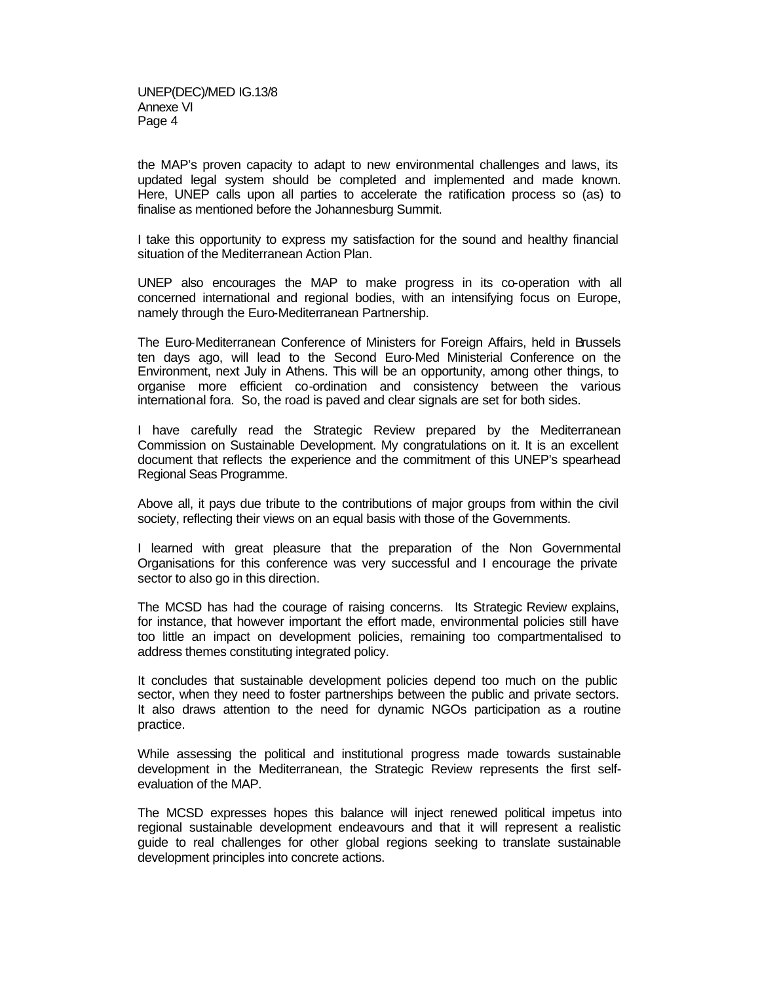the MAP's proven capacity to adapt to new environmental challenges and laws, its updated legal system should be completed and implemented and made known. Here, UNEP calls upon all parties to accelerate the ratification process so (as) to finalise as mentioned before the Johannesburg Summit.

I take this opportunity to express my satisfaction for the sound and healthy financial situation of the Mediterranean Action Plan.

UNEP also encourages the MAP to make progress in its co-operation with all concerned international and regional bodies, with an intensifying focus on Europe, namely through the Euro-Mediterranean Partnership.

The Euro-Mediterranean Conference of Ministers for Foreign Affairs, held in Brussels ten days ago, will lead to the Second Euro-Med Ministerial Conference on the Environment, next July in Athens. This will be an opportunity, among other things, to organise more efficient co-ordination and consistency between the various international fora. So, the road is paved and clear signals are set for both sides.

I have carefully read the Strategic Review prepared by the Mediterranean Commission on Sustainable Development. My congratulations on it. It is an excellent document that reflects the experience and the commitment of this UNEP's spearhead Regional Seas Programme.

Above all, it pays due tribute to the contributions of major groups from within the civil society, reflecting their views on an equal basis with those of the Governments.

I learned with great pleasure that the preparation of the Non Governmental Organisations for this conference was very successful and I encourage the private sector to also go in this direction.

The MCSD has had the courage of raising concerns. Its Strategic Review explains, for instance, that however important the effort made, environmental policies still have too little an impact on development policies, remaining too compartmentalised to address themes constituting integrated policy.

It concludes that sustainable development policies depend too much on the public sector, when they need to foster partnerships between the public and private sectors. It also draws attention to the need for dynamic NGOs participation as a routine practice.

While assessing the political and institutional progress made towards sustainable development in the Mediterranean, the Strategic Review represents the first selfevaluation of the MAP.

The MCSD expresses hopes this balance will inject renewed political impetus into regional sustainable development endeavours and that it will represent a realistic guide to real challenges for other global regions seeking to translate sustainable development principles into concrete actions.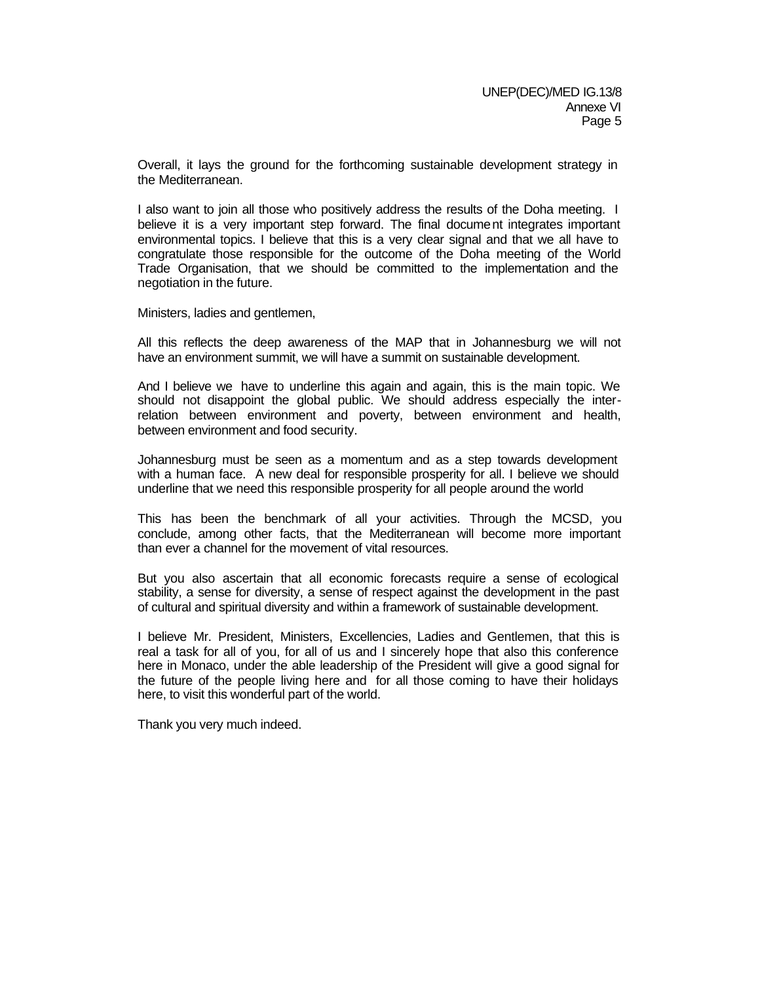Overall, it lays the ground for the forthcoming sustainable development strategy in the Mediterranean.

I also want to join all those who positively address the results of the Doha meeting. I believe it is a very important step forward. The final document integrates important environmental topics. I believe that this is a very clear signal and that we all have to congratulate those responsible for the outcome of the Doha meeting of the World Trade Organisation, that we should be committed to the implementation and the negotiation in the future.

Ministers, ladies and gentlemen,

All this reflects the deep awareness of the MAP that in Johannesburg we will not have an environment summit, we will have a summit on sustainable development.

And I believe we have to underline this again and again, this is the main topic. We should not disappoint the global public. We should address especially the interrelation between environment and poverty, between environment and health, between environment and food security.

Johannesburg must be seen as a momentum and as a step towards development with a human face. A new deal for responsible prosperity for all. I believe we should underline that we need this responsible prosperity for all people around the world

This has been the benchmark of all your activities. Through the MCSD, you conclude, among other facts, that the Mediterranean will become more important than ever a channel for the movement of vital resources.

But you also ascertain that all economic forecasts require a sense of ecological stability, a sense for diversity, a sense of respect against the development in the past of cultural and spiritual diversity and within a framework of sustainable development.

I believe Mr. President, Ministers, Excellencies, Ladies and Gentlemen, that this is real a task for all of you, for all of us and I sincerely hope that also this conference here in Monaco, under the able leadership of the President will give a good signal for the future of the people living here and for all those coming to have their holidays here, to visit this wonderful part of the world.

Thank you very much indeed.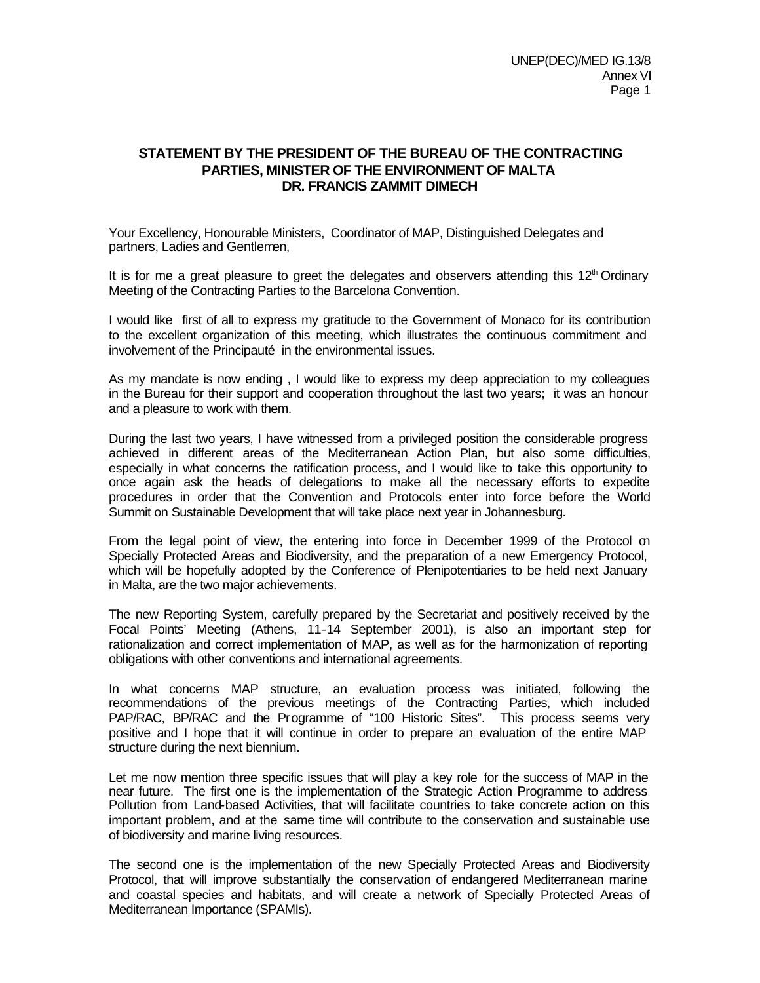## **STATEMENT BY THE PRESIDENT OF THE BUREAU OF THE CONTRACTING PARTIES, MINISTER OF THE ENVIRONMENT OF MALTA DR. FRANCIS ZAMMIT DIMECH**

Your Excellency, Honourable Ministers, Coordinator of MAP, Distinguished Delegates and partners, Ladies and Gentlemen,

It is for me a great pleasure to greet the delegates and observers attending this  $12<sup>th</sup>$  Ordinary Meeting of the Contracting Parties to the Barcelona Convention.

I would like first of all to express my gratitude to the Government of Monaco for its contribution to the excellent organization of this meeting, which illustrates the continuous commitment and involvement of the Principauté in the environmental issues.

As my mandate is now ending , I would like to express my deep appreciation to my colleagues in the Bureau for their support and cooperation throughout the last two years; it was an honour and a pleasure to work with them.

During the last two years, I have witnessed from a privileged position the considerable progress achieved in different areas of the Mediterranean Action Plan, but also some difficulties, especially in what concerns the ratification process, and I would like to take this opportunity to once again ask the heads of delegations to make all the necessary efforts to expedite procedures in order that the Convention and Protocols enter into force before the World Summit on Sustainable Development that will take place next year in Johannesburg.

From the legal point of view, the entering into force in December 1999 of the Protocol on Specially Protected Areas and Biodiversity, and the preparation of a new Emergency Protocol, which will be hopefully adopted by the Conference of Plenipotentiaries to be held next January in Malta, are the two major achievements.

The new Reporting System, carefully prepared by the Secretariat and positively received by the Focal Points' Meeting (Athens, 11-14 September 2001), is also an important step for rationalization and correct implementation of MAP, as well as for the harmonization of reporting obligations with other conventions and international agreements.

In what concerns MAP structure, an evaluation process was initiated, following the recommendations of the previous meetings of the Contracting Parties, which included PAP/RAC, BP/RAC and the Programme of "100 Historic Sites". This process seems very positive and I hope that it will continue in order to prepare an evaluation of the entire MAP structure during the next biennium.

Let me now mention three specific issues that will play a key role for the success of MAP in the near future. The first one is the implementation of the Strategic Action Programme to address Pollution from Land-based Activities, that will facilitate countries to take concrete action on this important problem, and at the same time will contribute to the conservation and sustainable use of biodiversity and marine living resources.

The second one is the implementation of the new Specially Protected Areas and Biodiversity Protocol, that will improve substantially the conservation of endangered Mediterranean marine and coastal species and habitats, and will create a network of Specially Protected Areas of Mediterranean Importance (SPAMIs).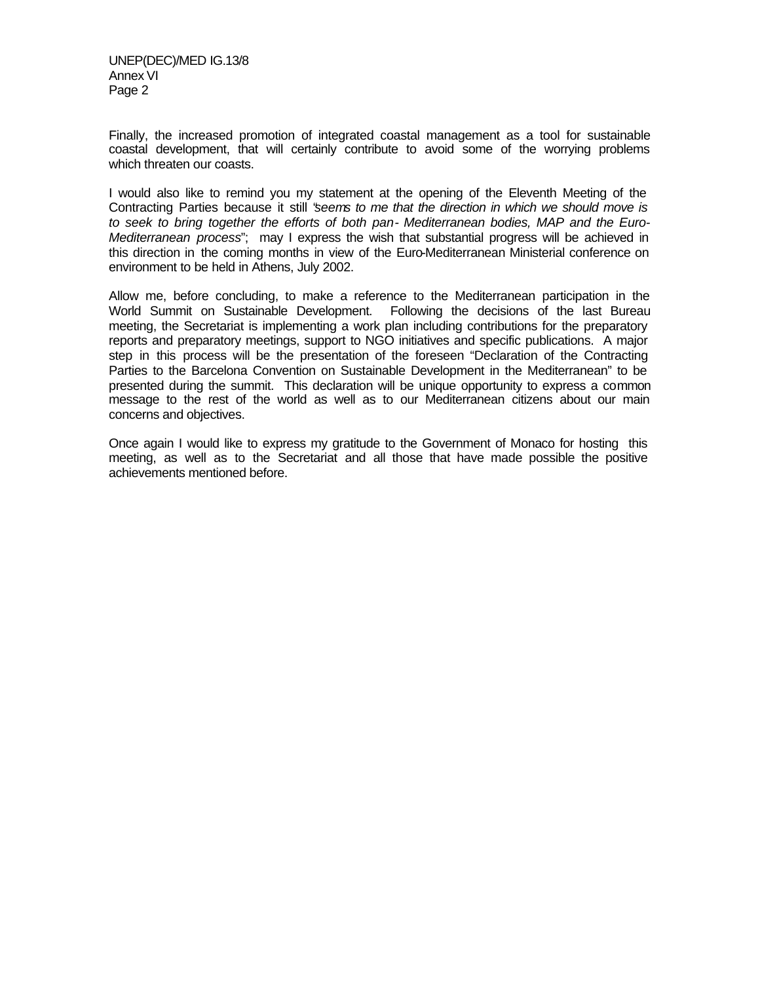UNEP(DEC)/MED IG.13/8 Annex VI Page 2

Finally, the increased promotion of integrated coastal management as a tool for sustainable coastal development, that will certainly contribute to avoid some of the worrying problems which threaten our coasts.

I would also like to remind you my statement at the opening of the Eleventh Meeting of the Contracting Parties because it still "*seems to me that the direction in which we should move is to seek to bring together the efforts of both pan- Mediterranean bodies, MAP and the Euro-Mediterranean process*"; may I express the wish that substantial progress will be achieved in this direction in the coming months in view of the Euro-Mediterranean Ministerial conference on environment to be held in Athens, July 2002.

Allow me, before concluding, to make a reference to the Mediterranean participation in the World Summit on Sustainable Development. Following the decisions of the last Bureau meeting, the Secretariat is implementing a work plan including contributions for the preparatory reports and preparatory meetings, support to NGO initiatives and specific publications. A major step in this process will be the presentation of the foreseen "Declaration of the Contracting Parties to the Barcelona Convention on Sustainable Development in the Mediterranean" to be presented during the summit. This declaration will be unique opportunity to express a common message to the rest of the world as well as to our Mediterranean citizens about our main concerns and objectives.

Once again I would like to express my gratitude to the Government of Monaco for hosting this meeting, as well as to the Secretariat and all those that have made possible the positive achievements mentioned before.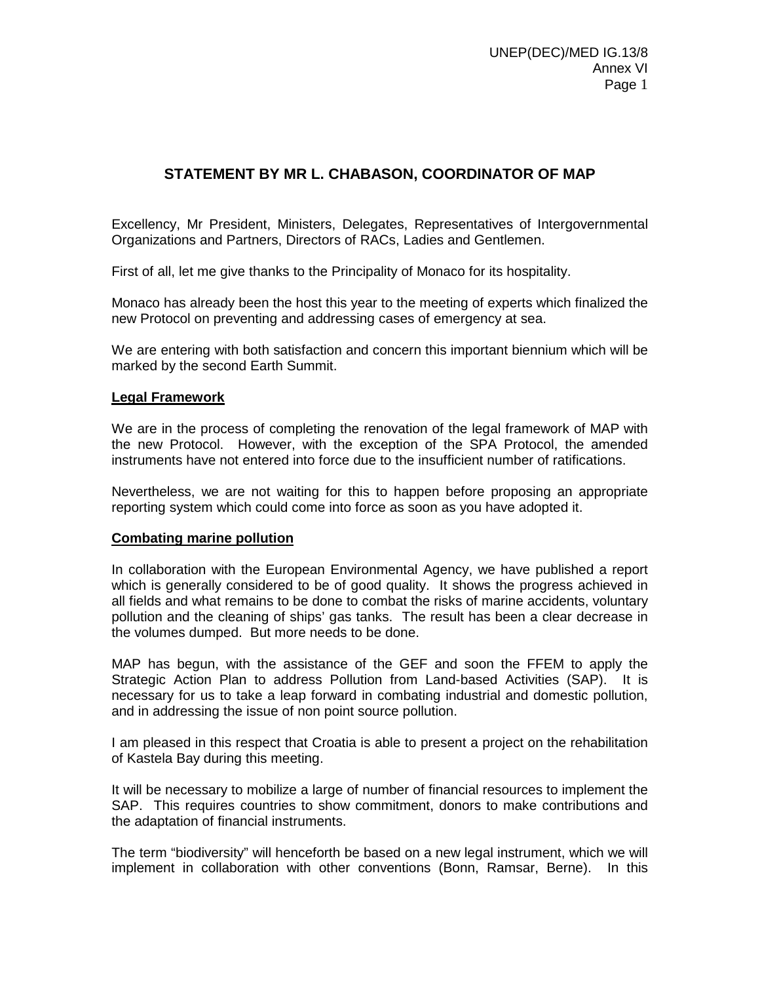# **STATEMENT BY MR L. CHABASON, COORDINATOR OF MAP**

Excellency, Mr President, Ministers, Delegates, Representatives of Intergovernmental Organizations and Partners, Directors of RACs, Ladies and Gentlemen.

First of all, let me give thanks to the Principality of Monaco for its hospitality.

Monaco has already been the host this year to the meeting of experts which finalized the new Protocol on preventing and addressing cases of emergency at sea.

We are entering with both satisfaction and concern this important biennium which will be marked by the second Earth Summit.

#### **Legal Framework**

We are in the process of completing the renovation of the legal framework of MAP with the new Protocol. However, with the exception of the SPA Protocol, the amended instruments have not entered into force due to the insufficient number of ratifications.

Nevertheless, we are not waiting for this to happen before proposing an appropriate reporting system which could come into force as soon as you have adopted it.

#### **Combating marine pollution**

In collaboration with the European Environmental Agency, we have published a report which is generally considered to be of good quality. It shows the progress achieved in all fields and what remains to be done to combat the risks of marine accidents, voluntary pollution and the cleaning of ships' gas tanks. The result has been a clear decrease in the volumes dumped. But more needs to be done.

MAP has begun, with the assistance of the GEF and soon the FFEM to apply the Strategic Action Plan to address Pollution from Land-based Activities (SAP). It is necessary for us to take a leap forward in combating industrial and domestic pollution, and in addressing the issue of non point source pollution.

I am pleased in this respect that Croatia is able to present a project on the rehabilitation of Kastela Bay during this meeting.

It will be necessary to mobilize a large of number of financial resources to implement the SAP. This requires countries to show commitment, donors to make contributions and the adaptation of financial instruments.

The term "biodiversity" will henceforth be based on a new legal instrument, which we will implement in collaboration with other conventions (Bonn, Ramsar, Berne). In this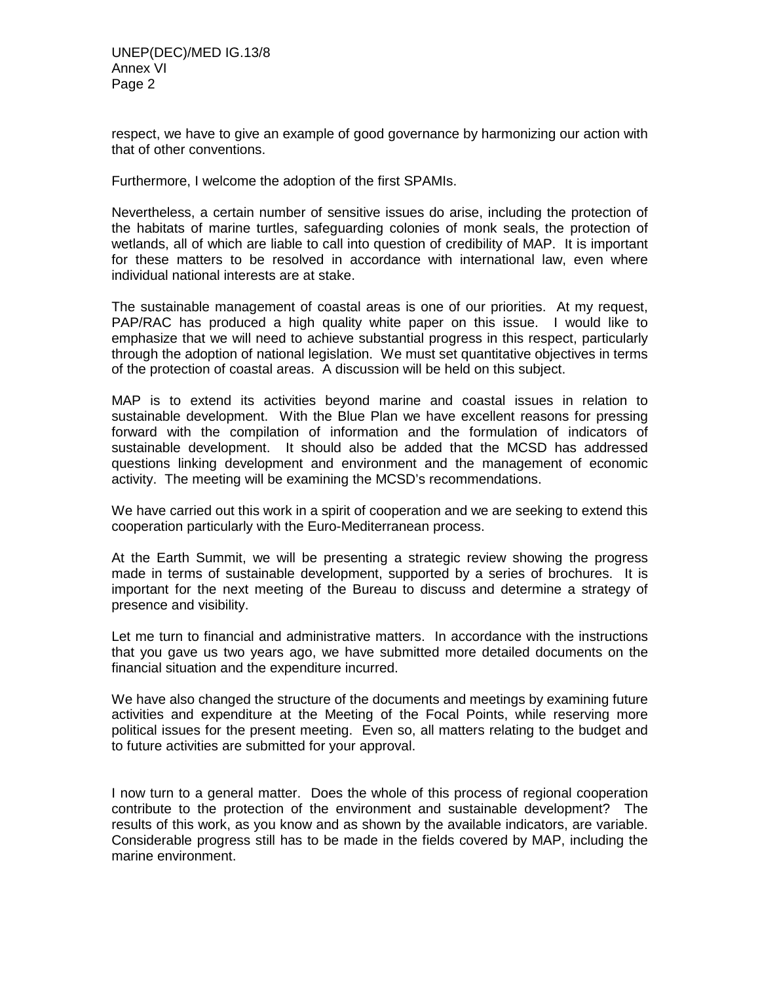respect, we have to give an example of good governance by harmonizing our action with that of other conventions.

Furthermore, I welcome the adoption of the first SPAMIs.

Nevertheless, a certain number of sensitive issues do arise, including the protection of the habitats of marine turtles, safeguarding colonies of monk seals, the protection of wetlands, all of which are liable to call into question of credibility of MAP. It is important for these matters to be resolved in accordance with international law, even where individual national interests are at stake.

The sustainable management of coastal areas is one of our priorities. At my request, PAP/RAC has produced a high quality white paper on this issue. I would like to emphasize that we will need to achieve substantial progress in this respect, particularly through the adoption of national legislation. We must set quantitative objectives in terms of the protection of coastal areas. A discussion will be held on this subject.

MAP is to extend its activities beyond marine and coastal issues in relation to sustainable development. With the Blue Plan we have excellent reasons for pressing forward with the compilation of information and the formulation of indicators of sustainable development. It should also be added that the MCSD has addressed questions linking development and environment and the management of economic activity. The meeting will be examining the MCSD's recommendations.

We have carried out this work in a spirit of cooperation and we are seeking to extend this cooperation particularly with the Euro-Mediterranean process.

At the Earth Summit, we will be presenting a strategic review showing the progress made in terms of sustainable development, supported by a series of brochures. It is important for the next meeting of the Bureau to discuss and determine a strategy of presence and visibility.

Let me turn to financial and administrative matters. In accordance with the instructions that you gave us two years ago, we have submitted more detailed documents on the financial situation and the expenditure incurred.

We have also changed the structure of the documents and meetings by examining future activities and expenditure at the Meeting of the Focal Points, while reserving more political issues for the present meeting. Even so, all matters relating to the budget and to future activities are submitted for your approval.

I now turn to a general matter. Does the whole of this process of regional cooperation contribute to the protection of the environment and sustainable development? The results of this work, as you know and as shown by the available indicators, are variable. Considerable progress still has to be made in the fields covered by MAP, including the marine environment.